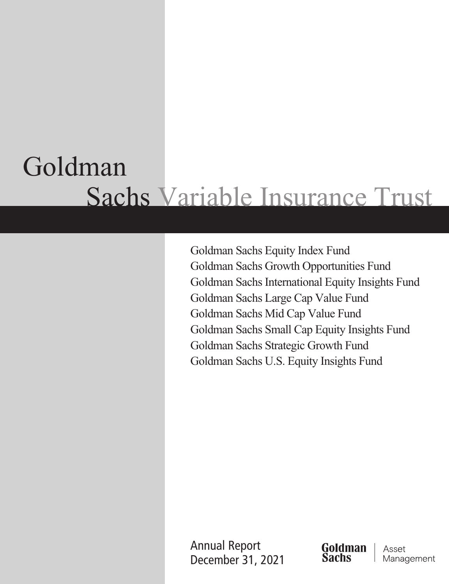# Goldman Sachs Variable Insurance Trust

Goldman Sachs Equity Index Fund Goldman Sachs Growth Opportunities Fund Goldman Sachs International Equity Insights Fund Goldman Sachs Large Cap Value Fund Goldman Sachs Mid Cap Value Fund Goldman Sachs Small Cap Equity Insights Fund Goldman Sachs Strategic Growth Fund Goldman Sachs U.S. Equity Insights Fund

Annual Report December 31, 2021

Goldman Sachs

Asset Management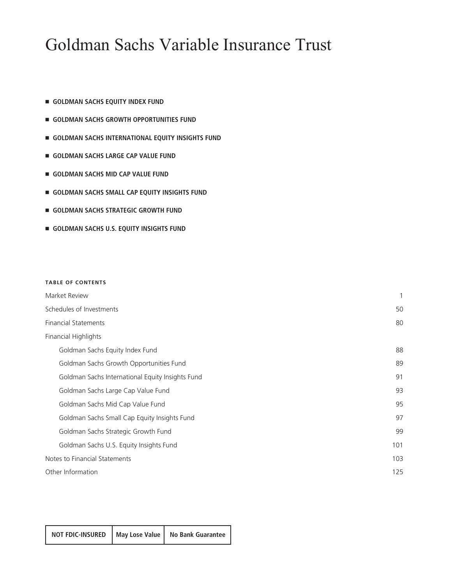### Goldman Sachs Variable Insurance Trust

- $\blacksquare$  **GOLDMAN SACHS EQUITY INDEX FUND**
- **GOLDMAN SACHS GROWTH OPPORTUNITIES FUND**
- **GOLDMAN SACHS INTERNATIONAL EQUITY INSIGHTS FUND**
- $\blacksquare$  **GOLDMAN SACHS LARGE CAP VALUE FUND**
- $\blacksquare$  **GOLDMAN SACHS MID CAP VALUE FUND**
- $\blacksquare$  GOLDMAN SACHS SMALL CAP EQUITY INSIGHTS FUND
- **GOLDMAN SACHS STRATEGIC GROWTH FUND**
- **GOLDMAN SACHS U.S. EQUITY INSIGHTS FUND**

#### **TABLE OF CONTENTS**

| Market Review                                    | 1   |
|--------------------------------------------------|-----|
| Schedules of Investments                         | 50  |
| <b>Financial Statements</b>                      | 80  |
| Financial Highlights                             |     |
| Goldman Sachs Equity Index Fund                  | 88  |
| Goldman Sachs Growth Opportunities Fund          | 89  |
| Goldman Sachs International Equity Insights Fund | 91  |
| Goldman Sachs Large Cap Value Fund               | 93  |
| Goldman Sachs Mid Cap Value Fund                 | 95  |
| Goldman Sachs Small Cap Equity Insights Fund     | 97  |
| Goldman Sachs Strategic Growth Fund              | 99  |
| Goldman Sachs U.S. Equity Insights Fund          | 101 |
| Notes to Financial Statements                    | 103 |
| Other Information                                | 125 |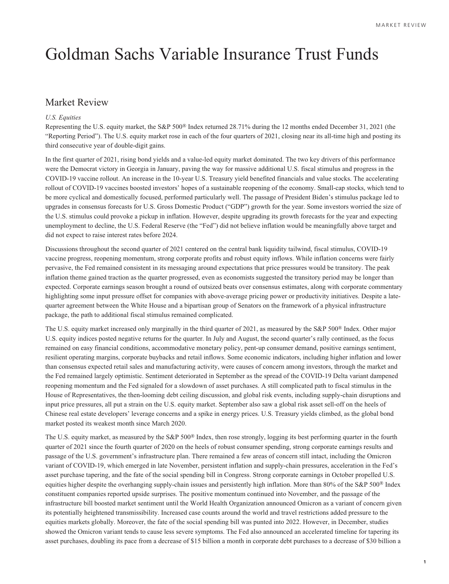### <span id="page-2-0"></span>Goldman Sachs Variable Insurance Trust Funds

### Market Review

#### *U.S. Equities*

Representing the U.S. equity market, the S&P 500® Index returned 28.71% during the 12 months ended December 31, 2021 (the "Reporting Period"). The U.S. equity market rose in each of the four quarters of 2021, closing near its all-time high and posting its third consecutive year of double-digit gains.

In the first quarter of 2021, rising bond yields and a value-led equity market dominated. The two key drivers of this performance were the Democrat victory in Georgia in January, paving the way for massive additional U.S. fiscal stimulus and progress in the COVID-19 vaccine rollout. An increase in the 10-year U.S. Treasury yield benefited financials and value stocks. The accelerating rollout of COVID-19 vaccines boosted investors' hopes of a sustainable reopening of the economy. Small-cap stocks, which tend to be more cyclical and domestically focused, performed particularly well. The passage of President Biden's stimulus package led to upgrades in consensus forecasts for U.S. Gross Domestic Product ("GDP") growth for the year. Some investors worried the size of the U.S. stimulus could provoke a pickup in inflation. However, despite upgrading its growth forecasts for the year and expecting unemployment to decline, the U.S. Federal Reserve (the "Fed") did not believe inflation would be meaningfully above target and did not expect to raise interest rates before 2024.

Discussions throughout the second quarter of 2021 centered on the central bank liquidity tailwind, fiscal stimulus, COVID-19 vaccine progress, reopening momentum, strong corporate profits and robust equity inflows. While inflation concerns were fairly pervasive, the Fed remained consistent in its messaging around expectations that price pressures would be transitory. The peak inflation theme gained traction as the quarter progressed, even as economists suggested the transitory period may be longer than expected. Corporate earnings season brought a round of outsized beats over consensus estimates, along with corporate commentary highlighting some input pressure offset for companies with above-average pricing power or productivity initiatives. Despite a latequarter agreement between the White House and a bipartisan group of Senators on the framework of a physical infrastructure package, the path to additional fiscal stimulus remained complicated.

The U.S. equity market increased only marginally in the third quarter of 2021, as measured by the S&P 500® Index. Other major U.S. equity indices posted negative returns for the quarter. In July and August, the second quarter's rally continued, as the focus remained on easy financial conditions, accommodative monetary policy, pent-up consumer demand, positive earnings sentiment, resilient operating margins, corporate buybacks and retail inflows. Some economic indicators, including higher inflation and lower than consensus expected retail sales and manufacturing activity, were causes of concern among investors, through the market and the Fed remained largely optimistic. Sentiment deteriorated in September as the spread of the COVID-19 Delta variant dampened reopening momentum and the Fed signaled for a slowdown of asset purchases. A still complicated path to fiscal stimulus in the House of Representatives, the then-looming debt ceiling discussion, and global risk events, including supply-chain disruptions and input price pressures, all put a strain on the U.S. equity market. September also saw a global risk asset sell-off on the heels of Chinese real estate developers' leverage concerns and a spike in energy prices. U.S. Treasury yields climbed, as the global bond market posted its weakest month since March 2020.

The U.S. equity market, as measured by the S&P 500® Index, then rose strongly, logging its best performing quarter in the fourth quarter of 2021 since the fourth quarter of 2020 on the heels of robust consumer spending, strong corporate earnings results and passage of the U.S. government's infrastructure plan. There remained a few areas of concern still intact, including the Omicron variant of COVID-19, which emerged in late November, persistent inflation and supply-chain pressures, acceleration in the Fed's asset purchase tapering, and the fate of the social spending bill in Congress. Strong corporate earnings in October propelled U.S. equities higher despite the overhanging supply-chain issues and persistently high inflation. More than 80% of the S&P 500<sup>®</sup> Index constituent companies reported upside surprises. The positive momentum continued into November, and the passage of the infrastructure bill boosted market sentiment until the World Health Organization announced Omicron as a variant of concern given its potentially heightened transmissibility. Increased case counts around the world and travel restrictions added pressure to the equities markets globally. Moreover, the fate of the social spending bill was punted into 2022. However, in December, studies showed the Omicron variant tends to cause less severe symptoms. The Fed also announced an accelerated timeline for tapering its asset purchases, doubling its pace from a decrease of \$15 billion a month in corporate debt purchases to a decrease of \$30 billion a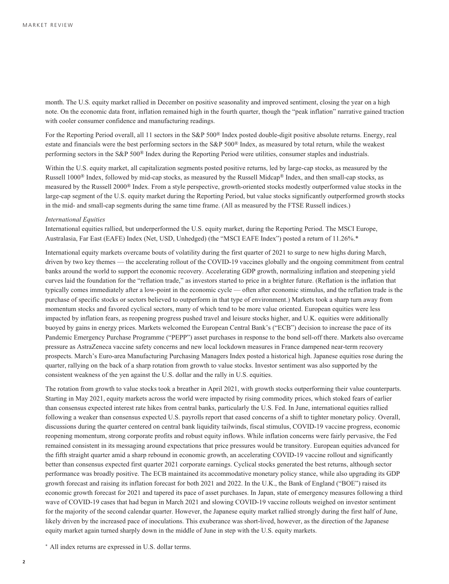month. The U.S. equity market rallied in December on positive seasonality and improved sentiment, closing the year on a high note. On the economic data front, inflation remained high in the fourth quarter, though the "peak inflation" narrative gained traction with cooler consumer confidence and manufacturing readings.

For the Reporting Period overall, all 11 sectors in the S&P 500® Index posted double-digit positive absolute returns. Energy, real estate and financials were the best performing sectors in the S&P 500® Index, as measured by total return, while the weakest performing sectors in the S&P 500® Index during the Reporting Period were utilities, consumer staples and industrials.

Within the U.S. equity market, all capitalization segments posted positive returns, led by large-cap stocks, as measured by the Russell  $1000^\circ$  Index, followed by mid-cap stocks, as measured by the Russell Midcap<sup>®</sup> Index, and then small-cap stocks, as measured by the Russell 2000® Index. From a style perspective, growth-oriented stocks modestly outperformed value stocks in the large-cap segment of the U.S. equity market during the Reporting Period, but value stocks significantly outperformed growth stocks in the mid- and small-cap segments during the same time frame. (All as measured by the FTSE Russell indices.)

#### *International Equities*

International equities rallied, but underperformed the U.S. equity market, during the Reporting Period. The MSCI Europe, Australasia, Far East (EAFE) Index (Net, USD, Unhedged) (the "MSCI EAFE Index") posted a return of 11.26%.\*

International equity markets overcame bouts of volatility during the first quarter of 2021 to surge to new highs during March, driven by two key themes — the accelerating rollout of the COVID-19 vaccines globally and the ongoing commitment from central banks around the world to support the economic recovery. Accelerating GDP growth, normalizing inflation and steepening yield curves laid the foundation for the "reflation trade," as investors started to price in a brighter future. (Reflation is the inflation that typically comes immediately after a low-point in the economic cycle — often after economic stimulus, and the reflation trade is the purchase of specific stocks or sectors believed to outperform in that type of environment.) Markets took a sharp turn away from momentum stocks and favored cyclical sectors, many of which tend to be more value oriented. European equities were less impacted by inflation fears, as reopening progress pushed travel and leisure stocks higher, and U.K. equities were additionally buoyed by gains in energy prices. Markets welcomed the European Central Bank's ("ECB") decision to increase the pace of its Pandemic Emergency Purchase Programme ("PEPP") asset purchases in response to the bond sell-off there. Markets also overcame pressure as AstraZeneca vaccine safety concerns and new local lockdown measures in France dampened near-term recovery prospects. March's Euro-area Manufacturing Purchasing Managers Index posted a historical high. Japanese equities rose during the quarter, rallying on the back of a sharp rotation from growth to value stocks. Investor sentiment was also supported by the consistent weakness of the yen against the U.S. dollar and the rally in U.S. equities.

The rotation from growth to value stocks took a breather in April 2021, with growth stocks outperforming their value counterparts. Starting in May 2021, equity markets across the world were impacted by rising commodity prices, which stoked fears of earlier than consensus expected interest rate hikes from central banks, particularly the U.S. Fed. In June, international equities rallied following a weaker than consensus expected U.S. payrolls report that eased concerns of a shift to tighter monetary policy. Overall, discussions during the quarter centered on central bank liquidity tailwinds, fiscal stimulus, COVID-19 vaccine progress, economic reopening momentum, strong corporate profits and robust equity inflows. While inflation concerns were fairly pervasive, the Fed remained consistent in its messaging around expectations that price pressures would be transitory. European equities advanced for the fifth straight quarter amid a sharp rebound in economic growth, an accelerating COVID-19 vaccine rollout and significantly better than consensus expected first quarter 2021 corporate earnings. Cyclical stocks generated the best returns, although sector performance was broadly positive. The ECB maintained its accommodative monetary policy stance, while also upgrading its GDP growth forecast and raising its inflation forecast for both 2021 and 2022. In the U.K., the Bank of England ("BOE") raised its economic growth forecast for 2021 and tapered its pace of asset purchases. In Japan, state of emergency measures following a third wave of COVID-19 cases that had begun in March 2021 and slowing COVID-19 vaccine rollouts weighed on investor sentiment for the majority of the second calendar quarter. However, the Japanese equity market rallied strongly during the first half of June, likely driven by the increased pace of inoculations. This exuberance was short-lived, however, as the direction of the Japanese equity market again turned sharply down in the middle of June in step with the U.S. equity markets.

\* All index returns are expressed in U.S. dollar terms.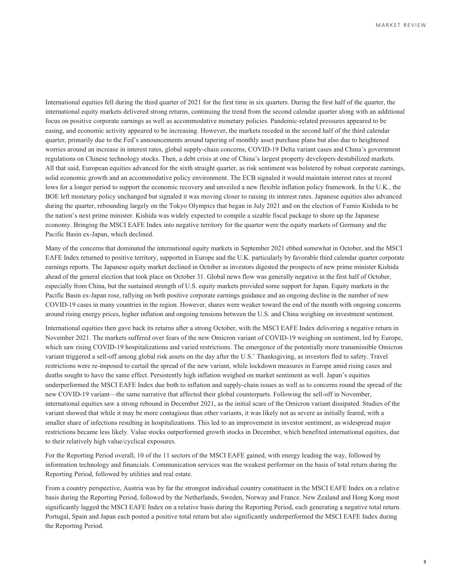International equities fell during the third quarter of 2021 for the first time in six quarters. During the first half of the quarter, the international equity markets delivered strong returns, continuing the trend from the second calendar quarter along with an additional focus on positive corporate earnings as well as accommodative monetary policies. Pandemic-related pressures appeared to be easing, and economic activity appeared to be increasing. However, the markets receded in the second half of the third calendar quarter, primarily due to the Fed's announcements around tapering of monthly asset purchase plans but also due to heightened worries around an increase in interest rates, global supply-chain concerns, COVID-19 Delta variant cases and China's government regulations on Chinese technology stocks. Then, a debt crisis at one of China's largest property developers destabilized markets. All that said, European equities advanced for the sixth straight quarter, as risk sentiment was bolstered by robust corporate earnings, solid economic growth and an accommodative policy environment. The ECB signaled it would maintain interest rates at record lows for a longer period to support the economic recovery and unveiled a new flexible inflation policy framework. In the U.K., the BOE left monetary policy unchanged but signaled it was moving closer to raising its interest rates. Japanese equities also advanced during the quarter, rebounding largely on the Tokyo Olympics that began in July 2021 and on the election of Fumio Kishida to be the nation's next prime minister. Kishida was widely expected to compile a sizable fiscal package to shore up the Japanese economy. Bringing the MSCI EAFE Index into negative territory for the quarter were the equity markets of Germany and the Pacific Basin ex-Japan, which declined.

Many of the concerns that dominated the international equity markets in September 2021 ebbed somewhat in October, and the MSCI EAFE Index returned to positive territory, supported in Europe and the U.K. particularly by favorable third calendar quarter corporate earnings reports. The Japanese equity market declined in October as investors digested the prospects of new prime minister Kishida ahead of the general election that took place on October 31. Global news flow was generally negative in the first half of October, especially from China, but the sustained strength of U.S. equity markets provided some support for Japan. Equity markets in the Pacific Basin ex-Japan rose, rallying on both positive corporate earnings guidance and an ongoing decline in the number of new COVID-19 cases in many countries in the region. However, shares were weaker toward the end of the month with ongoing concerns around rising energy prices, higher inflation and ongoing tensions between the U.S. and China weighing on investment sentiment.

International equities then gave back its returns after a strong October, with the MSCI EAFE Index delivering a negative return in November 2021. The markets suffered over fears of the new Omicron variant of COVID-19 weighing on sentiment, led by Europe, which saw rising COVID-19 hospitalizations and varied restrictions. The emergence of the potentially more transmissible Omicron variant triggered a sell-off among global risk assets on the day after the U.S.' Thanksgiving, as investors fled to safety. Travel restrictions were re-imposed to curtail the spread of the new variant, while lockdown measures in Europe amid rising cases and deaths sought to have the same effect. Persistently high inflation weighed on market sentiment as well. Japan's equities underperformed the MSCI EAFE Index due both to inflation and supply-chain issues as well as to concerns round the spread of the new COVID-19 variant—the same narrative that affected their global counterparts. Following the sell-off in November, international equities saw a strong rebound in December 2021, as the initial scare of the Omicron variant dissipated. Studies of the variant showed that while it may be more contagious than other variants, it was likely not as severe as initially feared, with a smaller share of infections resulting in hospitalizations. This led to an improvement in investor sentiment, as widespread major restrictions became less likely. Value stocks outperformed growth stocks in December, which benefited international equities, due to their relatively high value/cyclical exposures.

For the Reporting Period overall, 10 of the 11 sectors of the MSCI EAFE gained, with energy leading the way, followed by information technology and financials. Communication services was the weakest performer on the basis of total return during the Reporting Period, followed by utilities and real estate.

From a country perspective, Austria was by far the strongest individual country constituent in the MSCI EAFE Index on a relative basis during the Reporting Period, followed by the Netherlands, Sweden, Norway and France. New Zealand and Hong Kong most significantly lagged the MSCI EAFE Index on a relative basis during the Reporting Period, each generating a negative total return. Portugal, Spain and Japan each posted a positive total return but also significantly underperformed the MSCI EAFE Index during the Reporting Period.

**3**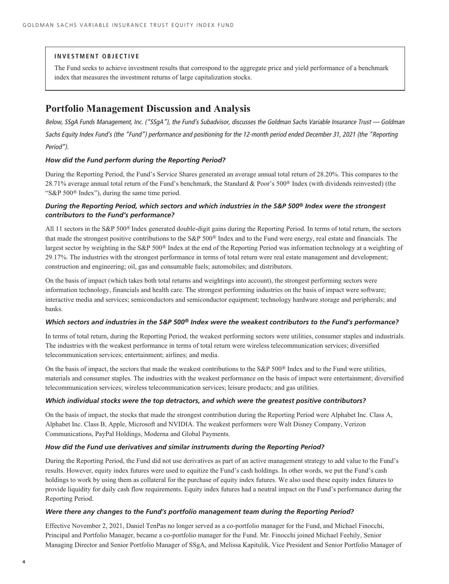#### **INVESTMENT OBJECTIVE**

The Fund seeks to achieve investment results that correspond to the aggregate price and yield performance of a benchmark index that measures the investment returns of large capitalization stocks.

### **Portfolio Management Discussion and Analysis**

Below, SSgA Funds Management, Inc. ("SSgA"), the Fund's Subadvisor, discusses the Goldman Sachs Variable Insurance Trust — Goldman Sachs Equity Index Fund's (the "Fund") performance and positioning for the 12-month period ended December 31, 2021 (the "Reporting Period").

#### *How did the Fund perform during the Reporting Period?*

During the Reporting Period, the Fund's Service Shares generated an average annual total return of 28.20%. This compares to the 28.71% average annual total return of the Fund's benchmark, the Standard & Poor's 500® Index (with dividends reinvested) (the "S&P 500® Index"), during the same time period.

#### *During the Reporting Period, which sectors and which industries in the S&P 500® Index were the strongest contributors to the Fund's performance?*

All 11 sectors in the S&P 500® Index generated double-digit gains during the Reporting Period. In terms of total return, the sectors that made the strongest positive contributions to the S&P 500® Index and to the Fund were energy, real estate and financials. The largest sector by weighting in the S&P 500® Index at the end of the Reporting Period was information technology at a weighting of 29.17%. The industries with the strongest performance in terms of total return were real estate management and development; construction and engineering; oil, gas and consumable fuels; automobiles; and distributors.

On the basis of impact (which takes both total returns and weightings into account), the strongest performing sectors were information technology, financials and health care. The strongest performing industries on the basis of impact were software; interactive media and services; semiconductors and semiconductor equipment; technology hardware storage and peripherals; and banks.

#### *Which sectors and industries in the S&P 500® Index were the weakest contributors to the Fund's performance?*

In terms of total return, during the Reporting Period, the weakest performing sectors were utilities, consumer staples and industrials. The industries with the weakest performance in terms of total return were wireless telecommunication services; diversified telecommunication services; entertainment; airlines; and media.

On the basis of impact, the sectors that made the weakest contributions to the S&P 500 $^{\circ}$  Index and to the Fund were utilities, materials and consumer staples. The industries with the weakest performance on the basis of impact were entertainment; diversified telecommunication services; wireless telecommunication services; leisure products; and gas utilities.

#### *Which individual stocks were the top detractors, and which were the greatest positive contributors?*

On the basis of impact, the stocks that made the strongest contribution during the Reporting Period were Alphabet Inc. Class A, Alphabet Inc. Class B, Apple, Microsoft and NVIDIA. The weakest performers were Walt Disney Company, Verizon Communications, PayPal Holdings, Moderna and Global Payments.

#### *How did the Fund use derivatives and similar instruments during the Reporting Period?*

During the Reporting Period, the Fund did not use derivatives as part of an active management strategy to add value to the Fund's results. However, equity index futures were used to equitize the Fund's cash holdings. In other words, we put the Fund's cash holdings to work by using them as collateral for the purchase of equity index futures. We also used these equity index futures to provide liquidity for daily cash flow requirements. Equity index futures had a neutral impact on the Fund's performance during the Reporting Period.

#### *Were there any changes to the Fund's portfolio management team during the Reporting Period?*

Effective November 2, 2021, Daniel TenPas no longer served as a co-portfolio manager for the Fund, and Michael Finocchi, Principal and Portfolio Manager, became a co-portfolio manager for the Fund. Mr. Finocchi joined Michael Feehily, Senior Managing Director and Senior Portfolio Manager of SSgA, and Melissa Kapitulik, Vice President and Senior Portfolio Manager of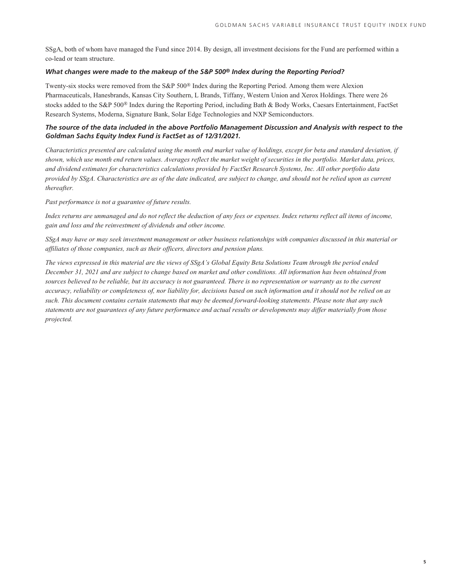SSgA, both of whom have managed the Fund since 2014. By design, all investment decisions for the Fund are performed within a co-lead or team structure.

#### *What changes were made to the makeup of the S&P 500® Index during the Reporting Period?*

Twenty-six stocks were removed from the S&P 500® Index during the Reporting Period. Among them were Alexion Pharmaceuticals, Hanesbrands, Kansas City Southern, L Brands, Tiffany, Western Union and Xerox Holdings. There were 26 stocks added to the S&P 500® Index during the Reporting Period, including Bath & Body Works, Caesars Entertainment, FactSet Research Systems, Moderna, Signature Bank, Solar Edge Technologies and NXP Semiconductors.

#### *The source of the data included in the above Portfolio Management Discussion and Analysis with respect to the Goldman Sachs Equity Index Fund is FactSet as of 12/31/2021.*

*Characteristics presented are calculated using the month end market value of holdings, except for beta and standard deviation, if shown, which use month end return values. Averages reflect the market weight of securities in the portfolio. Market data, prices, and dividend estimates for characteristics calculations provided by FactSet Research Systems, Inc. All other portfolio data provided by SSgA. Characteristics are as of the date indicated, are subject to change, and should not be relied upon as current thereafter.*

*Past performance is not a guarantee of future results.*

*Index returns are unmanaged and do not reflect the deduction of any fees or expenses. Index returns reflect all items of income, gain and loss and the reinvestment of dividends and other income.*

*SSgA may have or may seek investment management or other business relationships with companies discussed in this material or affiliates of those companies, such as their officers, directors and pension plans.*

*The views expressed in this material are the views of SSgA's Global Equity Beta Solutions Team through the period ended December 31, 2021 and are subject to change based on market and other conditions. All information has been obtained from sources believed to be reliable, but its accuracy is not guaranteed. There is no representation or warranty as to the current accuracy, reliability or completeness of, nor liability for, decisions based on such information and it should not be relied on as such. This document contains certain statements that may be deemed forward-looking statements. Please note that any such statements are not guarantees of any future performance and actual results or developments may differ materially from those projected.*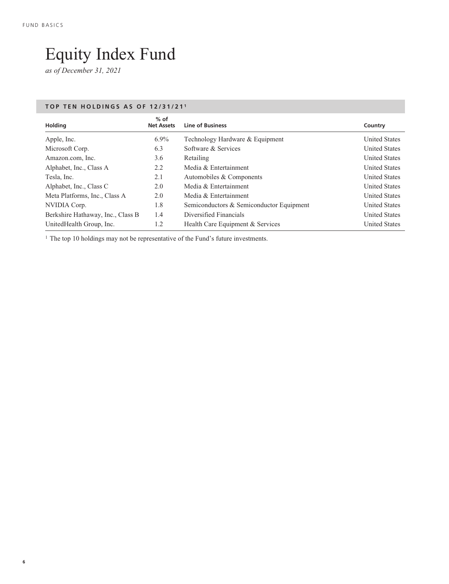### Equity Index Fund

*as of December 31, 2021*

#### **TOP TEN HOLDINGS AS OF 12/31/21 <sup>1</sup>**

| <b>Holding</b>                    | $%$ of<br><b>Net Assets</b> | <b>Line of Business</b>                  | Country              |
|-----------------------------------|-----------------------------|------------------------------------------|----------------------|
| Apple, Inc.                       | $6.9\%$                     | Technology Hardware & Equipment          | <b>United States</b> |
| Microsoft Corp.                   | 6.3                         | Software & Services                      | <b>United States</b> |
| Amazon.com, Inc.                  | 3.6                         | Retailing                                | <b>United States</b> |
| Alphabet, Inc., Class A           | 2.2                         | Media & Entertainment                    | <b>United States</b> |
| Tesla, Inc.                       | 2.1                         | Automobiles & Components                 | <b>United States</b> |
| Alphabet, Inc., Class C           | 2.0                         | Media & Entertainment                    | <b>United States</b> |
| Meta Platforms, Inc., Class A     | 2.0                         | Media & Entertainment                    | <b>United States</b> |
| NVIDIA Corp.                      | 1.8                         | Semiconductors & Semiconductor Equipment | <b>United States</b> |
| Berkshire Hathaway, Inc., Class B | 1.4                         | Diversified Financials                   | <b>United States</b> |
| UnitedHealth Group, Inc.          | 1.2                         | Health Care Equipment & Services         | <b>United States</b> |

<sup>1</sup> The top 10 holdings may not be representative of the Fund's future investments.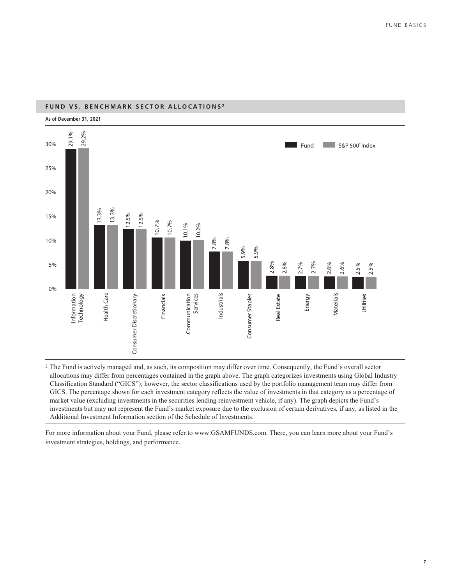

#### **FUND VS. BENCHMARK SECTOR ALLOCATIONS <sup>2</sup>**

<sup>2</sup> The Fund is actively managed and, as such, its composition may differ over time. Consequently, the Fund's overall sector allocations may differ from percentages contained in the graph above. The graph categorizes investments using Global Industry Classification Standard ("GICS"); however, the sector classifications used by the portfolio management team may differ from GICS. The percentage shown for each investment category reflects the value of investments in that category as a percentage of market value (excluding investments in the securities lending reinvestment vehicle, if any). The graph depicts the Fund's investments but may not represent the Fund's market exposure due to the exclusion of certain derivatives, if any, as listed in the Additional Investment Information section of the Schedule of Investments.

For more information about your Fund, please refer to www.GSAMFUNDS.com. There, you can learn more about your Fund's investment strategies, holdings, and performance.

**7**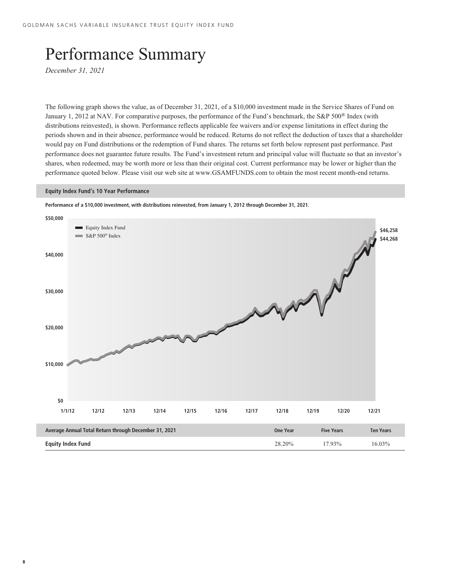### Performance Summary

*December 31, 2021*

The following graph shows the value, as of December 31, 2021, of a \$10,000 investment made in the Service Shares of Fund on January 1, 2012 at NAV. For comparative purposes, the performance of the Fund's benchmark, the S&P 500® Index (with distributions reinvested), is shown. Performance reflects applicable fee waivers and/or expense limitations in effect during the periods shown and in their absence, performance would be reduced. Returns do not reflect the deduction of taxes that a shareholder would pay on Fund distributions or the redemption of Fund shares. The returns set forth below represent past performance. Past performance does not guarantee future results. The Fund's investment return and principal value will fluctuate so that an investor's shares, when redeemed, may be worth more or less than their original cost. Current performance may be lower or higher than the performance quoted below. Please visit our web site at www.GSAMFUNDS.com to obtain the most recent month-end returns.

#### **Equity Index Fund's 10 Year Performance**

**8**



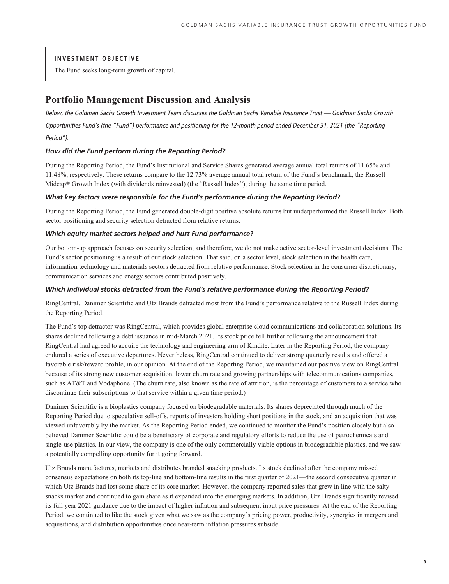#### **INVESTMENT OBJECTIVE**

The Fund seeks long-term growth of capital.

#### **Portfolio Management Discussion and Analysis**

Below, the Goldman Sachs Growth Investment Team discusses the Goldman Sachs Variable Insurance Trust — Goldman Sachs Growth Opportunities Fund's (the "Fund") performance and positioning for the 12-month period ended December 31, 2021 (the "Reporting Period").

#### *How did the Fund perform during the Reporting Period?*

During the Reporting Period, the Fund's Institutional and Service Shares generated average annual total returns of 11.65% and 11.48%, respectively. These returns compare to the 12.73% average annual total return of the Fund's benchmark, the Russell Midcap® Growth Index (with dividends reinvested) (the "Russell Index"), during the same time period.

#### *What key factors were responsible for the Fund's performance during the Reporting Period?*

During the Reporting Period, the Fund generated double-digit positive absolute returns but underperformed the Russell Index. Both sector positioning and security selection detracted from relative returns.

#### *Which equity market sectors helped and hurt Fund performance?*

Our bottom-up approach focuses on security selection, and therefore, we do not make active sector-level investment decisions. The Fund's sector positioning is a result of our stock selection. That said, on a sector level, stock selection in the health care, information technology and materials sectors detracted from relative performance. Stock selection in the consumer discretionary, communication services and energy sectors contributed positively.

#### *Which individual stocks detracted from the Fund's relative performance during the Reporting Period?*

RingCentral, Danimer Scientific and Utz Brands detracted most from the Fund's performance relative to the Russell Index during the Reporting Period.

The Fund's top detractor was RingCentral, which provides global enterprise cloud communications and collaboration solutions. Its shares declined following a debt issuance in mid-March 2021. Its stock price fell further following the announcement that RingCentral had agreed to acquire the technology and engineering arm of Kindite. Later in the Reporting Period, the company endured a series of executive departures. Nevertheless, RingCentral continued to deliver strong quarterly results and offered a favorable risk/reward profile, in our opinion. At the end of the Reporting Period, we maintained our positive view on RingCentral because of its strong new customer acquisition, lower churn rate and growing partnerships with telecommunications companies, such as AT&T and Vodaphone. (The churn rate, also known as the rate of attrition, is the percentage of customers to a service who discontinue their subscriptions to that service within a given time period.)

Danimer Scientific is a bioplastics company focused on biodegradable materials. Its shares depreciated through much of the Reporting Period due to speculative sell-offs, reports of investors holding short positions in the stock, and an acquisition that was viewed unfavorably by the market. As the Reporting Period ended, we continued to monitor the Fund's position closely but also believed Danimer Scientific could be a beneficiary of corporate and regulatory efforts to reduce the use of petrochemicals and single-use plastics. In our view, the company is one of the only commercially viable options in biodegradable plastics, and we saw a potentially compelling opportunity for it going forward.

Utz Brands manufactures, markets and distributes branded snacking products. Its stock declined after the company missed consensus expectations on both its top-line and bottom-line results in the first quarter of 2021—the second consecutive quarter in which Utz Brands had lost some share of its core market. However, the company reported sales that grew in line with the salty snacks market and continued to gain share as it expanded into the emerging markets. In addition, Utz Brands significantly revised its full year 2021 guidance due to the impact of higher inflation and subsequent input price pressures. At the end of the Reporting Period, we continued to like the stock given what we saw as the company's pricing power, productivity, synergies in mergers and acquisitions, and distribution opportunities once near-term inflation pressures subside.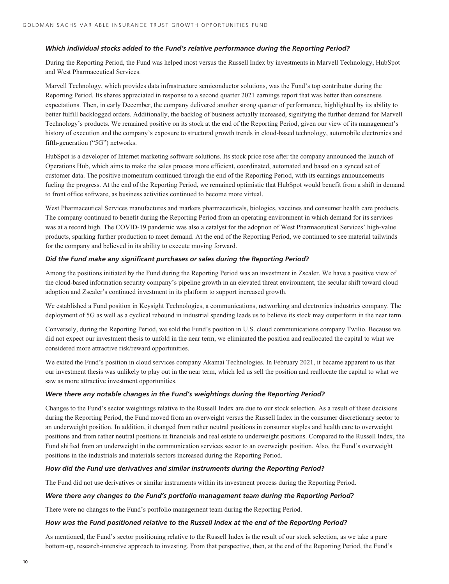#### *Which individual stocks added to the Fund's relative performance during the Reporting Period?*

During the Reporting Period, the Fund was helped most versus the Russell Index by investments in Marvell Technology, HubSpot and West Pharmaceutical Services.

Marvell Technology, which provides data infrastructure semiconductor solutions, was the Fund's top contributor during the Reporting Period. Its shares appreciated in response to a second quarter 2021 earnings report that was better than consensus expectations. Then, in early December, the company delivered another strong quarter of performance, highlighted by its ability to better fulfill backlogged orders. Additionally, the backlog of business actually increased, signifying the further demand for Marvell Technology's products. We remained positive on its stock at the end of the Reporting Period, given our view of its management's history of execution and the company's exposure to structural growth trends in cloud-based technology, automobile electronics and fifth-generation ("5G") networks.

HubSpot is a developer of Internet marketing software solutions. Its stock price rose after the company announced the launch of Operations Hub, which aims to make the sales process more efficient, coordinated, automated and based on a synced set of customer data. The positive momentum continued through the end of the Reporting Period, with its earnings announcements fueling the progress. At the end of the Reporting Period, we remained optimistic that HubSpot would benefit from a shift in demand to front office software, as business activities continued to become more virtual.

West Pharmaceutical Services manufactures and markets pharmaceuticals, biologics, vaccines and consumer health care products. The company continued to benefit during the Reporting Period from an operating environment in which demand for its services was at a record high. The COVID-19 pandemic was also a catalyst for the adoption of West Pharmaceutical Services' high-value products, sparking further production to meet demand. At the end of the Reporting Period, we continued to see material tailwinds for the company and believed in its ability to execute moving forward.

#### *Did the Fund make any significant purchases or sales during the Reporting Period?*

Among the positions initiated by the Fund during the Reporting Period was an investment in Zscaler. We have a positive view of the cloud-based information security company's pipeline growth in an elevated threat environment, the secular shift toward cloud adoption and Zscaler's continued investment in its platform to support increased growth.

We established a Fund position in Keysight Technologies, a communications, networking and electronics industries company. The deployment of 5G as well as a cyclical rebound in industrial spending leads us to believe its stock may outperform in the near term.

Conversely, during the Reporting Period, we sold the Fund's position in U.S. cloud communications company Twilio. Because we did not expect our investment thesis to unfold in the near term, we eliminated the position and reallocated the capital to what we considered more attractive risk/reward opportunities.

We exited the Fund's position in cloud services company Akamai Technologies. In February 2021, it became apparent to us that our investment thesis was unlikely to play out in the near term, which led us sell the position and reallocate the capital to what we saw as more attractive investment opportunities.

#### *Were there any notable changes in the Fund's weightings during the Reporting Period?*

Changes to the Fund's sector weightings relative to the Russell Index are due to our stock selection. As a result of these decisions during the Reporting Period, the Fund moved from an overweight versus the Russell Index in the consumer discretionary sector to an underweight position. In addition, it changed from rather neutral positions in consumer staples and health care to overweight positions and from rather neutral positions in financials and real estate to underweight positions. Compared to the Russell Index, the Fund shifted from an underweight in the communication services sector to an overweight position. Also, the Fund's overweight positions in the industrials and materials sectors increased during the Reporting Period.

#### *How did the Fund use derivatives and similar instruments during the Reporting Period?*

The Fund did not use derivatives or similar instruments within its investment process during the Reporting Period.

#### *Were there any changes to the Fund's portfolio management team during the Reporting Period?*

There were no changes to the Fund's portfolio management team during the Reporting Period.

#### *How was the Fund positioned relative to the Russell Index at the end of the Reporting Period?*

As mentioned, the Fund's sector positioning relative to the Russell Index is the result of our stock selection, as we take a pure bottom-up, research-intensive approach to investing. From that perspective, then, at the end of the Reporting Period, the Fund's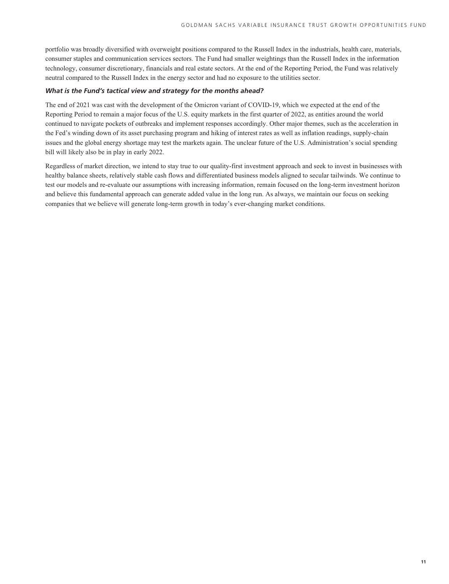portfolio was broadly diversified with overweight positions compared to the Russell Index in the industrials, health care, materials, consumer staples and communication services sectors. The Fund had smaller weightings than the Russell Index in the information technology, consumer discretionary, financials and real estate sectors. At the end of the Reporting Period, the Fund was relatively neutral compared to the Russell Index in the energy sector and had no exposure to the utilities sector.

#### *What is the Fund's tactical view and strategy for the months ahead?*

The end of 2021 was cast with the development of the Omicron variant of COVID-19, which we expected at the end of the Reporting Period to remain a major focus of the U.S. equity markets in the first quarter of 2022, as entities around the world continued to navigate pockets of outbreaks and implement responses accordingly. Other major themes, such as the acceleration in the Fed's winding down of its asset purchasing program and hiking of interest rates as well as inflation readings, supply-chain issues and the global energy shortage may test the markets again. The unclear future of the U.S. Administration's social spending bill will likely also be in play in early 2022.

Regardless of market direction, we intend to stay true to our quality-first investment approach and seek to invest in businesses with healthy balance sheets, relatively stable cash flows and differentiated business models aligned to secular tailwinds. We continue to test our models and re-evaluate our assumptions with increasing information, remain focused on the long-term investment horizon and believe this fundamental approach can generate added value in the long run. As always, we maintain our focus on seeking companies that we believe will generate long-term growth in today's ever-changing market conditions.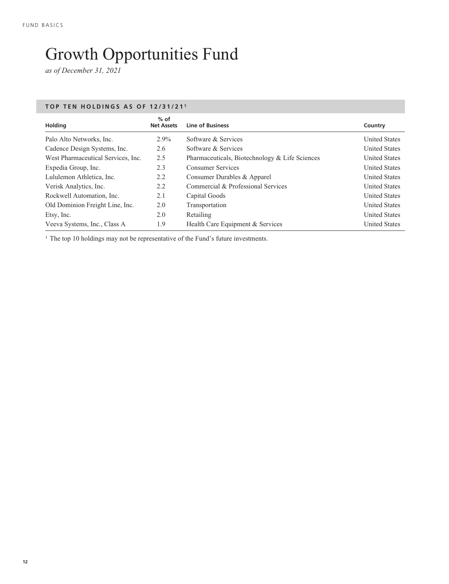## Growth Opportunities Fund

*as of December 31, 2021*

#### **TOP TEN HOLDINGS AS OF 12/31/21 <sup>1</sup>**

| <b>Holding</b>                     | $%$ of<br><b>Net Assets</b> | <b>Line of Business</b>                        | Country              |
|------------------------------------|-----------------------------|------------------------------------------------|----------------------|
| Palo Alto Networks, Inc.           | $2.9\%$                     | Software & Services                            | <b>United States</b> |
| Cadence Design Systems, Inc.       | 2.6                         | Software & Services                            | <b>United States</b> |
| West Pharmaceutical Services, Inc. | 2.5                         | Pharmaceuticals, Biotechnology & Life Sciences | <b>United States</b> |
| Expedia Group, Inc.                | 2.3                         | <b>Consumer Services</b>                       | <b>United States</b> |
| Lululemon Athletica, Inc.          | 2.2                         | Consumer Durables & Apparel                    | <b>United States</b> |
| Verisk Analytics, Inc.             | 2.2                         | Commercial & Professional Services             | <b>United States</b> |
| Rockwell Automation, Inc.          | 2.1                         | Capital Goods                                  | <b>United States</b> |
| Old Dominion Freight Line, Inc.    | 2.0                         | Transportation                                 | <b>United States</b> |
| Etsy, Inc.                         | 2.0                         | Retailing                                      | <b>United States</b> |
| Veeva Systems, Inc., Class A       | 1.9                         | Health Care Equipment & Services               | <b>United States</b> |

<sup>1</sup> The top 10 holdings may not be representative of the Fund's future investments.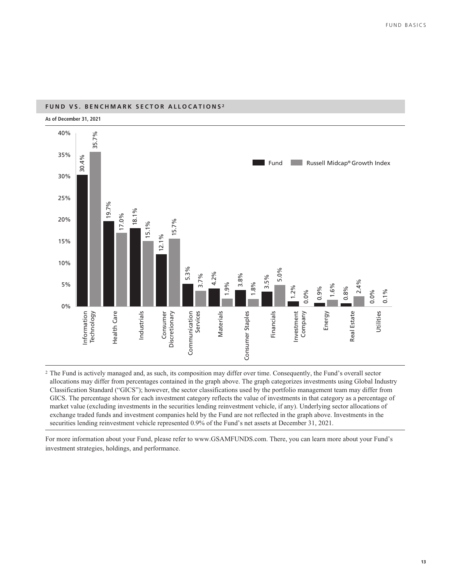

<sup>2</sup> The Fund is actively managed and, as such, its composition may differ over time. Consequently, the Fund's overall sector allocations may differ from percentages contained in the graph above. The graph categorizes investments using Global Industry Classification Standard ("GICS"); however, the sector classifications used by the portfolio management team may differ from GICS. The percentage shown for each investment category reflects the value of investments in that category as a percentage of market value (excluding investments in the securities lending reinvestment vehicle, if any). Underlying sector allocations of exchange traded funds and investment companies held by the Fund are not reflected in the graph above. Investments in the securities lending reinvestment vehicle represented 0.9% of the Fund's net assets at December 31, 2021.

For more information about your Fund, please refer to www.GSAMFUNDS.com. There, you can learn more about your Fund's investment strategies, holdings, and performance.

**13**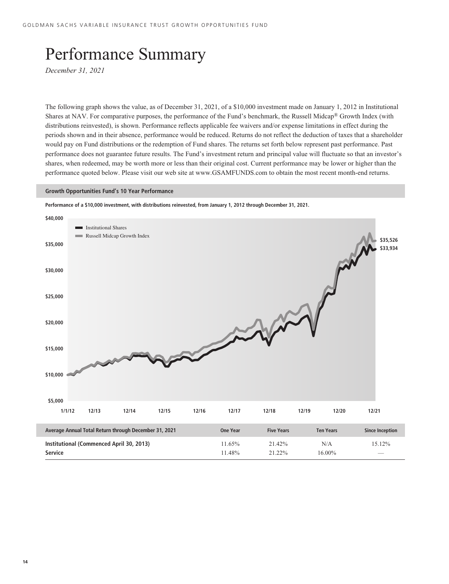### Performance Summary

*December 31, 2021*

The following graph shows the value, as of December 31, 2021, of a \$10,000 investment made on January 1, 2012 in Institutional Shares at NAV. For comparative purposes, the performance of the Fund's benchmark, the Russell Midcap® Growth Index (with distributions reinvested), is shown. Performance reflects applicable fee waivers and/or expense limitations in effect during the periods shown and in their absence, performance would be reduced. Returns do not reflect the deduction of taxes that a shareholder would pay on Fund distributions or the redemption of Fund shares. The returns set forth below represent past performance. Past performance does not guarantee future results. The Fund's investment return and principal value will fluctuate so that an investor's shares, when redeemed, may be worth more or less than their original cost. Current performance may be lower or higher than the performance quoted below. Please visit our web site at www.GSAMFUNDS.com to obtain the most recent month-end returns.

#### **Growth Opportunities Fund's 10 Year Performance**

**Performance of a \$10,000 investment, with distributions reinvested, from January 1, 2012 through December 31, 2021.**

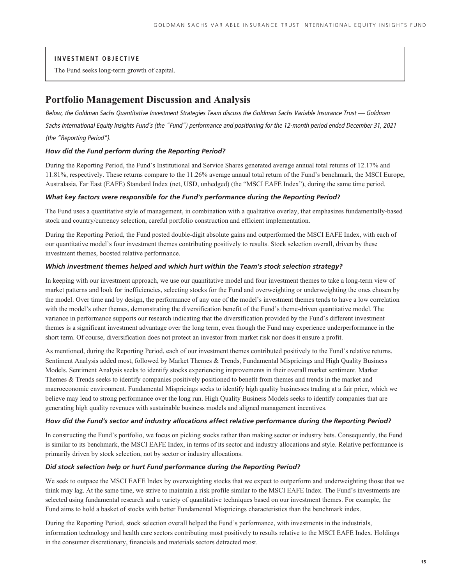#### **INVESTMENT OBJECTIVE**

The Fund seeks long-term growth of capital.

#### **Portfolio Management Discussion and Analysis**

Below, the Goldman Sachs Quantitative Investment Strategies Team discuss the Goldman Sachs Variable Insurance Trust — Goldman Sachs International Equity Insights Fund's (the "Fund") performance and positioning for the 12-month period ended December 31, 2021 (the "Reporting Period").

#### *How did the Fund perform during the Reporting Period?*

During the Reporting Period, the Fund's Institutional and Service Shares generated average annual total returns of 12.17% and 11.81%, respectively. These returns compare to the 11.26% average annual total return of the Fund's benchmark, the MSCI Europe, Australasia, Far East (EAFE) Standard Index (net, USD, unhedged) (the "MSCI EAFE Index"), during the same time period.

#### *What key factors were responsible for the Fund's performance during the Reporting Period?*

The Fund uses a quantitative style of management, in combination with a qualitative overlay, that emphasizes fundamentally-based stock and country/currency selection, careful portfolio construction and efficient implementation.

During the Reporting Period, the Fund posted double-digit absolute gains and outperformed the MSCI EAFE Index, with each of our quantitative model's four investment themes contributing positively to results. Stock selection overall, driven by these investment themes, boosted relative performance.

#### *Which investment themes helped and which hurt within the Team's stock selection strategy?*

In keeping with our investment approach, we use our quantitative model and four investment themes to take a long-term view of market patterns and look for inefficiencies, selecting stocks for the Fund and overweighting or underweighting the ones chosen by the model. Over time and by design, the performance of any one of the model's investment themes tends to have a low correlation with the model's other themes, demonstrating the diversification benefit of the Fund's theme-driven quantitative model. The variance in performance supports our research indicating that the diversification provided by the Fund's different investment themes is a significant investment advantage over the long term, even though the Fund may experience underperformance in the short term. Of course, diversification does not protect an investor from market risk nor does it ensure a profit.

As mentioned, during the Reporting Period, each of our investment themes contributed positively to the Fund's relative returns. Sentiment Analysis added most, followed by Market Themes & Trends, Fundamental Mispricings and High Quality Business Models. Sentiment Analysis seeks to identify stocks experiencing improvements in their overall market sentiment. Market Themes & Trends seeks to identify companies positively positioned to benefit from themes and trends in the market and macroeconomic environment. Fundamental Mispricings seeks to identify high quality businesses trading at a fair price, which we believe may lead to strong performance over the long run. High Quality Business Models seeks to identify companies that are generating high quality revenues with sustainable business models and aligned management incentives.

#### *How did the Fund's sector and industry allocations affect relative performance during the Reporting Period?*

In constructing the Fund's portfolio, we focus on picking stocks rather than making sector or industry bets. Consequently, the Fund is similar to its benchmark, the MSCI EAFE Index, in terms of its sector and industry allocations and style. Relative performance is primarily driven by stock selection, not by sector or industry allocations.

#### *Did stock selection help or hurt Fund performance during the Reporting Period?*

We seek to outpace the MSCI EAFE Index by overweighting stocks that we expect to outperform and underweighting those that we think may lag. At the same time, we strive to maintain a risk profile similar to the MSCI EAFE Index. The Fund's investments are selected using fundamental research and a variety of quantitative techniques based on our investment themes. For example, the Fund aims to hold a basket of stocks with better Fundamental Mispricings characteristics than the benchmark index.

During the Reporting Period, stock selection overall helped the Fund's performance, with investments in the industrials, information technology and health care sectors contributing most positively to results relative to the MSCI EAFE Index. Holdings in the consumer discretionary, financials and materials sectors detracted most.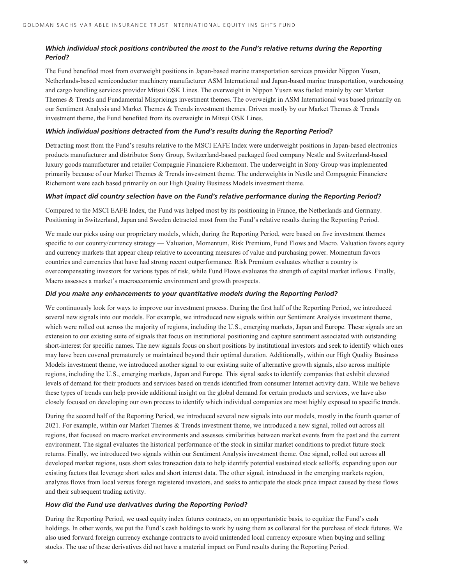#### *Which individual stock positions contributed the most to the Fund's relative returns during the Reporting Period?*

The Fund benefited most from overweight positions in Japan-based marine transportation services provider Nippon Yusen, Netherlands-based semiconductor machinery manufacturer ASM International and Japan-based marine transportation, warehousing and cargo handling services provider Mitsui OSK Lines. The overweight in Nippon Yusen was fueled mainly by our Market Themes & Trends and Fundamental Mispricings investment themes. The overweight in ASM International was based primarily on our Sentiment Analysis and Market Themes & Trends investment themes. Driven mostly by our Market Themes & Trends investment theme, the Fund benefited from its overweight in Mitsui OSK Lines.

#### *Which individual positions detracted from the Fund's results during the Reporting Period?*

Detracting most from the Fund's results relative to the MSCI EAFE Index were underweight positions in Japan-based electronics products manufacturer and distributor Sony Group, Switzerland-based packaged food company Nestle and Switzerland-based luxury goods manufacturer and retailer Compagnie Financiere Richemont. The underweight in Sony Group was implemented primarily because of our Market Themes & Trends investment theme. The underweights in Nestle and Compagnie Financiere Richemont were each based primarily on our High Quality Business Models investment theme.

#### *What impact did country selection have on the Fund's relative performance during the Reporting Period?*

Compared to the MSCI EAFE Index, the Fund was helped most by its positioning in France, the Netherlands and Germany. Positioning in Switzerland, Japan and Sweden detracted most from the Fund's relative results during the Reporting Period.

We made our picks using our proprietary models, which, during the Reporting Period, were based on five investment themes specific to our country/currency strategy — Valuation, Momentum, Risk Premium, Fund Flows and Macro. Valuation favors equity and currency markets that appear cheap relative to accounting measures of value and purchasing power. Momentum favors countries and currencies that have had strong recent outperformance. Risk Premium evaluates whether a country is overcompensating investors for various types of risk, while Fund Flows evaluates the strength of capital market inflows. Finally, Macro assesses a market's macroeconomic environment and growth prospects.

#### *Did you make any enhancements to your quantitative models during the Reporting Period?*

We continuously look for ways to improve our investment process. During the first half of the Reporting Period, we introduced several new signals into our models. For example, we introduced new signals within our Sentiment Analysis investment theme, which were rolled out across the majority of regions, including the U.S., emerging markets, Japan and Europe. These signals are an extension to our existing suite of signals that focus on institutional positioning and capture sentiment associated with outstanding short-interest for specific names. The new signals focus on short positions by institutional investors and seek to identify which ones may have been covered prematurely or maintained beyond their optimal duration. Additionally, within our High Quality Business Models investment theme, we introduced another signal to our existing suite of alternative growth signals, also across multiple regions, including the U.S., emerging markets, Japan and Europe. This signal seeks to identify companies that exhibit elevated levels of demand for their products and services based on trends identified from consumer Internet activity data. While we believe these types of trends can help provide additional insight on the global demand for certain products and services, we have also closely focused on developing our own process to identify which individual companies are most highly exposed to specific trends.

During the second half of the Reporting Period, we introduced several new signals into our models, mostly in the fourth quarter of 2021. For example, within our Market Themes & Trends investment theme, we introduced a new signal, rolled out across all regions, that focused on macro market environments and assesses similarities between market events from the past and the current environment. The signal evaluates the historical performance of the stock in similar market conditions to predict future stock returns. Finally, we introduced two signals within our Sentiment Analysis investment theme. One signal, rolled out across all developed market regions, uses short sales transaction data to help identify potential sustained stock selloffs, expanding upon our existing factors that leverage short sales and short interest data. The other signal, introduced in the emerging markets region, analyzes flows from local versus foreign registered investors, and seeks to anticipate the stock price impact caused by these flows and their subsequent trading activity.

#### *How did the Fund use derivatives during the Reporting Period?*

During the Reporting Period, we used equity index futures contracts, on an opportunistic basis, to equitize the Fund's cash holdings. In other words, we put the Fund's cash holdings to work by using them as collateral for the purchase of stock futures. We also used forward foreign currency exchange contracts to avoid unintended local currency exposure when buying and selling stocks. The use of these derivatives did not have a material impact on Fund results during the Reporting Period.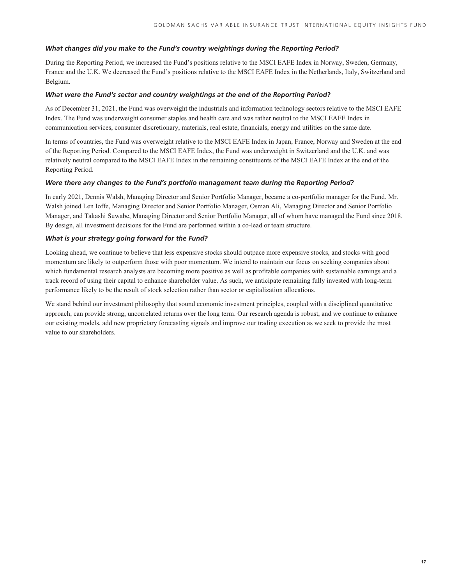#### *What changes did you make to the Fund's country weightings during the Reporting Period?*

During the Reporting Period, we increased the Fund's positions relative to the MSCI EAFE Index in Norway, Sweden, Germany, France and the U.K. We decreased the Fund's positions relative to the MSCI EAFE Index in the Netherlands, Italy, Switzerland and Belgium.

#### *What were the Fund's sector and country weightings at the end of the Reporting Period?*

As of December 31, 2021, the Fund was overweight the industrials and information technology sectors relative to the MSCI EAFE Index. The Fund was underweight consumer staples and health care and was rather neutral to the MSCI EAFE Index in communication services, consumer discretionary, materials, real estate, financials, energy and utilities on the same date.

In terms of countries, the Fund was overweight relative to the MSCI EAFE Index in Japan, France, Norway and Sweden at the end of the Reporting Period. Compared to the MSCI EAFE Index, the Fund was underweight in Switzerland and the U.K. and was relatively neutral compared to the MSCI EAFE Index in the remaining constituents of the MSCI EAFE Index at the end of the Reporting Period.

#### *Were there any changes to the Fund's portfolio management team during the Reporting Period?*

In early 2021, Dennis Walsh, Managing Director and Senior Portfolio Manager, became a co-portfolio manager for the Fund. Mr. Walsh joined Len Ioffe, Managing Director and Senior Portfolio Manager, Osman Ali, Managing Director and Senior Portfolio Manager, and Takashi Suwabe, Managing Director and Senior Portfolio Manager, all of whom have managed the Fund since 2018. By design, all investment decisions for the Fund are performed within a co-lead or team structure.

#### *What is your strategy going forward for the Fund?*

Looking ahead, we continue to believe that less expensive stocks should outpace more expensive stocks, and stocks with good momentum are likely to outperform those with poor momentum. We intend to maintain our focus on seeking companies about which fundamental research analysts are becoming more positive as well as profitable companies with sustainable earnings and a track record of using their capital to enhance shareholder value. As such, we anticipate remaining fully invested with long-term performance likely to be the result of stock selection rather than sector or capitalization allocations.

We stand behind our investment philosophy that sound economic investment principles, coupled with a disciplined quantitative approach, can provide strong, uncorrelated returns over the long term. Our research agenda is robust, and we continue to enhance our existing models, add new proprietary forecasting signals and improve our trading execution as we seek to provide the most value to our shareholders.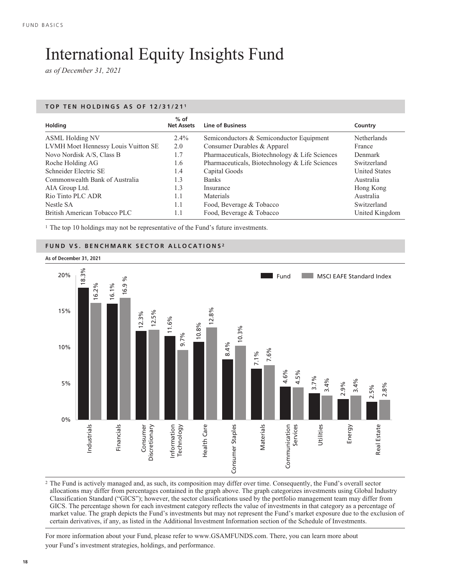### International Equity Insights Fund

*as of December 31, 2021*

#### **TOP TEN HOLDINGS AS OF 12/31/21 <sup>1</sup>**

| <b>Holding</b>                      | $%$ of<br><b>Net Assets</b> | <b>Line of Business</b>                        | Country              |
|-------------------------------------|-----------------------------|------------------------------------------------|----------------------|
| <b>ASML Holding NV</b>              | $2.4\%$                     | Semiconductors & Semiconductor Equipment       | <b>Netherlands</b>   |
| LVMH Moet Hennessy Louis Vuitton SE | 2.0                         | Consumer Durables & Apparel                    | France               |
| Novo Nordisk A/S, Class B           | 1.7                         | Pharmaceuticals, Biotechnology & Life Sciences | Denmark              |
| Roche Holding AG                    | 1.6                         | Pharmaceuticals, Biotechnology & Life Sciences | Switzerland          |
| Schneider Electric SE               | 1.4                         | Capital Goods                                  | <b>United States</b> |
| Commonwealth Bank of Australia      | 1.3                         | <b>Banks</b>                                   | Australia            |
| AIA Group Ltd.                      | 1.3                         | Insurance                                      | Hong Kong            |
| Rio Tinto PLC ADR                   | 1.1                         | <b>Materials</b>                               | Australia            |
| Nestle SA                           | 1.1                         | Food, Beverage & Tobacco                       | Switzerland          |
| British American Tobacco PLC        | 1.1                         | Food, Beverage & Tobacco                       | United Kingdom       |

<sup>1</sup> The top 10 holdings may not be representative of the Fund's future investments.

#### **FUND VS. BENCHMARK SECTOR ALLOCATIONS <sup>2</sup>**



<sup>2</sup> The Fund is actively managed and, as such, its composition may differ over time. Consequently, the Fund's overall sector allocations may differ from percentages contained in the graph above. The graph categorizes investments using Global Industry Classification Standard ("GICS"); however, the sector classifications used by the portfolio management team may differ from GICS. The percentage shown for each investment category reflects the value of investments in that category as a percentage of market value. The graph depicts the Fund's investments but may not represent the Fund's market exposure due to the exclusion of certain derivatives, if any, as listed in the Additional Investment Information section of the Schedule of Investments.

For more information about your Fund, please refer to www.GSAMFUNDS.com. There, you can learn more about your Fund's investment strategies, holdings, and performance.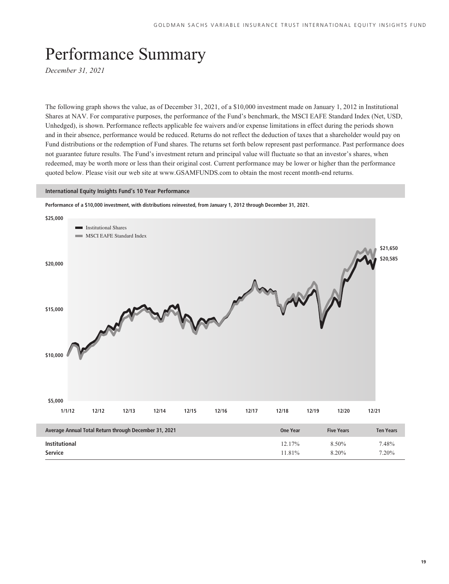### Performance Summary

*December 31, 2021*

The following graph shows the value, as of December 31, 2021, of a \$10,000 investment made on January 1, 2012 in Institutional Shares at NAV. For comparative purposes, the performance of the Fund's benchmark, the MSCI EAFE Standard Index (Net, USD, Unhedged), is shown. Performance reflects applicable fee waivers and/or expense limitations in effect during the periods shown and in their absence, performance would be reduced. Returns do not reflect the deduction of taxes that a shareholder would pay on Fund distributions or the redemption of Fund shares. The returns set forth below represent past performance. Past performance does not guarantee future results. The Fund's investment return and principal value will fluctuate so that an investor's shares, when redeemed, may be worth more or less than their original cost. Current performance may be lower or higher than the performance quoted below. Please visit our web site at www.GSAMFUNDS.com to obtain the most recent month-end returns.

#### **International Equity Insights Fund's 10 Year Performance**

**Performance of a \$10,000 investment, with distributions reinvested, from January 1, 2012 through December 31, 2021.**

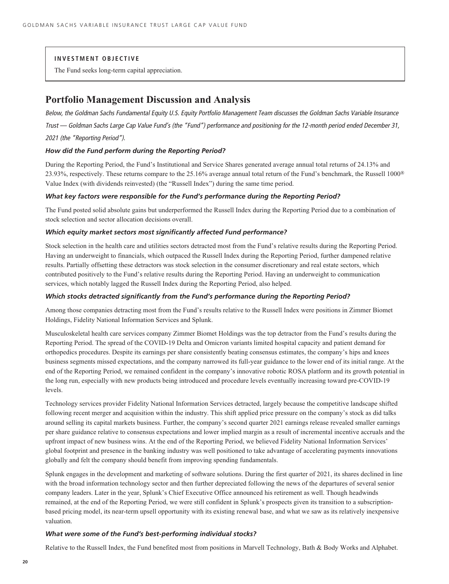#### **INVESTMENT OBJECTIVE**

The Fund seeks long-term capital appreciation.

#### **Portfolio Management Discussion and Analysis**

Below, the Goldman Sachs Fundamental Equity U.S. Equity Portfolio Management Team discusses the Goldman Sachs Variable Insurance Trust — Goldman Sachs Large Cap Value Fund's (the "Fund") performance and positioning for the 12-month period ended December 31, 2021 (the "Reporting Period").

#### *How did the Fund perform during the Reporting Period?*

During the Reporting Period, the Fund's Institutional and Service Shares generated average annual total returns of 24.13% and 23.93%, respectively. These returns compare to the 25.16% average annual total return of the Fund's benchmark, the Russell 1000® Value Index (with dividends reinvested) (the "Russell Index") during the same time period.

#### *What key factors were responsible for the Fund's performance during the Reporting Period?*

The Fund posted solid absolute gains but underperformed the Russell Index during the Reporting Period due to a combination of stock selection and sector allocation decisions overall.

#### *Which equity market sectors most significantly affected Fund performance?*

Stock selection in the health care and utilities sectors detracted most from the Fund's relative results during the Reporting Period. Having an underweight to financials, which outpaced the Russell Index during the Reporting Period, further dampened relative results. Partially offsetting these detractors was stock selection in the consumer discretionary and real estate sectors, which contributed positively to the Fund's relative results during the Reporting Period. Having an underweight to communication services, which notably lagged the Russell Index during the Reporting Period, also helped.

#### *Which stocks detracted significantly from the Fund's performance during the Reporting Period?*

Among those companies detracting most from the Fund's results relative to the Russell Index were positions in Zimmer Biomet Holdings, Fidelity National Information Services and Splunk.

Musculoskeletal health care services company Zimmer Biomet Holdings was the top detractor from the Fund's results during the Reporting Period. The spread of the COVID-19 Delta and Omicron variants limited hospital capacity and patient demand for orthopedics procedures. Despite its earnings per share consistently beating consensus estimates, the company's hips and knees business segments missed expectations, and the company narrowed its full-year guidance to the lower end of its initial range. At the end of the Reporting Period, we remained confident in the company's innovative robotic ROSA platform and its growth potential in the long run, especially with new products being introduced and procedure levels eventually increasing toward pre-COVID-19 levels.

Technology services provider Fidelity National Information Services detracted, largely because the competitive landscape shifted following recent merger and acquisition within the industry. This shift applied price pressure on the company's stock as did talks around selling its capital markets business. Further, the company's second quarter 2021 earnings release revealed smaller earnings per share guidance relative to consensus expectations and lower implied margin as a result of incremental incentive accruals and the upfront impact of new business wins. At the end of the Reporting Period, we believed Fidelity National Information Services' global footprint and presence in the banking industry was well positioned to take advantage of accelerating payments innovations globally and felt the company should benefit from improving spending fundamentals.

Splunk engages in the development and marketing of software solutions. During the first quarter of 2021, its shares declined in line with the broad information technology sector and then further depreciated following the news of the departures of several senior company leaders. Later in the year, Splunk's Chief Executive Office announced his retirement as well. Though headwinds remained, at the end of the Reporting Period, we were still confident in Splunk's prospects given its transition to a subscriptionbased pricing model, its near-term upsell opportunity with its existing renewal base, and what we saw as its relatively inexpensive valuation.

#### *What were some of the Fund's best-performing individual stocks?*

Relative to the Russell Index, the Fund benefited most from positions in Marvell Technology, Bath & Body Works and Alphabet.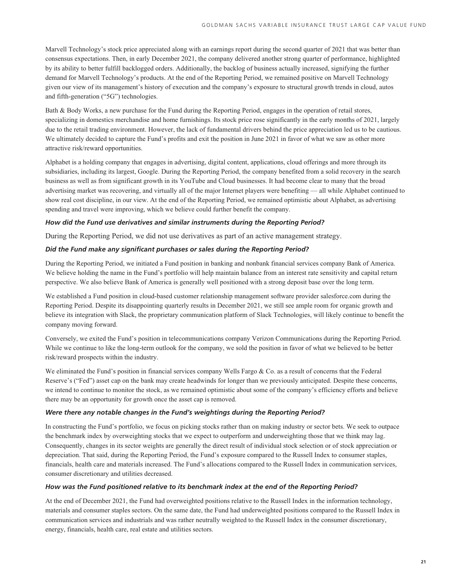Marvell Technology's stock price appreciated along with an earnings report during the second quarter of 2021 that was better than consensus expectations. Then, in early December 2021, the company delivered another strong quarter of performance, highlighted by its ability to better fulfill backlogged orders. Additionally, the backlog of business actually increased, signifying the further demand for Marvell Technology's products. At the end of the Reporting Period, we remained positive on Marvell Technology given our view of its management's history of execution and the company's exposure to structural growth trends in cloud, autos and fifth-generation ("5G") technologies.

Bath & Body Works, a new purchase for the Fund during the Reporting Period, engages in the operation of retail stores, specializing in domestics merchandise and home furnishings. Its stock price rose significantly in the early months of 2021, largely due to the retail trading environment. However, the lack of fundamental drivers behind the price appreciation led us to be cautious. We ultimately decided to capture the Fund's profits and exit the position in June 2021 in favor of what we saw as other more attractive risk/reward opportunities.

Alphabet is a holding company that engages in advertising, digital content, applications, cloud offerings and more through its subsidiaries, including its largest, Google. During the Reporting Period, the company benefited from a solid recovery in the search business as well as from significant growth in its YouTube and Cloud businesses. It had become clear to many that the broad advertising market was recovering, and virtually all of the major Internet players were benefiting — all while Alphabet continued to show real cost discipline, in our view. At the end of the Reporting Period, we remained optimistic about Alphabet, as advertising spending and travel were improving, which we believe could further benefit the company.

#### *How did the Fund use derivatives and similar instruments during the Reporting Period?*

During the Reporting Period, we did not use derivatives as part of an active management strategy.

#### *Did the Fund make any significant purchases or sales during the Reporting Period?*

During the Reporting Period, we initiated a Fund position in banking and nonbank financial services company Bank of America. We believe holding the name in the Fund's portfolio will help maintain balance from an interest rate sensitivity and capital return perspective. We also believe Bank of America is generally well positioned with a strong deposit base over the long term.

We established a Fund position in cloud-based customer relationship management software provider salesforce.com during the Reporting Period. Despite its disappointing quarterly results in December 2021, we still see ample room for organic growth and believe its integration with Slack, the proprietary communication platform of Slack Technologies, will likely continue to benefit the company moving forward.

Conversely, we exited the Fund's position in telecommunications company Verizon Communications during the Reporting Period. While we continue to like the long-term outlook for the company, we sold the position in favor of what we believed to be better risk/reward prospects within the industry.

We eliminated the Fund's position in financial services company Wells Fargo & Co. as a result of concerns that the Federal Reserve's ("Fed") asset cap on the bank may create headwinds for longer than we previously anticipated. Despite these concerns, we intend to continue to monitor the stock, as we remained optimistic about some of the company's efficiency efforts and believe there may be an opportunity for growth once the asset cap is removed.

#### *Were there any notable changes in the Fund's weightings during the Reporting Period?*

In constructing the Fund's portfolio, we focus on picking stocks rather than on making industry or sector bets. We seek to outpace the benchmark index by overweighting stocks that we expect to outperform and underweighting those that we think may lag. Consequently, changes in its sector weights are generally the direct result of individual stock selection or of stock appreciation or depreciation. That said, during the Reporting Period, the Fund's exposure compared to the Russell Index to consumer staples, financials, health care and materials increased. The Fund's allocations compared to the Russell Index in communication services, consumer discretionary and utilities decreased.

#### *How was the Fund positioned relative to its benchmark index at the end of the Reporting Period?*

At the end of December 2021, the Fund had overweighted positions relative to the Russell Index in the information technology, materials and consumer staples sectors. On the same date, the Fund had underweighted positions compared to the Russell Index in communication services and industrials and was rather neutrally weighted to the Russell Index in the consumer discretionary, energy, financials, health care, real estate and utilities sectors.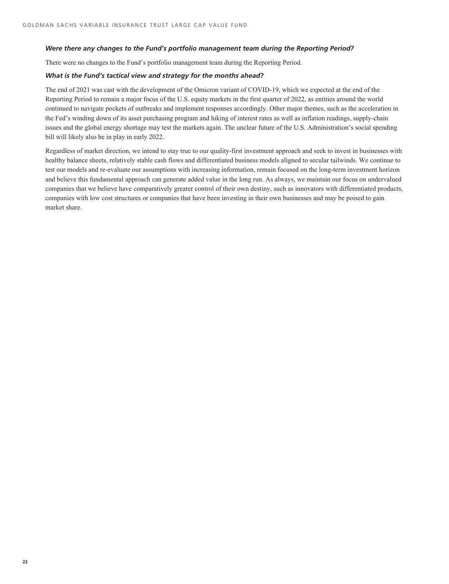#### *Were there any changes to the Fund's portfolio management team during the Reporting Period?*

There were no changes to the Fund's portfolio management team during the Reporting Period.

#### *What is the Fund's tactical view and strategy for the months ahead?*

The end of 2021 was cast with the development of the Omicron variant of COVID-19, which we expected at the end of the Reporting Period to remain a major focus of the U.S. equity markets in the first quarter of 2022, as entities around the world continued to navigate pockets of outbreaks and implement responses accordingly. Other major themes, such as the acceleration in the Fed's winding down of its asset purchasing program and hiking of interest rates as well as inflation readings, supply-chain issues and the global energy shortage may test the markets again. The unclear future of the U.S. Administration's social spending bill will likely also be in play in early 2022.

Regardless of market direction, we intend to stay true to our quality-first investment approach and seek to invest in businesses with healthy balance sheets, relatively stable cash flows and differentiated business models aligned to secular tailwinds. We continue to test our models and re-evaluate our assumptions with increasing information, remain focused on the long-term investment horizon and believe this fundamental approach can generate added value in the long run. As always, we maintain our focus on undervalued companies that we believe have comparatively greater control of their own destiny, such as innovators with differentiated products, companies with low cost structures or companies that have been investing in their own businesses and may be poised to gain market share.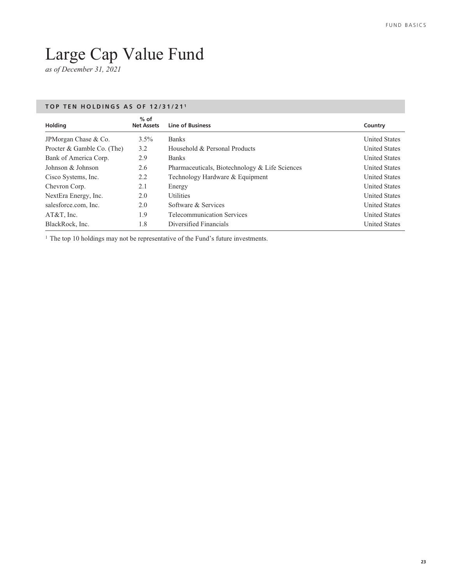### Large Cap Value Fund

*as of December 31, 2021*

#### **TOP TEN HOLDINGS AS OF 12/31/21 <sup>1</sup>**

| <b>Holding</b>             | $%$ of<br><b>Net Assets</b> | <b>Line of Business</b>                        | Country              |
|----------------------------|-----------------------------|------------------------------------------------|----------------------|
| JPM organ Chase & Co.      | $3.5\%$                     | <b>Banks</b>                                   | <b>United States</b> |
| Procter & Gamble Co. (The) | 3.2                         | Household & Personal Products                  | <b>United States</b> |
| Bank of America Corp.      | 2.9                         | <b>Banks</b>                                   | <b>United States</b> |
| Johnson & Johnson          | 2.6                         | Pharmaceuticals, Biotechnology & Life Sciences | <b>United States</b> |
| Cisco Systems, Inc.        | 2.2                         | Technology Hardware & Equipment                | <b>United States</b> |
| Chevron Corp.              | 2.1                         | Energy                                         | <b>United States</b> |
| NextEra Energy, Inc.       | 2.0                         | <b>Utilities</b>                               | <b>United States</b> |
| salesforce.com, Inc.       | 2.0                         | Software & Services                            | <b>United States</b> |
| $AT&T$ , Inc.              | 1.9                         | <b>Telecommunication Services</b>              | <b>United States</b> |
| BlackRock, Inc.            | 1.8                         | Diversified Financials                         | <b>United States</b> |

<sup>1</sup> The top 10 holdings may not be representative of the Fund's future investments.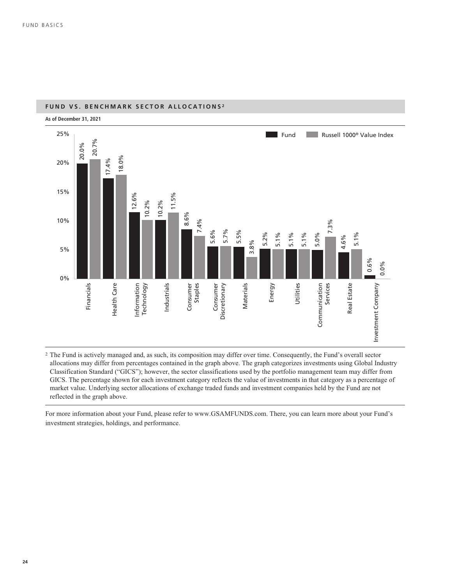

#### **FUND VS. BENCHMARK SECTOR ALLOCATIONS <sup>2</sup>**

<sup>2</sup> The Fund is actively managed and, as such, its composition may differ over time. Consequently, the Fund's overall sector allocations may differ from percentages contained in the graph above. The graph categorizes investments using Global Industry Classification Standard ("GICS"); however, the sector classifications used by the portfolio management team may differ from GICS. The percentage shown for each investment category reflects the value of investments in that category as a percentage of market value. Underlying sector allocations of exchange traded funds and investment companies held by the Fund are not reflected in the graph above.

For more information about your Fund, please refer to www.GSAMFUNDS.com. There, you can learn more about your Fund's investment strategies, holdings, and performance.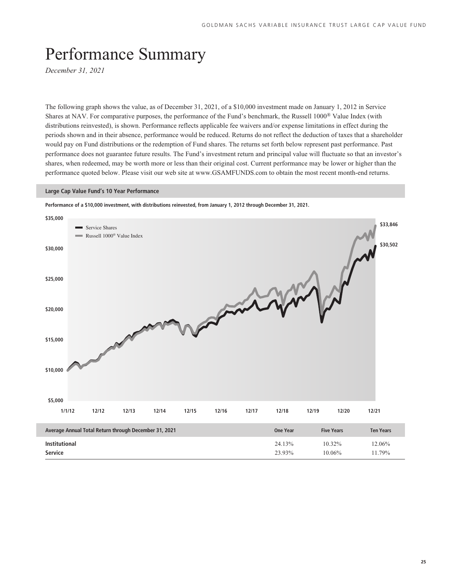### Performance Summary

*December 31, 2021*

The following graph shows the value, as of December 31, 2021, of a \$10,000 investment made on January 1, 2012 in Service Shares at NAV. For comparative purposes, the performance of the Fund's benchmark, the Russell 1000® Value Index (with distributions reinvested), is shown. Performance reflects applicable fee waivers and/or expense limitations in effect during the periods shown and in their absence, performance would be reduced. Returns do not reflect the deduction of taxes that a shareholder would pay on Fund distributions or the redemption of Fund shares. The returns set forth below represent past performance. Past performance does not guarantee future results. The Fund's investment return and principal value will fluctuate so that an investor's shares, when redeemed, may be worth more or less than their original cost. Current performance may be lower or higher than the performance quoted below. Please visit our web site at www.GSAMFUNDS.com to obtain the most recent month-end returns.

#### **Large Cap Value Fund's 10 Year Performance**



**Performance of a \$10,000 investment, with distributions reinvested, from January 1, 2012 through December 31, 2021.**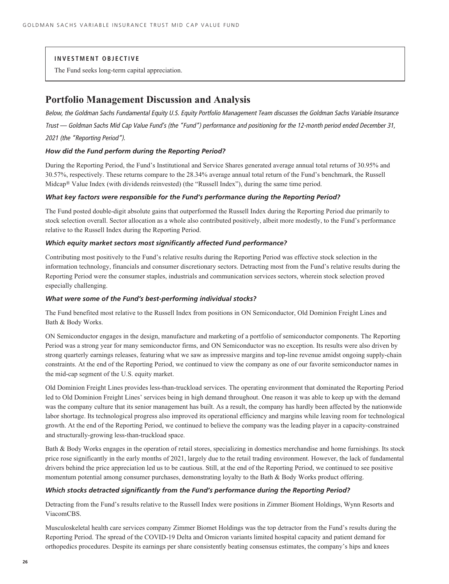#### **INVESTMENT OBJECTIVE**

The Fund seeks long-term capital appreciation.

#### **Portfolio Management Discussion and Analysis**

Below, the Goldman Sachs Fundamental Equity U.S. Equity Portfolio Management Team discusses the Goldman Sachs Variable Insurance Trust — Goldman Sachs Mid Cap Value Fund's (the "Fund") performance and positioning for the 12-month period ended December 31, 2021 (the "Reporting Period").

#### *How did the Fund perform during the Reporting Period?*

During the Reporting Period, the Fund's Institutional and Service Shares generated average annual total returns of 30.95% and 30.57%, respectively. These returns compare to the 28.34% average annual total return of the Fund's benchmark, the Russell Midcap<sup>®</sup> Value Index (with dividends reinvested) (the "Russell Index"), during the same time period.

#### *What key factors were responsible for the Fund's performance during the Reporting Period?*

The Fund posted double-digit absolute gains that outperformed the Russell Index during the Reporting Period due primarily to stock selection overall. Sector allocation as a whole also contributed positively, albeit more modestly, to the Fund's performance relative to the Russell Index during the Reporting Period.

#### *Which equity market sectors most significantly affected Fund performance?*

Contributing most positively to the Fund's relative results during the Reporting Period was effective stock selection in the information technology, financials and consumer discretionary sectors. Detracting most from the Fund's relative results during the Reporting Period were the consumer staples, industrials and communication services sectors, wherein stock selection proved especially challenging.

#### *What were some of the Fund's best-performing individual stocks?*

The Fund benefited most relative to the Russell Index from positions in ON Semiconductor, Old Dominion Freight Lines and Bath & Body Works.

ON Semiconductor engages in the design, manufacture and marketing of a portfolio of semiconductor components. The Reporting Period was a strong year for many semiconductor firms, and ON Semiconductor was no exception. Its results were also driven by strong quarterly earnings releases, featuring what we saw as impressive margins and top-line revenue amidst ongoing supply-chain constraints. At the end of the Reporting Period, we continued to view the company as one of our favorite semiconductor names in the mid-cap segment of the U.S. equity market.

Old Dominion Freight Lines provides less-than-truckload services. The operating environment that dominated the Reporting Period led to Old Dominion Freight Lines' services being in high demand throughout. One reason it was able to keep up with the demand was the company culture that its senior management has built. As a result, the company has hardly been affected by the nationwide labor shortage. Its technological progress also improved its operational efficiency and margins while leaving room for technological growth. At the end of the Reporting Period, we continued to believe the company was the leading player in a capacity-constrained and structurally-growing less-than-truckload space.

Bath & Body Works engages in the operation of retail stores, specializing in domestics merchandise and home furnishings. Its stock price rose significantly in the early months of 2021, largely due to the retail trading environment. However, the lack of fundamental drivers behind the price appreciation led us to be cautious. Still, at the end of the Reporting Period, we continued to see positive momentum potential among consumer purchases, demonstrating loyalty to the Bath & Body Works product offering.

#### *Which stocks detracted significantly from the Fund's performance during the Reporting Period?*

Detracting from the Fund's results relative to the Russell Index were positions in Zimmer Bioment Holdings, Wynn Resorts and ViacomCBS.

Musculoskeletal health care services company Zimmer Biomet Holdings was the top detractor from the Fund's results during the Reporting Period. The spread of the COVID-19 Delta and Omicron variants limited hospital capacity and patient demand for orthopedics procedures. Despite its earnings per share consistently beating consensus estimates, the company's hips and knees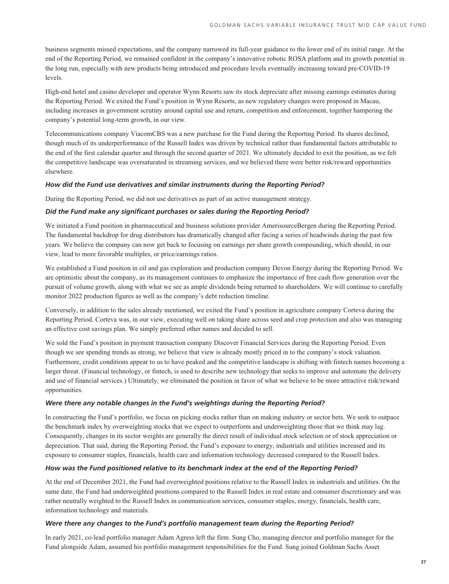business segments missed expectations, and the company narrowed its full-year guidance to the lower end of its initial range. At the end of the Reporting Period, we remained confident in the company's innovative robotic ROSA platform and its growth potential in the long run, especially with new products being introduced and procedure levels eventually increasing toward pre-COVID-19 levels.

High-end hotel and casino developer and operator Wynn Resorts saw its stock depreciate after missing earnings estimates during the Reporting Period. We exited the Fund's position in Wynn Resorts, as new regulatory changes were proposed in Macau, including increases in government scrutiny around capital use and return, competition and enforcement, together hampering the company's potential long-term growth, in our view.

Telecommunications company ViacomCBS was a new purchase for the Fund during the Reporting Period. Its shares declined, though much of its underperformance of the Russell Index was driven by technical rather than fundamental factors attributable to the end of the first calendar quarter and through the second quarter of 2021. We ultimately decided to exit the position, as we felt the competitive landscape was oversaturated in streaming services, and we believed there were better risk/reward opportunities elsewhere.

#### *How did the Fund use derivatives and similar instruments during the Reporting Period?*

During the Reporting Period, we did not use derivatives as part of an active management strategy.

#### *Did the Fund make any significant purchases or sales during the Reporting Period?*

We initiated a Fund position in pharmaceutical and business solutions provider AmerisourceBergen during the Reporting Period. The fundamental backdrop for drug distributors has dramatically changed after facing a series of headwinds during the past few years. We believe the company can now get back to focusing on earnings per share growth compounding, which should, in our view, lead to more favorable multiples, or price/earnings ratios.

We established a Fund position in oil and gas exploration and production company Devon Energy during the Reporting Period. We are optimistic about the company, as its management continues to emphasize the importance of free cash flow generation over the pursuit of volume growth, along with what we see as ample dividends being returned to shareholders. We will continue to carefully monitor 2022 production figures as well as the company's debt reduction timeline.

Conversely, in addition to the sales already mentioned, we exited the Fund's position in agriculture company Corteva during the Reporting Period. Corteva was, in our view, executing well on taking share across seed and crop protection and also was managing an effective cost savings plan. We simply preferred other names and decided to sell.

We sold the Fund's position in payment transaction company Discover Financial Services during the Reporting Period. Even though we see spending trends as strong, we believe that view is already mostly priced in to the company's stock valuation. Furthermore, credit conditions appear to us to have peaked and the competitive landscape is shifting with fintech names becoming a larger threat. (Financial technology, or fintech, is used to describe new technology that seeks to improve and automate the delivery and use of financial services.) Ultimately, we eliminated the position in favor of what we believe to be more attractive risk/reward opportunities.

#### *Were there any notable changes in the Fund's weightings during the Reporting Period?*

In constructing the Fund's portfolio, we focus on picking stocks rather than on making industry or sector bets. We seek to outpace the benchmark index by overweighting stocks that we expect to outperform and underweighting those that we think may lag. Consequently, changes in its sector weights are generally the direct result of individual stock selection or of stock appreciation or depreciation. That said, during the Reporting Period, the Fund's exposure to energy, industrials and utilities increased and its exposure to consumer staples, financials, health care and information technology decreased compared to the Russell Index.

#### *How was the Fund positioned relative to its benchmark index at the end of the Reporting Period?*

At the end of December 2021, the Fund had overweighted positions relative to the Russell Index in industrials and utilities. On the same date, the Fund had underweighted positions compared to the Russell Index in real estate and consumer discretionary and was rather neutrally weighted to the Russell Index in communication services, consumer staples, energy, financials, health care, information technology and materials.

#### *Were there any changes to the Fund's portfolio management team during the Reporting Period?*

In early 2021, co-lead portfolio manager Adam Agress left the firm. Sung Cho, managing director and portfolio manager for the Fund alongside Adam, assumed his portfolio management responsibilities for the Fund. Sung joined Goldman Sachs Asset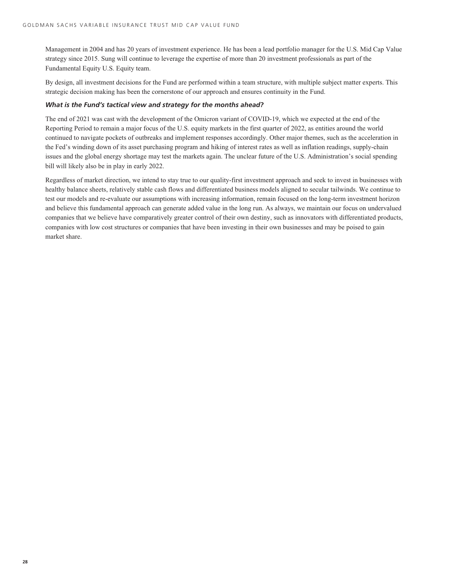Management in 2004 and has 20 years of investment experience. He has been a lead portfolio manager for the U.S. Mid Cap Value strategy since 2015. Sung will continue to leverage the expertise of more than 20 investment professionals as part of the Fundamental Equity U.S. Equity team.

By design, all investment decisions for the Fund are performed within a team structure, with multiple subject matter experts. This strategic decision making has been the cornerstone of our approach and ensures continuity in the Fund.

#### *What is the Fund's tactical view and strategy for the months ahead?*

The end of 2021 was cast with the development of the Omicron variant of COVID-19, which we expected at the end of the Reporting Period to remain a major focus of the U.S. equity markets in the first quarter of 2022, as entities around the world continued to navigate pockets of outbreaks and implement responses accordingly. Other major themes, such as the acceleration in the Fed's winding down of its asset purchasing program and hiking of interest rates as well as inflation readings, supply-chain issues and the global energy shortage may test the markets again. The unclear future of the U.S. Administration's social spending bill will likely also be in play in early 2022.

Regardless of market direction, we intend to stay true to our quality-first investment approach and seek to invest in businesses with healthy balance sheets, relatively stable cash flows and differentiated business models aligned to secular tailwinds. We continue to test our models and re-evaluate our assumptions with increasing information, remain focused on the long-term investment horizon and believe this fundamental approach can generate added value in the long run. As always, we maintain our focus on undervalued companies that we believe have comparatively greater control of their own destiny, such as innovators with differentiated products, companies with low cost structures or companies that have been investing in their own businesses and may be poised to gain market share.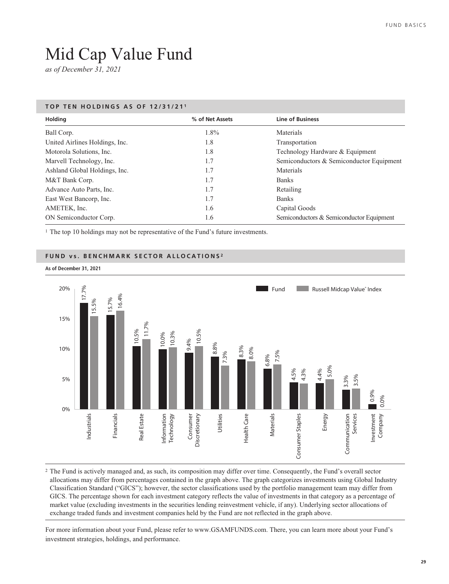### Mid Cap Value Fund

*as of December 31, 2021*

#### **TOP TEN HOLDINGS AS OF 12/31/21 <sup>1</sup>**

| <b>Holding</b>                 | % of Net Assets | <b>Line of Business</b>                  |
|--------------------------------|-----------------|------------------------------------------|
| Ball Corp.                     | 1.8%            | Materials                                |
| United Airlines Holdings, Inc. | 1.8             | Transportation                           |
| Motorola Solutions, Inc.       | 1.8             | Technology Hardware & Equipment          |
| Marvell Technology, Inc.       | 1.7             | Semiconductors & Semiconductor Equipment |
| Ashland Global Holdings, Inc.  | 1.7             | Materials                                |
| M&T Bank Corp.                 | 1.7             | <b>Banks</b>                             |
| Advance Auto Parts, Inc.       | 1.7             | Retailing                                |
| East West Bancorp, Inc.        | 1.7             | <b>Banks</b>                             |
| AMETEK, Inc.                   | 1.6             | Capital Goods                            |
| ON Semiconductor Corp.         | 1.6             | Semiconductors & Semiconductor Equipment |

<sup>1</sup> The top 10 holdings may not be representative of the Fund's future investments.

#### **FUND vs. BENCHMARK SECTOR ALLOCATIONS <sup>2</sup>**

**As of December 31, 2021**



<sup>2</sup> The Fund is actively managed and, as such, its composition may differ over time. Consequently, the Fund's overall sector allocations may differ from percentages contained in the graph above. The graph categorizes investments using Global Industry Classification Standard ("GICS"); however, the sector classifications used by the portfolio management team may differ from GICS. The percentage shown for each investment category reflects the value of investments in that category as a percentage of market value (excluding investments in the securities lending reinvestment vehicle, if any). Underlying sector allocations of exchange traded funds and investment companies held by the Fund are not reflected in the graph above.

For more information about your Fund, please refer to www.GSAMFUNDS.com. There, you can learn more about your Fund's investment strategies, holdings, and performance.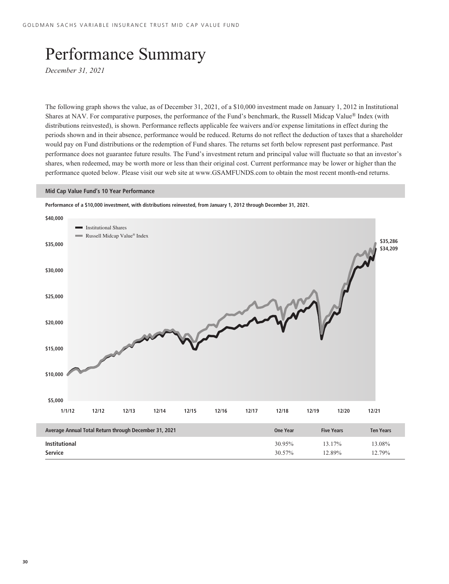### Performance Summary

*December 31, 2021*

The following graph shows the value, as of December 31, 2021, of a \$10,000 investment made on January 1, 2012 in Institutional Shares at NAV. For comparative purposes, the performance of the Fund's benchmark, the Russell Midcap Value® Index (with distributions reinvested), is shown. Performance reflects applicable fee waivers and/or expense limitations in effect during the periods shown and in their absence, performance would be reduced. Returns do not reflect the deduction of taxes that a shareholder would pay on Fund distributions or the redemption of Fund shares. The returns set forth below represent past performance. Past performance does not guarantee future results. The Fund's investment return and principal value will fluctuate so that an investor's shares, when redeemed, may be worth more or less than their original cost. Current performance may be lower or higher than the performance quoted below. Please visit our web site at www.GSAMFUNDS.com to obtain the most recent month-end returns.

#### **Mid Cap Value Fund's 10 Year Performance**



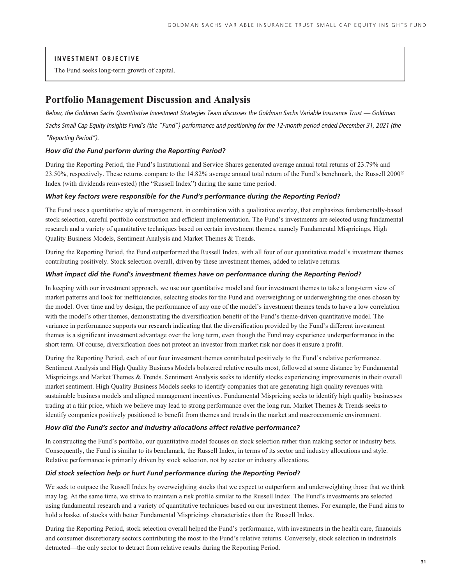#### **INVESTMENT OBJECTIVE**

The Fund seeks long-term growth of capital.

#### **Portfolio Management Discussion and Analysis**

Below, the Goldman Sachs Quantitative Investment Strategies Team discusses the Goldman Sachs Variable Insurance Trust — Goldman Sachs Small Cap Equity Insights Fund's (the "Fund") performance and positioning for the 12-month period ended December 31, 2021 (the "Reporting Period").

#### *How did the Fund perform during the Reporting Period?*

During the Reporting Period, the Fund's Institutional and Service Shares generated average annual total returns of 23.79% and 23.50%, respectively. These returns compare to the 14.82% average annual total return of the Fund's benchmark, the Russell 2000® Index (with dividends reinvested) (the "Russell Index") during the same time period.

#### *What key factors were responsible for the Fund's performance during the Reporting Period?*

The Fund uses a quantitative style of management, in combination with a qualitative overlay, that emphasizes fundamentally-based stock selection, careful portfolio construction and efficient implementation. The Fund's investments are selected using fundamental research and a variety of quantitative techniques based on certain investment themes, namely Fundamental Mispricings, High Quality Business Models, Sentiment Analysis and Market Themes & Trends.

During the Reporting Period, the Fund outperformed the Russell Index, with all four of our quantitative model's investment themes contributing positively. Stock selection overall, driven by these investment themes, added to relative returns.

#### *What impact did the Fund's investment themes have on performance during the Reporting Period?*

In keeping with our investment approach, we use our quantitative model and four investment themes to take a long-term view of market patterns and look for inefficiencies, selecting stocks for the Fund and overweighting or underweighting the ones chosen by the model. Over time and by design, the performance of any one of the model's investment themes tends to have a low correlation with the model's other themes, demonstrating the diversification benefit of the Fund's theme-driven quantitative model. The variance in performance supports our research indicating that the diversification provided by the Fund's different investment themes is a significant investment advantage over the long term, even though the Fund may experience underperformance in the short term. Of course, diversification does not protect an investor from market risk nor does it ensure a profit.

During the Reporting Period, each of our four investment themes contributed positively to the Fund's relative performance. Sentiment Analysis and High Quality Business Models bolstered relative results most, followed at some distance by Fundamental Mispricings and Market Themes & Trends. Sentiment Analysis seeks to identify stocks experiencing improvements in their overall market sentiment. High Quality Business Models seeks to identify companies that are generating high quality revenues with sustainable business models and aligned management incentives. Fundamental Mispricing seeks to identify high quality businesses trading at a fair price, which we believe may lead to strong performance over the long run. Market Themes & Trends seeks to identify companies positively positioned to benefit from themes and trends in the market and macroeconomic environment.

#### *How did the Fund's sector and industry allocations affect relative performance?*

In constructing the Fund's portfolio, our quantitative model focuses on stock selection rather than making sector or industry bets. Consequently, the Fund is similar to its benchmark, the Russell Index, in terms of its sector and industry allocations and style. Relative performance is primarily driven by stock selection, not by sector or industry allocations.

#### *Did stock selection help or hurt Fund performance during the Reporting Period?*

We seek to outpace the Russell Index by overweighting stocks that we expect to outperform and underweighting those that we think may lag. At the same time, we strive to maintain a risk profile similar to the Russell Index. The Fund's investments are selected using fundamental research and a variety of quantitative techniques based on our investment themes. For example, the Fund aims to hold a basket of stocks with better Fundamental Mispricings characteristics than the Russell Index.

During the Reporting Period, stock selection overall helped the Fund's performance, with investments in the health care, financials and consumer discretionary sectors contributing the most to the Fund's relative returns. Conversely, stock selection in industrials detracted—the only sector to detract from relative results during the Reporting Period.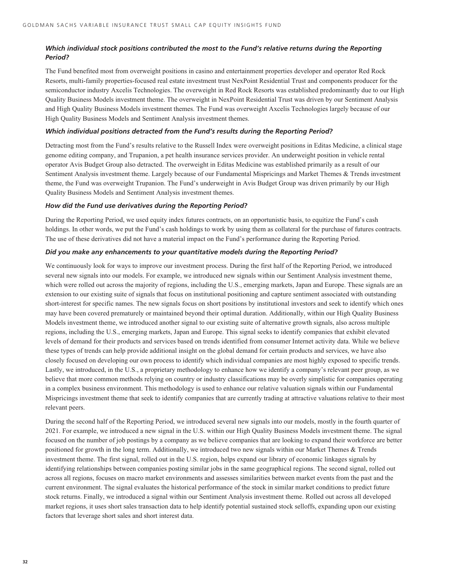#### *Which individual stock positions contributed the most to the Fund's relative returns during the Reporting Period?*

The Fund benefited most from overweight positions in casino and entertainment properties developer and operator Red Rock Resorts, multi-family properties-focused real estate investment trust NexPoint Residential Trust and components producer for the semiconductor industry Axcelis Technologies. The overweight in Red Rock Resorts was established predominantly due to our High Quality Business Models investment theme. The overweight in NexPoint Residential Trust was driven by our Sentiment Analysis and High Quality Business Models investment themes. The Fund was overweight Axcelis Technologies largely because of our High Quality Business Models and Sentiment Analysis investment themes.

#### *Which individual positions detracted from the Fund's results during the Reporting Period?*

Detracting most from the Fund's results relative to the Russell Index were overweight positions in Editas Medicine, a clinical stage genome editing company, and Trupanion, a pet health insurance services provider. An underweight position in vehicle rental operator Avis Budget Group also detracted. The overweight in Editas Medicine was established primarily as a result of our Sentiment Analysis investment theme. Largely because of our Fundamental Mispricings and Market Themes & Trends investment theme, the Fund was overweight Trupanion. The Fund's underweight in Avis Budget Group was driven primarily by our High Quality Business Models and Sentiment Analysis investment themes.

#### *How did the Fund use derivatives during the Reporting Period?*

During the Reporting Period, we used equity index futures contracts, on an opportunistic basis, to equitize the Fund's cash holdings. In other words, we put the Fund's cash holdings to work by using them as collateral for the purchase of futures contracts. The use of these derivatives did not have a material impact on the Fund's performance during the Reporting Period.

#### *Did you make any enhancements to your quantitative models during the Reporting Period?*

We continuously look for ways to improve our investment process. During the first half of the Reporting Period, we introduced several new signals into our models. For example, we introduced new signals within our Sentiment Analysis investment theme, which were rolled out across the majority of regions, including the U.S., emerging markets, Japan and Europe. These signals are an extension to our existing suite of signals that focus on institutional positioning and capture sentiment associated with outstanding short-interest for specific names. The new signals focus on short positions by institutional investors and seek to identify which ones may have been covered prematurely or maintained beyond their optimal duration. Additionally, within our High Quality Business Models investment theme, we introduced another signal to our existing suite of alternative growth signals, also across multiple regions, including the U.S., emerging markets, Japan and Europe. This signal seeks to identify companies that exhibit elevated levels of demand for their products and services based on trends identified from consumer Internet activity data. While we believe these types of trends can help provide additional insight on the global demand for certain products and services, we have also closely focused on developing our own process to identify which individual companies are most highly exposed to specific trends. Lastly, we introduced, in the U.S., a proprietary methodology to enhance how we identify a company's relevant peer group, as we believe that more common methods relying on country or industry classifications may be overly simplistic for companies operating in a complex business environment. This methodology is used to enhance our relative valuation signals within our Fundamental Mispricings investment theme that seek to identify companies that are currently trading at attractive valuations relative to their most relevant peers.

During the second half of the Reporting Period, we introduced several new signals into our models, mostly in the fourth quarter of 2021. For example, we introduced a new signal in the U.S. within our High Quality Business Models investment theme. The signal focused on the number of job postings by a company as we believe companies that are looking to expand their workforce are better positioned for growth in the long term. Additionally, we introduced two new signals within our Market Themes & Trends investment theme. The first signal, rolled out in the U.S. region, helps expand our library of economic linkages signals by identifying relationships between companies posting similar jobs in the same geographical regions. The second signal, rolled out across all regions, focuses on macro market environments and assesses similarities between market events from the past and the current environment. The signal evaluates the historical performance of the stock in similar market conditions to predict future stock returns. Finally, we introduced a signal within our Sentiment Analysis investment theme. Rolled out across all developed market regions, it uses short sales transaction data to help identify potential sustained stock selloffs, expanding upon our existing factors that leverage short sales and short interest data.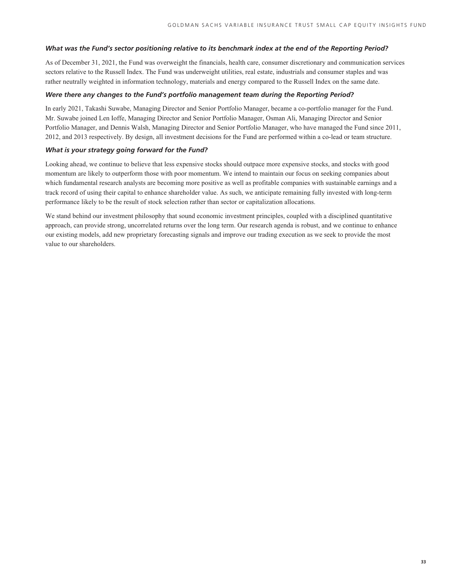#### *What was the Fund's sector positioning relative to its benchmark index at the end of the Reporting Period?*

As of December 31, 2021, the Fund was overweight the financials, health care, consumer discretionary and communication services sectors relative to the Russell Index. The Fund was underweight utilities, real estate, industrials and consumer staples and was rather neutrally weighted in information technology, materials and energy compared to the Russell Index on the same date.

#### *Were there any changes to the Fund's portfolio management team during the Reporting Period?*

In early 2021, Takashi Suwabe, Managing Director and Senior Portfolio Manager, became a co-portfolio manager for the Fund. Mr. Suwabe joined Len Ioffe, Managing Director and Senior Portfolio Manager, Osman Ali, Managing Director and Senior Portfolio Manager, and Dennis Walsh, Managing Director and Senior Portfolio Manager, who have managed the Fund since 2011, 2012, and 2013 respectively. By design, all investment decisions for the Fund are performed within a co-lead or team structure.

#### *What is your strategy going forward for the Fund?*

Looking ahead, we continue to believe that less expensive stocks should outpace more expensive stocks, and stocks with good momentum are likely to outperform those with poor momentum. We intend to maintain our focus on seeking companies about which fundamental research analysts are becoming more positive as well as profitable companies with sustainable earnings and a track record of using their capital to enhance shareholder value. As such, we anticipate remaining fully invested with long-term performance likely to be the result of stock selection rather than sector or capitalization allocations.

We stand behind our investment philosophy that sound economic investment principles, coupled with a disciplined quantitative approach, can provide strong, uncorrelated returns over the long term. Our research agenda is robust, and we continue to enhance our existing models, add new proprietary forecasting signals and improve our trading execution as we seek to provide the most value to our shareholders.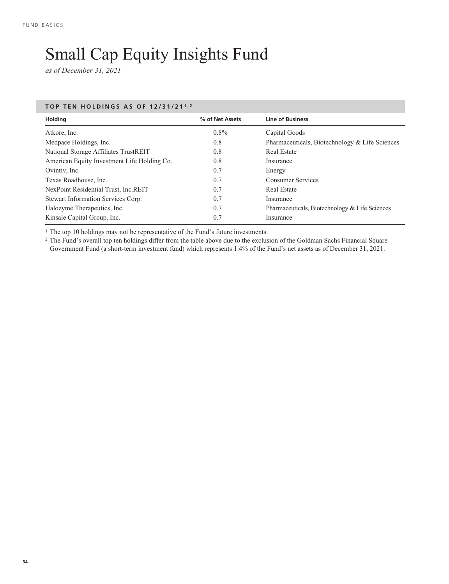### Small Cap Equity Insights Fund

*as of December 31, 2021*

| TOP TEN HOLDINGS AS OF 12/31/211,2          |                 |                                                |
|---------------------------------------------|-----------------|------------------------------------------------|
| <b>Holding</b>                              | % of Net Assets | <b>Line of Business</b>                        |
| Atkore, Inc.                                | $0.8\%$         | Capital Goods                                  |
| Medpace Holdings, Inc.                      | 0.8             | Pharmaceuticals, Biotechnology & Life Sciences |
| National Storage Affiliates TrustREIT       | 0.8             | <b>Real Estate</b>                             |
| American Equity Investment Life Holding Co. | 0.8             | Insurance                                      |
| Ovintiv, Inc.                               | 0.7             | Energy                                         |
| Texas Roadhouse, Inc.                       | 0.7             | <b>Consumer Services</b>                       |
| NexPoint Residential Trust, Inc.REIT        | 0.7             | <b>Real Estate</b>                             |
| Stewart Information Services Corp.          | 0.7             | Insurance                                      |
| Halozyme Therapeutics, Inc.                 | 0.7             | Pharmaceuticals, Biotechnology & Life Sciences |
| Kinsale Capital Group, Inc.                 | 0.7             | Insurance                                      |

<sup>1</sup> The top 10 holdings may not be representative of the Fund's future investments.

<sup>2</sup> The Fund's overall top ten holdings differ from the table above due to the exclusion of the Goldman Sachs Financial Square Government Fund (a short-term investment fund) which represents 1.4% of the Fund's net assets as of December 31, 2021.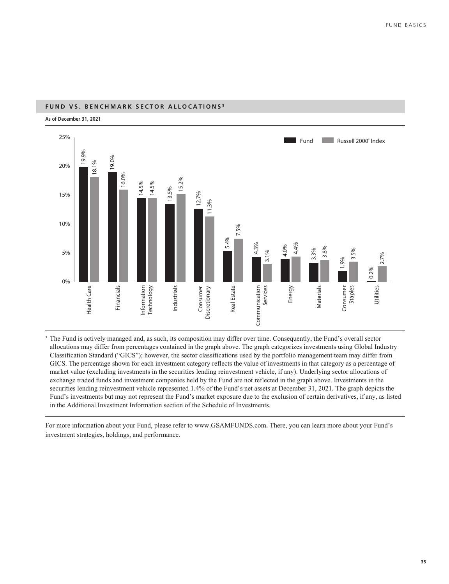# **FUND VS. BENCHMARK SECTOR ALLOCATIONS <sup>3</sup>**

**As of December 31, 2021**



<sup>3</sup> The Fund is actively managed and, as such, its composition may differ over time. Consequently, the Fund's overall sector allocations may differ from percentages contained in the graph above. The graph categorizes investments using Global Industry Classification Standard ("GICS"); however, the sector classifications used by the portfolio management team may differ from GICS. The percentage shown for each investment category reflects the value of investments in that category as a percentage of market value (excluding investments in the securities lending reinvestment vehicle, if any). Underlying sector allocations of exchange traded funds and investment companies held by the Fund are not reflected in the graph above. Investments in the securities lending reinvestment vehicle represented 1.4% of the Fund's net assets at December 31, 2021. The graph depicts the Fund's investments but may not represent the Fund's market exposure due to the exclusion of certain derivatives, if any, as listed in the Additional Investment Information section of the Schedule of Investments.

For more information about your Fund, please refer to www.GSAMFUNDS.com. There, you can learn more about your Fund's investment strategies, holdings, and performance.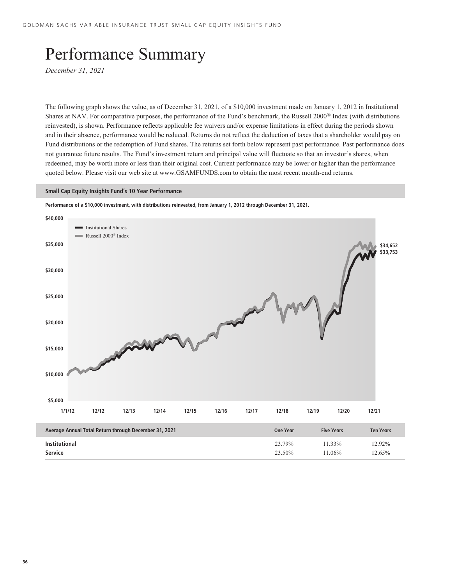# Performance Summary

*December 31, 2021*

The following graph shows the value, as of December 31, 2021, of a \$10,000 investment made on January 1, 2012 in Institutional Shares at NAV. For comparative purposes, the performance of the Fund's benchmark, the Russell 2000® Index (with distributions reinvested), is shown. Performance reflects applicable fee waivers and/or expense limitations in effect during the periods shown and in their absence, performance would be reduced. Returns do not reflect the deduction of taxes that a shareholder would pay on Fund distributions or the redemption of Fund shares. The returns set forth below represent past performance. Past performance does not guarantee future results. The Fund's investment return and principal value will fluctuate so that an investor's shares, when redeemed, may be worth more or less than their original cost. Current performance may be lower or higher than the performance quoted below. Please visit our web site at www.GSAMFUNDS.com to obtain the most recent month-end returns.

### **Small Cap Equity Insights Fund's 10 Year Performance**

**Performance of a \$10,000 investment, with distributions reinvested, from January 1, 2012 through December 31, 2021.**

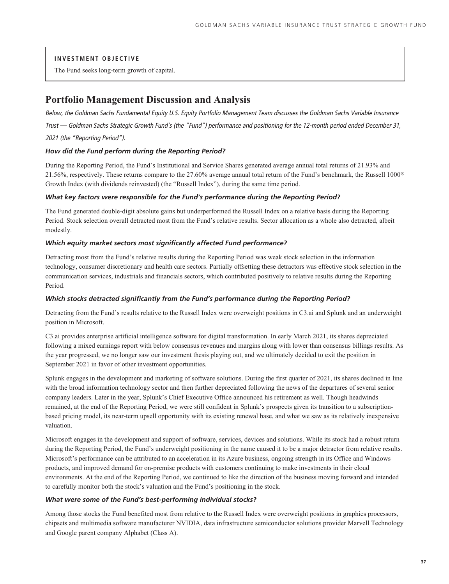### **INVESTMENT OBJECTIVE**

The Fund seeks long-term growth of capital.

# **Portfolio Management Discussion and Analysis**

Below, the Goldman Sachs Fundamental Equity U.S. Equity Portfolio Management Team discusses the Goldman Sachs Variable Insurance Trust — Goldman Sachs Strategic Growth Fund's (the "Fund") performance and positioning for the 12-month period ended December 31, 2021 (the "Reporting Period").

### *How did the Fund perform during the Reporting Period?*

During the Reporting Period, the Fund's Institutional and Service Shares generated average annual total returns of 21.93% and 21.56%, respectively. These returns compare to the 27.60% average annual total return of the Fund's benchmark, the Russell 1000® Growth Index (with dividends reinvested) (the "Russell Index"), during the same time period.

#### *What key factors were responsible for the Fund's performance during the Reporting Period?*

The Fund generated double-digit absolute gains but underperformed the Russell Index on a relative basis during the Reporting Period. Stock selection overall detracted most from the Fund's relative results. Sector allocation as a whole also detracted, albeit modestly.

### *Which equity market sectors most significantly affected Fund performance?*

Detracting most from the Fund's relative results during the Reporting Period was weak stock selection in the information technology, consumer discretionary and health care sectors. Partially offsetting these detractors was effective stock selection in the communication services, industrials and financials sectors, which contributed positively to relative results during the Reporting Period.

### *Which stocks detracted significantly from the Fund's performance during the Reporting Period?*

Detracting from the Fund's results relative to the Russell Index were overweight positions in C3.ai and Splunk and an underweight position in Microsoft.

C3.ai provides enterprise artificial intelligence software for digital transformation. In early March 2021, its shares depreciated following a mixed earnings report with below consensus revenues and margins along with lower than consensus billings results. As the year progressed, we no longer saw our investment thesis playing out, and we ultimately decided to exit the position in September 2021 in favor of other investment opportunities.

Splunk engages in the development and marketing of software solutions. During the first quarter of 2021, its shares declined in line with the broad information technology sector and then further depreciated following the news of the departures of several senior company leaders. Later in the year, Splunk's Chief Executive Office announced his retirement as well. Though headwinds remained, at the end of the Reporting Period, we were still confident in Splunk's prospects given its transition to a subscriptionbased pricing model, its near-term upsell opportunity with its existing renewal base, and what we saw as its relatively inexpensive valuation.

Microsoft engages in the development and support of software, services, devices and solutions. While its stock had a robust return during the Reporting Period, the Fund's underweight positioning in the name caused it to be a major detractor from relative results. Microsoft's performance can be attributed to an acceleration in its Azure business, ongoing strength in its Office and Windows products, and improved demand for on-premise products with customers continuing to make investments in their cloud environments. At the end of the Reporting Period, we continued to like the direction of the business moving forward and intended to carefully monitor both the stock's valuation and the Fund's positioning in the stock.

### *What were some of the Fund's best-performing individual stocks?*

Among those stocks the Fund benefited most from relative to the Russell Index were overweight positions in graphics processors, chipsets and multimedia software manufacturer NVIDIA, data infrastructure semiconductor solutions provider Marvell Technology and Google parent company Alphabet (Class A).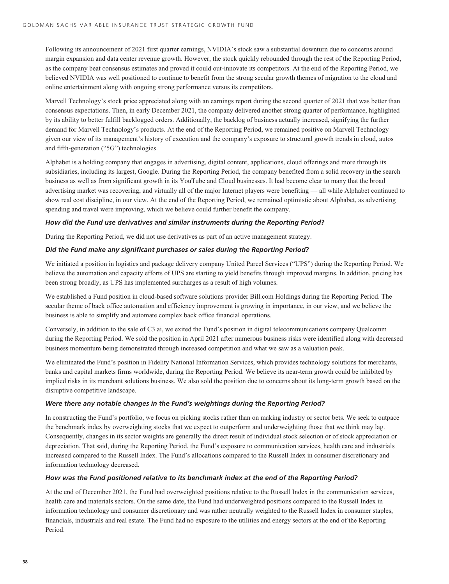Following its announcement of 2021 first quarter earnings, NVIDIA's stock saw a substantial downturn due to concerns around margin expansion and data center revenue growth. However, the stock quickly rebounded through the rest of the Reporting Period, as the company beat consensus estimates and proved it could out-innovate its competitors. At the end of the Reporting Period, we believed NVIDIA was well positioned to continue to benefit from the strong secular growth themes of migration to the cloud and online entertainment along with ongoing strong performance versus its competitors.

Marvell Technology's stock price appreciated along with an earnings report during the second quarter of 2021 that was better than consensus expectations. Then, in early December 2021, the company delivered another strong quarter of performance, highlighted by its ability to better fulfill backlogged orders. Additionally, the backlog of business actually increased, signifying the further demand for Marvell Technology's products. At the end of the Reporting Period, we remained positive on Marvell Technology given our view of its management's history of execution and the company's exposure to structural growth trends in cloud, autos and fifth-generation ("5G") technologies.

Alphabet is a holding company that engages in advertising, digital content, applications, cloud offerings and more through its subsidiaries, including its largest, Google. During the Reporting Period, the company benefited from a solid recovery in the search business as well as from significant growth in its YouTube and Cloud businesses. It had become clear to many that the broad advertising market was recovering, and virtually all of the major Internet players were benefiting — all while Alphabet continued to show real cost discipline, in our view. At the end of the Reporting Period, we remained optimistic about Alphabet, as advertising spending and travel were improving, which we believe could further benefit the company.

### *How did the Fund use derivatives and similar instruments during the Reporting Period?*

During the Reporting Period, we did not use derivatives as part of an active management strategy.

### *Did the Fund make any significant purchases or sales during the Reporting Period?*

We initiated a position in logistics and package delivery company United Parcel Services ("UPS") during the Reporting Period. We believe the automation and capacity efforts of UPS are starting to yield benefits through improved margins. In addition, pricing has been strong broadly, as UPS has implemented surcharges as a result of high volumes.

We established a Fund position in cloud-based software solutions provider Bill.com Holdings during the Reporting Period. The secular theme of back office automation and efficiency improvement is growing in importance, in our view, and we believe the business is able to simplify and automate complex back office financial operations.

Conversely, in addition to the sale of C3.ai, we exited the Fund's position in digital telecommunications company Qualcomm during the Reporting Period. We sold the position in April 2021 after numerous business risks were identified along with decreased business momentum being demonstrated through increased competition and what we saw as a valuation peak.

We eliminated the Fund's position in Fidelity National Information Services, which provides technology solutions for merchants, banks and capital markets firms worldwide, during the Reporting Period. We believe its near-term growth could be inhibited by implied risks in its merchant solutions business. We also sold the position due to concerns about its long-term growth based on the disruptive competitive landscape.

### *Were there any notable changes in the Fund's weightings during the Reporting Period?*

In constructing the Fund's portfolio, we focus on picking stocks rather than on making industry or sector bets. We seek to outpace the benchmark index by overweighting stocks that we expect to outperform and underweighting those that we think may lag. Consequently, changes in its sector weights are generally the direct result of individual stock selection or of stock appreciation or depreciation. That said, during the Reporting Period, the Fund's exposure to communication services, health care and industrials increased compared to the Russell Index. The Fund's allocations compared to the Russell Index in consumer discretionary and information technology decreased.

#### *How was the Fund positioned relative to its benchmark index at the end of the Reporting Period?*

At the end of December 2021, the Fund had overweighted positions relative to the Russell Index in the communication services, health care and materials sectors. On the same date, the Fund had underweighted positions compared to the Russell Index in information technology and consumer discretionary and was rather neutrally weighted to the Russell Index in consumer staples, financials, industrials and real estate. The Fund had no exposure to the utilities and energy sectors at the end of the Reporting Period.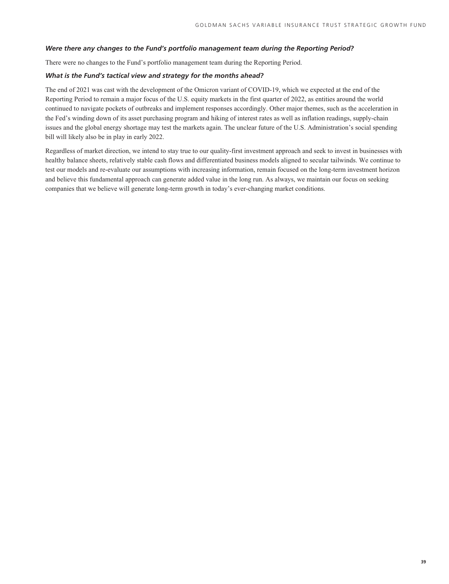### *Were there any changes to the Fund's portfolio management team during the Reporting Period?*

There were no changes to the Fund's portfolio management team during the Reporting Period.

### *What is the Fund's tactical view and strategy for the months ahead?*

The end of 2021 was cast with the development of the Omicron variant of COVID-19, which we expected at the end of the Reporting Period to remain a major focus of the U.S. equity markets in the first quarter of 2022, as entities around the world continued to navigate pockets of outbreaks and implement responses accordingly. Other major themes, such as the acceleration in the Fed's winding down of its asset purchasing program and hiking of interest rates as well as inflation readings, supply-chain issues and the global energy shortage may test the markets again. The unclear future of the U.S. Administration's social spending bill will likely also be in play in early 2022.

Regardless of market direction, we intend to stay true to our quality-first investment approach and seek to invest in businesses with healthy balance sheets, relatively stable cash flows and differentiated business models aligned to secular tailwinds. We continue to test our models and re-evaluate our assumptions with increasing information, remain focused on the long-term investment horizon and believe this fundamental approach can generate added value in the long run. As always, we maintain our focus on seeking companies that we believe will generate long-term growth in today's ever-changing market conditions.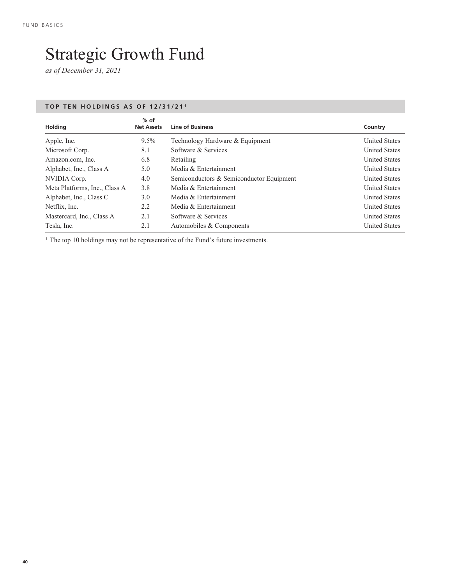# Strategic Growth Fund

*as of December 31, 2021*

# **TOP TEN HOLDINGS AS OF 12/31/21 <sup>1</sup>**

| <b>Holding</b>                | $%$ of<br><b>Net Assets</b> | <b>Line of Business</b>                  | Country              |
|-------------------------------|-----------------------------|------------------------------------------|----------------------|
| Apple, Inc.                   | $9.5\%$                     | Technology Hardware & Equipment          | <b>United States</b> |
| Microsoft Corp.               | 8.1                         | Software & Services                      | <b>United States</b> |
| Amazon.com, Inc.              | 6.8                         | Retailing                                | <b>United States</b> |
| Alphabet, Inc., Class A       | 5.0                         | Media & Entertainment                    | <b>United States</b> |
| NVIDIA Corp.                  | 4.0                         | Semiconductors & Semiconductor Equipment | <b>United States</b> |
| Meta Platforms, Inc., Class A | 3.8                         | Media & Entertainment                    | <b>United States</b> |
| Alphabet, Inc., Class C       | 3.0                         | Media & Entertainment                    | <b>United States</b> |
| Netflix, Inc.                 | 2.2                         | Media & Entertainment                    | <b>United States</b> |
| Mastercard, Inc., Class A     | 2.1                         | Software & Services                      | <b>United States</b> |
| Tesla, Inc.                   | 2.1                         | Automobiles & Components                 | <b>United States</b> |

<sup>1</sup> The top 10 holdings may not be representative of the Fund's future investments.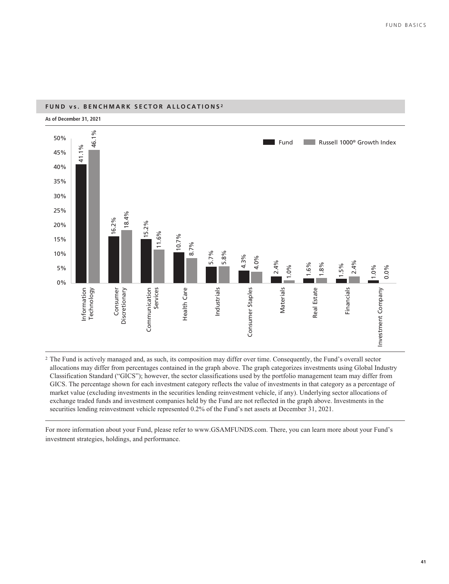

<sup>2</sup> The Fund is actively managed and, as such, its composition may differ over time. Consequently, the Fund's overall sector allocations may differ from percentages contained in the graph above. The graph categorizes investments using Global Industry Classification Standard ("GICS"); however, the sector classifications used by the portfolio management team may differ from GICS. The percentage shown for each investment category reflects the value of investments in that category as a percentage of market value (excluding investments in the securities lending reinvestment vehicle, if any). Underlying sector allocations of exchange traded funds and investment companies held by the Fund are not reflected in the graph above. Investments in the securities lending reinvestment vehicle represented 0.2% of the Fund's net assets at December 31, 2021.

For more information about your Fund, please refer to www.GSAMFUNDS.com. There, you can learn more about your Fund's investment strategies, holdings, and performance.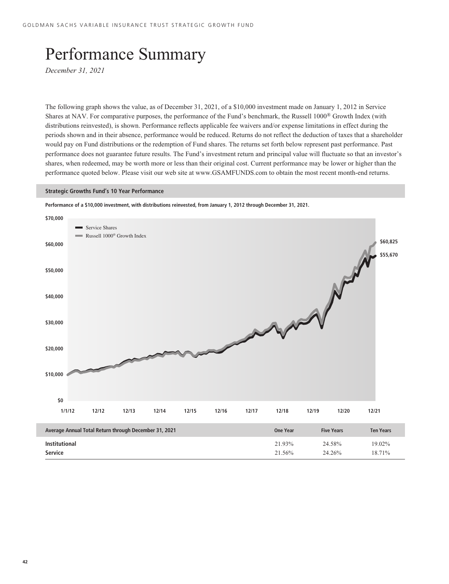# Performance Summary

*December 31, 2021*

The following graph shows the value, as of December 31, 2021, of a \$10,000 investment made on January 1, 2012 in Service Shares at NAV. For comparative purposes, the performance of the Fund's benchmark, the Russell 1000® Growth Index (with distributions reinvested), is shown. Performance reflects applicable fee waivers and/or expense limitations in effect during the periods shown and in their absence, performance would be reduced. Returns do not reflect the deduction of taxes that a shareholder would pay on Fund distributions or the redemption of Fund shares. The returns set forth below represent past performance. Past performance does not guarantee future results. The Fund's investment return and principal value will fluctuate so that an investor's shares, when redeemed, may be worth more or less than their original cost. Current performance may be lower or higher than the performance quoted below. Please visit our web site at www.GSAMFUNDS.com to obtain the most recent month-end returns.

### **Strategic Growths Fund's 10 Year Performance**

**Performance of a \$10,000 investment, with distributions reinvested, from January 1, 2012 through December 31, 2021.**

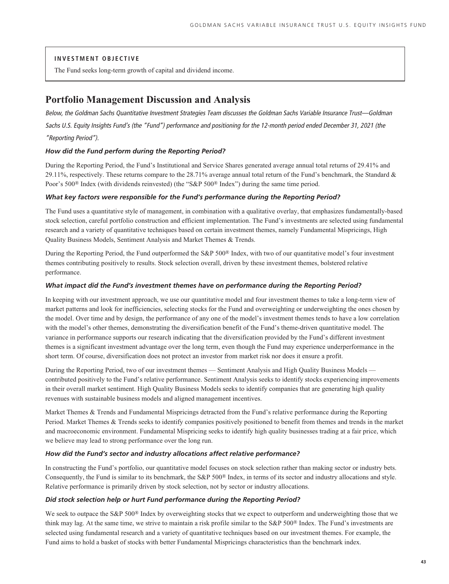#### **INVESTMENT OBJECTIVE**

The Fund seeks long-term growth of capital and dividend income.

# **Portfolio Management Discussion and Analysis**

Below, the Goldman Sachs Quantitative Investment Strategies Team discusses the Goldman Sachs Variable Insurance Trust—Goldman Sachs U.S. Equity Insights Fund's (the "Fund") performance and positioning for the 12-month period ended December 31, 2021 (the "Reporting Period").

#### *How did the Fund perform during the Reporting Period?*

During the Reporting Period, the Fund's Institutional and Service Shares generated average annual total returns of 29.41% and 29.11%, respectively. These returns compare to the  $28.71\%$  average annual total return of the Fund's benchmark, the Standard & Poor's 500® Index (with dividends reinvested) (the "S&P 500® Index") during the same time period.

#### *What key factors were responsible for the Fund's performance during the Reporting Period?*

The Fund uses a quantitative style of management, in combination with a qualitative overlay, that emphasizes fundamentally-based stock selection, careful portfolio construction and efficient implementation. The Fund's investments are selected using fundamental research and a variety of quantitative techniques based on certain investment themes, namely Fundamental Mispricings, High Quality Business Models, Sentiment Analysis and Market Themes & Trends.

During the Reporting Period, the Fund outperformed the S&P 500® Index, with two of our quantitative model's four investment themes contributing positively to results. Stock selection overall, driven by these investment themes, bolstered relative performance.

#### *What impact did the Fund's investment themes have on performance during the Reporting Period?*

In keeping with our investment approach, we use our quantitative model and four investment themes to take a long-term view of market patterns and look for inefficiencies, selecting stocks for the Fund and overweighting or underweighting the ones chosen by the model. Over time and by design, the performance of any one of the model's investment themes tends to have a low correlation with the model's other themes, demonstrating the diversification benefit of the Fund's theme-driven quantitative model. The variance in performance supports our research indicating that the diversification provided by the Fund's different investment themes is a significant investment advantage over the long term, even though the Fund may experience underperformance in the short term. Of course, diversification does not protect an investor from market risk nor does it ensure a profit.

During the Reporting Period, two of our investment themes — Sentiment Analysis and High Quality Business Models contributed positively to the Fund's relative performance. Sentiment Analysis seeks to identify stocks experiencing improvements in their overall market sentiment. High Quality Business Models seeks to identify companies that are generating high quality revenues with sustainable business models and aligned management incentives.

Market Themes & Trends and Fundamental Mispricings detracted from the Fund's relative performance during the Reporting Period. Market Themes & Trends seeks to identify companies positively positioned to benefit from themes and trends in the market and macroeconomic environment. Fundamental Mispricing seeks to identify high quality businesses trading at a fair price, which we believe may lead to strong performance over the long run.

#### *How did the Fund's sector and industry allocations affect relative performance?*

In constructing the Fund's portfolio, our quantitative model focuses on stock selection rather than making sector or industry bets. Consequently, the Fund is similar to its benchmark, the S&P 500® Index, in terms of its sector and industry allocations and style. Relative performance is primarily driven by stock selection, not by sector or industry allocations.

#### *Did stock selection help or hurt Fund performance during the Reporting Period?*

We seek to outpace the S&P 500<sup>®</sup> Index by overweighting stocks that we expect to outperform and underweighting those that we think may lag. At the same time, we strive to maintain a risk profile similar to the S&P 500® Index. The Fund's investments are selected using fundamental research and a variety of quantitative techniques based on our investment themes. For example, the Fund aims to hold a basket of stocks with better Fundamental Mispricings characteristics than the benchmark index.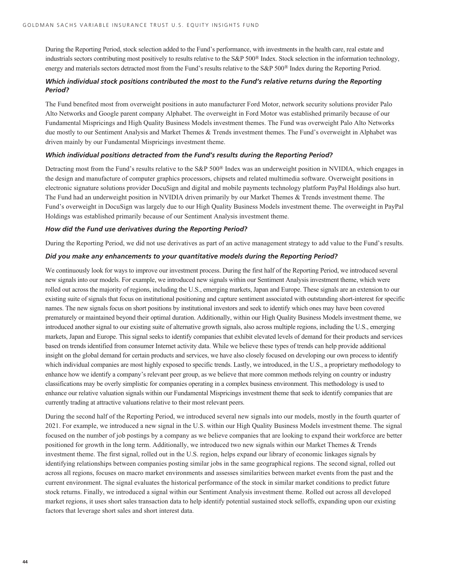During the Reporting Period, stock selection added to the Fund's performance, with investments in the health care, real estate and industrials sectors contributing most positively to results relative to the S&P 500® Index. Stock selection in the information technology, energy and materials sectors detracted most from the Fund's results relative to the S&P 500<sup>®</sup> Index during the Reporting Period.

# *Which individual stock positions contributed the most to the Fund's relative returns during the Reporting Period?*

The Fund benefited most from overweight positions in auto manufacturer Ford Motor, network security solutions provider Palo Alto Networks and Google parent company Alphabet. The overweight in Ford Motor was established primarily because of our Fundamental Mispricings and High Quality Business Models investment themes. The Fund was overweight Palo Alto Networks due mostly to our Sentiment Analysis and Market Themes & Trends investment themes. The Fund's overweight in Alphabet was driven mainly by our Fundamental Mispricings investment theme.

#### *Which individual positions detracted from the Fund's results during the Reporting Period?*

Detracting most from the Fund's results relative to the S&P 500® Index was an underweight position in NVIDIA, which engages in the design and manufacture of computer graphics processors, chipsets and related multimedia software. Overweight positions in electronic signature solutions provider DocuSign and digital and mobile payments technology platform PayPal Holdings also hurt. The Fund had an underweight position in NVIDIA driven primarily by our Market Themes & Trends investment theme. The Fund's overweight in DocuSign was largely due to our High Quality Business Models investment theme. The overweight in PayPal Holdings was established primarily because of our Sentiment Analysis investment theme.

#### *How did the Fund use derivatives during the Reporting Period?*

During the Reporting Period, we did not use derivatives as part of an active management strategy to add value to the Fund's results.

#### *Did you make any enhancements to your quantitative models during the Reporting Period?*

We continuously look for ways to improve our investment process. During the first half of the Reporting Period, we introduced several new signals into our models. For example, we introduced new signals within our Sentiment Analysis investment theme, which were rolled out across the majority of regions, including the U.S., emerging markets, Japan and Europe. These signals are an extension to our existing suite of signals that focus on institutional positioning and capture sentiment associated with outstanding short-interest for specific names. The new signals focus on short positions by institutional investors and seek to identify which ones may have been covered prematurely or maintained beyond their optimal duration. Additionally, within our High Quality Business Models investment theme, we introduced another signal to our existing suite of alternative growth signals, also across multiple regions, including the U.S., emerging markets, Japan and Europe. This signal seeks to identify companies that exhibit elevated levels of demand for their products and services based on trends identified from consumer Internet activity data. While we believe these types of trends can help provide additional insight on the global demand for certain products and services, we have also closely focused on developing our own process to identify which individual companies are most highly exposed to specific trends. Lastly, we introduced, in the U.S., a proprietary methodology to enhance how we identify a company's relevant peer group, as we believe that more common methods relying on country or industry classifications may be overly simplistic for companies operating in a complex business environment. This methodology is used to enhance our relative valuation signals within our Fundamental Mispricings investment theme that seek to identify companies that are currently trading at attractive valuations relative to their most relevant peers.

During the second half of the Reporting Period, we introduced several new signals into our models, mostly in the fourth quarter of 2021. For example, we introduced a new signal in the U.S. within our High Quality Business Models investment theme. The signal focused on the number of job postings by a company as we believe companies that are looking to expand their workforce are better positioned for growth in the long term. Additionally, we introduced two new signals within our Market Themes & Trends investment theme. The first signal, rolled out in the U.S. region, helps expand our library of economic linkages signals by identifying relationships between companies posting similar jobs in the same geographical regions. The second signal, rolled out across all regions, focuses on macro market environments and assesses similarities between market events from the past and the current environment. The signal evaluates the historical performance of the stock in similar market conditions to predict future stock returns. Finally, we introduced a signal within our Sentiment Analysis investment theme. Rolled out across all developed market regions, it uses short sales transaction data to help identify potential sustained stock selloffs, expanding upon our existing factors that leverage short sales and short interest data.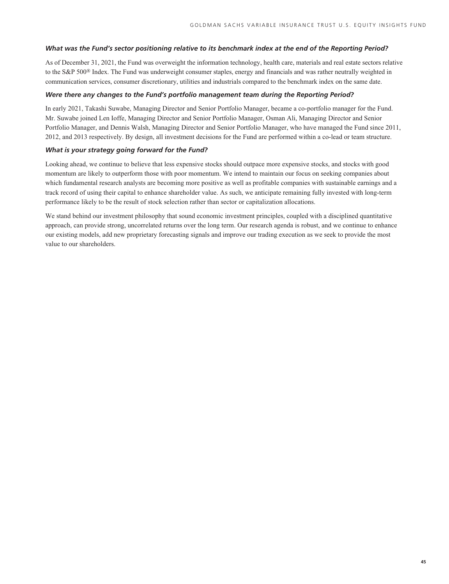### *What was the Fund's sector positioning relative to its benchmark index at the end of the Reporting Period?*

As of December 31, 2021, the Fund was overweight the information technology, health care, materials and real estate sectors relative to the S&P 500® Index. The Fund was underweight consumer staples, energy and financials and was rather neutrally weighted in communication services, consumer discretionary, utilities and industrials compared to the benchmark index on the same date.

### *Were there any changes to the Fund's portfolio management team during the Reporting Period?*

In early 2021, Takashi Suwabe, Managing Director and Senior Portfolio Manager, became a co-portfolio manager for the Fund. Mr. Suwabe joined Len Ioffe, Managing Director and Senior Portfolio Manager, Osman Ali, Managing Director and Senior Portfolio Manager, and Dennis Walsh, Managing Director and Senior Portfolio Manager, who have managed the Fund since 2011, 2012, and 2013 respectively. By design, all investment decisions for the Fund are performed within a co-lead or team structure.

# *What is your strategy going forward for the Fund?*

Looking ahead, we continue to believe that less expensive stocks should outpace more expensive stocks, and stocks with good momentum are likely to outperform those with poor momentum. We intend to maintain our focus on seeking companies about which fundamental research analysts are becoming more positive as well as profitable companies with sustainable earnings and a track record of using their capital to enhance shareholder value. As such, we anticipate remaining fully invested with long-term performance likely to be the result of stock selection rather than sector or capitalization allocations.

We stand behind our investment philosophy that sound economic investment principles, coupled with a disciplined quantitative approach, can provide strong, uncorrelated returns over the long term. Our research agenda is robust, and we continue to enhance our existing models, add new proprietary forecasting signals and improve our trading execution as we seek to provide the most value to our shareholders.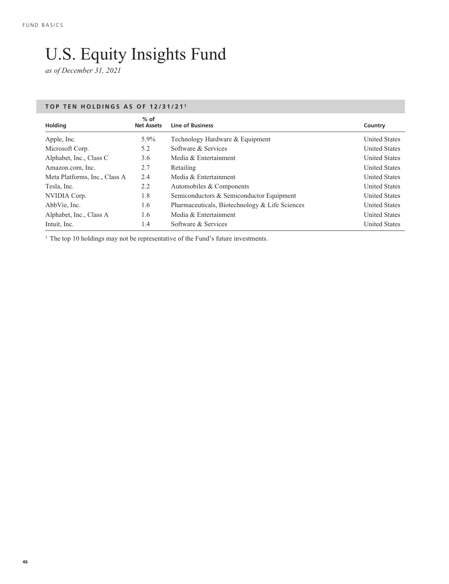# U.S. Equity Insights Fund

*as of December 31, 2021*

# **TOP TEN HOLDINGS AS OF 12/31/21 <sup>1</sup>**

| <b>Holding</b>                | $%$ of<br><b>Net Assets</b> | <b>Line of Business</b>                        | Country              |
|-------------------------------|-----------------------------|------------------------------------------------|----------------------|
| Apple, Inc.                   | $5.9\%$                     | Technology Hardware & Equipment                | <b>United States</b> |
| Microsoft Corp.               | 5.2                         | Software & Services                            | <b>United States</b> |
| Alphabet, Inc., Class C       | 3.6                         | Media & Entertainment                          | <b>United States</b> |
| Amazon.com, Inc.              | 2.7                         | Retailing                                      | <b>United States</b> |
| Meta Platforms, Inc., Class A | 2.4                         | Media & Entertainment                          | <b>United States</b> |
| Tesla, Inc.                   | 2.2                         | Automobiles & Components                       | <b>United States</b> |
| NVIDIA Corp.                  | 1.8                         | Semiconductors & Semiconductor Equipment       | <b>United States</b> |
| AbbVie, Inc.                  | 1.6                         | Pharmaceuticals, Biotechnology & Life Sciences | <b>United States</b> |
| Alphabet, Inc., Class A       | 1.6                         | Media & Entertainment                          | <b>United States</b> |
| Intuit, Inc.                  | 1.4                         | Software & Services                            | <b>United States</b> |

<sup>1</sup> The top 10 holdings may not be representative of the Fund's future investments.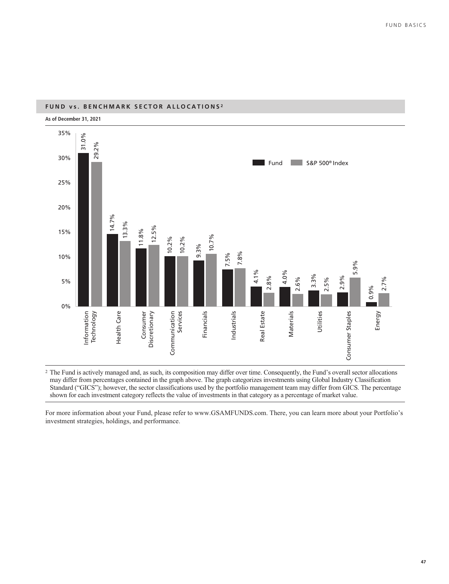#### **As of December 31, 2021** 35% 31.0% 29.2% Technology  $\overline{1}$ echnology  $\overline{2}$ 9.2% 30% Fund S&P 500<sup>®</sup> Index 25% 20% 14.7% 13.3%  $12.5%$ 11.8% Discretionary  $12.5\%$ 15% 10.7% 10.2% 10.2% 9.3% 7.8% 7.5% 10% 5.9% 4.1% 4.0% 3.3% 2.8% 2.9% 2.6% 2.5% 2.7% 5% 0.9% 0% Information<br>Technology Communication<br>Services Health Care Discretionary Financials Industrials **Real Estate** Materials Utilities Consumer Staples Energy Consumer Information Health Care Consumer Communication Financials Industrials Real Estate Materials Consumer Staples

### **FUND vs. BENCHMARK SECTOR ALLOCATIONS <sup>2</sup>**

<sup>2</sup> The Fund is actively managed and, as such, its composition may differ over time. Consequently, the Fund's overall sector allocations may differ from percentages contained in the graph above. The graph categorizes investments using Global Industry Classification Standard ("GICS"); however, the sector classifications used by the portfolio management team may differ from GICS. The percentage shown for each investment category reflects the value of investments in that category as a percentage of market value.

For more information about your Fund, please refer to www.GSAMFUNDS.com. There, you can learn more about your Portfolio's investment strategies, holdings, and performance.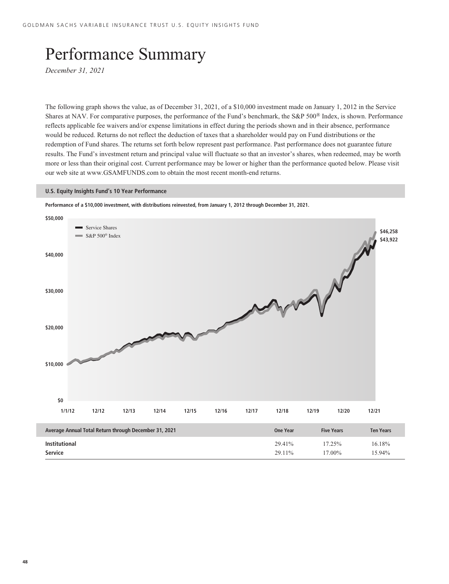# Performance Summary

*December 31, 2021*

The following graph shows the value, as of December 31, 2021, of a \$10,000 investment made on January 1, 2012 in the Service Shares at NAV. For comparative purposes, the performance of the Fund's benchmark, the S&P 500® Index, is shown. Performance reflects applicable fee waivers and/or expense limitations in effect during the periods shown and in their absence, performance would be reduced. Returns do not reflect the deduction of taxes that a shareholder would pay on Fund distributions or the redemption of Fund shares. The returns set forth below represent past performance. Past performance does not guarantee future results. The Fund's investment return and principal value will fluctuate so that an investor's shares, when redeemed, may be worth more or less than their original cost. Current performance may be lower or higher than the performance quoted below. Please visit our web site at www.GSAMFUNDS.com to obtain the most recent month-end returns.

### **U.S. Equity Insights Fund's 10 Year Performance**



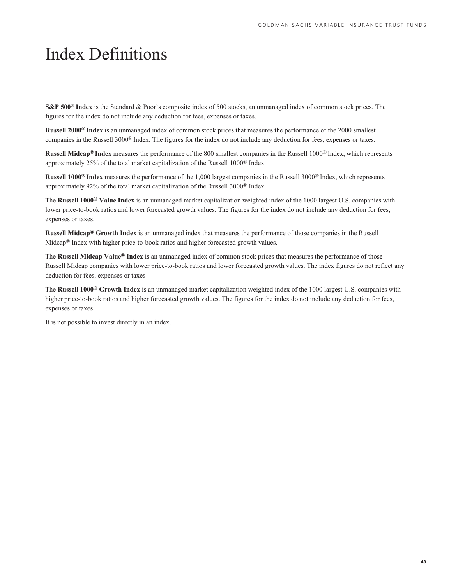# Index Definitions

**S&P 500® Index** is the Standard & Poor's composite index of 500 stocks, an unmanaged index of common stock prices. The figures for the index do not include any deduction for fees, expenses or taxes.

**Russell 2000® Index** is an unmanaged index of common stock prices that measures the performance of the 2000 smallest companies in the Russell 3000® Index. The figures for the index do not include any deduction for fees, expenses or taxes.

**Russell Midcap® Index** measures the performance of the 800 smallest companies in the Russell 1000® Index, which represents approximately 25% of the total market capitalization of the Russell 1000® Index.

**Russell 1000® Index** measures the performance of the 1,000 largest companies in the Russell 3000® Index, which represents approximately 92% of the total market capitalization of the Russell 3000® Index.

The **Russell 1000® Value Index** is an unmanaged market capitalization weighted index of the 1000 largest U.S. companies with lower price-to-book ratios and lower forecasted growth values. The figures for the index do not include any deduction for fees, expenses or taxes.

**Russell Midcap® Growth Index** is an unmanaged index that measures the performance of those companies in the Russell Midcap® Index with higher price-to-book ratios and higher forecasted growth values.

The **Russell Midcap Value® Index** is an unmanaged index of common stock prices that measures the performance of those Russell Midcap companies with lower price-to-book ratios and lower forecasted growth values. The index figures do not reflect any deduction for fees, expenses or taxes

The **Russell 1000® Growth Index** is an unmanaged market capitalization weighted index of the 1000 largest U.S. companies with higher price-to-book ratios and higher forecasted growth values. The figures for the index do not include any deduction for fees, expenses or taxes.

It is not possible to invest directly in an index.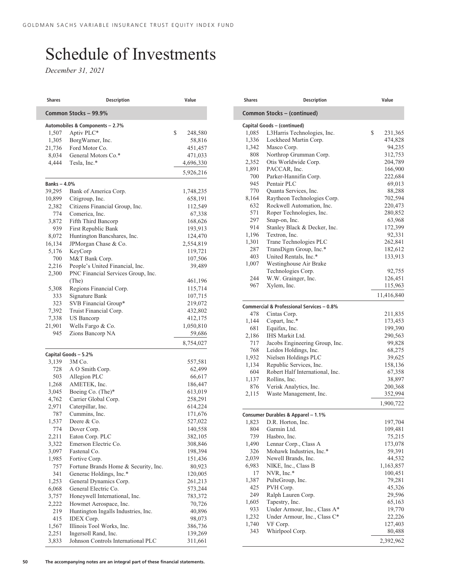# Schedule of Investments

*December 31, 2021*

| Shares                          | <b>Description</b>                   | Value         |  |  |
|---------------------------------|--------------------------------------|---------------|--|--|
|                                 | Common Stocks - 99.9%                |               |  |  |
| Automobiles & Components - 2.7% |                                      |               |  |  |
| 1,507                           | Aptiv PLC*                           | \$<br>248,580 |  |  |
| 1,305                           | BorgWarner, Inc.                     | 58,816        |  |  |
| 21,736                          | Ford Motor Co.                       | 451,457       |  |  |
| 8,034                           | General Motors Co.*                  | 471,033       |  |  |
| 4,444                           | Tesla, Inc.*                         | 4,696,330     |  |  |
|                                 |                                      | 5,926,216     |  |  |
| <b>Banks-4.0%</b>               |                                      |               |  |  |
| 39,295                          | Bank of America Corp.                | 1,748,235     |  |  |
| 10,899                          | Citigroup, Inc.                      | 658,191       |  |  |
| 2,382                           | Citizens Financial Group, Inc.       | 112,549       |  |  |
| 774                             | Comerica, Inc.                       | 67,338        |  |  |
| 3,872                           | Fifth Third Bancorp                  | 168,626       |  |  |
| 939                             | First Republic Bank                  | 193,913       |  |  |
| 8,072                           | Huntington Bancshares, Inc.          | 124,470       |  |  |
| 16,134                          | JPMorgan Chase & Co.                 | 2,554,819     |  |  |
| 5,176                           | KeyCorp                              | 119,721       |  |  |
| 700                             | M&T Bank Corp.                       | 107,506       |  |  |
| 2,216                           | People's United Financial, Inc.      | 39,489        |  |  |
| 2,300                           | PNC Financial Services Group, Inc.   |               |  |  |
|                                 | (The)                                | 461,196       |  |  |
| 5,308                           | Regions Financial Corp.              | 115,714       |  |  |
| 333                             | Signature Bank                       | 107,715       |  |  |
| 323                             | SVB Financial Group*                 | 219,072       |  |  |
| 7,392                           | Truist Financial Corp.               | 432,802       |  |  |
| 7,338                           | <b>US Bancorp</b>                    | 412,175       |  |  |
| 21,901                          | Wells Fargo & Co.                    | 1,050,810     |  |  |
| 945                             | Zions Bancorp NA                     | 59,686        |  |  |
|                                 |                                      | 8,754,027     |  |  |
|                                 | Capital Goods - 5.2%                 |               |  |  |
| 3,139                           | 3M Co.                               | 557,581       |  |  |
| 728                             | A O Smith Corp.                      | 62,499        |  |  |
| 503                             | Allegion PLC                         | 66,617        |  |  |
| 1,268                           | AMETEK, Inc.                         | 186,447       |  |  |
| 3,045                           | Boeing Co. (The)*                    | 613,019       |  |  |
| 4,762                           | Carrier Global Corp.                 | 258,291       |  |  |
| 2,971                           | Caterpillar, Inc.                    | 614,224       |  |  |
| 787                             | Cummins, Inc.                        | 171,676       |  |  |
| 1,537                           | Deere & Co.                          | 527,022       |  |  |
| 774                             | Dover Corp.                          | 140,558       |  |  |
| 2,211                           | Eaton Corp. PLC                      | 382,105       |  |  |
| 3,322                           | Emerson Electric Co.                 | 308,846       |  |  |
| 3,097                           | Fastenal Co.                         | 198,394       |  |  |
| 1,985                           | Fortive Corp.                        | 151,436       |  |  |
| 757                             | Fortune Brands Home & Security, Inc. | 80,923        |  |  |
| 341                             | Generac Holdings, Inc.*              | 120,005       |  |  |
| 1,253                           | General Dynamics Corp.               | 261,213       |  |  |
| 6,068                           | General Electric Co.                 | 573,244       |  |  |
| 3,757                           | Honeywell International, Inc.        | 783,372       |  |  |
| 2,222                           | Howmet Aerospace, Inc.               | 70,726        |  |  |
| 219                             | Huntington Ingalls Industries, Inc.  | 40,896        |  |  |
| 415                             | IDEX Corp.                           | 98,073        |  |  |
| 1,567                           | Illinois Tool Works, Inc.            | 386,736       |  |  |
| 2,251                           | Ingersoll Rand, Inc.                 | 139,269       |  |  |
| 3,833                           | Johnson Controls International PLC   | 311,661       |  |  |

| Shares       | <b>Description</b>                                        | Value              |
|--------------|-----------------------------------------------------------|--------------------|
|              | Common Stocks - (continued)                               |                    |
|              | Capital Goods - (continued)                               |                    |
| 1,085        | L3Harris Technologies, Inc.                               | \$<br>231,365      |
| 1,336        | Lockheed Martin Corp.                                     | 474,828            |
| 1,342        | Masco Corp.                                               | 94,235             |
| 808          | Northrop Grumman Corp.                                    | 312,753            |
| 2,352        | Otis Worldwide Corp.                                      | 204,789            |
| 1,891        | PACCAR, Inc.                                              | 166,900            |
| 700          | Parker-Hannifin Corp.                                     | 222,684            |
| 945          | Pentair PLC                                               | 69,013             |
| 770          | Quanta Services, Inc.                                     | 88,288             |
| 8,164        | Raytheon Technologies Corp.                               | 702,594            |
| 632          | Rockwell Automation, Inc.                                 | 220,473            |
| 571          | Roper Technologies, Inc.                                  | 280,852            |
| 297<br>914   | Snap-on, Inc.<br>Stanley Black & Decker, Inc.             | 63,968             |
|              |                                                           | 172,399            |
| 1,196        | Textron, Inc.<br>Trane Technologies PLC                   | 92,331             |
| 1,301<br>287 | TransDigm Group, Inc.*                                    | 262,841<br>182,612 |
| 403          | United Rentals, Inc.*                                     | 133,913            |
| 1,007        | Westinghouse Air Brake                                    |                    |
|              | Technologies Corp.                                        | 92,755             |
| 244          | W.W. Grainger, Inc.                                       | 126,451            |
| 967          | Xylem, Inc.                                               | 115,963            |
|              |                                                           | 11,416,840         |
|              |                                                           |                    |
| 478          | Commercial & Professional Services - 0.8%<br>Cintas Corp. |                    |
| 1,144        | Copart, Inc.*                                             | 211,835<br>173,453 |
| 681          | Equifax, Inc.                                             | 199,390            |
| 2,186        | IHS Markit Ltd.                                           | 290,563            |
| 717          | Jacobs Engineering Group, Inc.                            | 99,828             |
| 768          | Leidos Holdings, Inc.                                     | 68,275             |
| 1,932        | Nielsen Holdings PLC                                      | 39,625             |
| 1,134        | Republic Services, Inc.                                   | 158,136            |
| 604          | Robert Half International, Inc.                           | 67,358             |
| 1,137        | Rollins, Inc.                                             | 38,897             |
| 876          | Verisk Analytics, Inc.                                    | 200,368            |
| 2,115        | Waste Management, Inc.                                    | 352,994            |
|              |                                                           | 1,900,722          |
|              |                                                           |                    |
| 1,823        | Consumer Durables & Apparel - 1.1%<br>D.R. Horton, Inc.   | 197,704            |
| 804          | Garmin Ltd.                                               | 109,481            |
| 739          | Hasbro, Inc.                                              | 75,215             |
| 1,490        | Lennar Corp., Class A                                     | 173,078            |
| 326          | Mohawk Industries, Inc.*                                  | 59,391             |
| 2,039        | Newell Brands, Inc.                                       | 44,532             |
| 6,983        | NIKE, Inc., Class B                                       | 1,163,857          |
| 17           | NVR, Inc.*                                                | 100,451            |
| 1,387        | PulteGroup, Inc.                                          | 79,281             |
| 425          | PVH Corp.                                                 | 45,326             |
| 249          | Ralph Lauren Corp.                                        | 29,596             |
| 1,605        | Tapestry, Inc.                                            | 65,163             |
| 933          | Under Armour, Inc., Class A*                              | 19,770             |
| 1,232        | Under Armour, Inc., Class C*                              | 22,226             |
| 1,740        | VF Corp.                                                  | 127,403            |
| 343          | Whirlpool Corp.                                           | 80,488             |
|              |                                                           |                    |
|              |                                                           | 2,392,962          |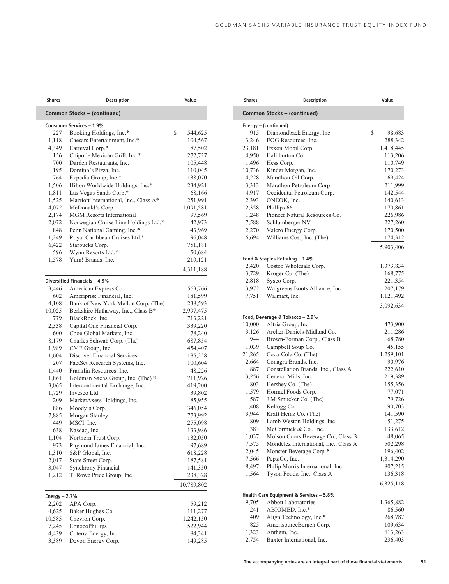| <b>Shares</b>               | <b>Description</b>                             | Value         |  |  |
|-----------------------------|------------------------------------------------|---------------|--|--|
| Common Stocks - (continued) |                                                |               |  |  |
|                             | Consumer Services - 1.9%                       |               |  |  |
| 227                         | Booking Holdings, Inc.*                        | \$<br>544,625 |  |  |
| 1,118                       | Caesars Entertainment, Inc.*                   | 104,567       |  |  |
| 4,349                       | Carnival Corp.*                                | 87,502        |  |  |
| 156                         | Chipotle Mexican Grill, Inc.*                  | 272,727       |  |  |
| 700                         | Darden Restaurants, Inc.                       | 105,448       |  |  |
| 195                         | Domino's Pizza, Inc.                           | 110,045       |  |  |
| 764                         | Expedia Group, Inc.*                           | 138,070       |  |  |
| 1,506                       | Hilton Worldwide Holdings, Inc.*               | 234,921       |  |  |
| 1,811                       | Las Vegas Sands Corp.*                         | 68,166        |  |  |
| 1,525                       | Marriott International, Inc., Class A*         | 251,991       |  |  |
| 4,072                       | McDonald's Corp.                               | 1,091,581     |  |  |
| 2,174                       | <b>MGM Resorts International</b>               | 97,569        |  |  |
| 2,072                       | Norwegian Cruise Line Holdings Ltd.*           | 42,973        |  |  |
| 848                         | Penn National Gaming, Inc.*                    | 43,969        |  |  |
| 1,249                       | Royal Caribbean Cruises Ltd.*                  | 96,048        |  |  |
| 6,422                       | Starbucks Corp.                                | 751,181       |  |  |
| 596                         | Wynn Resorts Ltd.*                             | 50,684        |  |  |
| 1,578                       | Yum! Brands, Inc.                              | 219,121       |  |  |
|                             |                                                | 4,311,188     |  |  |
|                             | Diversified Financials - 4.9%                  |               |  |  |
| 3,446                       | American Express Co.                           | 563,766       |  |  |
| 602                         | Ameriprise Financial, Inc.                     | 181,599       |  |  |
| 4,108                       | Bank of New York Mellon Corp. (The)            | 238,593       |  |  |
| 10,025                      | Berkshire Hathaway, Inc., Class B*             | 2,997,475     |  |  |
| 779                         | BlackRock, Inc.                                | 713,221       |  |  |
| 2,338                       | Capital One Financial Corp.                    | 339,220       |  |  |
| 600                         | Cboe Global Markets, Inc.                      | 78,240        |  |  |
| 8,179                       | Charles Schwab Corp. (The)                     | 687,854       |  |  |
| 1,989                       | CME Group, Inc.                                | 454,407       |  |  |
| 1,604                       | Discover Financial Services                    | 185,358       |  |  |
| 207                         | FactSet Research Systems, Inc.                 | 100,604       |  |  |
| 1,440                       | Franklin Resources, Inc.                       | 48,226        |  |  |
| 1,861                       | Goldman Sachs Group, Inc. (The) <sup>(a)</sup> | 711,926       |  |  |
| 3,065                       | Intercontinental Exchange, Inc.                | 419,200       |  |  |
| 1,729                       | Invesco Ltd.                                   | 39,802        |  |  |
| 209                         | MarketAxess Holdings, Inc.                     | 85,955        |  |  |
| 886                         | Moody's Corp.                                  | 346,054       |  |  |
| 7,885                       | Morgan Stanley                                 | 773,992       |  |  |
| 449                         | MSCI, Inc.                                     | 275,098       |  |  |
| 638                         | Nasdaq, Inc.                                   | 133,986       |  |  |
| 1,104                       | Northern Trust Corp.                           | 132,050       |  |  |
| 973                         | Raymond James Financial, Inc.                  | 97,689        |  |  |
| 1,310                       | S&P Global, Inc.                               | 618,228       |  |  |
| 2,017                       | State Street Corp.                             | 187,581       |  |  |
| 3,047                       | Synchrony Financial                            | 141,350       |  |  |
| 1,212                       | T. Rowe Price Group, Inc.                      | 238,328       |  |  |
|                             |                                                | 10,789,802    |  |  |
| Energy $-2.7%$              |                                                |               |  |  |
| 2,202                       | APA Corp.                                      | 59,212        |  |  |
| 4,625                       | Baker Hughes Co.                               | 111,277       |  |  |
| 10,585                      | Chevron Corp.                                  | 1,242,150     |  |  |
| 7,245                       | ConocoPhillips                                 | 522,944       |  |  |
| 4,439                       | Coterra Energy, Inc.                           | 84,341        |  |  |
| 3,389                       | Devon Energy Corp.                             | 149,285       |  |  |

|                | <b>Description</b>                                                          |                                                                                                                                                                                                                                                                                                      |
|----------------|-----------------------------------------------------------------------------|------------------------------------------------------------------------------------------------------------------------------------------------------------------------------------------------------------------------------------------------------------------------------------------------------|
|                | Common Stocks - (continued)                                                 |                                                                                                                                                                                                                                                                                                      |
|                | Energy - (continued)                                                        |                                                                                                                                                                                                                                                                                                      |
| 915            | Diamondback Energy, Inc.                                                    | \$<br>98,683                                                                                                                                                                                                                                                                                         |
| 3,246          | EOG Resources, Inc.                                                         | 288,342                                                                                                                                                                                                                                                                                              |
| 23,181         | Exxon Mobil Corp.                                                           | 1,418,445                                                                                                                                                                                                                                                                                            |
| 4,950          | Halliburton Co.                                                             | 113,206                                                                                                                                                                                                                                                                                              |
| 1,496          | Hess Corp.                                                                  | 110,749                                                                                                                                                                                                                                                                                              |
| 10,736         | Kinder Morgan, Inc.                                                         | 170,273                                                                                                                                                                                                                                                                                              |
| 4,228          | Marathon Oil Corp.                                                          | 69,424                                                                                                                                                                                                                                                                                               |
| 3,313          | Marathon Petroleum Corp.                                                    | 211,999                                                                                                                                                                                                                                                                                              |
| 4,917          | Occidental Petroleum Corp.                                                  | 142,544                                                                                                                                                                                                                                                                                              |
| 2,393          | ONEOK, Inc.                                                                 | 140,613                                                                                                                                                                                                                                                                                              |
| 2,358          | Phillips 66                                                                 | 170,861                                                                                                                                                                                                                                                                                              |
| 1,248          | Pioneer Natural Resources Co.                                               | 226,986                                                                                                                                                                                                                                                                                              |
| 7,588          | Schlumberger NV                                                             | 227,260                                                                                                                                                                                                                                                                                              |
| 2,270          | Valero Energy Corp.                                                         | 170,500                                                                                                                                                                                                                                                                                              |
| 6,694          | Williams Cos., Inc. (The)                                                   | 174,312                                                                                                                                                                                                                                                                                              |
|                |                                                                             | 5,903,406                                                                                                                                                                                                                                                                                            |
|                | Food & Staples Retailing - 1.4%                                             |                                                                                                                                                                                                                                                                                                      |
| 2,420          | Costco Wholesale Corp.                                                      | 1,373,834                                                                                                                                                                                                                                                                                            |
| 3,729          | Kroger Co. (The)                                                            | 168,775                                                                                                                                                                                                                                                                                              |
| 2,818          | Sysco Corp.                                                                 | 221,354                                                                                                                                                                                                                                                                                              |
| 3,972          | Walgreens Boots Alliance, Inc.                                              | 207,179                                                                                                                                                                                                                                                                                              |
| 7,751          | Walmart, Inc.                                                               | 1,121,492                                                                                                                                                                                                                                                                                            |
|                |                                                                             | 3,092,634                                                                                                                                                                                                                                                                                            |
|                |                                                                             |                                                                                                                                                                                                                                                                                                      |
|                | Food, Beverage & Tobacco - 2.9%                                             |                                                                                                                                                                                                                                                                                                      |
| 10,000         | Altria Group, Inc.                                                          |                                                                                                                                                                                                                                                                                                      |
| 3,126          | Archer-Daniels-Midland Co.                                                  |                                                                                                                                                                                                                                                                                                      |
| 944            | Brown-Forman Corp., Class B                                                 |                                                                                                                                                                                                                                                                                                      |
| 1,039          | Campbell Soup Co.                                                           |                                                                                                                                                                                                                                                                                                      |
| 21,265         | Coca-Cola Co. (The)                                                         |                                                                                                                                                                                                                                                                                                      |
| 2,664          | Conagra Brands, Inc.                                                        |                                                                                                                                                                                                                                                                                                      |
| 887            | Constellation Brands, Inc., Class A                                         |                                                                                                                                                                                                                                                                                                      |
| 3,256          | General Mills, Inc.                                                         |                                                                                                                                                                                                                                                                                                      |
| 803            |                                                                             |                                                                                                                                                                                                                                                                                                      |
| 1,579          | Hershey Co. (The)<br>Hormel Foods Corp.                                     |                                                                                                                                                                                                                                                                                                      |
| 587            | J M Smucker Co. (The)                                                       |                                                                                                                                                                                                                                                                                                      |
| 1,408          | Kellogg Co.                                                                 |                                                                                                                                                                                                                                                                                                      |
| 3,944          | Kraft Heinz Co. (The)                                                       |                                                                                                                                                                                                                                                                                                      |
| 809            | Lamb Weston Holdings, Inc.                                                  |                                                                                                                                                                                                                                                                                                      |
| 1,383          | McCormick & Co., Inc.                                                       |                                                                                                                                                                                                                                                                                                      |
|                |                                                                             |                                                                                                                                                                                                                                                                                                      |
| 1,037<br>7,575 | Molson Coors Beverage Co., Class B<br>Mondelez International, Inc., Class A |                                                                                                                                                                                                                                                                                                      |
| 2,045          | Monster Beverage Corp.*                                                     |                                                                                                                                                                                                                                                                                                      |
| 7,566          | PepsiCo, Inc.                                                               |                                                                                                                                                                                                                                                                                                      |
| 8,497          | Philip Morris International, Inc.                                           |                                                                                                                                                                                                                                                                                                      |
| 1,564          | Tyson Foods, Inc., Class A                                                  |                                                                                                                                                                                                                                                                                                      |
|                |                                                                             |                                                                                                                                                                                                                                                                                                      |
|                |                                                                             |                                                                                                                                                                                                                                                                                                      |
| 9,705          | Health Care Equipment & Services - 5.8%<br><b>Abbott Laboratories</b>       |                                                                                                                                                                                                                                                                                                      |
| 241            |                                                                             |                                                                                                                                                                                                                                                                                                      |
| 409            | ABIOMED, Inc.*                                                              |                                                                                                                                                                                                                                                                                                      |
| 825            | Align Technology, Inc.*                                                     |                                                                                                                                                                                                                                                                                                      |
| 1,323          | AmerisourceBergen Corp.<br>Anthem, Inc.                                     | 473,900<br>211,286<br>68,780<br>45,155<br>1,259,101<br>90,976<br>222,610<br>219,389<br>155,356<br>77,071<br>79,726<br>90,703<br>141,590<br>51,275<br>133,612<br>48,065<br>502,298<br>196,402<br>1,314,290<br>807,215<br>136,318<br>6,325,118<br>1,365,882<br>86,560<br>268,787<br>109,634<br>613,263 |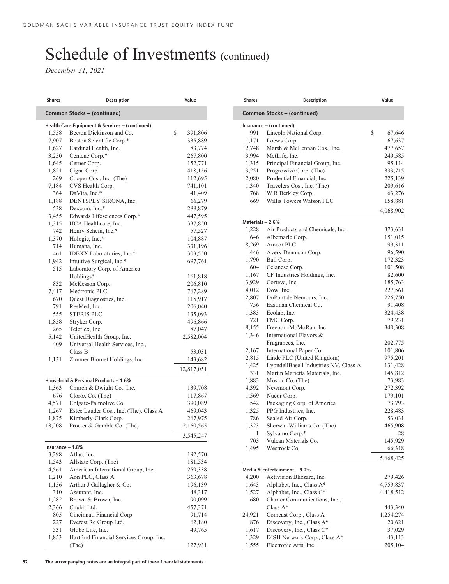# Schedule of Investments (continued)

*December 31, 2021*

| <b>Shares</b>     | <b>Description</b>                               | Value         |
|-------------------|--------------------------------------------------|---------------|
|                   | Common Stocks - (continued)                      |               |
|                   | Health Care Equipment & Services - (continued)   |               |
| 1,558             | Becton Dickinson and Co.                         | \$<br>391,806 |
| 7,907             | Boston Scientific Corp.*                         | 335,889       |
| 1,627             | Cardinal Health, Inc.                            | 83,774        |
| 3,250             | Centene Corp.*                                   | 267,800       |
| 1,645             | Cerner Corp.                                     | 152,771       |
| 1,821             | Cigna Corp.                                      | 418,156       |
| 269               | Cooper Cos., Inc. (The)                          | 112,695       |
| 7,184             | CVS Health Corp.                                 | 741,101       |
| 364               | DaVita, Inc.*                                    | 41,409        |
| 1,188             | DENTSPLY SIRONA, Inc.                            | 66,279        |
| 538               | Dexcom, Inc.*                                    | 288,879       |
| 3,455             | Edwards Lifesciences Corp.*                      | 447,595       |
| 1,315             | HCA Healthcare, Inc.                             | 337,850       |
| 742               | Henry Schein, Inc.*                              | 57,527        |
| 1,370             | Hologic, Inc.*                                   | 104,887       |
| 714               | Humana, Inc.                                     | 331,196       |
| 461               | IDEXX Laboratories, Inc.*                        | 303,550       |
| 1,942             | Intuitive Surgical, Inc.*                        | 697,761       |
| 515               | Laboratory Corp. of America                      |               |
|                   | Holdings*                                        | 161,818       |
| 832               | McKesson Corp.                                   | 206,810       |
| 7,417             | Medtronic PLC                                    | 767,289       |
| 670               | Quest Diagnostics, Inc.                          | 115,917       |
| 791               | ResMed, Inc.                                     | 206,040       |
| 555               | <b>STERIS PLC</b>                                | 135,093       |
| 1,858             | Stryker Corp.                                    | 496,866       |
| 265               | Teleflex, Inc.                                   | 87,047        |
| 5,142             | UnitedHealth Group, Inc.                         | 2,582,004     |
| 409               | Universal Health Services, Inc.,                 |               |
|                   | Class B                                          | 53,031        |
| 1,131             | Zimmer Biomet Holdings, Inc.                     | 143,682       |
|                   |                                                  | 12,817,051    |
|                   | Household & Personal Products - 1.6%             |               |
| 1,363             | Church & Dwight Co., Inc.                        | 139,708       |
| 676               | Clorox Co. (The)                                 | 117,867       |
| 4,571             | Colgate-Palmolive Co.                            | 390,089       |
| 1,267             | Estee Lauder Cos., Inc. (The), Class A           | 469,043       |
| 1,875             | Kimberly-Clark Corp.                             | 267,975       |
| 13,208            | Procter & Gamble Co. (The)                       | 2,160,565     |
|                   |                                                  | 3,545,247     |
| Insurance $-1.8%$ |                                                  |               |
| 3,298             | Aflac, Inc.                                      | 192,570       |
| 1,543             | Allstate Corp. (The)                             | 181,534       |
| 4,561             | American International Group, Inc.               | 259,338       |
| 1,210             | Aon PLC, Class A                                 | 363,678       |
| 1,156             | Arthur J Gallagher & Co.                         | 196,139       |
| 310               | Assurant, Inc.                                   | 48,317        |
| 1,282             | Brown & Brown, Inc.                              | 90,099        |
| 2,366             | Chubb Ltd.                                       | 457,371       |
| 805               | Cincinnati Financial Corp.                       | 91,714        |
| 227               | Everest Re Group Ltd.                            | 62,180        |
| 531               | Globe Life, Inc.                                 | 49,765        |
|                   |                                                  |               |
| 1,853             | Hartford Financial Services Group, Inc.<br>(The) | 127,931       |

| Shares                      | <b>Description</b>                    | Value        |  |  |
|-----------------------------|---------------------------------------|--------------|--|--|
| Common Stocks - (continued) |                                       |              |  |  |
|                             | Insurance - (continued)               |              |  |  |
| 991                         | Lincoln National Corp.                | \$<br>67,646 |  |  |
| 1,171                       | Loews Corp.                           | 67,637       |  |  |
| 2,748                       | Marsh & McLennan Cos., Inc.           | 477,657      |  |  |
| 3,994                       | MetLife, Inc.                         | 249,585      |  |  |
| 1,315                       | Principal Financial Group, Inc.       | 95,114       |  |  |
| 3,251                       | Progressive Corp. (The)               | 333,715      |  |  |
| 2,080                       | Prudential Financial, Inc.            | 225,139      |  |  |
| 1,340                       | Travelers Cos., Inc. (The)            | 209,616      |  |  |
| 768                         | W R Berkley Corp.                     | 63,276       |  |  |
| 669                         | Willis Towers Watson PLC              | 158,881      |  |  |
|                             |                                       | 4,068,902    |  |  |
| Materials - 2.6%            |                                       |              |  |  |
| 1,228                       | Air Products and Chemicals, Inc.      | 373,631      |  |  |
| 646                         | Albemarle Corp.                       | 151,015      |  |  |
| 8,269                       | Amcor PLC                             | 99,311       |  |  |
| 446                         | Avery Dennison Corp.                  | 96,590       |  |  |
| 1,790                       | Ball Corp.                            | 172,323      |  |  |
| 604                         | Celanese Corp.                        | 101,508      |  |  |
| 1,167                       | CF Industries Holdings, Inc.          | 82,600       |  |  |
| 3,929                       | Corteva, Inc.                         | 185,763      |  |  |
| 4,012                       | Dow, Inc.                             | 227,561      |  |  |
| 2,807                       | DuPont de Nemours, Inc.               | 226,750      |  |  |
| 756                         | Eastman Chemical Co.                  | 91,408       |  |  |
| 1,383                       | Ecolab, Inc.                          | 324,438      |  |  |
| 721                         | FMC Corp.                             | 79,231       |  |  |
| 8,155                       | Freeport-McMoRan, Inc.                | 340,308      |  |  |
| 1,346                       | International Flavors &               |              |  |  |
|                             | Fragrances, Inc.                      | 202,775      |  |  |
| 2,167                       | International Paper Co.               | 101,806      |  |  |
| 2,815                       | Linde PLC (United Kingdom)            | 975,201      |  |  |
| 1,425                       | LyondellBasell Industries NV, Class A | 131,428      |  |  |
| 331                         | Martin Marietta Materials, Inc.       | 145,812      |  |  |
| 1,883                       | Mosaic Co. (The)                      | 73,983       |  |  |
| 4,392                       | Newmont Corp.                         | 272,392      |  |  |
| 1,569                       | Nucor Corp.                           | 179,101      |  |  |
| 542                         | Packaging Corp. of America            | 73,793       |  |  |
| 1,325                       | PPG Industries, Inc.                  | 228,483      |  |  |
| 786                         | Sealed Air Corp.                      | 53,031       |  |  |
| 1,323                       | Sherwin-Williams Co. (The)            | 465,908      |  |  |
| 1                           | Sylvamo Corp.*                        | 28           |  |  |
| 703                         | Vulcan Materials Co.                  | 145,929      |  |  |
| 1,495                       | Westrock Co.                          | 66,318       |  |  |
|                             |                                       | 5,668,425    |  |  |
|                             | Media & Entertainment - 9.0%          |              |  |  |
| 4,200                       | Activision Blizzard, Inc.             | 279,426      |  |  |
| 1,643                       | Alphabet, Inc., Class A*              | 4,759,837    |  |  |
| 1,527                       | Alphabet, Inc., Class C*              | 4,418,512    |  |  |
| 680                         | Charter Communications, Inc.,         |              |  |  |
|                             | Class $A^*$                           | 443,340      |  |  |
| 24,921                      | Comcast Corp., Class A                | 1,254,274    |  |  |
| 876                         | Discovery, Inc., Class A*             | 20,621       |  |  |
| 1,617                       | Discovery, Inc., Class C*             | 37,029       |  |  |
| 1,329                       | DISH Network Corp., Class A*          | 43,113       |  |  |
| 1,555                       | Electronic Arts, Inc.                 | 205,104      |  |  |
|                             |                                       |              |  |  |

**52 The accompanying notes are an integral part of these financial statements.**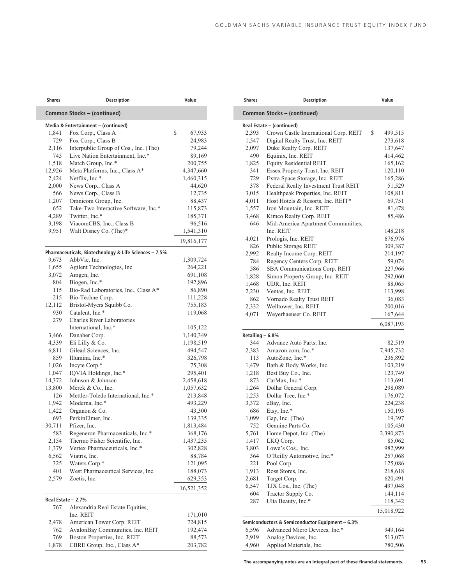| Shares | <b>Description</b>                                    | Value        |
|--------|-------------------------------------------------------|--------------|
|        | <b>Common Stocks - (continued)</b>                    |              |
|        | Media & Entertainment - (continued)                   |              |
| 1,841  | Fox Corp., Class A                                    | \$<br>67,933 |
| 729    | Fox Corp., Class B                                    | 24,983       |
| 2,116  | Interpublic Group of Cos., Inc. (The)                 | 79,244       |
| 745    | Live Nation Entertainment, Inc.*                      | 89,169       |
| 1,518  | Match Group, Inc.*                                    | 200,755      |
| 12,926 | Meta Platforms, Inc., Class A*                        | 4,347,660    |
| 2,424  | Netflix, Inc.*                                        | 1,460,315    |
| 2,000  | News Corp., Class A                                   | 44,620       |
| 566    | News Corp., Class B                                   | 12,735       |
| 1,207  | Omnicom Group, Inc.                                   | 88,437       |
| 652    | Take-Two Interactive Software, Inc.*                  | 115,873      |
| 4,289  | Twitter, Inc.*                                        | 185,371      |
| 3,198  | ViacomCBS, Inc., Class B                              | 96,516       |
| 9,951  | Walt Disney Co. (The)*                                | 1,541,310    |
|        |                                                       | 19,816,177   |
|        | Pharmaceuticals, Biotechnology & Life Sciences - 7.5% |              |
| 9,673  | AbbVie, Inc.                                          | 1,309,724    |
| 1,655  | Agilent Technologies, Inc.                            | 264,221      |
| 3,072  | Amgen, Inc.                                           | 691,108      |
| 804    | Biogen, Inc.*                                         | 192,896      |
| 115    | Bio-Rad Laboratories, Inc., Class A*                  | 86,890       |
| 215    | Bio-Techne Corp.                                      | 111,228      |
| 12,112 | Bristol-Myers Squibb Co.                              | 755,183      |
| 930    | Catalent, Inc.*                                       | 119,068      |
| 279    | <b>Charles River Laboratories</b>                     |              |
|        | International, Inc.*                                  | 105,122      |
| 3,466  | Danaher Corp.                                         | 1,140,349    |
| 4,339  | Eli Lilly & Co.                                       | 1,198,519    |
| 6,811  | Gilead Sciences, Inc.                                 | 494,547      |
| 859    | Illumina, Inc.*                                       | 326,798      |
| 1,026  | Incyte Corp.*                                         | 75,308       |
| 1,047  | IQVIA Holdings, Inc.*                                 | 295,401      |
| 14,372 | Johnson & Johnson                                     | 2,458,618    |
| 13,800 | Merck & Co., Inc.                                     | 1,057,632    |
| 126    | Mettler-Toledo International, Inc.*                   | 213,848      |
| 1,942  | Moderna, Inc.*                                        | 493,229      |
| 1,422  | Organon & Co.                                         | 43,300       |
| 693    | PerkinElmer, Inc.                                     | 139,335      |
| 30,711 | Pfizer, Inc.                                          | 1,813,484    |
| 583    | Regeneron Pharmaceuticals, Inc.*                      | 368,176      |
|        | Thermo Fisher Scientific, Inc.                        |              |
| 2,154  |                                                       | 1,437,235    |
| 1,379  | Vertex Pharmaceuticals, Inc.*                         | 302,828      |
| 6,562  | Viatris, Inc.                                         | 88,784       |
| 325    | Waters Corp.*                                         | 121,095      |
| 401    | West Pharmaceutical Services, Inc.                    | 188,073      |
| 2,579  | Zoetis, Inc.                                          | 629,353      |
|        |                                                       | 16,521,352   |
|        | Real Estate - 2.7%                                    |              |
| 767    | Alexandria Real Estate Equities,                      |              |
|        | Inc. REIT                                             | 171,010      |
| 2,478  | American Tower Corp. REIT                             | 724,815      |
| 762    | AvalonBay Communities, Inc. REIT                      | 192,474      |
| 769    | Boston Properties, Inc. REIT                          | 88,573       |
| 1,878  | CBRE Group, Inc., Class A*                            | 203,782      |

| <b>Shares</b>     | <b>Description</b>                                                               | Value              |
|-------------------|----------------------------------------------------------------------------------|--------------------|
|                   | Common Stocks - (continued)                                                      |                    |
|                   | Real Estate - (continued)                                                        |                    |
| 2,393             | Crown Castle International Corp. REIT                                            | \$<br>499,515      |
| 1,547             | Digital Realty Trust, Inc. REIT                                                  | 273,618            |
| 2,097             | Duke Realty Corp. REIT                                                           | 137,647            |
| 490               | Equinix, Inc. REIT                                                               | 414,462            |
| 1,825             | <b>Equity Residential REIT</b>                                                   | 165,162            |
| 341               | Essex Property Trust, Inc. REIT                                                  | 120,110            |
| 729               | Extra Space Storage, Inc. REIT                                                   | 165,286            |
| 378               | Federal Realty Investment Trust REIT                                             | 51,529             |
| 3,015             | Healthpeak Properties, Inc. REIT                                                 | 108,811            |
| 4,011             | Host Hotels & Resorts, Inc. REIT*                                                | 69,751             |
| 1,557             | Iron Mountain, Inc. REIT                                                         | 81,478             |
| 3,468             | Kimco Realty Corp. REIT                                                          | 85,486             |
| 646               | Mid-America Apartment Communities,                                               |                    |
|                   | Inc. REIT                                                                        | 148,218            |
| 4,021<br>826      | Prologis, Inc. REIT<br>Public Storage REIT                                       | 676,976<br>309,387 |
| 2,992             | Realty Income Corp. REIT                                                         | 214,197            |
| 784               | Regency Centers Corp. REIT                                                       | 59,074             |
| 586               | SBA Communications Corp. REIT                                                    | 227,966            |
| 1,828             | Simon Property Group, Inc. REIT                                                  | 292,060            |
| 1,468             | UDR, Inc. REIT                                                                   | 88,065             |
| 2,230             | Ventas, Inc. REIT                                                                | 113,998            |
| 862               | Vornado Realty Trust REIT                                                        | 36,083             |
| 2,332             | Welltower, Inc. REIT                                                             | 200,016            |
| 4,071             | Weyerhaeuser Co. REIT                                                            | 167,644            |
|                   |                                                                                  | 6,087,193          |
| Retailing $-6.8%$ |                                                                                  |                    |
| 344               | Advance Auto Parts, Inc.                                                         | 82,519             |
| 2,383             | Amazon.com, Inc.*                                                                | 7,945,732          |
| 113               | AutoZone, Inc.*                                                                  | 236,892            |
| 1,479             | Bath & Body Works, Inc.                                                          | 103,219            |
| 1,218             | Best Buy Co., Inc.                                                               | 123,749            |
| 873               | CarMax, Inc.*                                                                    | 113,691            |
| 1,264             | Dollar General Corp.                                                             | 298,089            |
| 1,253             | Dollar Tree, Inc.*                                                               | 176,072            |
| 3,372             | eBay, Inc.                                                                       | 224,238            |
| 686               | Etsy, Inc.*                                                                      | 150,193            |
| 1,099             | Gap, Inc. (The)                                                                  | 19,397             |
| 752               | Genuine Parts Co.                                                                | 105,430            |
| 5,761             | Home Depot, Inc. (The)                                                           | 2,390,873          |
| 1,417             | LKQ Corp.                                                                        | 85,062             |
| 3,803             | Lowe's Cos., Inc.                                                                | 982,999            |
| 364               | O'Reilly Automotive, Inc.*                                                       | 257,068            |
| 221               | Pool Corp.                                                                       | 125,086            |
| 1,913             | Ross Stores, Inc.<br>Target Corp.                                                | 218,618<br>620,491 |
| 2,681<br>6,547    | TJX Cos., Inc. (The)                                                             | 497,048            |
| 604               | Tractor Supply Co.                                                               | 144,114            |
| 287               | Ulta Beauty, Inc.*                                                               | 118,342            |
|                   |                                                                                  | 15,018,922         |
|                   |                                                                                  |                    |
| 6,596             | Semiconductors & Semiconductor Equipment - 6.3%<br>Advanced Micro Devices, Inc.* | 949,164            |
| 2,919             | Analog Devices, Inc.                                                             | 513,073            |
| 4,960             | Applied Materials, Inc.                                                          | 780,506            |
|                   |                                                                                  |                    |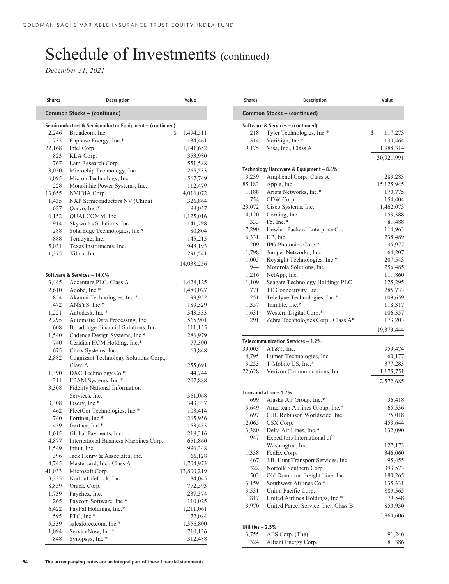# Schedule of Investments (continued)

*December 31, 2021*

| <b>Shares</b>  | <b>Description</b>                                     | Value                          |
|----------------|--------------------------------------------------------|--------------------------------|
|                | Common Stocks - (continued)                            |                                |
|                | Semiconductors & Semiconductor Equipment - (continued) |                                |
| 2,246          | Broadcom, Inc.<br>\$                                   | 1,494,511                      |
| 735            | Enphase Energy, Inc.*                                  | 134,461                        |
| 22,168         | Intel Corp.                                            | 1,141,652                      |
| 823            | KLA Corp.                                              | 353,980                        |
| 767            | Lam Research Corp.                                     | 551,588                        |
| 3,050          | Microchip Technology, Inc.                             | 265,533                        |
| 6,095          | Micron Technology, Inc.                                | 567,749                        |
| 228            | Monolithic Power Systems, Inc.                         | 112,479                        |
| 13,655         | NVIDIA Corp.                                           | 4,016,072                      |
| 1,435          | NXP Semiconductors NV (China)                          | 326,864                        |
| 627            | Qorvo, Inc.*                                           | 98,057                         |
| 6,152          | QUALCOMM, Inc.                                         | 1,125,016                      |
| 914            | Skyworks Solutions, Inc.                               | 141,798                        |
| 288            | SolarEdge Technologies, Inc.*                          | 80,804                         |
| 888            | Teradyne, Inc.                                         | 145,215                        |
| 5,031          | Texas Instruments, Inc.                                | 948,193                        |
| 1,375          | Xilinx, Inc.                                           | 291,541                        |
|                |                                                        | 14,038,256                     |
|                | Software & Services - 14.0%                            |                                |
| 3,445          | Accenture PLC, Class A                                 | 1,428,125                      |
| 2,610          | Adobe, Inc.*                                           | 1,480,027                      |
| 854            | Akamai Technologies, Inc.*                             | 99,952                         |
| 472            | ANSYS, Inc.*                                           | 189,329                        |
| 1,221          | Autodesk, Inc.*                                        | 343,333                        |
| 2,295          | Automatic Data Processing, Inc.                        | 565,901                        |
| 608            | Broadridge Financial Solutions, Inc.                   | 111,155                        |
| 1,540          | Cadence Design Systems, Inc.*                          | 286,979                        |
| 740            | Ceridian HCM Holding, Inc.*                            | 77,300                         |
| 675            | Citrix Systems, Inc.                                   | 63,848                         |
| 2,882          | Cognizant Technology Solutions Corp.,                  |                                |
|                | Class A                                                | 255,691                        |
| 1,390          | DXC Technology Co.*                                    | 44,744                         |
| 311            | EPAM Systems, Inc.*                                    | 207,888                        |
| 3,308          | Fidelity National Information                          |                                |
|                | Services, Inc.                                         | 361,068                        |
| 3,308          | Fiserv, Inc.*                                          | 343,337                        |
| 462            | FleetCor Technologies, Inc.*                           | 103,414                        |
| 740            | Fortinet, Inc.*                                        | 265,956                        |
| 459            | Gartner, Inc.*                                         | 153,453                        |
| 1,615          | Global Payments, Inc.                                  | 218,316                        |
| 4,877          | International Business Machines Corp.                  | 651,860                        |
| 1,549          | Intuit, Inc.                                           | 996,348                        |
| 396            | Jack Henry & Associates, Inc.                          | 66,128                         |
| 4,745          | Mastercard, Inc., Class A                              | 1,704,973                      |
| 41,033         | Microsoft Corp.                                        | 13,800,219                     |
| 3,235          | NortonLifeLock, Inc.                                   | 84,045                         |
| 8,859          | Oracle Corp.                                           | 772,593                        |
| 1,739          | Paychex, Inc.                                          | 237,374                        |
| 265            | Paycom Software, Inc.*                                 | 110,025                        |
| 6,422          | PayPal Holdings, Inc.*                                 | 1,211,061                      |
|                |                                                        |                                |
|                |                                                        |                                |
| 595            | PTC, Inc.*                                             |                                |
| 5,339<br>1,094 | salesforce.com, Inc.*<br>ServiceNow, Inc.*             | 72,084<br>1,356,800<br>710,126 |

| <b>Shares</b>    | <b>Description</b>                     | Value         |
|------------------|----------------------------------------|---------------|
|                  | Common Stocks - (continued)            |               |
|                  | Software & Services - (continued)      |               |
| 218              | Tyler Technologies, Inc.*              | \$<br>117,273 |
| 514              | VeriSign, Inc.*                        | 130,464       |
| 9,175            | Visa, Inc., Class A                    | 1,988,314     |
|                  |                                        | 30,921,991    |
|                  | Technology Hardware & Equipment - 8.8% |               |
| 3,239            | Amphenol Corp., Class A                | 283,283       |
| 85,183           | Apple, Inc.                            | 15,125,945    |
| 1,188            | Arista Networks, Inc.*                 | 170,775       |
| 754              | CDW Corp.                              | 154,404       |
| 23,072           | Cisco Systems, Inc.                    | 1,462,073     |
| 4,120            | Corning, Inc.                          | 153,388       |
| 333              | $F5$ , Inc.*                           | 81,488        |
| 7,290            | Hewlett Packard Enterprise Co.         | 114,963       |
| 6,331            | HP, Inc.                               | 238,489       |
| 209              | IPG Photonics Corp.*                   | 35,977        |
| 1,798            | Juniper Networks, Inc.                 | 64,207        |
| 1,005            | Keysight Technologies, Inc.*           | 207,543       |
| 944              | Motorola Solutions, Inc.               | 256,485       |
| 1,216            | NetApp, Inc.                           | 111,860       |
| 1,109            | Seagate Technology Holdings PLC        | 125,295       |
| 1,771            | TE Connectivity Ltd.                   | 285,733       |
| 251              | Teledyne Technologies, Inc.*           | 109,659       |
| 1,357            | Trimble, Inc.*                         | 118,317       |
| 1,631            | Western Digital Corp.*                 | 106,357       |
| 291              | Zebra Technologies Corp., Class A*     | 173,203       |
|                  |                                        | 19,379,444    |
|                  | Telecommunication Services - 1.2%      |               |
| 39,003           | AT&T, Inc.                             | 959,474       |
| 4,795            | Lumen Technologies, Inc.               | 60,177        |
| 3,253            | T-Mobile US, Inc.*                     | 377,283       |
| 22,628           | Verizon Communications, Inc.           | 1,175,751     |
|                  |                                        | 2,572,685     |
|                  | Transportation - 1.7%                  |               |
| 699              | Alaska Air Group, Inc.*                | 36,418        |
| 3,649            | American Airlines Group, Inc.*         | 65,536        |
| 697              | C.H. Robinson Worldwide, Inc.          | 75,018        |
| 12,065           | CSX Corp.                              | 453,644       |
| 3,380            | Delta Air Lines, Inc.*                 | 132,090       |
| 947              | Expeditors International of            |               |
|                  | Washington, Inc.                       | 127,173       |
| 1,338            | FedEx Corp.                            | 346,060       |
| 467              | J.B. Hunt Transport Services, Inc.     | 95,455        |
| 1,322            | Norfolk Southern Corp.                 | 393,573       |
| 503              | Old Dominion Freight Line, Inc.        | 180,265       |
| 3,159            | Southwest Airlines Co.*                | 135,331       |
| 3,531            | Union Pacific Corp.                    | 889,565       |
| 1,817            | United Airlines Holdings, Inc.*        | 79,548        |
| 3,970            | United Parcel Service, Inc., Class B   | 850,930       |
|                  |                                        | 3,860,606     |
| Utilities - 2.5% |                                        |               |
| 3,755            | AES Corp. (The)                        | 91,246        |
| 1,324            | Alliant Energy Corp.                   | 81,386        |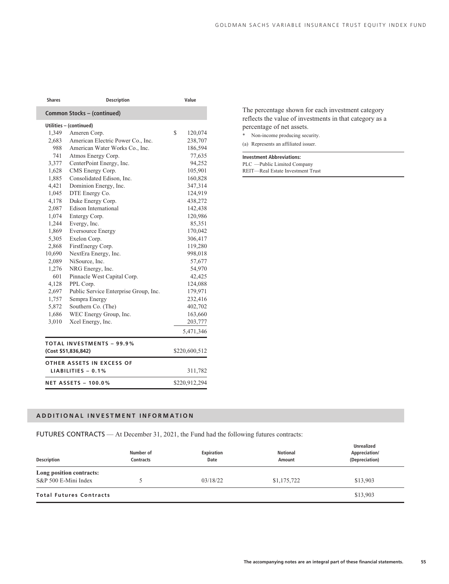| <b>Shares</b> | <b>Description</b>                                | Value         |
|---------------|---------------------------------------------------|---------------|
|               | Common Stocks - (continued)                       |               |
|               | Utilities - (continued)                           |               |
| 1,349         | Ameren Corp.                                      | \$<br>120,074 |
| 2,683         | American Electric Power Co., Inc.                 | 238,707       |
| 988           | American Water Works Co., Inc.                    | 186,594       |
| 741           | Atmos Energy Corp.                                | 77,635        |
| 3,377         | CenterPoint Energy, Inc.                          | 94,252        |
| 1,628         | CMS Energy Corp.                                  | 105,901       |
| 1,885         | Consolidated Edison, Inc.                         | 160,828       |
| 4,421         | Dominion Energy, Inc.                             | 347,314       |
| 1,045         | DTE Energy Co.                                    | 124,919       |
| 4,178         | Duke Energy Corp.                                 | 438,272       |
| 2,087         | <b>Edison International</b>                       | 142,438       |
| 1,074         | Entergy Corp.                                     | 120,986       |
| 1,244         | Evergy, Inc.                                      | 85,351        |
| 1,869         | <b>Eversource Energy</b>                          | 170,042       |
| 5,305         | Exelon Corp.                                      | 306,417       |
| 2,868         | FirstEnergy Corp.                                 | 119,280       |
| 10,690        | NextEra Energy, Inc.                              | 998,018       |
| 2,089         | NiSource, Inc.                                    | 57,677        |
| 1,276         | NRG Energy, Inc.                                  | 54,970        |
| 601           | Pinnacle West Capital Corp.                       | 42,425        |
| 4,128         | PPL Corp.                                         | 124,088       |
| 2,697         | Public Service Enterprise Group, Inc.             | 179,971       |
| 1,757         | Sempra Energy                                     | 232,416       |
| 5,872         | Southern Co. (The)                                | 402,702       |
| 1,686         | WEC Energy Group, Inc.                            | 163,660       |
| 3,010         | Xcel Energy, Inc.                                 | 203,777       |
|               |                                                   | 5,471,346     |
|               | <b>TOTAL INVESTMENTS - 99.9%</b>                  |               |
|               | (Cost \$51,836,842)                               | \$220,600,512 |
|               | OTHER ASSETS IN EXCESS OF<br>$LIABILITIES - 0.1%$ | 311,782       |
|               |                                                   |               |
|               | <b>NET ASSETS - 100.0%</b>                        | \$220,912,294 |

The percentage shown for each investment category reflects the value of investments in that category as a percentage of net assets.

\* Non-income producing security.

(a) Represents an affiliated issuer.

#### **Investment Abbreviations:** PLC —Public Limited Company

REIT—Real Estate Investment Trust

### **ADDITIONAL INVESTMENT INFORMATION**

FUTURES CONTRACTS — At December 31, 2021, the Fund had the following futures contracts:

| <b>Description</b>                               | Number of<br>Contracts | <b>Expiration</b><br>Date | Notional<br>Amount | <b>Unrealized</b><br>Appreciation/<br>(Depreciation) |
|--------------------------------------------------|------------------------|---------------------------|--------------------|------------------------------------------------------|
| Long position contracts:<br>S&P 500 E-Mini Index |                        | 03/18/22                  | \$1,175,722        | \$13,903                                             |
| <b>Total Futures Contracts</b>                   |                        |                           |                    | \$13,903                                             |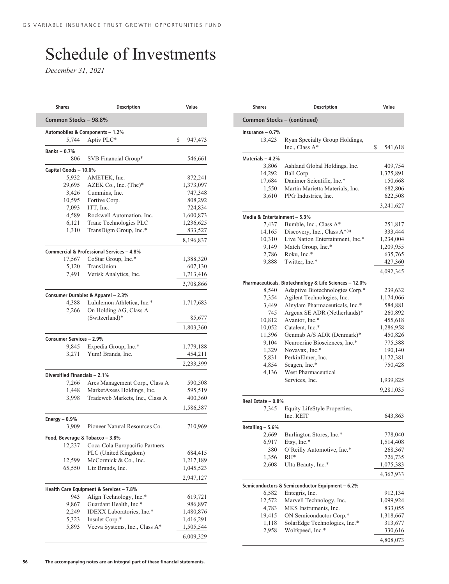# Schedule of Investments

*December 31, 2021*

| <b>Shares</b>                   | <b>Description</b>                              | Value                  |
|---------------------------------|-------------------------------------------------|------------------------|
| Common Stocks - 98.8%           |                                                 |                        |
|                                 | Automobiles & Components - 1.2%                 |                        |
| 5,744                           | Aptiv PLC*                                      | \$<br>947,473          |
| Banks $-0.7%$                   |                                                 |                        |
| 806                             | SVB Financial Group*                            | 546,661                |
| Capital Goods - 10.6%           |                                                 |                        |
| 5,932                           | AMETEK, Inc.                                    | 872,241                |
| 29,695                          | AZEK Co., Inc. (The)*                           | 1,373,097              |
| 3,426                           | Cummins, Inc.                                   | 747,348                |
| 10,595                          | Fortive Corp.                                   | 808,292                |
| 7,093                           | ITT, Inc.                                       | 724,834                |
| 4,589                           | Rockwell Automation, Inc.                       | 1,600,873              |
| 6,121                           | Trane Technologies PLC                          | 1,236,625              |
| 1,310                           | TransDigm Group, Inc.*                          | 833,527                |
|                                 |                                                 | 8,196,837              |
|                                 | Commercial & Professional Services - 4.8%       |                        |
| 17,567                          | CoStar Group, Inc.*                             | 1,388,320              |
| 5,120                           | TransUnion                                      | 607,130                |
| 7,491                           | Verisk Analytics, Inc.                          | 1,713,416              |
|                                 |                                                 | 3,708,866              |
|                                 |                                                 |                        |
|                                 | Consumer Durables & Apparel - 2.3%              |                        |
| 4,388                           | Lululemon Athletica, Inc.*                      | 1,717,683              |
| 2,266                           | On Holding AG, Class A<br>(Switzerland)*        |                        |
|                                 |                                                 | 85,677                 |
|                                 |                                                 | 1,803,360              |
| Consumer Services - 2.9%        |                                                 |                        |
| 9,845                           | Expedia Group, Inc.*                            | 1,779,188              |
|                                 | 3,271 Yum! Brands, Inc.                         | 454,211                |
|                                 |                                                 | 2,233,399              |
| Diversified Financials - 2.1%   |                                                 |                        |
| 7,266                           | Ares Management Corp., Class A                  | 590,508                |
| 1,448                           | MarketAxess Holdings, Inc.                      | 595,519                |
| 3,998                           | Tradeweb Markets, Inc., Class A                 | 400,360                |
|                                 |                                                 | 1,586,387              |
| Energy $-0.9%$                  |                                                 |                        |
| 3,909                           | Pioneer Natural Resources Co.                   | 710,969                |
| Food, Beverage & Tobacco - 3.8% |                                                 |                        |
| 12,237                          | Coca-Cola Europacific Partners                  |                        |
|                                 | PLC (United Kingdom)                            | 684,415                |
| 12,599                          | McCormick & Co., Inc.                           | 1,217,189              |
| 65,550                          | Utz Brands, Inc.                                | 1,045,523              |
|                                 |                                                 | 2,947,127              |
|                                 |                                                 |                        |
|                                 | Health Care Equipment & Services - 7.8%         |                        |
| 943                             | Align Technology, Inc.*                         | 619,721                |
| 9,867                           | Guardant Health, Inc.*                          | 986,897                |
| 2,249                           | IDEXX Laboratories, Inc.*                       | 1,480,876              |
| 5,323<br>5,893                  | Insulet Corp.*<br>Veeva Systems, Inc., Class A* | 1,416,291<br>1,505,544 |
|                                 |                                                 |                        |
|                                 |                                                 | 6,009,329              |
|                                 |                                                 |                        |

| Shares                       | <b>Description</b>                                     | Value                |
|------------------------------|--------------------------------------------------------|----------------------|
| Common Stocks - (continued)  |                                                        |                      |
| Insurance $-0.7%$            |                                                        |                      |
| 13,423                       | Ryan Specialty Group Holdings,                         |                      |
|                              | Inc., Class A*                                         | \$<br>541,618        |
| Materials - 4.2%             |                                                        |                      |
| 3,806                        | Ashland Global Holdings, Inc.                          | 409,754              |
| 14,292                       | Ball Corp.                                             | 1,375,891            |
| 17,684                       | Danimer Scientific, Inc.*                              | 150,668              |
| 1,550                        | Martin Marietta Materials, Inc.                        | 682,806              |
| 3,610                        | PPG Industries, Inc.                                   | 622,508              |
|                              |                                                        | 3,241,627            |
| Media & Entertainment - 5.3% |                                                        |                      |
| 7,437                        | Bumble, Inc., Class A*                                 | 251,817              |
| 14,165                       | Discovery, Inc., Class A <sup>*(a)</sup>               | 333,444              |
| 10,310                       | Live Nation Entertainment, Inc.*                       | 1,234,004            |
| 9,149                        | Match Group, Inc.*                                     | 1,209,955            |
| 2,786                        | Roku, Inc.*                                            | 635,765              |
| 9,888                        | Twitter, Inc.*                                         | 427,360              |
|                              |                                                        | 4,092,345            |
|                              | Pharmaceuticals, Biotechnology & Life Sciences - 12.0% |                      |
| 8,540                        | Adaptive Biotechnologies Corp.*                        | 239,632              |
| 7,354                        | Agilent Technologies, Inc.                             | 1,174,066            |
| 3,449                        | Alnylam Pharmaceuticals, Inc.*                         | 584,881              |
| 745                          | Argenx SE ADR (Netherlands)*                           | 260,892              |
| 10,812                       | Avantor, Inc.*                                         | 455,618              |
| 10,052                       | Catalent, Inc.*                                        | 1,286,958            |
| 11,396                       | Genmab A/S ADR (Denmark)*                              | 450,826              |
| 9,104                        | Neurocrine Biosciences, Inc.*                          | 775,388              |
| 1,329                        | Novavax, Inc.*<br>PerkinElmer, Inc.                    | 190,140              |
| 5,831<br>4,854               | Seagen, Inc.*                                          | 1,172,381<br>750,428 |
| 4,136                        | West Pharmaceutical                                    |                      |
|                              | Services, Inc.                                         | 1,939,825            |
|                              |                                                        | 9,281,035            |
| Real Estate - 0.8%           |                                                        |                      |
| 7,345                        | Equity LifeStyle Properties,                           |                      |
|                              | Inc. REIT                                              | 643,863              |
| Retailing $-5.6%$            |                                                        |                      |
| 2,669                        | Burlington Stores, Inc.*                               | 778,040              |
| 6,917                        | Etsy, Inc.*                                            | 1,514,408            |
| 380                          | O'Reilly Automotive, Inc.*                             | 268,367              |
| 1,356                        | $RH^*$                                                 | 726,735              |
| 2,608                        | Ulta Beauty, Inc.*                                     | 1,075,383            |
|                              |                                                        | 4,362,933            |
|                              | Semiconductors & Semiconductor Equipment - 6.2%        |                      |
| 6,582                        | Entegris, Inc.                                         | 912,134              |
| 12,572                       | Marvell Technology, Inc.                               | 1,099,924            |
| 4,783                        | MKS Instruments, Inc.                                  | 833,055              |
| 19,415                       | ON Semiconductor Corp.*                                | 1,318,667            |
| 1,118                        | SolarEdge Technologies, Inc.*                          | 313,677              |
| 2,958                        | Wolfspeed, Inc.*                                       | 330,616              |
|                              |                                                        | 4,808,073            |
|                              |                                                        |                      |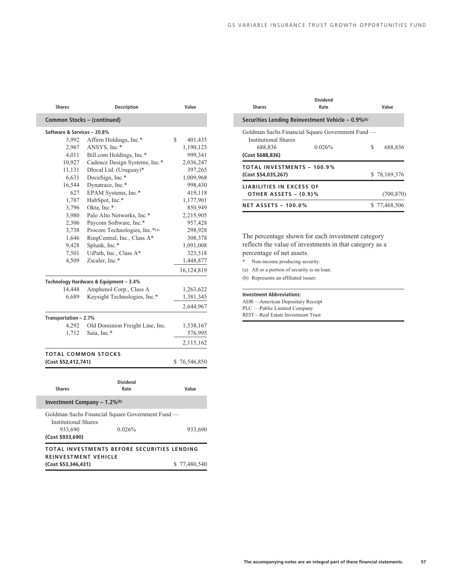| <b>Shares</b>                          | <b>Description</b>                               | Value         |
|----------------------------------------|--------------------------------------------------|---------------|
|                                        | Common Stocks - (continued)                      |               |
| Software & Services - 20.8%            |                                                  |               |
| 3,992                                  | Affirm Holdings, Inc.*                           | \$<br>401,435 |
| 2,967                                  | ANSYS, Inc.*                                     | 1,190,123     |
| 4,011                                  | Bill.com Holdings, Inc.*                         | 999,341       |
| 10,927                                 | Cadence Design Systems, Inc.*                    | 2,036,247     |
| 11,131                                 | Dlocal Ltd. (Uruguay)*                           | 397,265       |
| 6,631                                  | DocuSign, Inc.*                                  | 1,009,968     |
| 16,544                                 | Dynatrace, Inc.*                                 | 998,430       |
| 627                                    | EPAM Systems, Inc.*                              | 419,118       |
| 1,787                                  | HubSpot, Inc.*                                   | 1,177,901     |
| 3,796                                  | Okta, Inc.*                                      | 850,949       |
| 3,980                                  | Palo Alto Networks, Inc.*                        | 2,215,905     |
| 2,306                                  | Paycom Software, Inc.*                           | 957,428       |
| 3,738                                  | Procore Technologies, Inc.*(a)                   | 298,928       |
| 1,646                                  | RingCentral, Inc., Class A*                      | 308,378       |
| 9,428                                  | Splunk, Inc.*                                    | 1,091,008     |
| 7,501                                  | UiPath, Inc., Class A*                           | 323,518       |
| 4,509                                  | Zscaler, Inc.*                                   | 1,448,877     |
|                                        |                                                  | 16,124,819    |
|                                        | Technology Hardware & Equipment - 3.4%           |               |
| 14,448                                 | Amphenol Corp., Class A                          | 1,263,622     |
| 6.689                                  | Keysight Technologies, Inc.*                     | 1,381,345     |
|                                        |                                                  | 2,644,967     |
| Transportation - 2.7%                  |                                                  |               |
| 4,292                                  | Old Dominion Freight Line, Inc.                  | 1,538,167     |
| 1,712                                  | Saia, Inc.*                                      | 576,995       |
|                                        |                                                  | 2,115,162     |
|                                        | TOTAL COMMON STOCKS                              |               |
| (Cost \$52,412,741)                    |                                                  | \$76,546,850  |
|                                        |                                                  |               |
| <b>Shares</b>                          | <b>Dividend</b><br>Rate                          | Value         |
|                                        |                                                  |               |
|                                        | Investment Company - 1.2% <sup>(b)</sup>         |               |
| <b>Institutional Shares</b><br>933,690 | Goldman Sachs Financial Square Government Fund — |               |
|                                        | 0.026%                                           | 933,690       |

**(Cost \$53,346,431)** \$ 77,480,540

**REINVESTMENT VEHICLE**

# **Shares Rate Value Securities Lending Reinvestment Vehicle – 0.9%(b)** Goldman Sachs Financial Square Government Fund — Institutional Shares 688,836 0.026% \$ 688,836 **(Cost \$688,836) TOTAL INVESTMENTS – 100.9% (Cost \$54,035,267)** \$ 78,169,376 **LIABILITIES IN EXCESS OF OTHER ASSETS – (0.9)%** (700,870) **NET ASSETS – 100.0%** \$77,468,506

**Dividend**

The percentage shown for each investment category reflects the value of investments in that category as a percentage of net assets.

Non-income producing security.

(a) All or a portion of security is on loan.

(b) Represents an affiliated issuer.

#### **Investment Abbreviations:**

ADR—American Depositary Receipt PLC —Public Limited Company REIT—Real Estate Investment Trust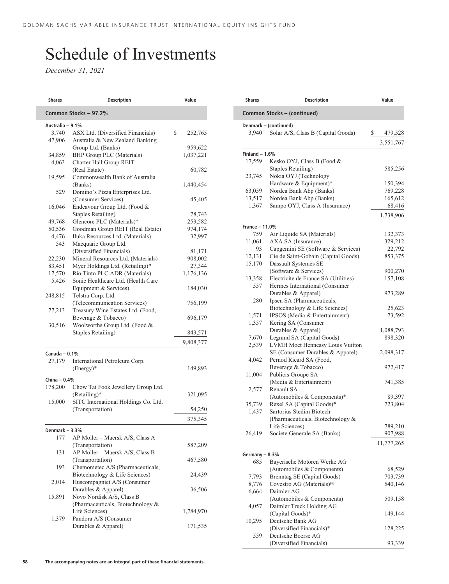# Schedule of Investments

*December 31, 2021*

| <b>Shares</b>    | <b>Description</b>                                             | Value         |
|------------------|----------------------------------------------------------------|---------------|
|                  | Common Stocks - 97.2%                                          |               |
| Australia - 9.1% |                                                                |               |
| 3,740            | ASX Ltd. (Diversified Financials)                              | \$<br>252,765 |
| 47,906           | Australia & New Zealand Banking                                |               |
|                  | Group Ltd. (Banks)                                             | 959,622       |
| 34,859           | <b>BHP</b> Group PLC (Materials)                               | 1,037,221     |
| 4,063            | Charter Hall Group REIT                                        |               |
|                  | (Real Estate)                                                  | 60,782        |
| 19,595           | Commonwealth Bank of Australia                                 |               |
| 529              | (Banks)<br>Domino's Pizza Enterprises Ltd.                     | 1,440,454     |
|                  | (Consumer Services)                                            | 45,405        |
| 16,046           | Endeavour Group Ltd. (Food &                                   |               |
|                  | <b>Staples Retailing</b> )                                     | 78,743        |
| 49,768           | Glencore PLC (Materials)*                                      | 253,582       |
| 50,536           | Goodman Group REIT (Real Estate)                               | 974,174       |
| 4,476            | Iluka Resources Ltd. (Materials)                               | 32,997        |
| 543              | Macquarie Group Ltd.                                           |               |
|                  | (Diversified Financials)                                       | 81,171        |
| 22,230           | Mineral Resources Ltd. (Materials)                             | 908,002       |
| 83,451           | Myer Holdings Ltd. (Retailing)*                                | 27,344        |
| 17,570           | Rio Tinto PLC ADR (Materials)                                  | 1,176,136     |
| 5,426            | Sonic Healthcare Ltd. (Health Care                             |               |
|                  | Equipment & Services)                                          | 184,030       |
| 248,815          | Telstra Corp. Ltd.                                             |               |
|                  | (Telecommunication Services)                                   | 756,199       |
| 77,213           | Treasury Wine Estates Ltd. (Food,<br>Beverage & Tobacco)       | 696,179       |
| 30,516           | Woolworths Group Ltd. (Food &                                  |               |
|                  | <b>Staples Retailing)</b>                                      | 843,571       |
|                  |                                                                | 9,808,377     |
|                  |                                                                |               |
| Canada $-0.1%$   |                                                                |               |
| 27,179           | International Petroleum Corp.<br>(Energy)*                     | 149,893       |
|                  |                                                                |               |
| China $-0.4%$    |                                                                |               |
| 178,200          | Chow Tai Fook Jewellery Group Ltd.                             |               |
|                  | (Retailing)*                                                   | 321,095       |
| 15,000           | SITC International Holdings Co. Ltd.<br>(Transportation)       |               |
|                  |                                                                | 54,250        |
|                  |                                                                | 375,345       |
| Denmark $-3.3%$  |                                                                |               |
| 177              | AP Moller - Maersk A/S, Class A                                |               |
|                  | (Transportation)                                               | 587,209       |
| 131              | AP Moller - Maersk A/S, Class B                                |               |
|                  | (Transportation)                                               | 467,580       |
| 193              | Chemometec A/S (Pharmaceuticals,                               |               |
|                  | Biotechnology & Life Sciences)                                 | 24,439        |
| 2,014            | Huscompagniet A/S (Consumer                                    |               |
| 15,891           | Durables & Apparel)                                            | 36,506        |
|                  | Novo Nordisk A/S, Class B<br>(Pharmaceuticals, Biotechnology & |               |
|                  | Life Sciences)                                                 | 1,784,970     |
| 1,379            | Pandora A/S (Consumer                                          |               |
|                  | Durables & Apparel)                                            | 171,535       |
|                  |                                                                |               |

| <b>Shares</b>         | <b>Description</b>                                          | Value             |
|-----------------------|-------------------------------------------------------------|-------------------|
|                       | Common Stocks - (continued)                                 |                   |
|                       | Denmark - (continued)                                       |                   |
| 3,940                 | Solar A/S, Class B (Capital Goods)                          | \$<br>479,528     |
|                       |                                                             | 3,551,767         |
| Finland $-1.6%$       |                                                             |                   |
| 17,559                | Kesko OYJ, Class B (Food &                                  |                   |
|                       | <b>Staples Retailing)</b>                                   | 585,256           |
| 23,745                | Nokia OYJ (Technology                                       |                   |
|                       | Hardware & Equipment)*                                      | 150,394           |
| 63,059                | Nordea Bank Abp (Banks)                                     | 769,228           |
| 13,517                | Nordea Bank Abp (Banks)                                     | 165,612           |
| 1,367                 | Sampo OYJ, Class A (Insurance)                              | 68,416            |
|                       |                                                             | 1,738,906         |
|                       |                                                             |                   |
| France - 11.0%<br>759 | Air Liquide SA (Materials)                                  |                   |
| 11,061                | AXA SA (Insurance)                                          | 132,373           |
| 93                    | Capgemini SE (Software & Services)                          | 329,212<br>22,792 |
|                       |                                                             |                   |
| 12,131<br>15,170      | Cie de Saint-Gobain (Capital Goods)<br>Dassault Systemes SE | 853,375           |
|                       | (Software & Services)                                       | 900,270           |
| 13,358                | Electricite de France SA (Utilities)                        | 157,108           |
| 557                   | Hermes International (Consumer                              |                   |
|                       | Durables & Apparel)                                         | 973,289           |
| 280                   | Ipsen SA (Pharmaceuticals,                                  |                   |
|                       |                                                             |                   |
|                       | Biotechnology & Life Sciences)                              | 25,623            |
| 1,571                 | IPSOS (Media & Entertainment)                               | 73,592            |
| 1,357                 | Kering SA (Consumer                                         |                   |
|                       | Durables & Apparel)                                         | 1,088,793         |
| 7,670                 | Legrand SA (Capital Goods)                                  | 898,320           |
| 2,539                 | LVMH Moet Hennessy Louis Vuitton                            |                   |
|                       | SE (Consumer Durables & Apparel)<br>Pernod Ricard SA (Food, | 2,098,317         |
| 4,042                 |                                                             |                   |
|                       | Beverage & Tobacco)                                         | 972,417           |
| 11,004                | Publicis Groupe SA                                          |                   |
|                       | (Media & Entertainment)<br>Renault SA                       | 741,385           |
| 2,577                 |                                                             |                   |
|                       | (Automobiles & Components)*<br>Rexel SA (Capital Goods)*    | 89,397            |
| 35,739<br>1,437       | Sartorius Stedim Biotech                                    | 723,804           |
|                       | (Pharmaceuticals, Biotechnology &                           |                   |
|                       | Life Sciences)                                              | 789,210           |
| 26,419                | Societe Generale SA (Banks)                                 |                   |
|                       |                                                             | 907,988           |
|                       |                                                             | 11,777,265        |
| Germany $-8.3%$       |                                                             |                   |
| 685                   | Bayerische Motoren Werke AG                                 |                   |
|                       | (Automobiles & Components)                                  | 68,529            |
| 7,793                 | Brenntag SE (Capital Goods)                                 | 703,739           |
| 8,776                 | Covestro AG (Materials) <sup>(a)</sup>                      | 540,146           |
| 6,664                 | Daimler AG                                                  |                   |
|                       | (Automobiles & Components)                                  | 509,158           |
| 4,057                 | Daimler Truck Holding AG                                    |                   |
|                       | (Capital Goods)*                                            | 149,144           |
| 10,295                | Deutsche Bank AG                                            |                   |
|                       | (Diversified Financials)*                                   | 128,225           |
| 559                   | Deutsche Boerse AG                                          |                   |
|                       | (Diversified Financials)                                    | 93,339            |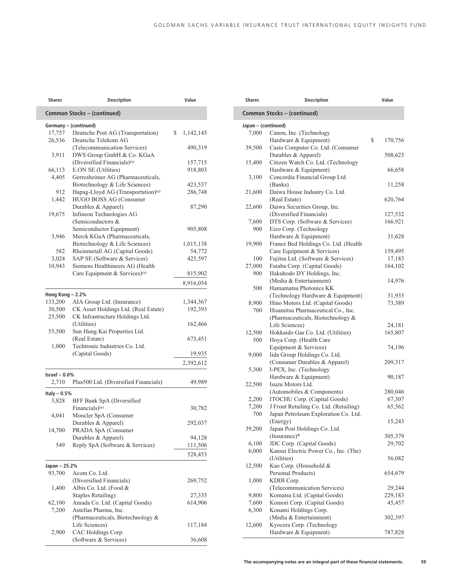| <b>Shares</b>     | <b>Description</b>                                                      | Value               |
|-------------------|-------------------------------------------------------------------------|---------------------|
|                   | Common Stocks - (continued)                                             |                     |
|                   | Germany - (continued)                                                   |                     |
| 17,757            | Deutsche Post AG (Transportation)                                       | \$<br>1,142,145     |
| 26,536            | Deutsche Telekom AG                                                     |                     |
|                   | (Telecommunication Services)                                            | 490,319             |
| 3,911             | DWS Group GmbH & Co. KGaA<br>(Diversified Financials) <sup>(a)</sup>    |                     |
| 66,113            | E.ON SE (Utilities)                                                     | 157,715<br>918,803  |
| 4,405             | Gerresheimer AG (Pharmaceuticals,                                       |                     |
|                   | Biotechnology & Life Sciences)                                          | 423,537             |
| 912               | Hapag-Lloyd AG (Transportation) <sup>(a)</sup>                          | 286,748             |
| 1,442             | HUGO BOSS AG (Consumer                                                  |                     |
|                   | Durables & Apparel)                                                     | 87,290              |
| 19,675            | Infineon Technologies AG                                                |                     |
|                   | (Semiconductors &                                                       |                     |
|                   | Semiconductor Equipment)                                                | 905,808             |
| 3,946             | Merck KGaA (Pharmaceuticals,<br>Biotechnology & Life Sciences)          |                     |
| 582               | Rheinmetall AG (Capital Goods)                                          | 1,015,138<br>54,772 |
| 3,024             | SAP SE (Software & Services)                                            | 425,597             |
| 10,943            | Siemens Healthineers AG (Health                                         |                     |
|                   | Care Equipment & Services) <sup>(a)</sup>                               | 815,902             |
|                   |                                                                         | 8,916,054           |
|                   |                                                                         |                     |
| Hong Kong $-2.2%$ |                                                                         |                     |
| 133,200           | AIA Group Ltd. (Insurance)                                              | 1,344,367           |
| 30,500<br>25,500  | CK Asset Holdings Ltd. (Real Estate)<br>CK Infrastructure Holdings Ltd. | 192,393             |
|                   | (Utilities)                                                             | 162,466             |
| 55,500            | Sun Hung Kai Properties Ltd.                                            |                     |
|                   | (Real Estate)                                                           | 673,451             |
| 1,000             | Techtronic Industries Co. Ltd.                                          |                     |
|                   | (Capital Goods)                                                         | 19,935              |
|                   |                                                                         | 2,392,612           |
| Israel - 0.0%     |                                                                         |                     |
| 2,710             | Plus500 Ltd. (Diversified Financials)                                   | 49,989              |
| Italy $-0.5%$     |                                                                         |                     |
| 3,828             | BFF Bank SpA (Diversified                                               |                     |
|                   | Financials) <sup>(a)</sup>                                              | 30,782              |
| 4,041             | Moncler SpA (Consumer                                                   |                     |
| 14,700            | Durables & Apparel)<br>PRADA SpA (Consumer                              | 292,037             |
|                   | Durables & Apparel)                                                     | 94,128              |
| 549               | Reply SpA (Software & Services)                                         | 111,506             |
|                   |                                                                         | 528,453             |
|                   |                                                                         |                     |
| Japan - 25.2%     |                                                                         |                     |
| 93,700            | Acom Co. Ltd.                                                           |                     |
| 1,400             | (Diversified Financials)<br>Albis Co. Ltd. (Food &                      | 269,752             |
|                   | <b>Staples Retailing</b> )                                              | 27,335              |
| 62,100            | Amada Co. Ltd. (Capital Goods)                                          | 614,906             |
| 7,200             | Astellas Pharma, Inc.                                                   |                     |
|                   | (Pharmaceuticals, Biotechnology &                                       |                     |
|                   | Life Sciences)                                                          | 117,184             |
| 2,900             | CAC Holdings Corp.                                                      |                     |
|                   | (Software & Services)                                                   | 36,608              |

| <b>Shares</b>       | <b>Description</b>                                                      | Value         |
|---------------------|-------------------------------------------------------------------------|---------------|
|                     | Common Stocks - (continued)                                             |               |
| Japan - (continued) |                                                                         |               |
| 7,000               | Canon, Inc. (Technology                                                 |               |
|                     | Hardware & Equipment)                                                   | \$<br>170,756 |
| 39,500              | Casio Computer Co. Ltd. (Consumer                                       |               |
|                     | Durables & Apparel)                                                     | 508,623       |
| 15,400              | Citizen Watch Co. Ltd. (Technology                                      |               |
|                     | Hardware & Equipment)                                                   | 66,658        |
| 3,100               | Concordia Financial Group Ltd.                                          |               |
|                     | (Banks)                                                                 | 11,258        |
| 21,600              | Daiwa House Industry Co. Ltd.                                           |               |
| 22,600              | (Real Estate)<br>Daiwa Securities Group, Inc.                           | 620,764       |
|                     | (Diversified Financials)                                                | 127,532       |
| 7,600               | DTS Corp. (Software & Services)                                         | 166,921       |
| 900                 | Eizo Corp. (Technology                                                  |               |
|                     | Hardware & Equipment)                                                   | 31,628        |
| 19,900              | France Bed Holdings Co. Ltd. (Health                                    |               |
|                     | Care Equipment & Services)                                              | 159,495       |
| 100                 | Fujitsu Ltd. (Software & Services)                                      | 17,183        |
| 27,000              | Futaba Corp. (Capital Goods)                                            | 164,102       |
| 900                 | Hakuhodo DY Holdings, Inc.                                              |               |
|                     | (Media & Entertainment)                                                 | 14,976        |
| 500                 | Hamamatsu Photonics KK                                                  |               |
|                     | (Technology Hardware & Equipment)                                       | 31,935        |
| 8,900<br>700        | Hino Motors Ltd. (Capital Goods)                                        | 73,389        |
|                     | Hisamitsu Pharmaceutical Co., Inc.<br>(Pharmaceuticals, Biotechnology & |               |
|                     | Life Sciences)                                                          | 24,181        |
| 12,500              | Hokkaido Gas Co. Ltd. (Utilities)                                       | 165,807       |
| 500                 | Hoya Corp. (Health Care                                                 |               |
|                     | Equipment & Services)                                                   | 74,196        |
| 9,000               | Iida Group Holdings Co. Ltd.                                            |               |
|                     | (Consumer Durables & Apparel)                                           | 209,317       |
| 5,300               | I-PEX, Inc. (Technology                                                 |               |
|                     | Hardware & Equipment)                                                   | 90,187        |
| 22,500              | Isuzu Motors Ltd.                                                       |               |
|                     | (Automobiles & Components)                                              | 280,046       |
| 2,200               | ITOCHU Corp. (Capital Goods)                                            | 67,307        |
| 7,200<br>700        | J Front Retailing Co. Ltd. (Retailing)                                  | 65,562        |
|                     | Japan Petroleum Exploration Co. Ltd.<br>(Energy)                        | 15,243        |
| 39,200              | Japan Post Holdings Co. Ltd.                                            |               |
|                     | $( Insurance)*$                                                         | 305,379       |
| 6,100               | JDC Corp. (Capital Goods)                                               | 29,702        |
| 6,000               | Kansai Electric Power Co., Inc. (The)                                   |               |
|                     | (Utilities)                                                             | 56,082        |
| 12,500              | Kao Corp. (Household &                                                  |               |
|                     | Personal Products)                                                      | 654,679       |
| 1,000               | KDDI Corp.                                                              |               |
|                     | (Telecommunication Services)                                            | 29,244        |
| 9,800               | Komatsu Ltd. (Capital Goods)                                            | 229,183       |
| 7,600               | Komori Corp. (Capital Goods)                                            | 45,457        |
| 6,300               | Konami Holdings Corp.                                                   |               |
| 12,600              | (Media & Entertainment)<br>Kyocera Corp. (Technology                    | 302,397       |
|                     | Hardware & Equipment)                                                   | 787,828       |
|                     |                                                                         |               |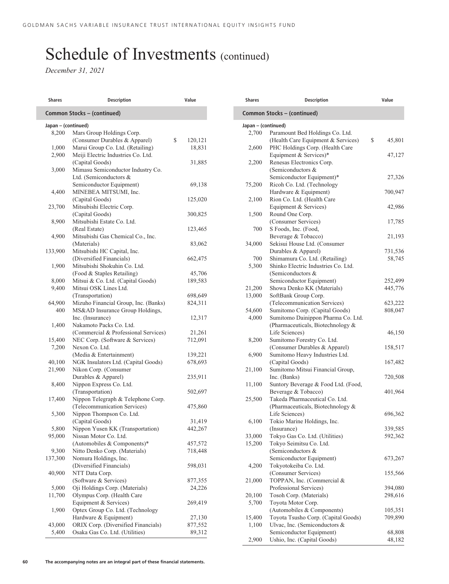# Schedule of Investments (continued)

*December 31, 2021*

| <b>Shares</b>       | <b>Description</b>                                        | Value             |
|---------------------|-----------------------------------------------------------|-------------------|
|                     | Common Stocks - (continued)                               |                   |
| Japan – (continued) |                                                           |                   |
| 8,200               | Mars Group Holdings Corp.                                 |                   |
|                     | (Consumer Durables & Apparel)                             | \$<br>120,121     |
| 1,000               | Marui Group Co. Ltd. (Retailing)                          | 18,831            |
| 2,900               | Meiji Electric Industries Co. Ltd.                        |                   |
|                     | (Capital Goods)                                           | 31,885            |
| 3,000               | Mimasu Semiconductor Industry Co.                         |                   |
|                     | Ltd. (Semiconductors &                                    |                   |
|                     | Semiconductor Equipment)                                  | 69,138            |
| 4,400               | MINEBEA MITSUMI, Inc.                                     |                   |
|                     | (Capital Goods)                                           | 125,020           |
| 23,700              | Mitsubishi Electric Corp.                                 |                   |
|                     | (Capital Goods)                                           | 300,825           |
| 8,900               | Mitsubishi Estate Co. Ltd.                                |                   |
|                     | (Real Estate)                                             | 123,465           |
| 4,900               | Mitsubishi Gas Chemical Co., Inc.                         |                   |
|                     | (Materials)                                               | 83,062            |
| 133,900             | Mitsubishi HC Capital, Inc.                               |                   |
|                     | (Diversified Financials)                                  | 662,475           |
| 1,900               | Mitsubishi Shokuhin Co. Ltd.                              |                   |
|                     | (Food & Staples Retailing)                                | 45,706            |
| 8,000               | Mitsui & Co. Ltd. (Capital Goods)                         | 189,583           |
| 9,400               | Mitsui OSK Lines Ltd.                                     |                   |
|                     | (Transportation)                                          | 698,649           |
| 64,900              | Mizuho Financial Group, Inc. (Banks)                      | 824,311           |
| 400                 | MS&AD Insurance Group Holdings,                           |                   |
|                     | Inc. (Insurance)                                          | 12,317            |
| 1,400               | Nakamoto Packs Co. Ltd.                                   |                   |
|                     | (Commercial & Professional Services)                      | 21,261            |
| 15,400              | NEC Corp. (Software & Services)                           | 712,091           |
| 7,200               | Nexon Co. Ltd.                                            |                   |
|                     | (Media & Entertainment)                                   | 139,221           |
| 40,100              | NGK Insulators Ltd. (Capital Goods)                       | 678,693           |
| 21,900              | Nikon Corp. (Consumer                                     |                   |
|                     | Durables & Apparel)                                       | 235,911           |
| 8,400               | Nippon Express Co. Ltd.                                   |                   |
|                     | (Transportation)                                          | 502,697           |
| 17,400              | Nippon Telegraph & Telephone Corp.                        |                   |
|                     | (Telecommunication Services)                              | 475,860           |
| 5,300               | Nippon Thompson Co. Ltd.                                  |                   |
|                     | (Capital Goods)                                           | 31,419            |
| 5,800               | Nippon Yusen KK (Transportation)                          | 442,267           |
| 95,000              | Nissan Motor Co. Ltd.                                     |                   |
|                     | (Automobiles & Components)*                               | 457,572           |
| 9,300               | Nitto Denko Corp. (Materials)                             | 718,448           |
| 137,300             | Nomura Holdings, Inc.                                     |                   |
|                     | (Diversified Financials)                                  | 598,031           |
| 40,900              | NTT Data Corp.                                            |                   |
|                     | (Software & Services)                                     | 877,355           |
| 5,000               | Oji Holdings Corp. (Materials)                            | 24,226            |
| 11,700              | Olympus Corp. (Health Care                                |                   |
|                     | Equipment & Services)                                     |                   |
|                     |                                                           | 269,419           |
| 1,900               | Optex Group Co. Ltd. (Technology<br>Hardware & Equipment) |                   |
| 43,000              | ORIX Corp. (Diversified Financials)                       | 27,130            |
|                     |                                                           | 877,552<br>89,312 |
| 5,400               | Osaka Gas Co. Ltd. (Utilities)                            |                   |

| <b>Shares</b>       | <b>Description</b>                                          | Value            |
|---------------------|-------------------------------------------------------------|------------------|
|                     | Common Stocks - (continued)                                 |                  |
| Japan - (continued) |                                                             |                  |
| 2,700               | Paramount Bed Holdings Co. Ltd.                             |                  |
|                     | (Health Care Equipment & Services)                          | \$<br>45,801     |
| 2,600               | PHC Holdings Corp. (Health Care                             |                  |
|                     | Equipment & Services)*<br>Renesas Electronics Corp.         | 47,127           |
| 2,200               | (Semiconductors &                                           |                  |
|                     | Semiconductor Equipment)*                                   | 27,326           |
| 75,200              | Ricoh Co. Ltd. (Technology                                  |                  |
|                     | Hardware & Equipment)                                       | 700,947          |
| 2,100               | Rion Co. Ltd. (Health Care                                  |                  |
|                     | Equipment & Services)                                       | 42,986           |
| 1,500               | Round One Corp.                                             |                  |
|                     | (Consumer Services)                                         | 17,785           |
| 700                 | S Foods, Inc. (Food,                                        |                  |
|                     | Beverage & Tobacco)                                         | 21,193           |
| 34,000              | Sekisui House Ltd. (Consumer<br>Durables & Apparel)         | 731,536          |
| 700                 | Shimamura Co. Ltd. (Retailing)                              | 58,745           |
| 5,300               | Shinko Electric Industries Co. Ltd.                         |                  |
|                     | (Semiconductors &                                           |                  |
|                     | Semiconductor Equipment)                                    | 252,499          |
| 21,200              | Showa Denko KK (Materials)                                  | 445,776          |
| 13,000              | SoftBank Group Corp.                                        |                  |
|                     | (Telecommunication Services)                                | 623,222          |
| 54,600              | Sumitomo Corp. (Capital Goods)                              | 808,047          |
| 4,000               | Sumitomo Dainippon Pharma Co. Ltd.                          |                  |
|                     | (Pharmaceuticals, Biotechnology &                           |                  |
|                     | Life Sciences)                                              | 46,150           |
| 8,200               | Sumitomo Forestry Co. Ltd.<br>(Consumer Durables & Apparel) |                  |
| 6,900               | Sumitomo Heavy Industries Ltd.                              | 158,517          |
|                     | (Capital Goods)                                             | 167,482          |
| 21,100              | Sumitomo Mitsui Financial Group,                            |                  |
|                     | Inc. (Banks)                                                | 720,508          |
| 11,100              | Suntory Beverage & Food Ltd. (Food,                         |                  |
|                     | Beverage & Tobacco)                                         | 401,964          |
| 25,500              | Takeda Pharmaceutical Co. Ltd.                              |                  |
|                     | (Pharmaceuticals, Biotechnology &                           |                  |
|                     | Life Sciences)                                              | 696,362          |
| 6,100               | Tokio Marine Holdings, Inc.                                 |                  |
|                     | (Insurance)                                                 | 339,585          |
| 33,000<br>15,200    | Tokyo Gas Co. Ltd. (Utilities)<br>Tokyo Seimitsu Co. Ltd.   | 592,362          |
|                     | (Semiconductors &                                           |                  |
|                     | Semiconductor Equipment)                                    | 673,267          |
| 4,200               | Tokyotokeiba Co. Ltd.                                       |                  |
|                     | (Consumer Services)                                         | 155,566          |
| 21,000              | TOPPAN, Inc. (Commercial &                                  |                  |
|                     | Professional Services)                                      | 394,080          |
| 20,100              | Tosoh Corp. (Materials)                                     | 298,616          |
| 5,700               | Toyota Motor Corp.                                          |                  |
|                     | (Automobiles & Components)                                  | 105,351          |
| 15,400              | Toyota Tsusho Corp. (Capital Goods)                         | 709,890          |
| 1,100               | Ulvac, Inc. (Semiconductors &<br>Semiconductor Equipment)   |                  |
| 2,900               | Ushio, Inc. (Capital Goods)                                 | 68,808<br>48,182 |
|                     |                                                             |                  |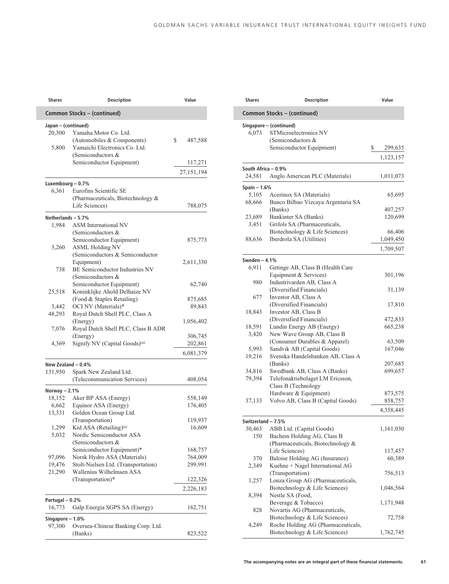| Shares                    | <b>Description</b>                                                                     | Value                |
|---------------------------|----------------------------------------------------------------------------------------|----------------------|
|                           | Common Stocks - (continued)                                                            |                      |
| Japan – (continued)       |                                                                                        |                      |
| 20,300<br>5,800           | Yamaha Motor Co. Ltd.<br>(Automobiles & Components)<br>Yamaichi Electronics Co. Ltd.   | \$<br>487,588        |
|                           | (Semiconductors &<br>Semiconductor Equipment)                                          | 117,271              |
|                           |                                                                                        | 27, 151, 194         |
| Luxembourg $-0.7%$        |                                                                                        |                      |
| 6,361                     | Eurofins Scientific SE<br>(Pharmaceuticals, Biotechnology $\&$<br>Life Sciences)       | 788,075              |
| Netherlands - 5.7%        |                                                                                        |                      |
| 1,984                     | ASM International NV<br>(Semiconductors $&$                                            |                      |
| 3,260                     | Semiconductor Equipment)<br><b>ASML Holding NV</b><br>(Semiconductors & Semiconductor) | 875,773              |
| 738                       | Equipment)<br>BE Semiconductor Industries NV                                           | 2,611,330            |
| 25,518                    | (Semiconductors &<br>Semiconductor Equipment)<br>Koninklijke Ahold Delhaize NV         | 62,740               |
|                           | (Food & Staples Retailing)                                                             | 875,685              |
| 3,442                     | OCI NV (Materials)*                                                                    | 89,843               |
| 48,293                    | Royal Dutch Shell PLC, Class A<br>(Energy)                                             | 1,056,402            |
| 7,076                     | Royal Dutch Shell PLC, Class B ADR<br>(Energy)                                         | 306,745              |
| 4,369                     | Signify NV (Capital Goods) <sup>(a)</sup>                                              | 202,861              |
|                           |                                                                                        | 6,081,379            |
| New Zealand - 0.4%        |                                                                                        |                      |
| 131,950                   | Spark New Zealand Ltd.                                                                 |                      |
|                           | (Telecommunication Services)                                                           | 408,054              |
| Norway $-2.1%$            |                                                                                        |                      |
| 18,152                    | Aker BP ASA (Energy)                                                                   | 558,149              |
| 6,662                     | Equinor ASA (Energy)                                                                   | 176,405              |
| 13,331                    | Golden Ocean Group Ltd.                                                                |                      |
| 1,299                     | (Transportation)<br>Kid ASA (Retailing) <sup>(a)</sup>                                 | 119,937<br>16,609    |
| 5,032                     | Nordic Semiconductor ASA<br>(Semiconductors &                                          |                      |
|                           | Semiconductor Equipment)*                                                              | 168,757              |
| 97,096                    | Norsk Hydro ASA (Materials)                                                            | 764,009              |
| 19,476                    | Stolt-Nielsen Ltd. (Transportation)                                                    | 299,991              |
| 21,290                    | Wallenius Wilhelmsen ASA                                                               |                      |
|                           | (Transportation)*                                                                      | 122,326<br>2,226,183 |
|                           |                                                                                        |                      |
| Portugal - 0.2%<br>16,773 | Galp Energia SGPS SA (Energy)                                                          | 162,751              |
| Singapore - 1.0%          |                                                                                        |                      |
| 97,300                    | Oversea-Chinese Banking Corp. Ltd.                                                     |                      |

| <b>Shares</b>       | <b>Description</b>                                                   | Value                                                 |
|---------------------|----------------------------------------------------------------------|-------------------------------------------------------|
|                     | Common Stocks - (continued)                                          |                                                       |
|                     | Singapore - (continued)                                              |                                                       |
| 6,073               | STMicroelectronics NV                                                |                                                       |
|                     | (Semiconductors &                                                    |                                                       |
|                     | Semiconductor Equipment)                                             | \$<br>299,635                                         |
|                     |                                                                      | 1,123,157                                             |
| South Africa - 0.9% |                                                                      |                                                       |
| 24,581              | Anglo American PLC (Materials)                                       | 1,011,073                                             |
| Spain - 1.6%        |                                                                      |                                                       |
| 5,105               | Acerinox SA (Materials)                                              | 65,695                                                |
| 68,666              | Banco Bilbao Vizcaya Argentaria SA                                   |                                                       |
|                     | (Banks)                                                              | 407,257                                               |
| 23,689              | Bankinter SA (Banks)                                                 | 120,699                                               |
| 3,451               | Grifols SA (Pharmaceuticals,                                         |                                                       |
|                     | Biotechnology & Life Sciences)                                       | 66,406                                                |
| 88,636              | Iberdrola SA (Utilities)                                             | 1,049,450                                             |
|                     |                                                                      | 1,709,507                                             |
| Sweden $-4.1%$      |                                                                      |                                                       |
| 6,911               | Getinge AB, Class B (Health Care                                     |                                                       |
|                     | Equipment & Services)                                                | 301,196                                               |
| 980                 | Industrivarden AB, Class A                                           |                                                       |
|                     | (Diversified Financials)                                             | 31,139                                                |
| 677                 | Investor AB, Class A                                                 |                                                       |
|                     | (Diversified Financials)                                             | 17,810                                                |
| 18,843              | Investor AB, Class B                                                 |                                                       |
|                     | (Diversified Financials)                                             | 472,833                                               |
| 18,591              | Lundin Energy AB (Energy)                                            | 665,238                                               |
| 3,420               | New Wave Group AB, Class B                                           |                                                       |
|                     | (Consumer Durables & Apparel)                                        | 63,509                                                |
| 5,993               | Sandvik AB (Capital Goods)                                           | 167,046                                               |
| 19,216              | Svenska Handelsbanken AB, Class A                                    |                                                       |
|                     | (Banks)                                                              | 207,685                                               |
| 34,816              | Swedbank AB, Class A (Banks)                                         | 699,657                                               |
| 79,394              | Telefonaktiebolaget LM Ericsson,                                     |                                                       |
|                     | Class B (Technology                                                  |                                                       |
|                     | Hardware & Equipment)                                                | 873,575                                               |
| 37,133              | Volvo AB, Class B (Capital Goods)                                    | 858,757                                               |
|                     |                                                                      | 4,358,445                                             |
| Switzerland $-7.5%$ |                                                                      |                                                       |
| 30,463              | ABB Ltd. (Capital Goods)                                             | 1,161,030                                             |
| 150                 | Bachem Holding AG, Class B                                           |                                                       |
|                     | (Pharmaceuticals, Biotechnology &                                    |                                                       |
|                     | Life Sciences)                                                       | 117,457                                               |
|                     |                                                                      |                                                       |
| 370                 |                                                                      |                                                       |
| 2,349               | Baloise Holding AG (Insurance)<br>Kuehne + Nagel International AG    |                                                       |
|                     | (Transportation)                                                     |                                                       |
| 1,257               |                                                                      |                                                       |
|                     | Lonza Group AG (Pharmaceuticals,                                     |                                                       |
| 8,394               | Biotechnology & Life Sciences)<br>Nestle SA (Food,                   |                                                       |
|                     |                                                                      |                                                       |
|                     | Beverage & Tobacco)                                                  |                                                       |
| 828                 | Novartis AG (Pharmaceuticals,                                        |                                                       |
| 4,249               | Biotechnology & Life Sciences)<br>Roche Holding AG (Pharmaceuticals, | 60,389<br>756,513<br>1,046,564<br>1,171,948<br>72,758 |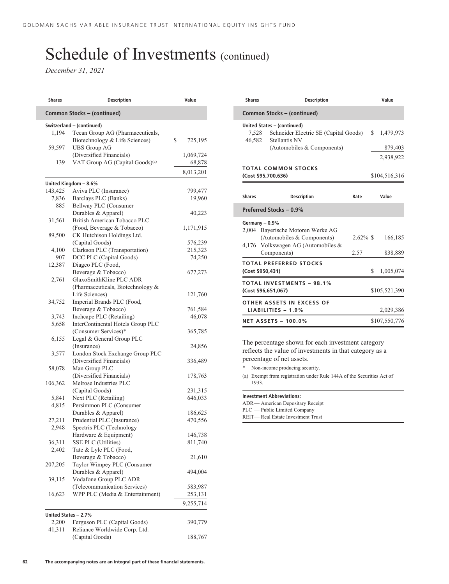# Schedule of Investments (continued)

*December 31, 2021*

| <b>Shares</b> | <b>Description</b>                                  | Value         |  |  |
|---------------|-----------------------------------------------------|---------------|--|--|
|               | Common Stocks - (continued)                         |               |  |  |
|               | Switzerland - (continued)                           |               |  |  |
| 1,194         | Tecan Group AG (Pharmaceuticals,                    |               |  |  |
|               | Biotechnology & Life Sciences)                      | \$<br>725,195 |  |  |
| 59,597        | <b>UBS</b> Group AG                                 |               |  |  |
|               | (Diversified Financials)                            | 1,069,724     |  |  |
| 139           | VAT Group AG (Capital Goods) <sup>(a)</sup>         | 68,878        |  |  |
|               |                                                     | 8,013,201     |  |  |
|               | United Kingdom - 8.6%                               |               |  |  |
| 143,425       | Aviva PLC (Insurance)                               | 799,477       |  |  |
| 7,836         | Barclays PLC (Banks)                                | 19,960        |  |  |
| 885           | Bellway PLC (Consumer                               |               |  |  |
|               | Durables & Apparel)                                 | 40,223        |  |  |
| 31,561        | British American Tobacco PLC                        |               |  |  |
|               | (Food, Beverage & Tobacco)                          | 1,171,915     |  |  |
| 89,500        | CK Hutchison Holdings Ltd.                          |               |  |  |
|               | (Capital Goods)                                     | 576,239       |  |  |
| 4,100         | Clarkson PLC (Transportation)                       | 215,323       |  |  |
| 907           | DCC PLC (Capital Goods)                             | 74,250        |  |  |
| 12,387        | Diageo PLC (Food,                                   |               |  |  |
|               | Beverage & Tobacco)                                 | 677,273       |  |  |
| 2,761         | GlaxoSmithKline PLC ADR                             |               |  |  |
|               | (Pharmaceuticals, Biotechnology &<br>Life Sciences) |               |  |  |
|               | Imperial Brands PLC (Food,                          | 121,760       |  |  |
| 34,752        | Beverage & Tobacco)                                 | 761,584       |  |  |
| 3,743         | Inchcape PLC (Retailing)                            | 46,078        |  |  |
| 5,658         | InterContinental Hotels Group PLC                   |               |  |  |
|               | (Consumer Services)*                                | 365,785       |  |  |
| 6,155         | Legal & General Group PLC                           |               |  |  |
|               | (Insurance)                                         | 24,856        |  |  |
| 3,577         | London Stock Exchange Group PLC                     |               |  |  |
|               | (Diversified Financials)                            | 336,489       |  |  |
| 58,078        | Man Group PLC                                       |               |  |  |
|               | (Diversified Financials)                            | 178,763       |  |  |
| 106,362       | Melrose Industries PLC                              |               |  |  |
|               | (Capital Goods)                                     | 231,315       |  |  |
| 5,841         | Next PLC (Retailing)                                | 646,033       |  |  |
| 4,815         | Persimmon PLC (Consumer                             |               |  |  |
|               | Durables & Apparel)                                 | 186,625       |  |  |
| 27,211        | Prudential PLC (Insurance)                          | 470,556       |  |  |
| 2,948         | Spectris PLC (Technology                            |               |  |  |
|               | Hardware & Equipment)                               | 146,738       |  |  |
| 36,311        | <b>SSE PLC</b> (Utilities)                          | 811,740       |  |  |
| 2,402         | Tate & Lyle PLC (Food,                              |               |  |  |
|               | Beverage & Tobacco)                                 | 21,610        |  |  |
| 207,205       | Taylor Wimpey PLC (Consumer<br>Durables & Apparel)  | 494,004       |  |  |
| 39,115        | Vodafone Group PLC ADR                              |               |  |  |
|               | (Telecommunication Services)                        | 583,987       |  |  |
| 16,623        | WPP PLC (Media & Entertainment)                     | 253,131       |  |  |
|               |                                                     |               |  |  |
|               |                                                     | 9,255,714     |  |  |
|               | United States - 2.7%                                |               |  |  |
| 2,200         | Ferguson PLC (Capital Goods)                        | 390,779       |  |  |
| 41,311        | Reliance Worldwide Corp. Ltd.                       |               |  |  |
|               | (Capital Goods)                                     | 188,767       |  |  |

| <b>Shares</b>       | <b>Description</b>                                                                                    |             | Value           |
|---------------------|-------------------------------------------------------------------------------------------------------|-------------|-----------------|
|                     | Common Stocks - (continued)                                                                           |             |                 |
| 46,582              | United States - (continued)<br>7,528 Schneider Electric SE (Capital Goods)<br>Stellantis NV           |             | \$1,479,973     |
|                     | (Automobiles & Components)                                                                            |             | 879,403         |
|                     |                                                                                                       |             | 2,938,922       |
| (Cost \$95,700,636) | <b>TOTAL COMMON STOCKS</b>                                                                            |             | \$104,516,316   |
| <b>Shares</b>       | <b>Description</b>                                                                                    | Rate        | Value           |
|                     | Preferred Stocks - 0.9%                                                                               |             |                 |
| Germany $-0.9%$     | 2,004 Bayerische Motoren Werke AG<br>(Automobiles & Components)<br>4,176 Volkswagen AG (Automobiles & | $2.62\%$ \$ | 166,185         |
|                     | Components)                                                                                           | 2.57        | 838,889         |
| (Cost \$950,431)    | <b>TOTAL PREFERRED STOCKS</b>                                                                         |             | \$<br>1,005,074 |
| (Cost \$96,651,067) | <b>TOTAL INVESTMENTS - 98.1%</b>                                                                      |             | \$105,521,390   |
|                     | OTHER ASSETS IN EXCESS OF<br><b>LIABILITIES - 1.9%</b>                                                |             | 2,029,386       |
|                     | <b>NET ASSETS - 100.0%</b>                                                                            |             | \$107,550,776   |

The percentage shown for each investment category reflects the value of investments in that category as a percentage of net assets.

\* Non-income producing security.

(a) Exempt from registration under Rule 144A of the Securities Act of 1933.

| <b>Investment Abbreviations:</b>   |  |  |  |
|------------------------------------|--|--|--|
| ADR — American Depositary Receipt  |  |  |  |
| PLC — Public Limited Company       |  |  |  |
| REIT— Real Estate Investment Trust |  |  |  |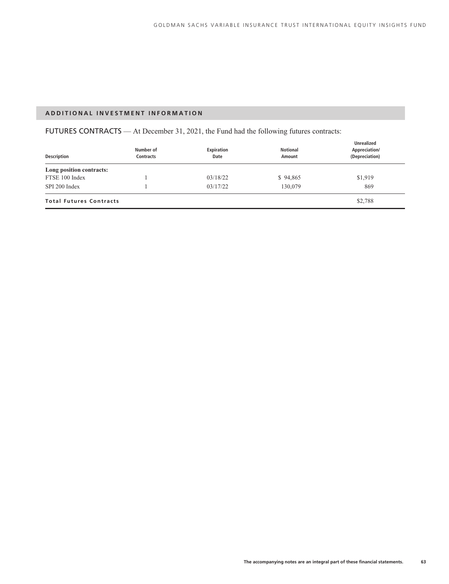# **ADDITIONAL INVESTMENT INFORMATION**

FUTURES CONTRACTS — At December 31, 2021, the Fund had the following futures contracts:

| <b>Description</b>             | Number of<br><b>Contracts</b> | Expiration<br>Date | Notional<br>Amount | <b>Unrealized</b><br>Appreciation/<br>(Depreciation) |
|--------------------------------|-------------------------------|--------------------|--------------------|------------------------------------------------------|
| Long position contracts:       |                               |                    |                    |                                                      |
| FTSE 100 Index                 |                               | 03/18/22           | \$94,865           | \$1,919                                              |
| SPI 200 Index                  |                               | 03/17/22           | 130,079            | 869                                                  |
| <b>Total Futures Contracts</b> |                               |                    |                    | \$2,788                                              |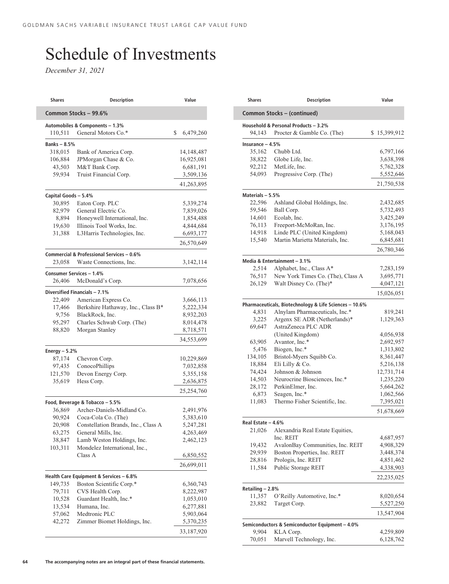# Schedule of Investments

*December 31, 2021*

| Shares               | <b>Description</b>                        | Value                                                                                                              |
|----------------------|-------------------------------------------|--------------------------------------------------------------------------------------------------------------------|
|                      | Common Stocks - 99.6%                     |                                                                                                                    |
|                      | Automobiles & Components - 1.3%           |                                                                                                                    |
| 110,511              | General Motors Co.*                       | \$<br>6,479,260                                                                                                    |
| <b>Banks-8.5%</b>    |                                           |                                                                                                                    |
| 318,015              | Bank of America Corp.                     | 14, 148, 487                                                                                                       |
| 106,884              | JPMorgan Chase & Co.                      | 16,925,081                                                                                                         |
| 43,503               | M&T Bank Corp.                            | 6,681,191                                                                                                          |
| 59,934               | Truist Financial Corp.                    | 3,509,136                                                                                                          |
|                      |                                           | 41,263,895                                                                                                         |
| Capital Goods - 5.4% |                                           |                                                                                                                    |
| 30,895               | Eaton Corp. PLC                           | 5,339,274                                                                                                          |
| 82,979               | General Electric Co.                      | 7,839,026                                                                                                          |
| 8,894                | Honeywell International, Inc.             | 1,854,488                                                                                                          |
| 19,630               | Illinois Tool Works, Inc.                 | 4,844,684                                                                                                          |
| 31,388               | L3Harris Technologies, Inc.               | 6,693,177                                                                                                          |
|                      |                                           | 26,570,649                                                                                                         |
|                      | Commercial & Professional Services - 0.6% |                                                                                                                    |
| 23,058               | Waste Connections, Inc.                   | 3, 142, 114                                                                                                        |
|                      | Consumer Services - 1.4%                  |                                                                                                                    |
| 26,406               | McDonald's Corp.                          | 7,078,656                                                                                                          |
|                      | Diversified Financials - 7.1%             |                                                                                                                    |
| 22,409               | American Express Co.                      | 3,666,113                                                                                                          |
| 17,466               | Berkshire Hathaway, Inc., Class B*        | 5,222,334                                                                                                          |
| 9,756                | BlackRock, Inc.                           | 8,932,203                                                                                                          |
| 95,297               | Charles Schwab Corp. (The)                | 8,014,478                                                                                                          |
| 88,820               | Morgan Stanley                            | 8,718,571                                                                                                          |
|                      |                                           | 34,553,699                                                                                                         |
| Energy $-5.2%$       |                                           |                                                                                                                    |
| 87,174               | Chevron Corp.                             | 10,229,869                                                                                                         |
| 97,435               | ConocoPhillips                            | 7,032,858                                                                                                          |
| 121,570              | Devon Energy Corp.                        | 5,355,158                                                                                                          |
| 35,619               | Hess Corp.                                | 2,636,875                                                                                                          |
|                      |                                           | 25,254,760                                                                                                         |
|                      | Food, Beverage & Tobacco - 5.5%           |                                                                                                                    |
| 36,869               | Archer-Daniels-Midland Co.                | 2,491,976                                                                                                          |
| 90,924               | Coca-Cola Co. (The)                       | 5,383,610                                                                                                          |
| 20,908               | Constellation Brands, Inc., Class A       | 5,247,281                                                                                                          |
|                      |                                           | 4,263,469                                                                                                          |
|                      | General Mills, Inc.                       |                                                                                                                    |
| 63,275<br>38,847     | Lamb Weston Holdings, Inc.                |                                                                                                                    |
| 103,311              | Mondelez International, Inc.,             |                                                                                                                    |
|                      | Class A                                   |                                                                                                                    |
|                      |                                           |                                                                                                                    |
|                      | Health Care Equipment & Services - 6.8%   |                                                                                                                    |
| 149,735              | Boston Scientific Corp.*                  |                                                                                                                    |
| 79,711               | CVS Health Corp.                          |                                                                                                                    |
| 10,528               | Guardant Health, Inc.*                    |                                                                                                                    |
| 13,534               | Humana, Inc.                              |                                                                                                                    |
| 57,062               | Medtronic PLC                             |                                                                                                                    |
| 42,272               | Zimmer Biomet Holdings, Inc.              | 2,462,123<br>6,850,552<br>26,699,011<br>6,360,743<br>8,222,987<br>1,053,010<br>6,277,881<br>5,903,064<br>5,370,235 |

| <b>Shares</b>      | <b>Description</b>                                     | Value        |
|--------------------|--------------------------------------------------------|--------------|
|                    | Common Stocks - (continued)                            |              |
|                    | Household & Personal Products - 3.2%                   |              |
| 94,143             | Procter & Gamble Co. (The)                             | \$15,399,912 |
| Insurance $-4.5%$  |                                                        |              |
| 35,162             | Chubb Ltd.                                             | 6,797,166    |
| 38,822             | Globe Life, Inc.                                       | 3,638,398    |
| 92,212             | MetLife, Inc.                                          | 5,762,328    |
| 54,093             | Progressive Corp. (The)                                | 5,552,646    |
|                    |                                                        | 21,750,538   |
| Materials - 5.5%   |                                                        |              |
| 22,596             | Ashland Global Holdings, Inc.                          | 2,432,685    |
| 59,546             | Ball Corp.                                             | 5,732,493    |
| 14,601             | Ecolab, Inc.                                           | 3,425,249    |
| 76,113             | Freeport-McMoRan, Inc.                                 | 3,176,195    |
| 14,918             | Linde PLC (United Kingdom)                             | 5,168,043    |
| 15,540             | Martin Marietta Materials, Inc.                        | 6,845,681    |
|                    |                                                        | 26,780,346   |
|                    | Media & Entertainment - 3.1%                           |              |
|                    | 2,514 Alphabet, Inc., Class A*                         | 7,283,159    |
| 76,517             | New York Times Co. (The), Class A                      | 3,695,771    |
| 26,129             | Walt Disney Co. (The)*                                 | 4,047,121    |
|                    |                                                        | 15,026,051   |
|                    | Pharmaceuticals, Biotechnology & Life Sciences - 10.6% |              |
| 4,831              | Alnylam Pharmaceuticals, Inc.*                         |              |
| 3,225              | Argenx SE ADR (Netherlands)*                           | 819,241      |
|                    | AstraZeneca PLC ADR                                    | 1,129,363    |
| 69,647             |                                                        |              |
|                    | (United Kingdom)                                       | 4,056,938    |
| 63,905             | Avantor, Inc.*                                         | 2,692,957    |
| 5,476              | Biogen, Inc.*                                          | 1,313,802    |
| 134,105            | Bristol-Myers Squibb Co.                               | 8,361,447    |
| 18,884             | Eli Lilly & Co.                                        | 5,216,138    |
| 74,424             | Johnson & Johnson                                      | 12,731,714   |
| 14,503             | Neurocrine Biosciences, Inc.*                          | 1,235,220    |
| 28,172             | PerkinElmer, Inc.                                      | 5,664,262    |
| 6,873              | Seagen, Inc.*                                          | 1,062,566    |
| 11,083             | Thermo Fisher Scientific, Inc.                         | 7,395,021    |
|                    |                                                        | 51,678,669   |
| Real Estate - 4.6% |                                                        |              |
| 21,026             | Alexandria Real Estate Equities,                       |              |
|                    | Inc. REIT                                              | 4,687,957    |
| 19,432             | AvalonBay Communities, Inc. REIT                       | 4,908,329    |
| 29,939             | Boston Properties, Inc. REIT                           | 3,448,374    |
| 28,816             | Prologis, Inc. REIT                                    | 4,851,462    |
| 11,584             | Public Storage REIT                                    | 4,338,903    |
|                    |                                                        | 22,235,025   |
| Retailing - 2.8%   |                                                        |              |
| 11,357             | O'Reilly Automotive, Inc.*                             | 8,020,654    |
| 23,882             | Target Corp.                                           | 5,527,250    |
|                    |                                                        | 13,547,904   |
|                    | Semiconductors & Semiconductor Equipment - 4.0%        |              |
| 9,904              | KLA Corp.                                              | 4,259,809    |
| 70,051             | Marvell Technology, Inc.                               | 6,128,762    |
|                    |                                                        |              |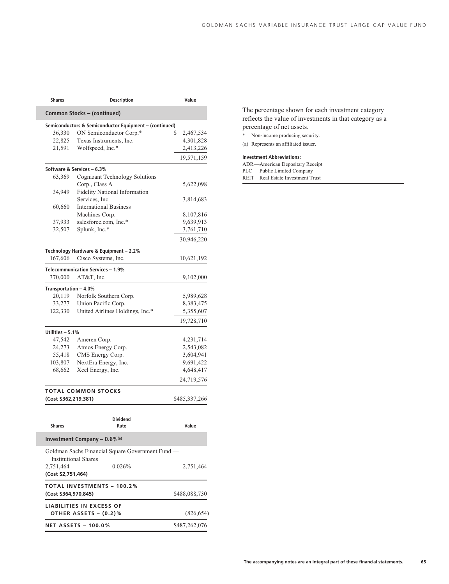| <b>Shares</b>               | <b>Description</b>                                     | Value                  |  |
|-----------------------------|--------------------------------------------------------|------------------------|--|
| Common Stocks - (continued) |                                                        |                        |  |
|                             | Semiconductors & Semiconductor Equipment - (continued) |                        |  |
| 36,330                      | ON Semiconductor Corp.*                                | \$<br>2,467,534        |  |
| 22,825                      | Texas Instruments, Inc.                                | 4,301,828              |  |
| 21,591                      | Wolfspeed, Inc.*                                       | 2,413,226              |  |
|                             |                                                        |                        |  |
|                             |                                                        | 19,571,159             |  |
|                             | Software & Services - 6.3%                             |                        |  |
| 63,369                      | <b>Cognizant Technology Solutions</b>                  |                        |  |
|                             | Corp., Class A                                         | 5,622,098              |  |
| 34,949                      | Fidelity National Information                          |                        |  |
|                             | Services, Inc.                                         | 3,814,683              |  |
| 60,660                      | <b>International Business</b>                          |                        |  |
|                             | Machines Corp.                                         | 8,107,816              |  |
| 37,933                      | salesforce.com, Inc.*                                  | 9,639,913              |  |
| 32,507                      | Splunk, Inc.*                                          | 3,761,710              |  |
|                             |                                                        | 30,946,220             |  |
|                             | Technology Hardware & Equipment - 2.2%                 |                        |  |
| 167,606                     | Cisco Systems, Inc.                                    | 10,621,192             |  |
|                             |                                                        |                        |  |
|                             | Telecommunication Services - 1.9%                      |                        |  |
| 370,000                     | AT&T, Inc.                                             | 9,102,000              |  |
| Transportation - 4.0%       |                                                        |                        |  |
|                             | 20,119 Norfolk Southern Corp.                          | 5,989,628              |  |
| 33,277                      | Union Pacific Corp.                                    | 8,383,475              |  |
| 122,330                     | United Airlines Holdings, Inc.*                        | 5,355,607              |  |
|                             |                                                        | 19,728,710             |  |
| Utilities - 5.1%            |                                                        |                        |  |
|                             |                                                        |                        |  |
| 47,542<br>24,273            | Ameren Corp.                                           | 4,231,714              |  |
|                             | Atmos Energy Corp.<br>CMS Energy Corp.                 | 2,543,082<br>3,604,941 |  |
| 55,418                      |                                                        |                        |  |
| 103,807                     | NextEra Energy, Inc.                                   | 9,691,422              |  |
| 68,662                      | Xcel Energy, Inc.                                      | 4,648,417              |  |
|                             |                                                        | 24,719,576             |  |
|                             | TOTAL COMMON STOCKS                                    |                        |  |
| (Cost \$362,219,381)        |                                                        | \$485,337,266          |  |
|                             |                                                        |                        |  |
|                             | <b>Dividend</b>                                        |                        |  |
| <b>Shares</b>               | Rate                                                   | Value                  |  |
|                             | Investment Company $-0.6\%$ <sup>(a)</sup>             |                        |  |
|                             |                                                        |                        |  |
|                             | Goldman Sachs Financial Square Government Fund —       |                        |  |
|                             | <b>Institutional Shares</b>                            |                        |  |
| 2,751,464                   | $0.026\%$                                              | 2,751,464              |  |
| (Cost \$2,751,464)          |                                                        |                        |  |
|                             | TOTAL INVESTMENTS - 100.2%                             |                        |  |
| (Cost \$364,970,845)        |                                                        | \$488,088,730          |  |
|                             | LIABILITIES IN EXCESS OF                               |                        |  |
|                             | OTHER ASSETS – (0.2)%                                  | (826, 654)             |  |
|                             |                                                        |                        |  |
|                             | <b>NET ASSETS - 100.0%</b>                             | \$487,262,076          |  |

The percentage shown for each investment category reflects the value of investments in that category as a percentage of net assets.

- \* Non-income producing security.
- (a) Represents an affiliated issuer.

#### **Investment Abbreviations:**

ADR—American Depositary Receipt PLC —Public Limited Company REIT—Real Estate Investment Trust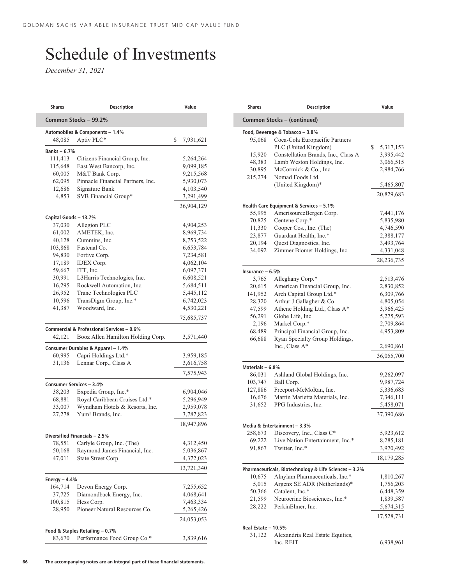# Schedule of Investments

*December 31, 2021*

| <b>Shares</b>         | <b>Description</b>                                         | Value                  |
|-----------------------|------------------------------------------------------------|------------------------|
|                       | Common Stocks - 99.2%                                      |                        |
|                       | Automobiles & Components - 1.4%                            |                        |
| 48,085                | Aptiv PLC*                                                 | \$<br>7,931,621        |
| Banks $-6.7%$         |                                                            |                        |
| 111,413               | Citizens Financial Group, Inc.                             | 5,264,264              |
| 115,648               | East West Bancorp, Inc.                                    | 9,099,185              |
| 60,005                | M&T Bank Corp.                                             | 9,215,568              |
| 62,095                | Pinnacle Financial Partners, Inc.                          | 5,930,073              |
| 12,686                | <b>Signature Bank</b>                                      | 4,103,540              |
| 4,853                 | SVB Financial Group*                                       | 3,291,499              |
|                       |                                                            | 36,904,129             |
| Capital Goods - 13.7% |                                                            |                        |
| 37,030                | Allegion PLC                                               | 4,904,253              |
| 61,002                | AMETEK, Inc.                                               | 8,969,734              |
| 40,128                | Cummins, Inc.                                              | 8,753,522              |
| 103,868               | Fastenal Co.                                               | 6,653,784              |
| 94,830                | Fortive Corp.                                              | 7,234,581              |
| 17,189                | <b>IDEX</b> Corp.                                          | 4,062,104              |
| 59,667                | ITT, Inc.                                                  | 6,097,371              |
| 30,991                | L3Harris Technologies, Inc.                                | 6,608,521              |
| 16,295                | Rockwell Automation, Inc.                                  | 5,684,511              |
| 26,952                | Trane Technologies PLC                                     | 5,445,112              |
| 10,596                | TransDigm Group, Inc.*                                     | 6,742,023              |
| 41,387                | Woodward, Inc.                                             | 4,530,221              |
|                       |                                                            | 75,685,737             |
|                       | Commercial & Professional Services - 0.6%                  |                        |
| 42,121                | Booz Allen Hamilton Holding Corp.                          | 3,571,440              |
|                       | Consumer Durables & Apparel - 1.4%                         |                        |
| 60,995                | Capri Holdings Ltd.*                                       | 3,959,185              |
| 31,136                | Lennar Corp., Class A                                      | 3,616,758              |
|                       |                                                            | 7,575,943              |
|                       | Consumer Services - 3.4%                                   |                        |
| 38,203                | Expedia Group, Inc.*                                       | 6,904,046              |
| 68,881                | Royal Caribbean Cruises Ltd.*                              | 5,296,949              |
| 33,007                | Wyndham Hotels & Resorts, Inc.                             | 2,959,078              |
| 27,278                | Yum! Brands, Inc.                                          | 3,787,823              |
|                       |                                                            | 18,947,896             |
|                       |                                                            |                        |
|                       | Diversified Financials - 2.5%                              |                        |
| 78,551<br>50,168      | Carlyle Group, Inc. (The)<br>Raymond James Financial, Inc. | 4,312,450<br>5,036,867 |
| 47,011                | State Street Corp.                                         |                        |
|                       |                                                            | 4,372,023              |
|                       |                                                            | 13,721,340             |
| Energy $-4.4%$        |                                                            |                        |
| 164,714               | Devon Energy Corp.                                         | 7,255,652              |
| 37,725                | Diamondback Energy, Inc.                                   | 4,068,641              |
| 100,815               | Hess Corp.                                                 | 7,463,334              |
| 28,950                | Pioneer Natural Resources Co.                              | 5,265,426              |
|                       |                                                            | 24,053,053             |
|                       | Food & Staples Retailing - 0.7%                            |                        |
| 83,670                | Performance Food Group Co.*                                | 3,839,616              |

| <b>Shares</b>       | <b>Description</b>                                    | Value           |
|---------------------|-------------------------------------------------------|-----------------|
|                     | <b>Common Stocks - (continued)</b>                    |                 |
|                     | Food, Beverage & Tobacco - 3.8%                       |                 |
| 95,068              | Coca-Cola Europacific Partners                        |                 |
|                     | PLC (United Kingdom)                                  | \$<br>5,317,153 |
| 15,920              | Constellation Brands, Inc., Class A                   | 3,995,442       |
| 48,383              | Lamb Weston Holdings, Inc.                            | 3,066,515       |
| 30,895              | McCormick & Co., Inc.                                 | 2,984,766       |
| 215,274             | Nomad Foods Ltd.                                      |                 |
|                     | (United Kingdom)*                                     | 5,465,807       |
|                     |                                                       | 20,829,683      |
|                     | Health Care Equipment & Services - 5.1%               |                 |
| 55,995              | AmerisourceBergen Corp.                               | 7,441,176       |
| 70,825              | Centene Corp.*                                        | 5,835,980       |
| 11,330              | Cooper Cos., Inc. (The)                               | 4,746,590       |
| 23,877              | Guardant Health, Inc.*                                | 2,388,177       |
| 20,194              | Quest Diagnostics, Inc.                               | 3,493,764       |
| 34,092              | Zimmer Biomet Holdings, Inc.                          | 4,331,048       |
|                     |                                                       | 28, 236, 735    |
| Insurance - 6.5%    |                                                       |                 |
| 3,765               | Alleghany Corp.*                                      | 2,513,476       |
| 20,615              | American Financial Group, Inc.                        | 2,830,852       |
| 141,952             | Arch Capital Group Ltd.*                              | 6,309,766       |
| 28,320              | Arthur J Gallagher & Co.                              | 4,805,054       |
| 47,599              | Athene Holding Ltd., Class A*                         | 3,966,425       |
| 56,291              | Globe Life, Inc.                                      | 5,275,593       |
| 2,196               | Markel Corp.*                                         | 2,709,864       |
| 68,489              | Principal Financial Group, Inc.                       | 4,953,809       |
| 66,688              | Ryan Specialty Group Holdings,                        |                 |
|                     | Inc., Class A*                                        | 2,690,861       |
|                     |                                                       | 36,055,700      |
| Materials - 6.8%    |                                                       |                 |
| 86,031              | Ashland Global Holdings, Inc.                         | 9,262,097       |
| 103,747             | Ball Corp.                                            | 9,987,724       |
| 127,886             | Freeport-McMoRan, Inc.                                | 5,336,683       |
| 16,676              | Martin Marietta Materials, Inc.                       | 7,346,111       |
| 31,652              | PPG Industries, Inc.                                  | 5,458,071       |
|                     |                                                       | 37,390,686      |
|                     | Media & Entertainment - 3.3%                          |                 |
| 258,673             | Discovery, Inc., Class C*                             | 5,923,612       |
| 69,222              | Live Nation Entertainment, Inc.*                      | 8,285,181       |
| 91,867              | Twitter, Inc.*                                        | 3,970,492       |
|                     |                                                       | 18, 179, 285    |
|                     | Pharmaceuticals, Biotechnology & Life Sciences - 3.2% |                 |
| 10,675              | Alnylam Pharmaceuticals, Inc.*                        | 1,810,267       |
| 5,015               | Argenx SE ADR (Netherlands)*                          | 1,756,203       |
| 50,366              | Catalent, Inc.*                                       | 6,448,359       |
| 21,599              | Neurocrine Biosciences, Inc.*                         | 1,839,587       |
| 28,222              | PerkinElmer, Inc.                                     | 5,674,315       |
|                     |                                                       | 17,528,731      |
| Real Estate - 10.5% |                                                       |                 |
| 31,122              | Alexandria Real Estate Equities,                      |                 |
|                     | Inc. REIT                                             | 6,938,961       |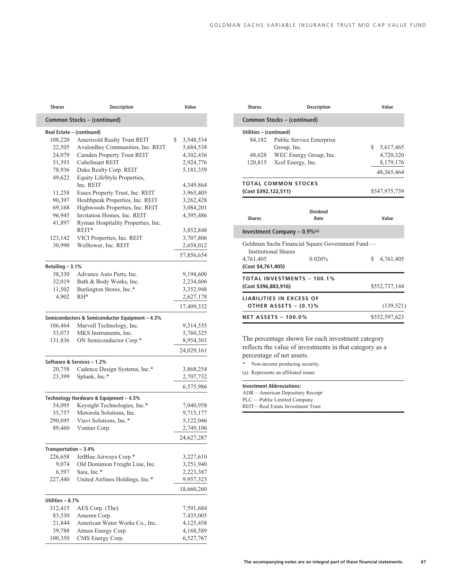| Shares                | <b>Description</b>                              | Value           |
|-----------------------|-------------------------------------------------|-----------------|
|                       | Common Stocks - (continued)                     |                 |
|                       | Real Estate - (continued)                       |                 |
| 108,220               | Americold Realty Trust REIT                     | \$<br>3,548,534 |
| 22,505                | AvalonBay Communities, Inc. REIT                | 5,684,538       |
| 24,079                | Camden Property Trust REIT                      | 4,302,436       |
| 51,393                | <b>CubeSmart REIT</b>                           | 2,924,776       |
| 78,936                | Duke Realty Corp. REIT                          | 5,181,359       |
| 49,622                | Equity LifeStyle Properties,<br>Inc. REIT       | 4,349,864       |
| 11,258                | Essex Property Trust, Inc. REIT                 | 3,965,405       |
| 90,397                | Healthpeak Properties, Inc. REIT                | 3,262,428       |
| 69,168                | Highwoods Properties, Inc. REIT                 | 3,084,201       |
| 96,945                | Invitation Homes, Inc. REIT                     | 4,395,486       |
| 41,897                | Ryman Hospitality Properties, Inc.              |                 |
|                       | REIT*                                           | 3,852,848       |
| 123,142               | VICI Properties, Inc. REIT                      | 3,707,806       |
| 30,990                | Welltower, Inc. REIT                            | 2,658,012       |
|                       |                                                 | 57,856,654      |
| Retailing $-3.1%$     |                                                 |                 |
| 38,330                | Advance Auto Parts, Inc.                        | 9,194,600       |
| 32,019                | Bath & Body Works, Inc.                         | 2,234,606       |
| 11,502                | Burlington Stores, Inc.*                        | 3,352,948       |
| 4,902                 | $RH^*$                                          | 2,627,178       |
|                       |                                                 | 17,409,332      |
|                       | Semiconductors & Semiconductor Equipment - 4.3% |                 |
| 106,464               | Marvell Technology, Inc.                        | 9,314,535       |
| 33,073                | MKS Instruments, Inc.                           | 5,760,325       |
| 131,836               | ON Semiconductor Corp.*                         | 8,954,301       |
|                       |                                                 | 24,029,161      |
|                       | Software & Services - 1.2%                      |                 |
| 20,758                | Cadence Design Systems, Inc.*                   | 3,868,254       |
| 23,399                | Splunk, Inc.*                                   | 2,707,732       |
|                       |                                                 | 6,575,986       |
|                       | Technology Hardware & Equipment - 4.5%          |                 |
| 34,095                | Keysight Technologies, Inc.*                    | 7,040,958       |
| 35,757                | Motorola Solutions, Inc.                        | 9,715,177       |
| 290,695               | Viavi Solutions, Inc.*                          | 5,122,046       |
| 89,460                | Vontier Corp.                                   | 2,749,106       |
|                       |                                                 | 24,627,287      |
| Transportation - 3.4% |                                                 |                 |
| 226,658               | JetBlue Airways Corp.*                          | 3,227,610       |
| 9,074                 | Old Dominion Freight Line, Inc.                 | 3,251,940       |
| 6,597                 | Saia, Inc.*                                     | 2,223,387       |
| 227,440               | United Airlines Holdings, Inc.*                 | 9,957,323       |
|                       |                                                 | 18,660,260      |
| Utilities - 8.7%      |                                                 |                 |
| 312,415               | AES Corp. (The)                                 | 7,591,684       |
| 83,530                | Ameren Corp.                                    | 7,435,005       |
| 21,844                | American Water Works Co., Inc.                  | 4,125,458       |
| 39,788                | Atmos Energy Corp.                              | 4,168,589       |
| 100,350               | CMS Energy Corp.                                |                 |
|                       |                                                 | 6,527,767       |

| <b>Shares</b>           | Description                                                                     | Value                   |
|-------------------------|---------------------------------------------------------------------------------|-------------------------|
|                         | Common Stocks – (continued)                                                     |                         |
| Utilities – (continued) |                                                                                 |                         |
| 84,182                  | Public Service Enterprise                                                       |                         |
|                         | Group, Inc.                                                                     | \$5,617,465             |
|                         | 48,628 WEC Energy Group, Inc.                                                   | 4,720,320               |
|                         | 120,815 Xcel Energy, Inc.                                                       | 8,179,176               |
|                         |                                                                                 | 48, 365, 464            |
|                         | TOTAL COMMON STOCKS                                                             |                         |
| (Cost \$392,122,511)    |                                                                                 | \$547,975,739           |
|                         | Dividend                                                                        |                         |
| <b>Shares</b>           | Rate                                                                            | Value                   |
|                         | Investment Company $-0.9\%$ <sup>(a)</sup>                                      |                         |
|                         | Goldman Sachs Financial Square Government Fund —<br><b>Institutional Shares</b> |                         |
|                         | $4.761$ $405$<br>0.0260                                                         | $\mathcal{L}$ $1761105$ |

| Institutional Shares<br>4,761,405<br>(Cost \$4,761,405)   | 0.026%        | 4,761,405<br>S |
|-----------------------------------------------------------|---------------|----------------|
| <b>TOTAL INVESTMENTS - 100.1%</b><br>(Cost \$396,883,916) | \$552,737,144 |                |
| LIABILITIES IN EXCESS OF<br>OTHER ASSETS - (0.1)%         |               | (139, 521)     |
| <b>NET ASSETS - 100.0%</b>                                |               | \$552,597,623  |

The percentage shown for each investment category reflects the value of investments in that category as a percentage of net assets.

\* Non-income producing security.

(a) Represents an affiliated issuer.

### **Investment Abbreviations:**

ADR—American Depositary Receipt PLC —Public Limited Company REIT—Real Estate Investment Trust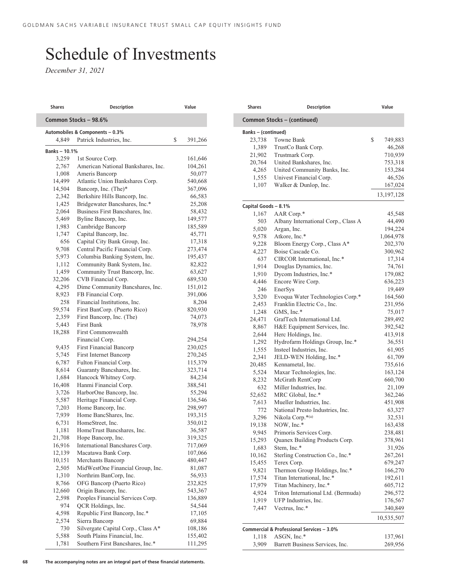# Schedule of Investments

*December 31, 2021*

| Shares          | <b>Description</b>                                        | Value         |
|-----------------|-----------------------------------------------------------|---------------|
|                 | Common Stocks - 98.6%                                     |               |
|                 | Automobiles & Components - 0.3%                           |               |
| 4,849           | Patrick Industries, Inc.                                  | \$<br>391,266 |
|                 |                                                           |               |
| Banks-10.1%     |                                                           |               |
| 3,259           | 1st Source Corp.                                          | 161,646       |
| 2,767           | American National Bankshares, Inc.                        | 104,261       |
| 1,008           | Ameris Bancorp                                            | 50,077        |
| 14,499          | Atlantic Union Bankshares Corp.                           | 540,668       |
| 14,504          | Bancorp, Inc. (The)*                                      | 367,096       |
| 2,342           | Berkshire Hills Bancorp, Inc.                             | 66,583        |
| 1,425           | Bridgewater Bancshares, Inc.*                             | 25,208        |
| 2,064           | Business First Bancshares, Inc.                           | 58,432        |
| 5,469           | Byline Bancorp, Inc.                                      | 149,577       |
| 1,983           | Cambridge Bancorp                                         | 185,589       |
| 1,747           | Capital Bancorp, Inc.                                     | 45,771        |
| 656             | Capital City Bank Group, Inc.                             | 17,318        |
| 9,708           | Central Pacific Financial Corp.                           | 273,474       |
| 5,973           | Columbia Banking System, Inc.                             | 195,437       |
| 1,112           | Community Bank System, Inc.                               | 82,822        |
| 1,459           | Community Trust Bancorp, Inc.                             | 63,627        |
| 32,206          | CVB Financial Corp.                                       | 689,530       |
| 4,295           | Dime Community Bancshares, Inc.                           | 151,012       |
| 8,923           | FB Financial Corp.                                        | 391,006       |
| 258             | Financial Institutions, Inc.                              | 8,204         |
| 59,574          | First BanCorp. (Puerto Rico)<br>First Bancorp, Inc. (The) | 820,930       |
| 2,359           | <b>First Bank</b>                                         | 74,073        |
| 5,443<br>18,288 | First Commonwealth                                        | 78,978        |
|                 | Financial Corp.                                           | 294,254       |
| 9,435           | <b>First Financial Bancorp</b>                            | 230,025       |
| 5,745           | First Internet Bancorp                                    | 270,245       |
| 6,787           | Fulton Financial Corp.                                    | 115,379       |
| 8,614           | Guaranty Bancshares, Inc.                                 | 323,714       |
| 1,684           | Hancock Whitney Corp.                                     | 84,234        |
| 16,408          | Hanmi Financial Corp.                                     | 388,541       |
| 3,726           | HarborOne Bancorp, Inc.                                   | 55,294        |
| 5,587           | Heritage Financial Corp.                                  | 136,546       |
| 7,203           | Home Bancorp, Inc.                                        | 298,997       |
| 7,939           | Home BancShares, Inc.                                     | 193,315       |
| 6,731           | HomeStreet, Inc.                                          | 350,012       |
| 1,181           | HomeTrust Bancshares, Inc.                                | 36,587        |
| 21,708          | Hope Bancorp, Inc.                                        | 319,325       |
| 16,916          | International Bancshares Corp.                            | 717,069       |
| 12,139          | Macatawa Bank Corp.                                       | 107,066       |
| 10,151          | Merchants Bancorp                                         | 480,447       |
| 2,505           | MidWestOne Financial Group, Inc.                          | 81,087        |
| 1,310           | Northrim BanCorp, Inc.                                    | 56,933        |
| 8,766           | OFG Bancorp (Puerto Rico)                                 | 232,825       |
| 12,660          | Origin Bancorp, Inc.                                      | 543,367       |
| 2,598           | Peoples Financial Services Corp.                          | 136,889       |
| 974             | QCR Holdings, Inc.                                        | 54,544        |
| 4,598           | Republic First Bancorp, Inc.*                             | 17,105        |
| 2,574           | Sierra Bancorp                                            | 69,884        |
| 730             | Silvergate Capital Corp., Class A*                        | 108,186       |
| 5,588           | South Plains Financial, Inc.                              | 155,402       |
| 1,781           | Southern First Bancshares, Inc.*                          | 111,295       |

| <b>Shares</b>               | <b>Description</b>                        | Value         |  |
|-----------------------------|-------------------------------------------|---------------|--|
| Common Stocks - (continued) |                                           |               |  |
| <b>Banks - (continued)</b>  |                                           |               |  |
| 23,738                      | Towne Bank                                | \$<br>749,883 |  |
| 1,389                       | TrustCo Bank Corp.                        | 46,268        |  |
| 21,902                      | Trustmark Corp.                           | 710,939       |  |
| 20,764                      | United Bankshares, Inc.                   | 753,318       |  |
| 4,265                       | United Community Banks, Inc.              | 153,284       |  |
| 1,555                       | Univest Financial Corp.                   | 46,526        |  |
| 1,107                       | Walker & Dunlop, Inc.                     | 167,024       |  |
|                             |                                           | 13, 197, 128  |  |
| Capital Goods - 8.1%        |                                           |               |  |
| 1,167                       | AAR Corp.*                                | 45,548        |  |
| 503                         | Albany International Corp., Class A       | 44,490        |  |
| 5,020                       | Argan, Inc.                               | 194,224       |  |
| 9,578                       | Atkore, Inc.*                             | 1,064,978     |  |
| 9,228                       | Bloom Energy Corp., Class A*              | 202,370       |  |
| 4,227                       | Boise Cascade Co.                         | 300,962       |  |
| 637                         | CIRCOR International, Inc.*               | 17,314        |  |
| 1,914                       | Douglas Dynamics, Inc.                    | 74,761        |  |
| 1,910                       | Dycom Industries, Inc.*                   | 179,082       |  |
| 4,446                       | Encore Wire Corp.                         | 636,223       |  |
| 246                         | EnerSys                                   | 19,449        |  |
| 3,520                       | Evoqua Water Technologies Corp.*          | 164,560       |  |
| 2,453                       | Franklin Electric Co., Inc.               | 231,956       |  |
| 1,248                       | GMS, Inc.*                                | 75,017        |  |
| 24,471                      | GrafTech International Ltd.               | 289,492       |  |
| 8,867                       | H&E Equipment Services, Inc.              | 392,542       |  |
| 2,644                       | Herc Holdings, Inc.                       | 413,918       |  |
| 1,292                       | Hydrofarm Holdings Group, Inc.*           | 36,551        |  |
| 1,555                       | Insteel Industries, Inc.                  | 61,905        |  |
| 2,341                       | JELD-WEN Holding, Inc.*                   | 61,709        |  |
| 20,485                      | Kennametal, Inc.                          | 735,616       |  |
| 5,524                       | Maxar Technologies, Inc.                  | 163,124       |  |
| 8,232                       | McGrath RentCorp                          | 660,700       |  |
| 632                         | Miller Industries, Inc.                   | 21,109        |  |
| 52,652                      | MRC Global, Inc.*                         | 362,246       |  |
| 7,613                       | Mueller Industries, Inc.                  | 451,908       |  |
| 772                         | National Presto Industries, Inc.          | 63,327        |  |
| 3,296                       | Nikola Corp.*(a)                          | 32,531        |  |
| 19,138                      | NOW, Inc.*                                | 163,438       |  |
| 9,945                       | Primoris Services Corp.                   | 238,481       |  |
| 15,293                      | Quanex Building Products Corp.            | 378,961       |  |
| 1,683                       | Stem, Inc.*                               | 31,926        |  |
| 10,162                      | Sterling Construction Co., Inc.*          | 267,261       |  |
| 15,455                      | Terex Corp.                               | 679,247       |  |
| 9,821                       | Thermon Group Holdings, Inc.*             | 166,270       |  |
| 17,574                      | Titan International, Inc.*                | 192,611       |  |
| 17,979                      | Titan Machinery, Inc.*                    | 605,712       |  |
| 4,924                       | Triton International Ltd. (Bermuda)       | 296,572       |  |
| 1,919                       | UFP Industries, Inc.                      | 176,567       |  |
| 7,447                       | Vectrus, Inc.*                            | 340,849       |  |
|                             |                                           | 10,535,507    |  |
|                             | Commercial & Professional Services - 3.0% |               |  |
| 1,118                       | ASGN, Inc.*                               | 137,961       |  |
| 3,909                       | Barrett Business Services, Inc.           | 269,956       |  |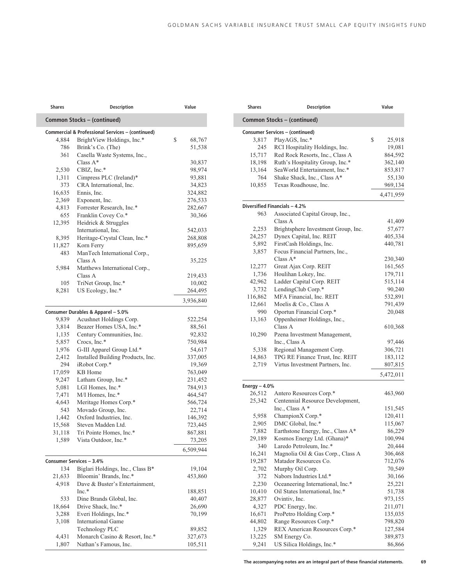| Shares          | <b>Description</b>                                            | Value             |
|-----------------|---------------------------------------------------------------|-------------------|
|                 | <b>Common Stocks - (continued)</b>                            |                   |
|                 | Commercial & Professional Services - (continued)              |                   |
| 4,884           | BrightView Holdings, Inc.*                                    | \$<br>68,767      |
| 786             | Brink's Co. (The)                                             | 51,538            |
| 361             | Casella Waste Systems, Inc.,                                  |                   |
|                 | Class $A^*$                                                   | 30,837            |
| 2,530           | CBIZ, Inc.*                                                   | 98,974            |
| 1,311           | Cimpress PLC (Ireland)*                                       | 93,881            |
| 373             | CRA International, Inc.                                       | 34,823            |
| 16,635          | Ennis, Inc.                                                   | 324,882           |
| 2,369           | Exponent, Inc.                                                | 276,533           |
| 4,813<br>655    | Forrester Research, Inc.*                                     | 282,667           |
| 12,395          | Franklin Covey Co.*<br>Heidrick & Struggles                   | 30,366            |
|                 | International, Inc.                                           | 542,033           |
| 8,395           | Heritage-Crystal Clean, Inc.*                                 | 268,808           |
| 11,827          | Korn Ferry                                                    | 895,659           |
| 483             | ManTech International Corp.,                                  |                   |
|                 | Class A                                                       | 35,225            |
| 5,984           | Matthews International Corp.,                                 |                   |
|                 | Class A                                                       | 219,433           |
| 105             | TriNet Group, Inc.*                                           | 10,002            |
| 8,281           | US Ecology, Inc.*                                             | 264,495           |
|                 |                                                               | 3,936,840         |
|                 |                                                               |                   |
| 9,839           | Consumer Durables & Apparel - 5.0%<br>Acushnet Holdings Corp. |                   |
| 3,814           | Beazer Homes USA, Inc.*                                       | 522,254<br>88,561 |
| 1,135           | Century Communities, Inc.                                     | 92,832            |
| 5,857           | Crocs, Inc.*                                                  | 750,984           |
| 1,976           | G-III Apparel Group Ltd.*                                     | 54,617            |
| 2,412           | Installed Building Products, Inc.                             | 337,005           |
| 294             | iRobot Corp.*                                                 | 19,369            |
| 17,059          | KB Home                                                       | 763,049           |
| 9,247           | Latham Group, Inc.*                                           | 231,452           |
| 5,081           | LGI Homes, Inc.*                                              | 784,913           |
| 7,471           | M/I Homes, Inc.*                                              | 464,547           |
| 4,643           | Meritage Homes Corp.*                                         | 566,724           |
| 543             | Movado Group, Inc.                                            | 22,714            |
| 1,442           | Oxford Industries, Inc.                                       | 146,392           |
| 15,568          | Steven Madden Ltd.                                            | 723,445           |
| 31,118          | Tri Pointe Homes, Inc.*                                       | 867,881           |
| 1,589           | Vista Outdoor, Inc.*                                          | 73,205            |
|                 |                                                               | 6,509,944         |
|                 |                                                               |                   |
|                 | Consumer Services - 3.4%<br>Biglari Holdings, Inc., Class B*  |                   |
| 134             | Bloomin' Brands, Inc.*                                        | 19,104            |
| 21,633<br>4,918 | Dave & Buster's Entertainment,                                | 453,860           |
|                 | $Inc.*$                                                       | 188,851           |
| 533             | Dine Brands Global, Inc.                                      | 40,407            |
| 18,664          | Drive Shack, Inc.*                                            | 26,690            |
| 3,288           | Everi Holdings, Inc.*                                         | 70,199            |
| 3,108           | <b>International Game</b>                                     |                   |
|                 | Technology PLC                                                | 89,852            |
| 4,431           | Monarch Casino & Resort, Inc.*                                | 327,673           |
| 1,807           | Nathan's Famous, Inc.                                         | 105,511           |

| <b>Shares</b>   | <b>Description</b>                         | Value                                                                                                                       |
|-----------------|--------------------------------------------|-----------------------------------------------------------------------------------------------------------------------------|
|                 | Common Stocks - (continued)                |                                                                                                                             |
|                 | Consumer Services - (continued)            |                                                                                                                             |
| 3,817           | PlayAGS, Inc.*                             | \$<br>25,918                                                                                                                |
| 245             | RCI Hospitality Holdings, Inc.             | 19,081                                                                                                                      |
| 15,717          | Red Rock Resorts, Inc., Class A            | 864,592                                                                                                                     |
| 18,198          | Ruth's Hospitality Group, Inc.*            | 362,140                                                                                                                     |
| 13,164          | SeaWorld Entertainment, Inc.*              | 853,817                                                                                                                     |
| 764             | Shake Shack, Inc., Class A*                | 55,130                                                                                                                      |
| 10,855          | Texas Roadhouse, Inc.                      | 969,134                                                                                                                     |
|                 |                                            | 4,471,959                                                                                                                   |
|                 | Diversified Financials - 4.2%              |                                                                                                                             |
| 963             | Associated Capital Group, Inc.,            |                                                                                                                             |
|                 | Class A                                    | 41,409                                                                                                                      |
| 2,253           | Brightsphere Investment Group, Inc.        | 57,677                                                                                                                      |
| 24,257          | Dynex Capital, Inc. REIT                   | 405,334                                                                                                                     |
| 5,892           | FirstCash Holdings, Inc.                   | 440,781                                                                                                                     |
| 3,857           | Focus Financial Partners, Inc.,            |                                                                                                                             |
|                 | Class $A^*$                                | 230,340                                                                                                                     |
| 12,277          | Great Ajax Corp. REIT                      | 161,565                                                                                                                     |
| 1,736           | Houlihan Lokey, Inc.                       | 179,711                                                                                                                     |
| 42,962          | Ladder Capital Corp. REIT                  | 515,114                                                                                                                     |
| 3,732           | LendingClub Corp.*                         | 90,240                                                                                                                      |
| 116,862         | MFA Financial, Inc. REIT                   | 532,891                                                                                                                     |
| 12,661          | Moelis & Co., Class A                      | 791,439                                                                                                                     |
| 990             | Oportun Financial Corp.*                   | 20,048                                                                                                                      |
| 13,163          | Oppenheimer Holdings, Inc.,<br>Class A     | 610,368                                                                                                                     |
| 10,290          | Pzena Investment Management,               |                                                                                                                             |
|                 | Inc., Class A                              | 97,446                                                                                                                      |
| 5,338           | Regional Management Corp.                  | 306,721                                                                                                                     |
| 14,863          | TPG RE Finance Trust, Inc. REIT            | 183,112                                                                                                                     |
| 2,719           | Virtus Investment Partners, Inc.           | 807,815                                                                                                                     |
|                 |                                            | 5,472,011                                                                                                                   |
| Energy $-4.0%$  |                                            |                                                                                                                             |
| 26,512          | Antero Resources Corp.*                    | 463,960                                                                                                                     |
| 25,342          | Centennial Resource Development,           |                                                                                                                             |
|                 | Inc., Class A <sup>*</sup>                 | 151,545                                                                                                                     |
| 5,958           | ChampionX Corp.*                           | 120,411                                                                                                                     |
| 2,905           | DMC Global, Inc.*                          | 115,067                                                                                                                     |
| 7,882           |                                            | 86,229                                                                                                                      |
|                 | Earthstone Energy, Inc., Class A*          |                                                                                                                             |
| 29,189          | Kosmos Energy Ltd. (Ghana)*                |                                                                                                                             |
| 340             | Laredo Petroleum, Inc.*                    |                                                                                                                             |
| 16,241          | Magnolia Oil & Gas Corp., Class A          |                                                                                                                             |
| 19,287          | Matador Resources Co.                      |                                                                                                                             |
| 2,702           | Murphy Oil Corp.                           |                                                                                                                             |
| 372             | Nabors Industries Ltd.*                    |                                                                                                                             |
| 2,230           | Oceaneering International, Inc.*           |                                                                                                                             |
| 10,410          | Oil States International, Inc.*            |                                                                                                                             |
| 28,877          | Ovintiv, Inc.                              |                                                                                                                             |
| 4,327           | PDC Energy, Inc.                           |                                                                                                                             |
| 16,671          | ProPetro Holding Corp.*                    |                                                                                                                             |
| 44,802          | Range Resources Corp.*                     | 100,994                                                                                                                     |
| 1,329           | REX American Resources Corp.*              | 20,444<br>306,468<br>712,076<br>70,549<br>30,166<br>25,221<br>51,738<br>973,155<br>211,071<br>135,035<br>798,820<br>127,584 |
| 13,225<br>9,241 | SM Energy Co.<br>US Silica Holdings, Inc.* | 389,873<br>86,866                                                                                                           |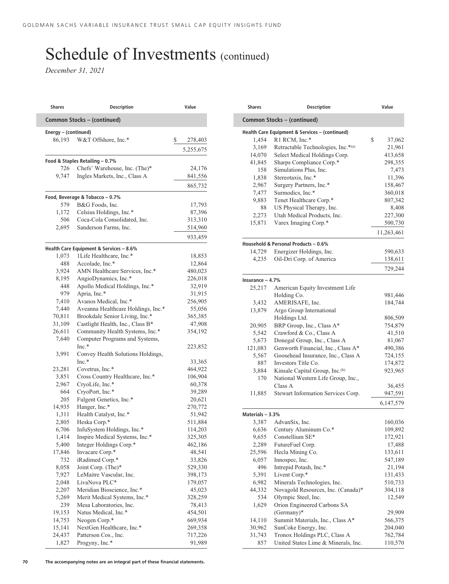# Schedule of Investments (continued)

Γ

*December 31, 2021*

| <b>Shares</b>               | <b>Description</b>                                               | Value             |  |
|-----------------------------|------------------------------------------------------------------|-------------------|--|
| Common Stocks - (continued) |                                                                  |                   |  |
| Energy - (continued)        |                                                                  |                   |  |
| 86,193                      | W&T Offshore, Inc.*                                              | \$<br>278,403     |  |
|                             |                                                                  | 5,255,675         |  |
|                             |                                                                  |                   |  |
| 726                         | Food & Staples Retailing - 0.7%<br>Chefs' Warehouse, Inc. (The)* |                   |  |
| 9,747                       | Ingles Markets, Inc., Class A                                    | 24,176<br>841,556 |  |
|                             |                                                                  |                   |  |
|                             |                                                                  | 865,732           |  |
|                             | Food, Beverage & Tobacco - 0.7%                                  |                   |  |
| 579                         | B&G Foods, Inc.                                                  | 17,793            |  |
| 1,172                       | Celsius Holdings, Inc.*                                          | 87,396            |  |
| 506                         | Coca-Cola Consolidated, Inc.                                     | 313,310           |  |
| 2,695                       | Sanderson Farms, Inc.                                            | 514,960           |  |
|                             |                                                                  | 933,459           |  |
|                             | Health Care Equipment & Services - 8.6%                          |                   |  |
| 1,073                       | 1Life Healthcare, Inc.*                                          | 18,853            |  |
| 488                         | Accolade, Inc.*                                                  | 12,864            |  |
| 3,924                       | AMN Healthcare Services, Inc.*                                   | 480,023           |  |
| 8,195                       | AngioDynamics, Inc.*                                             | 226,018           |  |
| 448                         | Apollo Medical Holdings, Inc.*                                   | 32,919            |  |
| 979                         | Apria, Inc.*                                                     | 31,915            |  |
| 7,410                       | Avanos Medical, Inc.*                                            | 256,905           |  |
| 7,440                       | Aveanna Healthcare Holdings, Inc.*                               | 55,056            |  |
| 70,811                      | Brookdale Senior Living, Inc.*                                   | 365,385           |  |
| 31,109                      | Castlight Health, Inc., Class B*                                 | 47,908            |  |
| 26,611                      | Community Health Systems, Inc.*                                  | 354,192           |  |
| 7,640                       | Computer Programs and Systems,                                   |                   |  |
|                             | $Inc.*$                                                          | 223,852           |  |
| 3,991                       | Convey Health Solutions Holdings,                                |                   |  |
|                             | $Inc.*$                                                          | 33,365            |  |
| 23,281                      | Covetrus, Inc.*                                                  | 464,922           |  |
| 3,851                       | Cross Country Healthcare, Inc.*                                  | 106,904           |  |
| 2,967                       | CryoLife, Inc.*                                                  | 60,378            |  |
| 664                         | CryoPort, Inc.*                                                  | 39,289            |  |
| 205                         | Fulgent Genetics, Inc.*                                          | 20,621            |  |
| 14,935                      | Hanger, Inc.*                                                    | 270,772           |  |
| 1,311                       | Health Catalyst, Inc.*                                           | 51,942            |  |
| 2,805                       | Heska Corp.*                                                     | 511,884           |  |
| 6,706                       | InfuSystem Holdings, Inc.*                                       | 114,203           |  |
| 1,414                       | Inspire Medical Systems, Inc.*                                   | 325,305           |  |
| 5,400                       | Integer Holdings Corp.*                                          | 462,186           |  |
| 17,846                      | Invacare Corp.*                                                  | 48,541            |  |
| 732                         | iRadimed Corp.*                                                  | 33,826            |  |
| 8,058                       | Joint Corp. (The)*                                               | 529,330           |  |
| 7,927                       | LeMaitre Vascular, Inc.                                          | 398,173           |  |
| 2,048                       | LivaNova PLC*                                                    | 179,057           |  |
| 2,207                       | Meridian Bioscience, Inc.*                                       | 45,023            |  |
| 5,269                       | Merit Medical Systems, Inc.*                                     | 328,259           |  |
| 239                         | Mesa Laboratories, Inc.                                          | 78,413            |  |
| 19,153                      | Natus Medical, Inc.*                                             | 454,501           |  |
| 14,753                      | Neogen Corp.*                                                    | 669,934           |  |
| 15,141                      | NextGen Healthcare, Inc.*                                        | 269,358           |  |
| 24,437                      | Patterson Cos., Inc.                                             | 717,226           |  |
| 1,827                       | Progyny, Inc.*                                                   | 91,989            |  |

| Shares                      | <b>Description</b>                             | Value        |  |
|-----------------------------|------------------------------------------------|--------------|--|
| Common Stocks - (continued) |                                                |              |  |
|                             | Health Care Equipment & Services - (continued) |              |  |
| 1,454                       | R1 RCM, Inc.*                                  | \$<br>37,062 |  |
| 3,169                       | Retractable Technologies, Inc.*(a)             | 21,961       |  |
| 14,070                      | Select Medical Holdings Corp.                  | 413,658      |  |
| 41,845                      | Sharps Compliance Corp.*                       | 298,355      |  |
| 158                         | Simulations Plus, Inc.                         | 7,473        |  |
| 1,838                       | Stereotaxis, Inc.*                             | 11,396       |  |
| 2,967                       | Surgery Partners, Inc.*                        | 158,467      |  |
| 7,477                       | Surmodics, Inc.*                               | 360,018      |  |
| 9,883                       | Tenet Healthcare Corp.*                        | 807,342      |  |
| 88                          | US Physical Therapy, Inc.                      | 8,408        |  |
| 2,273                       | Utah Medical Products, Inc.                    | 227,300      |  |
| 15,871                      | Varex Imaging Corp.*                           | 500,730      |  |
|                             |                                                |              |  |
|                             |                                                | 11,263,461   |  |
|                             | Household & Personal Products - 0.6%           |              |  |
| 14,729                      | Energizer Holdings, Inc.                       | 590,633      |  |
| 4,235                       | Oil-Dri Corp. of America                       | 138,611      |  |
|                             |                                                | 729,244      |  |
| Insurance - 4.7%            |                                                |              |  |
| 25,217                      | American Equity Investment Life                |              |  |
|                             | Holding Co.                                    | 981,446      |  |
| 3,432                       | AMERISAFE, Inc.                                | 184,744      |  |
| 13,879                      | Argo Group International                       |              |  |
|                             | Holdings Ltd.                                  | 806,509      |  |
| 20,905                      | BRP Group, Inc., Class A*                      | 754,879      |  |
| 5,542                       | Crawford & Co., Class A                        | 41,510       |  |
| 5,673                       | Donegal Group, Inc., Class A                   | 81,067       |  |
| 121,083                     | Genworth Financial, Inc., Class A*             | 490,386      |  |
| 5,567                       | Goosehead Insurance, Inc., Class A             | 724,155      |  |
| 887                         | Investors Title Co.                            | 174,872      |  |
| 3,884                       | Kinsale Capital Group, Inc. <sup>(b)</sup>     | 923,965      |  |
| 170                         | National Western Life Group, Inc.,             |              |  |
|                             | Class A                                        | 36,455       |  |
| 11,885                      | Stewart Information Services Corp.             | 947,591      |  |
|                             |                                                |              |  |
|                             |                                                | 6,147,579    |  |
| Materials - 3.3%            |                                                |              |  |
| 3,387                       | AdvanSix, Inc.                                 | 160,036      |  |
| 6,636                       | Century Aluminum Co.*                          | 109,892      |  |
| 9,655                       | Constellium SE*                                | 172,921      |  |
| 2,289                       | FutureFuel Corp.                               | 17,488       |  |
| 25,596                      | Hecla Mining Co.                               | 133,611      |  |
| 6,057                       | Innospec, Inc.                                 | 547,189      |  |
| 496                         | Intrepid Potash, Inc.*                         | 21,194       |  |
| 5,391                       | Livent Corp.*                                  | 131,433      |  |
| 6,982                       | Minerals Technologies, Inc.                    | 510,733      |  |
| 44,332                      | Novagold Resources, Inc. (Canada)*             | 304,118      |  |
| 534                         | Olympic Steel, Inc.                            | 12,549       |  |
| 1,629                       | Orion Engineered Carbons SA                    |              |  |
|                             | (Germany)*                                     | 29,909       |  |
| 14,110                      | Summit Materials, Inc., Class A*               | 566,375      |  |
| 30,962                      | SunCoke Energy, Inc.                           | 204,040      |  |
| 31,743                      | Tronox Holdings PLC, Class A                   | 762,784      |  |
| 857                         | United States Lime & Minerals, Inc.            | 110,570      |  |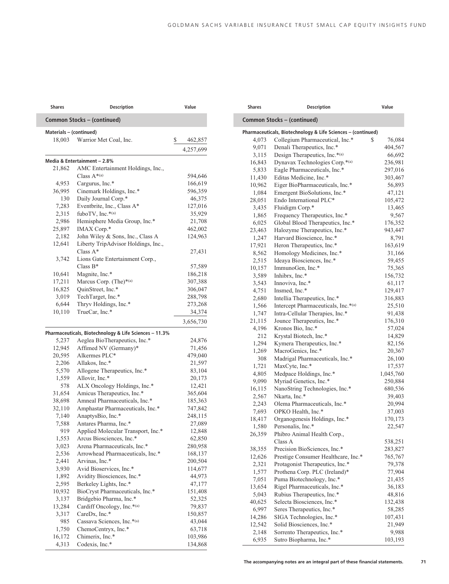| <b>Shares</b>               | <b>Description</b>                                     | Value              |  |
|-----------------------------|--------------------------------------------------------|--------------------|--|
| Common Stocks - (continued) |                                                        |                    |  |
| Materials - (continued)     |                                                        |                    |  |
| 18,003                      | Warrior Met Coal, Inc.                                 | \$<br>462,857      |  |
|                             |                                                        | 4,257,699          |  |
|                             | Media & Entertainment - 2.8%                           |                    |  |
| 21,862                      | AMC Entertainment Holdings, Inc.,                      |                    |  |
|                             | Class $A^{*(a)}$                                       | 594,646            |  |
| 4,953                       | Cargurus, Inc.*                                        | 166,619            |  |
| 36,995                      | Cinemark Holdings, Inc.*                               | 596,359            |  |
| 130                         | Daily Journal Corp.*                                   | 46,375             |  |
| 7,283                       | Eventbrite, Inc., Class A*                             | 127,016            |  |
| 2,315                       | fuboTV, Inc.*(a)                                       | 35,929             |  |
| 2,986                       | Hemisphere Media Group, Inc.*                          | 21,708             |  |
| 25,897                      | IMAX Corp.*                                            | 462,002            |  |
| 2,182                       | John Wiley & Sons, Inc., Class A                       | 124,963            |  |
| 12,641                      | Liberty TripAdvisor Holdings, Inc.,                    |                    |  |
|                             | Class $A^*$                                            | 27,431             |  |
| 3,742                       | Lions Gate Entertainment Corp.,                        |                    |  |
|                             | Class $B^*$                                            | 57,589             |  |
| 10,641                      | Magnite, Inc.*                                         | 186,218            |  |
| 17,211                      | Marcus Corp. (The)*(a)<br>QuinStreet, Inc.*            | 307,388            |  |
| 16,825<br>3,019             | TechTarget, Inc.*                                      | 306,047<br>288,798 |  |
| 6,644                       | Thryv Holdings, Inc.*                                  | 273,268            |  |
| 10,110                      | TrueCar, Inc.*                                         | 34,374             |  |
|                             |                                                        |                    |  |
|                             |                                                        | 3,656,730          |  |
|                             | Pharmaceuticals, Biotechnology & Life Sciences - 11.3% |                    |  |
| 5,237                       | Aeglea BioTherapeutics, Inc.*                          | 24,876             |  |
| 12,945                      | Affimed NV (Germany)*                                  | 71,456             |  |
| 20,595                      | Alkermes PLC*                                          | 479,040            |  |
| 2,206                       | Allakos, Inc.*                                         | 21,597             |  |
| 5,570                       | Allogene Therapeutics, Inc.*                           | 83,104             |  |
| 1,559                       | Allovir, Inc.*                                         | 20,173             |  |
| 578                         | ALX Oncology Holdings, Inc.*                           | 12,421             |  |
| 31,654                      | Amicus Therapeutics, Inc.*                             | 365,604            |  |
| 38,698                      | Amneal Pharmaceuticals, Inc.*                          | 185,363            |  |
| 32,110                      | Amphastar Pharmaceuticals, Inc.*<br>AnaptysBio, Inc.*  | 747,842<br>248,115 |  |
| 7,140<br>7,588              | Antares Pharma, Inc.*                                  | 27,089             |  |
| 919                         | Applied Molecular Transport, Inc.*                     | 12,848             |  |
| 1,553                       | Arcus Biosciences, Inc.*                               | 62,850             |  |
| 3,023                       | Arena Pharmaceuticals, Inc.*                           | 280,958            |  |
| 2,536                       | Arrowhead Pharmaceuticals, Inc.*                       | 168,137            |  |
| 2,441                       | Arvinas, Inc.*                                         | 200,504            |  |
| 3,930                       | Avid Bioservices, Inc.*                                | 114,677            |  |
| 1,892                       | Avidity Biosciences, Inc.*                             | 44,973             |  |
| 2,595                       | Berkeley Lights, Inc.*                                 | 47,177             |  |
| 10,932                      | BioCryst Pharmaceuticals, Inc.*                        | 151,408            |  |
| 3,137                       | Bridgebio Pharma, Inc.*                                | 52,325             |  |
| 13,284                      | Cardiff Oncology, Inc.*(a)                             | 79,837             |  |
| 3,317                       | CareDx, Inc.*                                          | 150,857            |  |
| 985                         | Cassava Sciences, Inc.*(a)                             | 43,044             |  |
| 1,750                       | ChemoCentryx, Inc.*                                    | 63,718             |  |
| 16,172                      | Chimerix, Inc.*                                        | 103,986            |  |
| 4,313                       | Codexis, Inc.*                                         | 134,868            |  |

I

| Shares       | <b>Description</b>                                           | Value            |
|--------------|--------------------------------------------------------------|------------------|
|              | Common Stocks - (continued)                                  |                  |
|              | Pharmaceuticals, Biotechnology & Life Sciences - (continued) |                  |
| 4,073        | Collegium Pharmaceutical, Inc.*                              | \$<br>76,084     |
| 9,071        | Denali Therapeutics, Inc.*                                   | 404,567          |
| 3,115        | Design Therapeutics, Inc.*(a)                                | 66,692           |
| 16,843       | Dynavax Technologies Corp.*(a)                               | 236,981          |
| 5,833        | Eagle Pharmaceuticals, Inc.*                                 | 297,016          |
| 11,430       | Editas Medicine, Inc.*                                       | 303,467          |
| 10,962       | Eiger BioPharmaceuticals, Inc.*                              | 56,893           |
| 1,084        | Emergent BioSolutions, Inc.*                                 | 47,121           |
| 28,051       | Endo International PLC*                                      | 105,472          |
| 3,435        | Fluidigm Corp.*                                              | 13,465           |
| 1,865        | Frequency Therapeutics, Inc.*                                | 9,567            |
| 6,025        | Global Blood Therapeutics, Inc.*                             | 176,352          |
| 23,463       | Halozyme Therapeutics, Inc.*                                 | 943,447          |
| 1,247        | Harvard Bioscience, Inc.*                                    | 8,791            |
| 17,921       | Heron Therapeutics, Inc.*                                    | 163,619          |
| 8,562        | Homology Medicines, Inc.*                                    | 31,166           |
| 2,515        | Ideaya Biosciences, Inc.*                                    | 59,455           |
| 10,157       | ImmunoGen, Inc.*                                             | 75,365           |
| 3,589        | Inhibrx, Inc.*                                               | 156,732          |
| 3,543        | Innoviva, Inc.*                                              | 61,117           |
| 4,751        | Insmed, Inc.*                                                | 129,417          |
| 2,680        | Intellia Therapeutics, Inc.*                                 | 316,883          |
| 1,566        | Intercept Pharmaceuticals, Inc.*(a)                          | 25,510           |
| 1,747        | Intra-Cellular Therapies, Inc.*                              | 91,438           |
| 21,115       | Jounce Therapeutics, Inc.*<br>Kronos Bio, Inc.*              | 176,310          |
| 4,196        | Krystal Biotech, Inc.*                                       | 57,024           |
| 212<br>1,294 | Kymera Therapeutics, Inc.*                                   | 14,829           |
| 1,269        | MacroGenics, Inc.*                                           | 82,156<br>20,367 |
| 308          | Madrigal Pharmaceuticals, Inc.*                              | 26,100           |
| 1,721        | MaxCyte, Inc.*                                               | 17,537           |
| 4,805        | Medpace Holdings, Inc.*                                      | 1,045,760        |
| 9,090        | Myriad Genetics, Inc.*                                       | 250,884          |
| 16,115       | NanoString Technologies, Inc.*                               | 680,536          |
| 2,567        | Nkarta, Inc.*                                                | 39,403           |
| 2,243        | Olema Pharmaceuticals, Inc.*                                 | 20,994           |
| 7,693        | OPKO Health, Inc.*                                           | 37,003           |
| 18,417       | Organogenesis Holdings, Inc.*                                | 170,173          |
| 1,580        | Personalis, Inc.*                                            | 22,547           |
| 26,359       | Phibro Animal Health Corp.,                                  |                  |
|              | Class A                                                      | 538,251          |
| 38,355       | Precision BioSciences, Inc.*                                 | 283,827          |
| 12,626       | Prestige Consumer Healthcare, Inc.*                          | 765,767          |
| 2,321        | Protagonist Therapeutics, Inc.*                              | 79,378           |
| 1,577        | Prothena Corp. PLC (Ireland)*                                | 77,904           |
| 7,051        | Puma Biotechnology, Inc.*                                    | 21,435           |
| 13,654       | Rigel Pharmaceuticals, Inc.*                                 | 36,183           |
| 5,043        | Rubius Therapeutics, Inc.*                                   | 48,816           |
| 40,625       | Selecta Biosciences, Inc.*                                   | 132,438          |
| 6,997        | Seres Therapeutics, Inc.*                                    | 58,285           |
| 14,286       | SIGA Technologies, Inc.*                                     | 107,431          |
| 12,542       | Solid Biosciences, Inc.*                                     | 21,949           |
| 2,148        | Sorrento Therapeutics, Inc.*                                 | 9,988            |
| 6,935        | Sutro Biopharma, Inc.*                                       | 103,193          |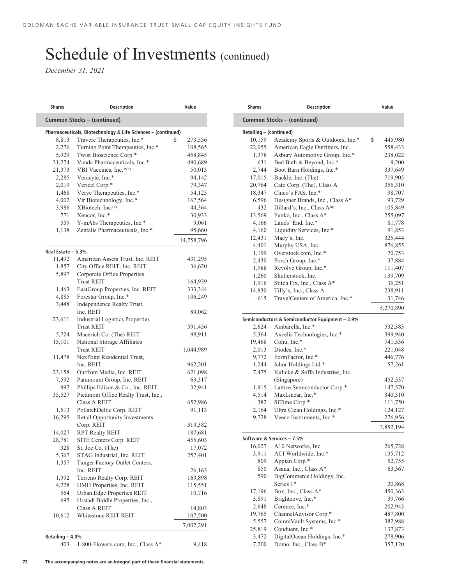## Schedule of Investments (continued)

*December 31, 2021*

| <b>Shares</b>      | <b>Description</b>                                           | Value         |
|--------------------|--------------------------------------------------------------|---------------|
|                    | <b>Common Stocks - (continued)</b>                           |               |
|                    | Pharmaceuticals, Biotechnology & Life Sciences - (continued) |               |
| 8,813              | Travere Therapeutics, Inc.*                                  | \$<br>273,556 |
| 2,276              | Turning Point Therapeutics, Inc.*                            | 108,565       |
| 5,929              | Twist Bioscience Corp.*                                      | 458,845       |
| 31,274             | Vanda Pharmaceuticals, Inc.*                                 | 490,689       |
| 21,373             | VBI Vaccines, Inc.*(a)                                       | 50,013        |
| 2,285              | Veracyte, Inc.*                                              | 94,142        |
| 2,019              | Vericel Corp.*                                               | 79,347        |
| 1,468              | Verve Therapeutics, Inc.*                                    | 54,125        |
| 4,002              | Vir Biotechnology, Inc.*                                     | 167,564       |
| 3,986              | XBiotech, Inc.(a)                                            | 44,364        |
| 771                | Xencor, Inc.*                                                | 30,933        |
| 559                | Y-mAbs Therapeutics, Inc.*                                   | 9,061         |
| 1,138              | Zentalis Pharmaceuticals, Inc.*                              | 95,660        |
|                    |                                                              | 14,758,796    |
| Real Estate - 5.3% |                                                              |               |
| 11,492             | American Assets Trust, Inc. REIT                             | 431,295       |
| 1,857              | City Office REIT, Inc. REIT                                  | 36,620        |
| 5,897              | Corporate Office Properties                                  |               |
|                    | <b>Trust REIT</b>                                            | 164,939       |
| 1,463              | EastGroup Properties, Inc. REIT                              | 333,344       |
| 4,885              | Forestar Group, Inc.*                                        | 106,249       |
| 3,448              | Independence Realty Trust,                                   |               |
|                    | Inc. REIT                                                    | 89,062        |
| 23,611             | <b>Industrial Logistics Properties</b>                       |               |
|                    | <b>Trust REIT</b>                                            | 591,456       |
| 5,724              | Macerich Co. (The) REIT                                      | 98,911        |
| 15,101             | National Storage Affiliates                                  |               |
|                    | <b>Trust REIT</b>                                            | 1,044,989     |
| 11,478             | NexPoint Residential Trust,                                  |               |
|                    | Inc. REIT                                                    | 962,201       |
| 23,158             | Outfront Media, Inc. REIT                                    | 621,098       |
| 7,592              | Paramount Group, Inc. REIT                                   | 63,317        |
| 997                | Phillips Edison & Co., Inc. REIT                             | 32,941        |
| 35,527             | Piedmont Office Realty Trust, Inc.,                          |               |
|                    | <b>Class A REIT</b>                                          | 652,986       |
| 1,513              | PotlatchDeltic Corp. REIT                                    | 91,113        |
| 16,295             | Retail Opportunity Investments                               |               |
|                    | Corp. REIT                                                   | 319,382       |
| 14,027             | <b>RPT Realty REIT</b>                                       | 187,681       |
| 28,781             | SITE Centers Corp. REIT                                      | 455,603       |
| 328                | St. Joe Co. (The)                                            | 17,072        |
| 5,367              | STAG Industrial, Inc. REIT                                   | 257,401       |
| 1,357              | Tanger Factory Outlet Centers,                               |               |
|                    | Inc. REIT                                                    | 26,163        |
| 1,992              | Terreno Realty Corp. REIT                                    | 169,898       |
| 4,228              | UMH Properties, Inc. REIT                                    | 115,551       |
| 564                | Urban Edge Properties REIT                                   | 10,716        |
| 695                | Urstadt Biddle Properties, Inc.,                             |               |
|                    | <b>Class A REIT</b>                                          | 14,803        |
| 10,612             | Whitestone REIT REIT                                         | 107,500       |
|                    |                                                              | 7,002,291     |
| Retailing $-4.0%$  |                                                              |               |
| 403                | 1-800-Flowers.com, Inc., Class A*                            | 9,418         |

| <b>Shares</b>               | <b>Description</b>                                                  | Value              |  |
|-----------------------------|---------------------------------------------------------------------|--------------------|--|
| Common Stocks - (continued) |                                                                     |                    |  |
| Retailing - (continued)     |                                                                     |                    |  |
| 10,159                      | Academy Sports & Outdoors, Inc.*                                    | \$<br>445,980      |  |
| 22,055                      | American Eagle Outfitters, Inc.                                     | 558,433            |  |
| 1,378                       | Asbury Automotive Group, Inc.*                                      | 238,022            |  |
| 631                         | Bed Bath & Beyond, Inc.*                                            | 9,200              |  |
| 2,744                       | Boot Barn Holdings, Inc.*                                           | 337,649            |  |
| 17,015                      | Buckle, Inc. (The)                                                  | 719,905            |  |
| 20,764                      | Cato Corp. (The), Class A                                           | 356,310            |  |
| 18,347                      | Chico's FAS, Inc.*                                                  | 98,707             |  |
| 6,596                       | Designer Brands, Inc., Class A*                                     | 93,729             |  |
| 432                         | Dillard's, Inc., Class A(a)                                         | 105,849            |  |
| 13,569                      | Funko, Inc., Class A*                                               | 255,097            |  |
| 4,166                       | Lands' End, Inc.*                                                   | 81,778             |  |
| 4,160                       | Liquidity Services, Inc.*                                           | 91,853             |  |
| 12,431                      | Macy's, Inc.                                                        | 325,444            |  |
| 4,401                       | Murphy USA, Inc.                                                    | 876,855            |  |
| 1,199                       | Overstock.com, Inc.*                                                | 70,753             |  |
| 2,430                       | Porch Group, Inc.*<br>Revolve Group, Inc.*                          | 37,884             |  |
| 1,988<br>1,260              | Shutterstock, Inc.                                                  | 111,407<br>139,709 |  |
| 1,916                       | Stitch Fix, Inc., Class A*                                          | 36,251             |  |
| 14,830                      | Tilly's, Inc., Class A                                              | 238,911            |  |
| 615                         | TravelCenters of America, Inc.*                                     | 31,746             |  |
|                             |                                                                     | 5,270,890          |  |
|                             |                                                                     |                    |  |
| 2,624                       | Semiconductors & Semiconductor Equipment - 2.9%<br>Ambarella, Inc.* | 532,383            |  |
| 5,364                       | Axcelis Technologies, Inc.*                                         | 399,940            |  |
| 19,468                      | Cohu, Inc.*                                                         | 741,536            |  |
| 2,013                       | Diodes, Inc.*                                                       | 221,048            |  |
| 9,772                       | FormFactor, Inc.*                                                   | 446,776            |  |
| 1,244                       | Ichor Holdings Ltd.*                                                | 57,261             |  |
| 7,475                       | Kulicke & Soffa Industries, Inc.                                    |                    |  |
|                             | (Singapore)                                                         | 452,537            |  |
| 1,915                       | Lattice Semiconductor Corp.*                                        | 147,570            |  |
| 4,514                       | MaxLinear, Inc.*                                                    | 340,310            |  |
| 382                         | SiTime Corp.*                                                       | 111,750            |  |
| 2,164                       | Ultra Clean Holdings, Inc.*                                         | 124,127            |  |
| 9,728                       | Veeco Instruments, Inc.*                                            | 276,956            |  |
|                             |                                                                     | 3,852,194          |  |
|                             | Software & Services - 7.5%                                          |                    |  |
| 16,027                      | A10 Networks, Inc.                                                  | 265,728            |  |
| 3,911                       | ACI Worldwide, Inc.*                                                | 135,712            |  |
| 809                         | Appian Corp.*                                                       | 52,755             |  |
| 850                         | Asana, Inc., Class A*                                               | 63,367             |  |
| 590                         | BigCommerce Holdings, Inc.                                          |                    |  |
|                             | Series 1*                                                           | 20,868             |  |
| 17,196                      | Box, Inc., Class A*                                                 | 450,363            |  |
| 3,891                       | Brightcove, Inc.*                                                   | 39,766             |  |
| 2,648                       | Cerence, Inc.*                                                      | 202,943            |  |
| 19,765                      | ChannelAdvisor Corp.*                                               | 487,800            |  |
| 5,557                       | CommVault Systems, Inc.*                                            | 382,988            |  |
| 25,819                      | Conduent, Inc.*                                                     | 137,873            |  |
| 3,472                       | DigitalOcean Holdings, Inc.*                                        | 278,906            |  |
| 7,200                       | Domo, Inc., Class B*                                                | 357,120            |  |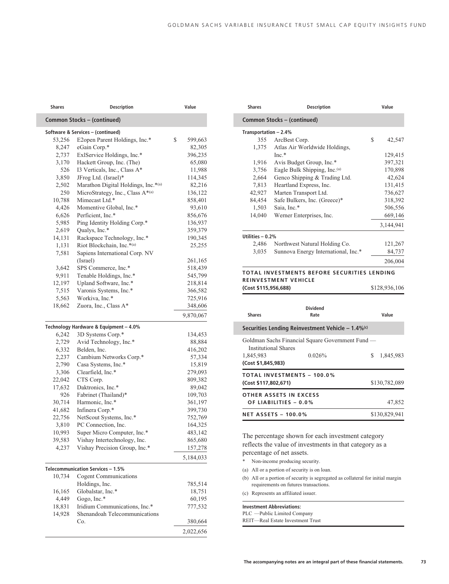| <b>Shares</b> | <b>Description</b>                     | Value         |
|---------------|----------------------------------------|---------------|
|               | Common Stocks - (continued)            |               |
|               | Software & Services - (continued)      |               |
| 53,256        | E2open Parent Holdings, Inc.*          | \$<br>599,663 |
| 8,247         | eGain Corp.*                           | 82,305        |
| 2,737         | ExlService Holdings, Inc.*             | 396,235       |
| 3,170         | Hackett Group, Inc. (The)              | 65,080        |
| 526           | 13 Verticals, Inc., Class A*           | 11,988        |
| 3,850         | JFrog Ltd. (Israel)*                   | 114,345       |
| 2,502         | Marathon Digital Holdings, Inc.*(a)    | 82,216        |
| 250           | MicroStrategy, Inc., Class A*(a)       | 136,122       |
| 10,788        | Mimecast Ltd.*                         | 858,401       |
| 4,426         | Momentive Global, Inc.*                | 93,610        |
| 6,626         | Perficient, Inc.*                      | 856,676       |
| 5,985         | Ping Identity Holding Corp.*           | 136,937       |
| 2,619         | Qualys, Inc.*                          | 359,379       |
| 14,131        | Rackspace Technology, Inc.*            | 190,345       |
| 1,131         | Riot Blockchain, Inc.*(a)              | 25,255        |
| 7,581         | Sapiens International Corp. NV         |               |
|               | (Israel)                               | 261,165       |
| 3,642         | SPS Commerce, Inc.*                    | 518,439       |
| 9,911         | Tenable Holdings, Inc.*                | 545,799       |
| 12,197        | Upland Software, Inc.*                 | 218,814       |
| 7,515         | Varonis Systems, Inc.*                 | 366,582       |
| 5,563         | Workiva, Inc.*                         | 725,916       |
| 18,662        | Zuora, Inc., Class A*                  | 348,606       |
|               |                                        | 9,870,067     |
|               | Technology Hardware & Equipment - 4.0% |               |
| 6,242         | 3D Systems Corp.*                      | 134,453       |
| 2,729         | Avid Technology, Inc.*                 | 88,884        |
| 6,332         | Belden, Inc.                           | 416,202       |
| 2,237         | Cambium Networks Corp.*                | 57,334        |
| 2,790         | Casa Systems, Inc.*                    | 15,819        |
| 3,306         | Clearfield, Inc.*                      | 279,093       |
| 22,042        | CTS Corp.                              | 809,382       |
| 17,632        | Daktronics, Inc.*                      | 89,042        |
| 926           | Fabrinet (Thailand)*                   | 109,703       |
| 30,714        | Harmonic, Inc.*                        | 361,197       |
| 41,682        | Infinera Corp.*                        | 399,730       |
| 22,756        | NetScout Systems, Inc.*                | 752,769       |
| 3,810         | PC Connection, Inc.                    | 164,325       |
| 10,993        | Super Micro Computer, Inc.*            | 483,142       |
| 39,583        | Vishay Intertechnology, Inc.           | 865,680       |
| 4,237         | Vishay Precision Group, Inc.*          | 157,278       |
|               |                                        | 5,184,033     |
|               | Telecommunication Services - 1.5%      |               |
| 10,734        | <b>Cogent Communications</b>           |               |
|               | Holdings, Inc.                         | 785,514       |
| 16,165        | Globalstar, Inc.*                      | 18,751        |
| 4,449         | Gogo, Inc.*                            | 60,195        |
| 18,831        | Iridium Communications, Inc.*          | 777,532       |
| 14,928        | Shenandoah Telecommunications          |               |
|               | Co.                                    | 380,664       |
|               |                                        | 2,022,656     |

| <b>Shares</b>         | <b>Description</b>                          | Value         |
|-----------------------|---------------------------------------------|---------------|
|                       | Common Stocks – (continued)                 |               |
| Transportation - 2.4% |                                             |               |
| 355                   | ArcBest Corp.                               | \$<br>42,547  |
| 1,375                 | Atlas Air Worldwide Holdings,               |               |
|                       | $Inc$ *                                     | 129,415       |
| 1,916                 | Avis Budget Group, Inc.*                    | 397,321       |
| 3,756                 | Eagle Bulk Shipping, Inc. (a)               | 170,898       |
| 2,664                 | Genco Shipping & Trading Ltd.               | 42,624        |
| 7,813                 | Heartland Express, Inc.                     | 131,415       |
| 42,927                | Marten Transport Ltd.                       | 736,627       |
| 84,454                | Safe Bulkers, Inc. (Greece)*                | 318,392       |
| 1,503                 | Saia, Inc.*                                 | 506,556       |
| 14,040                | Werner Enterprises, Inc.                    | 669,146       |
|                       |                                             | 3,144,941     |
| Utilities $-0.2%$     |                                             |               |
|                       | 2,486 Northwest Natural Holding Co.         | 121,267       |
| 3,035                 | Sunnova Energy International, Inc.*         | 84,737        |
|                       |                                             | 206,004       |
|                       | TOTAL INVESTMENTS BEFORE SECURITIES LENDING |               |
| (Cost \$115,956,688)  | <b>REINVESTMENT VEHICLE</b>                 | \$128,936,106 |

| <b>Shares</b>                                             | <b>Dividend</b><br>Rate                                       | Value           |
|-----------------------------------------------------------|---------------------------------------------------------------|-----------------|
|                                                           | Securities Lending Reinvestment Vehicle – 1.4% <sup>(c)</sup> |                 |
| Institutional Shares<br>1,845,983<br>(Cost \$1,845,983)   | Goldman Sachs Financial Square Government Fund —<br>0.026%    | \$<br>1,845,983 |
| <b>TOTAL INVESTMENTS - 100.0%</b><br>(Cost \$117,802,671) |                                                               | \$130,782,089   |
| <b>OTHER ASSETS IN EXCESS</b><br>OF LIABILITIES - 0.0%    |                                                               | 47,852          |
| <b>NET ASSETS - 100.0%</b>                                |                                                               | \$130,829,941   |

The percentage shown for each investment category reflects the value of investments in that category as a percentage of net assets.

- \* Non-income producing security.
- (a) All or a portion of security is on loan.
- (b) All or a portion of security is segregated as collateral for initial margin requirements on futures transactions.
- (c) Represents an affiliated issuer.

**Investment Abbreviations:**

| PLC -Public Limited Company       |  |
|-----------------------------------|--|
| REIT—Real Estate Investment Trust |  |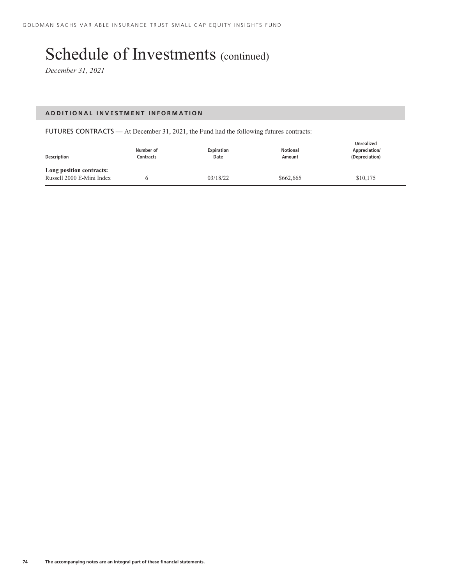## Schedule of Investments (continued)

*December 31, 2021*

#### **ADDITIONAL INVESTMENT INFORMATION**

FUTURES CONTRACTS — At December 31, 2021, the Fund had the following futures contracts:

| Description                                           | Number of<br>Contracts | <b>Expiration</b><br>Date | Notional<br>Amount | Unrealized<br>Appreciation/<br>(Depreciation) |
|-------------------------------------------------------|------------------------|---------------------------|--------------------|-----------------------------------------------|
| Long position contracts:<br>Russell 2000 E-Mini Index |                        | 03/18/22                  | \$662,665          | \$10,175                                      |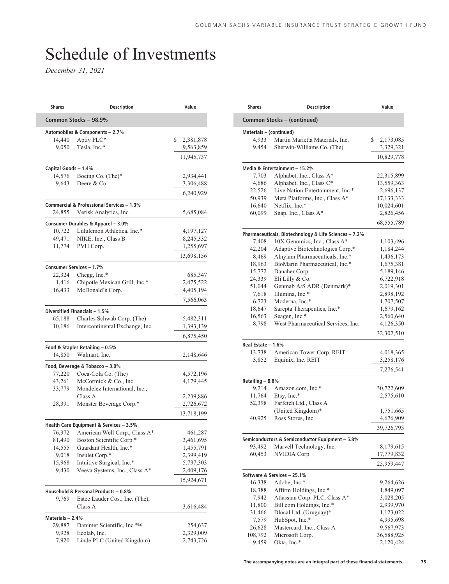## Schedule of Investments

*December 31, 2021*

| <b>Shares</b>        | <b>Description</b>                                                  | Value                |
|----------------------|---------------------------------------------------------------------|----------------------|
|                      | Common Stocks - 98.9%                                               |                      |
|                      | Automobiles & Components - 2.7%                                     |                      |
| 14,440               | Aptiv PLC*                                                          | \$<br>2,381,878      |
| 9.050                | Tesla, Inc.*                                                        | 9,563,859            |
|                      |                                                                     | 11,945,737           |
| Capital Goods - 1.4% |                                                                     |                      |
| 14,576               | Boeing Co. (The)*                                                   | 2,934,441            |
| 9,643                | Deere & Co.                                                         | 3,306,488            |
|                      |                                                                     | 6,240,929            |
| 24,855               | Commercial & Professional Services - 1.3%<br>Verisk Analytics, Inc. | 5,685,084            |
|                      |                                                                     |                      |
| 10,722               | Consumer Durables & Apparel - 3.0%<br>Lululemon Athletica, Inc.*    | 4, 197, 127          |
| 49,471               | NIKE, Inc., Class B                                                 | 8,245,332            |
| 11,774               | PVH Corp.                                                           | 1,255,697            |
|                      |                                                                     | 13,698,156           |
|                      | Consumer Services - 1.7%                                            |                      |
| 22,324               | Chegg, Inc.*                                                        | 685,347              |
| 1,416                | Chipotle Mexican Grill, Inc.*                                       | 2,475,522            |
| 16,433               | McDonald's Corp.                                                    | 4,405,194            |
|                      |                                                                     | 7,566,063            |
|                      | Diversified Financials - 1.5%                                       |                      |
| 65,188               | Charles Schwab Corp. (The)                                          | 5,482,311            |
| 10,186               | Intercontinental Exchange, Inc.                                     | 1,393,139            |
|                      |                                                                     | 6,875,450            |
|                      | Food & Staples Retailing - 0.5%                                     |                      |
| 14,850               | Walmart, Inc.                                                       | 2,148,646            |
|                      | Food, Beverage & Tobacco - 3.0%                                     |                      |
| 77,220               | Coca-Cola Co. (The)                                                 | 4,572,196            |
| 43,261               | McCormick & Co., Inc.                                               | 4,179,445            |
| 33,779               | Mondelez International, Inc.,                                       |                      |
|                      | Class A                                                             | 2,239,886            |
| 28,391               | Monster Beverage Corp.*                                             | 2,726,672            |
|                      |                                                                     | 13,718,199           |
|                      | Health Care Equipment & Services - 3.5%                             |                      |
|                      | 76,372 American Well Corp., Class A*                                | 461,287              |
|                      | 81,490 Boston Scientific Corp.*                                     | 3,461,695            |
| 14,555               | Guardant Health, Inc.*                                              | 1,455,791            |
| 9,018                | Insulet Corp.*                                                      | 2,399,419            |
| 15,968               | Intuitive Surgical, Inc.*                                           | 5,737,303            |
| 9,430                | Veeva Systems, Inc., Class A*                                       | 2,409,176            |
|                      |                                                                     | 15,924,671           |
|                      | Household & Personal Products - 0.8%                                |                      |
| 9,769                | Estee Lauder Cos., Inc. (The),<br>Class A                           | 3,616,484            |
|                      |                                                                     |                      |
|                      |                                                                     |                      |
| Materials - 2.4%     |                                                                     |                      |
| 29,887<br>9,928      | Danimer Scientific, Inc.*(a)<br>Ecolab, Inc.                        | 254,637<br>2,329,009 |

| <b>Shares</b>                | <b>Description</b>                                    | Value           |
|------------------------------|-------------------------------------------------------|-----------------|
|                              | Common Stocks - (continued)                           |                 |
| Materials - (continued)      |                                                       |                 |
| 4,933                        | Martin Marietta Materials, Inc.                       | \$<br>2,173,085 |
| 9,454                        | Sherwin-Williams Co. (The)                            | 3,329,321       |
|                              |                                                       | 10,829,778      |
|                              | Media & Entertainment - 15.2%                         |                 |
| 7,703                        | Alphabet, Inc., Class A*                              | 22,315,899      |
| 4,686                        | Alphabet, Inc., Class C*                              | 13,559,363      |
| 22,526                       | Live Nation Entertainment, Inc.*                      | 2,696,137       |
| 50,939                       | Meta Platforms, Inc., Class A*                        | 17, 133, 333    |
| 16,640                       | Netflix, Inc.*                                        | 10,024,601      |
| 60,099                       | Snap, Inc., Class A*                                  | 2,826,456       |
|                              |                                                       | 68,555,789      |
|                              | Pharmaceuticals, Biotechnology & Life Sciences - 7.2% |                 |
| 7,408                        | 10X Genomics, Inc., Class A*                          | 1,103,496       |
| 42,204                       | Adaptive Biotechnologies Corp.*                       | 1,184,244       |
| 8,469                        | Alnylam Pharmaceuticals, Inc.*                        | 1,436,173       |
| 18,963                       | BioMarin Pharmaceutical, Inc.*                        | 1,675,381       |
| 15,772                       | Danaher Corp.                                         | 5,189,146       |
| 24,339                       | Eli Lilly & Co.                                       | 6,722,918       |
| 51,044                       | Genmab A/S ADR (Denmark)*                             | 2,019,301       |
| 7,618                        | Illumina, Inc.*                                       | 2,898,192       |
| 6,723                        | Moderna, Inc.*                                        | 1,707,507       |
| 18,647                       | Sarepta Therapeutics, Inc.*                           | 1,679,162       |
| 16,563                       | Seagen, Inc.*                                         | 2,560,640       |
| 8,798                        | West Pharmaceutical Services, Inc.                    | 4,126,350       |
|                              |                                                       | 32,302,510      |
|                              |                                                       |                 |
| Real Estate - 1.6%<br>13,738 | American Tower Corp. REIT                             | 4,018,365       |
| 3,852                        | Equinix, Inc. REIT                                    | 3,258,176       |
|                              |                                                       | 7,276,541       |
|                              |                                                       |                 |
| Retailing - 8.8%             |                                                       |                 |
| 9,214                        | Amazon.com, Inc.*                                     | 30,722,609      |
| 11,764                       | Etsy, Inc.*                                           | 2,575,610       |
| 52,398                       | Farfetch Ltd., Class A                                |                 |
|                              | (United Kingdom)*                                     | 1,751,665       |
| 40,925                       | Ross Stores, Inc.                                     | 4,676,909       |
|                              |                                                       | 39,726,793      |
|                              | Semiconductors & Semiconductor Equipment - 5.8%       |                 |
| 93,492                       | Marvell Technology, Inc.                              | 8,179,615       |
| 60,453                       | NVIDIA Corp.                                          | 17,779,832      |
|                              |                                                       | 25,959,447      |
|                              | Software & Services - 25.1%                           |                 |
| 16,338                       | Adobe, Inc.*                                          | 9,264,626       |
| 18,388                       | Affirm Holdings, Inc.*                                | 1,849,097       |
| 7,942                        | Atlassian Corp. PLC, Class A*                         | 3,028,205       |
| 11,800                       | Bill.com Holdings, Inc.*                              | 2,939,970       |
| 31,466                       | Dlocal Ltd. (Uruguay)*                                | 1,123,022       |
| 7,579                        | HubSpot, Inc.*                                        | 4,995,698       |
| 26,628                       | Mastercard, Inc., Class A                             | 9,567,973       |
| 108,792                      | Microsoft Corp.                                       | 36,588,925      |
| 9,459                        | Okta, Inc.*                                           | 2,120,424       |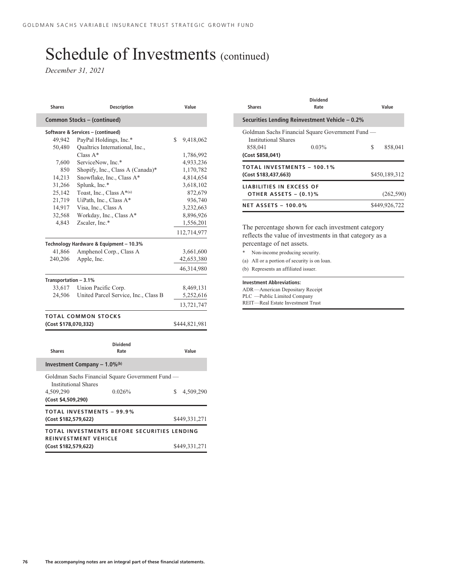## Schedule of Investments (continued)

*December 31, 2021*

ı

| <b>Shares</b>         | <b>Description</b>                      | Value           |
|-----------------------|-----------------------------------------|-----------------|
|                       | Common Stocks - (continued)             |                 |
|                       | Software & Services - (continued)       |                 |
| 49,942                | PayPal Holdings, Inc.*                  | \$<br>9,418,062 |
| 50,480                | Qualtrics International, Inc.,          |                 |
|                       | Class $A^*$                             | 1,786,992       |
| 7,600                 | ServiceNow, Inc.*                       | 4,933,236       |
| 850                   | Shopify, Inc., Class A (Canada)*        | 1,170,782       |
| 14,213                | Snowflake, Inc., Class A*               | 4,814,654       |
| 31,266                | Splunk, Inc.*                           | 3,618,102       |
| 25,142                | Toast, Inc., Class A*(a)                | 872,679         |
| 21,719                | UiPath, Inc., Class A*                  | 936,740         |
| 14,917                | Visa, Inc., Class A                     | 3,232,663       |
| 32,568                | Workday, Inc., Class A*                 | 8,896,926       |
| 4,843                 | Zscaler, Inc.*                          | 1,556,201       |
|                       |                                         | 112,714,977     |
|                       | Technology Hardware & Equipment - 10.3% |                 |
| 41,866                | Amphenol Corp., Class A                 | 3,661,600       |
| 240,206               | Apple, Inc.                             | 42,653,380      |
|                       |                                         | 46,314,980      |
| Transportation - 3.1% |                                         |                 |
|                       | 33,617 Union Pacific Corp.              | 8,469,131       |
| 24,506                | United Parcel Service, Inc., Class B    | 5,252,616       |
|                       |                                         | 13,721,747      |
|                       | <b>TOTAL COMMON STOCKS</b>              |                 |
| (Cost \$178,070,332)  |                                         | \$444,821,981   |
|                       |                                         |                 |
| <b>Shares</b>         | <b>Dividend</b><br>Rate                 | Value           |
|                       |                                         |                 |

| Investment Company $-1.0\%$ <sup>(b)</sup> |                                                    |                |
|--------------------------------------------|----------------------------------------------------|----------------|
| <b>Institutional Shares</b>                | Goldman Sachs Financial Square Government Fund —   |                |
| 4,509,290                                  | 0.026%                                             | S<br>4,509,290 |
| (Cost \$4,509,290)                         |                                                    |                |
| <b>TOTAL INVESTMENTS - 99.9%</b>           |                                                    |                |
| (Cost \$182,579,622)                       |                                                    | \$449,331,271  |
|                                            | <b>TOTAL INVESTMENTS BEFORE SECURITIES LENDING</b> |                |
| <b>REINVESTMENT VEHICLE</b>                |                                                    |                |
|                                            |                                                    |                |

| <b>Shares</b>                                                                                                  | <b>Dividend</b><br>Rate | Value         |  |
|----------------------------------------------------------------------------------------------------------------|-------------------------|---------------|--|
| Securities Lending Reinvestment Vehicle - 0.2%                                                                 |                         |               |  |
| Goldman Sachs Financial Square Government Fund —<br><b>Institutional Shares</b><br>858,041<br>(Cost \$858,041) | $0.03\%$                | S<br>858,041  |  |
| <b>TOTAL INVESTMENTS - 100.1%</b><br>(Cost \$183,437,663)                                                      |                         | \$450,189,312 |  |
| <b>LIABILITIES IN EXCESS OF</b><br>OTHER ASSETS - (0.1)%                                                       |                         | (262, 590)    |  |
| <b>NET ASSETS - 100.0%</b>                                                                                     |                         | \$449,926,722 |  |

The percentage shown for each investment category reflects the value of investments in that category as a percentage of net assets.

- \* Non-income producing security.
- (a) All or a portion of security is on loan.
- (b) Represents an affiliated issuer.

#### **Investment Abbreviations:**

- ADR—American Depositary Receipt
- PLC —Public Limited Company
- REIT—Real Estate Investment Trust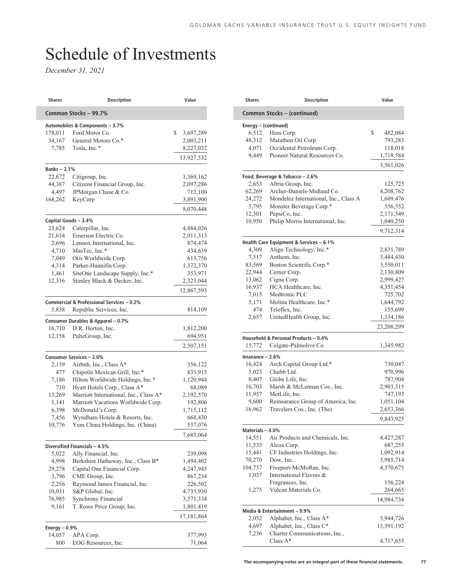## Schedule of Investments

*December 31, 2021*

| <b>Shares</b>             | <b>Description</b>                        | Value           |
|---------------------------|-------------------------------------------|-----------------|
|                           | Common Stocks - 99.7%                     |                 |
|                           | Automobiles & Components - 3.7%           |                 |
| 178,011                   | Ford Motor Co.                            | \$<br>3,697,289 |
| 34,167                    | General Motors Co.*                       | 2,003,211       |
| 7,785                     | Tesla, Inc.*                              | 8,227,032       |
|                           |                                           | 13,927,532      |
| <b>Banks-2.1%</b>         |                                           |                 |
| 22,672                    | Citigroup, Inc.                           | 1,369,162       |
| 44,387                    | Citizens Financial Group, Inc.            | 2,097,286       |
| 4,497                     | JPMorgan Chase & Co.                      | 712,100         |
| 168,262                   | KeyCorp                                   | 3,891,900       |
|                           |                                           | 8,070,448       |
|                           | Capital Goods - 3.4%                      |                 |
| 23,624                    | Caterpillar, Inc.                         | 4,884,026       |
| 21,634                    | Emerson Electric Co.                      | 2,011,313       |
| 2,696                     | Lennox International, Inc.                | 874,474         |
| 4,710                     | MasTec, Inc.*                             | 434,639         |
| 7,049                     | Otis Worldwide Corp.                      | 613,756         |
| 4,314                     | Parker-Hannifin Corp.                     | 1,372,370       |
| 1,461                     | SiteOne Landscape Supply, Inc.*           | 353,971         |
| 12,316                    | Stanley Black & Decker, Inc.              | 2,323,044       |
|                           |                                           | 12,867,593      |
|                           | Commercial & Professional Services - 0.2% |                 |
| 5,838                     | Republic Services, Inc.                   | 814,109         |
|                           | Consumer Durables & Apparel - 0.7%        |                 |
| 16,710                    | D.R. Horton, Inc.                         | 1,812,200       |
| 12,158                    | PulteGroup, Inc.                          | 694,951         |
|                           |                                           | 2,507,151       |
|                           | Consumer Services - 2.0%                  |                 |
| 2,139                     | Airbnb, Inc., Class A*                    | 356,122         |
| 477                       | Chipotle Mexican Grill, Inc.*             | 833,915         |
| 7,186                     | Hilton Worldwide Holdings, Inc.*          | 1,120,944       |
| 710                       | Hyatt Hotels Corp., Class A*              | 68,089          |
| 13,269                    | Marriott International, Inc., Class A*    | 2,192,570       |
| 1,141                     | Marriott Vacations Worldwide Corp.        | 192,806         |
| 6,398                     | McDonald's Corp.                          | 1,715,112       |
| 7,456                     | Wyndham Hotels & Resorts, Inc.            | 668,430         |
| 10,776                    | Yum China Holdings, Inc. (China)          | 537,076         |
|                           |                                           | 7,685,064       |
|                           | Diversified Financials - 4.5%             |                 |
| 5,022                     | Ally Financial, Inc.                      | 239,098         |
| 4,998                     | Berkshire Hathaway, Inc., Class B*        | 1,494,402       |
| 29,278                    | Capital One Financial Corp.               | 4,247,945       |
| 3,796                     | CME Group, Inc.                           | 867,234         |
| 2,256                     | Raymond James Financial, Inc.             | 226,502         |
| 10,031                    | S&P Global, Inc.                          | 4,733,930       |
| 76,985                    | <b>Synchrony Financial</b>                | 3,571,334       |
| 9,161                     | T. Rowe Price Group, Inc.                 | 1,801,419       |
|                           |                                           | 17, 181, 864    |
|                           |                                           |                 |
| Energy $-0.9\%$<br>14,057 | APA Corp.                                 | 377,993         |
| 800                       | EOG Resources, Inc.                       | 71,064          |
|                           |                                           |                 |

| <b>Shares</b>    | <b>Description</b>                        | Value                                              |
|------------------|-------------------------------------------|----------------------------------------------------|
|                  | Common Stocks - (continued)               |                                                    |
|                  | Energy - (continued)                      |                                                    |
| 6,512            | Hess Corp.                                | \$<br>482,084                                      |
| 48,312           | Marathon Oil Corp.                        | 793,283                                            |
| 4,071            | Occidental Petroleum Corp.                | 118,018                                            |
| 9,449            | Pioneer Natural Resources Co.             | 1,718,584                                          |
|                  |                                           | 3,561,026                                          |
|                  | Food, Beverage & Tobacco - 2.6%           |                                                    |
| 2,653            | Altria Group, Inc.                        | 125,725                                            |
| 62,269           | Archer-Daniels-Midland Co.                | 4,208,762                                          |
| 24,272           | Mondelez International, Inc., Class A     | 1,609,476                                          |
| 5,795            | Monster Beverage Corp.*                   | 556,552                                            |
| 12,501           | PepsiCo, Inc.                             | 2,171,549                                          |
| 10,950           | Philip Morris International, Inc.         | 1,040,250                                          |
|                  |                                           | 9,712,314                                          |
|                  | Health Care Equipment & Services - 6.1%   |                                                    |
| 4,309            | Align Technology, Inc.*                   | 2,831,789                                          |
| 7,517            | Anthem, Inc.                              | 3,484,430                                          |
| 83,569           | Boston Scientific Corp.*                  | 3,550,011                                          |
| 22,944           | Cerner Corp.                              | 2,130,809                                          |
| 13,062           | Cigna Corp.                               | 2,999,427                                          |
| 16,937           | HCA Healthcare, Inc.                      | 4,351,454                                          |
| 7,015            | Medtronic PLC                             | 725,702                                            |
| 5,171            | Molina Healthcare, Inc.*                  | 1,644,792                                          |
| 474              | Teleflex, Inc.                            | 155,699                                            |
| 2,657            | UnitedHealth Group, Inc.                  | 1,334,186                                          |
|                  |                                           | 23,208,299                                         |
|                  | Household & Personal Products - 0.4%      |                                                    |
| 15,772           | Colgate-Palmolive Co.                     | 1,345,982                                          |
| Insurance - 2.6% |                                           |                                                    |
| 16,424           | Arch Capital Group Ltd.*                  | 730,047                                            |
| 5,023            | Chubb Ltd.                                | 970,996                                            |
| 8,407            | Globe Life, Inc.                          | 787,904                                            |
| 16,703           | Marsh & McLennan Cos., Inc.               | 2,903,315                                          |
| 11,957           | MetLife, Inc.                             | 747,193                                            |
| 9,600            | Reinsurance Group of America, Inc.        | 1,051,104                                          |
| 16,962           | Travelers Cos., Inc. (The)                | 2,653,366                                          |
|                  |                                           | 9,843,925                                          |
|                  |                                           |                                                    |
| Materials - 4.0% |                                           |                                                    |
|                  | 14,551 Air Products and Chemicals, Inc.   | 4,427,287                                          |
| 11,535           | Alcoa Corp.                               | 687,255                                            |
| 15,441           | CF Industries Holdings, Inc.              | 1,092,914                                          |
| 70,270           | Dow, Inc.                                 | 3,985,714                                          |
| 104,737          | Freeport-McMoRan, Inc.                    | 4,370,675                                          |
| 1,037            | International Flavors &                   |                                                    |
|                  | Fragrances, Inc.                          | 156,224                                            |
|                  | Vulcan Materials Co.                      | 264,665                                            |
| 1,275            |                                           |                                                    |
|                  |                                           |                                                    |
|                  | Media & Entertainment – 9.9%              |                                                    |
| 2,052            | Alphabet, Inc., Class A*                  |                                                    |
| 4,697            | Alphabet, Inc., Class C*                  |                                                    |
| 7,236            | Charter Communications, Inc.,<br>Class A* | 14,984,734<br>5,944,726<br>13,591,192<br>4,717,655 |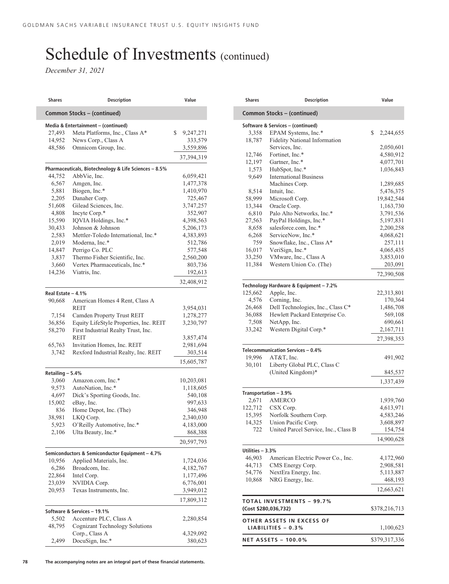## Schedule of Investments (continued)

*December 31, 2021*

| <b>Shares</b>      | <b>Description</b>                                                    | Value           |
|--------------------|-----------------------------------------------------------------------|-----------------|
|                    | Common Stocks - (continued)                                           |                 |
|                    | Media & Entertainment - (continued)                                   |                 |
| 27,493             | Meta Platforms, Inc., Class A*                                        | \$<br>9,247,271 |
| 14,952             | News Corp., Class A                                                   | 333,579         |
| 48,586             | Omnicom Group, Inc.                                                   | 3,559,896       |
|                    |                                                                       | 37,394,319      |
|                    |                                                                       |                 |
| 44,752             | Pharmaceuticals, Biotechnology & Life Sciences - 8.5%<br>AbbVie, Inc. | 6,059,421       |
| 6,567              | Amgen, Inc.                                                           | 1,477,378       |
| 5,881              | Biogen, Inc.*                                                         | 1,410,970       |
| 2,205              | Danaher Corp.                                                         | 725,467         |
| 51,608             | Gilead Sciences, Inc.                                                 | 3,747,257       |
| 4,808              | Incyte Corp.*                                                         | 352,907         |
| 15,590             | IQVIA Holdings, Inc.*                                                 | 4,398,563       |
| 30,433             | Johnson & Johnson                                                     | 5,206,173       |
| 2,583              | Mettler-Toledo International, Inc.*                                   | 4,383,893       |
| 2,019              | Moderna, Inc.*                                                        | 512,786         |
| 14,847             | Perrigo Co. PLC                                                       | 577,548         |
| 3,837              | Thermo Fisher Scientific, Inc.                                        | 2,560,200       |
| 3,660              | Vertex Pharmaceuticals, Inc.*                                         | 803,736         |
| 14,236             | Viatris, Inc.                                                         | 192,613         |
|                    |                                                                       | 32,408,912      |
| Real Estate - 4.1% |                                                                       |                 |
| 90,668             | American Homes 4 Rent, Class A                                        |                 |
|                    | <b>REIT</b>                                                           | 3,954,031       |
| 7,154              | Camden Property Trust REIT                                            | 1,278,277       |
| 36,856             | Equity LifeStyle Properties, Inc. REIT                                | 3,230,797       |
| 58,270             | First Industrial Realty Trust, Inc.                                   |                 |
|                    | <b>REIT</b>                                                           | 3,857,474       |
| 65,763             | Invitation Homes, Inc. REIT                                           | 2,981,694       |
| 3,742              | Rexford Industrial Realty, Inc. REIT                                  | 303,514         |
|                    |                                                                       | 15,605,787      |
| Retailing $-5.4%$  |                                                                       |                 |
| 3,060              | Amazon.com, Inc.*                                                     | 10,203,081      |
| 9,573              | AutoNation, Inc.*                                                     | 1,118,605       |
| 4,697              | Dick's Sporting Goods, Inc.                                           | 540,108         |
| 15,002             | eBay, Inc.                                                            | 997,633         |
| 836                | Home Depot, Inc. (The)                                                | 346,948         |
| 38,981             | LKQ Corp.                                                             | 2,340,030       |
| 5,923              | O'Reilly Automotive, Inc.*                                            | 4,183,000       |
| 2,106              | Ulta Beauty, Inc.*                                                    | 868,388         |
|                    |                                                                       | 20,597,793      |
|                    | Semiconductors & Semiconductor Equipment - 4.7%                       |                 |
| 10,956             | Applied Materials, Inc.                                               | 1,724,036       |
| 6,286              | Broadcom, Inc.                                                        | 4,182,767       |
| 22,864             | Intel Corp.                                                           | 1,177,496       |
| 23,039             | NVIDIA Corp.                                                          | 6,776,001       |
| 20,953             | Texas Instruments, Inc.                                               | 3,949,012       |
|                    |                                                                       | 17,809,312      |
|                    | Software & Services - 19.1%                                           |                 |
| 5,502              | Accenture PLC, Class A                                                | 2,280,854       |
| 48,795             | <b>Cognizant Technology Solutions</b>                                 |                 |
|                    | Corp., Class A                                                        | 4,329,092       |
| 2,499              | DocuSign, Inc.*                                                       | 380,623         |

| Common Stocks - (continued)<br>Software & Services - (continued)<br>3,358<br>EPAM Systems, Inc.*<br>\$<br>Fidelity National Information<br>18,787<br>Services, Inc.<br>Fortinet, Inc.*<br>12,746<br>Gartner, Inc.*<br>12,197<br>HubSpot, Inc.*<br>1,573<br><b>International Business</b><br>9,649<br>Machines Corp.<br>Intuit, Inc.<br>8,514<br>58,999<br>Microsoft Corp.<br>13,344<br>Oracle Corp.<br>6,810<br>Palo Alto Networks, Inc.*<br>PayPal Holdings, Inc.*<br>27,563<br>salesforce.com, Inc.*<br>8,658<br>6,268<br>ServiceNow, Inc.*<br>759<br>Snowflake, Inc., Class A*<br>16,017<br>VeriSign, Inc.*<br>33,250<br>VMware, Inc., Class A<br>Western Union Co. (The)<br>11,384<br>Technology Hardware & Equipment - 7.2%<br>125,662<br>Apple, Inc.<br>22,313,801<br>4,576<br>Corning, Inc.<br>170,364<br>Dell Technologies, Inc., Class C*<br>26,468<br>1,486,708<br>Hewlett Packard Enterprise Co.<br>36,088<br>569,108<br>7,508<br>NetApp, Inc.<br>690,661<br>Western Digital Corp.*<br>33,242<br>2,167,711<br>27,398,353<br>Telecommunication Services - 0.4%<br>19,996<br>AT&T, Inc.<br>30,101<br>Liberty Global PLC, Class C<br>(United Kingdom)*<br>845,537<br>1,337,439<br>Transportation - 3.9%<br>2,671<br>AMERCO<br>1,939,760<br>122,712<br>CSX Corp.<br>4,613,971<br>Norfolk Southern Corp.<br>15,395<br>4,583,246<br>14,325<br>Union Pacific Corp.<br>3,608,897<br>722<br>United Parcel Service, Inc., Class B<br>154,754<br>14,900,628<br>Utilities $-3.3%$<br>46,903<br>American Electric Power Co., Inc.<br>4,172,960<br>44,713<br>CMS Energy Corp.<br>2,908,581<br>54,776<br>NextEra Energy, Inc.<br>5,113,887<br>NRG Energy, Inc.<br>468,193<br>10,868<br>12,663,621<br><b>TOTAL INVESTMENTS - 99.7%</b><br>(Cost \$280,036,732)<br>OTHER ASSETS IN EXCESS OF<br>LIABILITIES - 0.3%<br><b>NET ASSETS - 100.0%</b> | <b>Shares</b> | <b>Description</b> | Value         |
|--------------------------------------------------------------------------------------------------------------------------------------------------------------------------------------------------------------------------------------------------------------------------------------------------------------------------------------------------------------------------------------------------------------------------------------------------------------------------------------------------------------------------------------------------------------------------------------------------------------------------------------------------------------------------------------------------------------------------------------------------------------------------------------------------------------------------------------------------------------------------------------------------------------------------------------------------------------------------------------------------------------------------------------------------------------------------------------------------------------------------------------------------------------------------------------------------------------------------------------------------------------------------------------------------------------------------------------------------------------------------------------------------------------------------------------------------------------------------------------------------------------------------------------------------------------------------------------------------------------------------------------------------------------------------------------------------------------------------------------------------------------------------------------------------------------------------------------------|---------------|--------------------|---------------|
|                                                                                                                                                                                                                                                                                                                                                                                                                                                                                                                                                                                                                                                                                                                                                                                                                                                                                                                                                                                                                                                                                                                                                                                                                                                                                                                                                                                                                                                                                                                                                                                                                                                                                                                                                                                                                                            |               |                    |               |
|                                                                                                                                                                                                                                                                                                                                                                                                                                                                                                                                                                                                                                                                                                                                                                                                                                                                                                                                                                                                                                                                                                                                                                                                                                                                                                                                                                                                                                                                                                                                                                                                                                                                                                                                                                                                                                            |               |                    |               |
|                                                                                                                                                                                                                                                                                                                                                                                                                                                                                                                                                                                                                                                                                                                                                                                                                                                                                                                                                                                                                                                                                                                                                                                                                                                                                                                                                                                                                                                                                                                                                                                                                                                                                                                                                                                                                                            |               |                    | 2,244,655     |
|                                                                                                                                                                                                                                                                                                                                                                                                                                                                                                                                                                                                                                                                                                                                                                                                                                                                                                                                                                                                                                                                                                                                                                                                                                                                                                                                                                                                                                                                                                                                                                                                                                                                                                                                                                                                                                            |               |                    |               |
|                                                                                                                                                                                                                                                                                                                                                                                                                                                                                                                                                                                                                                                                                                                                                                                                                                                                                                                                                                                                                                                                                                                                                                                                                                                                                                                                                                                                                                                                                                                                                                                                                                                                                                                                                                                                                                            |               |                    | 2,050,601     |
|                                                                                                                                                                                                                                                                                                                                                                                                                                                                                                                                                                                                                                                                                                                                                                                                                                                                                                                                                                                                                                                                                                                                                                                                                                                                                                                                                                                                                                                                                                                                                                                                                                                                                                                                                                                                                                            |               |                    | 4,580,912     |
|                                                                                                                                                                                                                                                                                                                                                                                                                                                                                                                                                                                                                                                                                                                                                                                                                                                                                                                                                                                                                                                                                                                                                                                                                                                                                                                                                                                                                                                                                                                                                                                                                                                                                                                                                                                                                                            |               |                    | 4,077,701     |
|                                                                                                                                                                                                                                                                                                                                                                                                                                                                                                                                                                                                                                                                                                                                                                                                                                                                                                                                                                                                                                                                                                                                                                                                                                                                                                                                                                                                                                                                                                                                                                                                                                                                                                                                                                                                                                            |               |                    | 1,036,843     |
|                                                                                                                                                                                                                                                                                                                                                                                                                                                                                                                                                                                                                                                                                                                                                                                                                                                                                                                                                                                                                                                                                                                                                                                                                                                                                                                                                                                                                                                                                                                                                                                                                                                                                                                                                                                                                                            |               |                    |               |
|                                                                                                                                                                                                                                                                                                                                                                                                                                                                                                                                                                                                                                                                                                                                                                                                                                                                                                                                                                                                                                                                                                                                                                                                                                                                                                                                                                                                                                                                                                                                                                                                                                                                                                                                                                                                                                            |               |                    | 1,289,685     |
|                                                                                                                                                                                                                                                                                                                                                                                                                                                                                                                                                                                                                                                                                                                                                                                                                                                                                                                                                                                                                                                                                                                                                                                                                                                                                                                                                                                                                                                                                                                                                                                                                                                                                                                                                                                                                                            |               |                    | 5,476,375     |
|                                                                                                                                                                                                                                                                                                                                                                                                                                                                                                                                                                                                                                                                                                                                                                                                                                                                                                                                                                                                                                                                                                                                                                                                                                                                                                                                                                                                                                                                                                                                                                                                                                                                                                                                                                                                                                            |               |                    | 19,842,544    |
|                                                                                                                                                                                                                                                                                                                                                                                                                                                                                                                                                                                                                                                                                                                                                                                                                                                                                                                                                                                                                                                                                                                                                                                                                                                                                                                                                                                                                                                                                                                                                                                                                                                                                                                                                                                                                                            |               |                    | 1,163,730     |
|                                                                                                                                                                                                                                                                                                                                                                                                                                                                                                                                                                                                                                                                                                                                                                                                                                                                                                                                                                                                                                                                                                                                                                                                                                                                                                                                                                                                                                                                                                                                                                                                                                                                                                                                                                                                                                            |               |                    | 3,791,536     |
|                                                                                                                                                                                                                                                                                                                                                                                                                                                                                                                                                                                                                                                                                                                                                                                                                                                                                                                                                                                                                                                                                                                                                                                                                                                                                                                                                                                                                                                                                                                                                                                                                                                                                                                                                                                                                                            |               |                    | 5, 197, 831   |
|                                                                                                                                                                                                                                                                                                                                                                                                                                                                                                                                                                                                                                                                                                                                                                                                                                                                                                                                                                                                                                                                                                                                                                                                                                                                                                                                                                                                                                                                                                                                                                                                                                                                                                                                                                                                                                            |               |                    | 2,200,258     |
|                                                                                                                                                                                                                                                                                                                                                                                                                                                                                                                                                                                                                                                                                                                                                                                                                                                                                                                                                                                                                                                                                                                                                                                                                                                                                                                                                                                                                                                                                                                                                                                                                                                                                                                                                                                                                                            |               |                    | 4,068,621     |
|                                                                                                                                                                                                                                                                                                                                                                                                                                                                                                                                                                                                                                                                                                                                                                                                                                                                                                                                                                                                                                                                                                                                                                                                                                                                                                                                                                                                                                                                                                                                                                                                                                                                                                                                                                                                                                            |               |                    | 257,111       |
|                                                                                                                                                                                                                                                                                                                                                                                                                                                                                                                                                                                                                                                                                                                                                                                                                                                                                                                                                                                                                                                                                                                                                                                                                                                                                                                                                                                                                                                                                                                                                                                                                                                                                                                                                                                                                                            |               |                    | 4,065,435     |
|                                                                                                                                                                                                                                                                                                                                                                                                                                                                                                                                                                                                                                                                                                                                                                                                                                                                                                                                                                                                                                                                                                                                                                                                                                                                                                                                                                                                                                                                                                                                                                                                                                                                                                                                                                                                                                            |               |                    | 3,853,010     |
|                                                                                                                                                                                                                                                                                                                                                                                                                                                                                                                                                                                                                                                                                                                                                                                                                                                                                                                                                                                                                                                                                                                                                                                                                                                                                                                                                                                                                                                                                                                                                                                                                                                                                                                                                                                                                                            |               |                    | 203,091       |
|                                                                                                                                                                                                                                                                                                                                                                                                                                                                                                                                                                                                                                                                                                                                                                                                                                                                                                                                                                                                                                                                                                                                                                                                                                                                                                                                                                                                                                                                                                                                                                                                                                                                                                                                                                                                                                            |               |                    | 72,390,508    |
|                                                                                                                                                                                                                                                                                                                                                                                                                                                                                                                                                                                                                                                                                                                                                                                                                                                                                                                                                                                                                                                                                                                                                                                                                                                                                                                                                                                                                                                                                                                                                                                                                                                                                                                                                                                                                                            |               |                    |               |
|                                                                                                                                                                                                                                                                                                                                                                                                                                                                                                                                                                                                                                                                                                                                                                                                                                                                                                                                                                                                                                                                                                                                                                                                                                                                                                                                                                                                                                                                                                                                                                                                                                                                                                                                                                                                                                            |               |                    |               |
|                                                                                                                                                                                                                                                                                                                                                                                                                                                                                                                                                                                                                                                                                                                                                                                                                                                                                                                                                                                                                                                                                                                                                                                                                                                                                                                                                                                                                                                                                                                                                                                                                                                                                                                                                                                                                                            |               |                    |               |
|                                                                                                                                                                                                                                                                                                                                                                                                                                                                                                                                                                                                                                                                                                                                                                                                                                                                                                                                                                                                                                                                                                                                                                                                                                                                                                                                                                                                                                                                                                                                                                                                                                                                                                                                                                                                                                            |               |                    |               |
|                                                                                                                                                                                                                                                                                                                                                                                                                                                                                                                                                                                                                                                                                                                                                                                                                                                                                                                                                                                                                                                                                                                                                                                                                                                                                                                                                                                                                                                                                                                                                                                                                                                                                                                                                                                                                                            |               |                    |               |
|                                                                                                                                                                                                                                                                                                                                                                                                                                                                                                                                                                                                                                                                                                                                                                                                                                                                                                                                                                                                                                                                                                                                                                                                                                                                                                                                                                                                                                                                                                                                                                                                                                                                                                                                                                                                                                            |               |                    |               |
|                                                                                                                                                                                                                                                                                                                                                                                                                                                                                                                                                                                                                                                                                                                                                                                                                                                                                                                                                                                                                                                                                                                                                                                                                                                                                                                                                                                                                                                                                                                                                                                                                                                                                                                                                                                                                                            |               |                    |               |
|                                                                                                                                                                                                                                                                                                                                                                                                                                                                                                                                                                                                                                                                                                                                                                                                                                                                                                                                                                                                                                                                                                                                                                                                                                                                                                                                                                                                                                                                                                                                                                                                                                                                                                                                                                                                                                            |               |                    |               |
|                                                                                                                                                                                                                                                                                                                                                                                                                                                                                                                                                                                                                                                                                                                                                                                                                                                                                                                                                                                                                                                                                                                                                                                                                                                                                                                                                                                                                                                                                                                                                                                                                                                                                                                                                                                                                                            |               |                    |               |
|                                                                                                                                                                                                                                                                                                                                                                                                                                                                                                                                                                                                                                                                                                                                                                                                                                                                                                                                                                                                                                                                                                                                                                                                                                                                                                                                                                                                                                                                                                                                                                                                                                                                                                                                                                                                                                            |               |                    | 491,902       |
|                                                                                                                                                                                                                                                                                                                                                                                                                                                                                                                                                                                                                                                                                                                                                                                                                                                                                                                                                                                                                                                                                                                                                                                                                                                                                                                                                                                                                                                                                                                                                                                                                                                                                                                                                                                                                                            |               |                    |               |
|                                                                                                                                                                                                                                                                                                                                                                                                                                                                                                                                                                                                                                                                                                                                                                                                                                                                                                                                                                                                                                                                                                                                                                                                                                                                                                                                                                                                                                                                                                                                                                                                                                                                                                                                                                                                                                            |               |                    |               |
|                                                                                                                                                                                                                                                                                                                                                                                                                                                                                                                                                                                                                                                                                                                                                                                                                                                                                                                                                                                                                                                                                                                                                                                                                                                                                                                                                                                                                                                                                                                                                                                                                                                                                                                                                                                                                                            |               |                    |               |
|                                                                                                                                                                                                                                                                                                                                                                                                                                                                                                                                                                                                                                                                                                                                                                                                                                                                                                                                                                                                                                                                                                                                                                                                                                                                                                                                                                                                                                                                                                                                                                                                                                                                                                                                                                                                                                            |               |                    |               |
|                                                                                                                                                                                                                                                                                                                                                                                                                                                                                                                                                                                                                                                                                                                                                                                                                                                                                                                                                                                                                                                                                                                                                                                                                                                                                                                                                                                                                                                                                                                                                                                                                                                                                                                                                                                                                                            |               |                    |               |
|                                                                                                                                                                                                                                                                                                                                                                                                                                                                                                                                                                                                                                                                                                                                                                                                                                                                                                                                                                                                                                                                                                                                                                                                                                                                                                                                                                                                                                                                                                                                                                                                                                                                                                                                                                                                                                            |               |                    |               |
|                                                                                                                                                                                                                                                                                                                                                                                                                                                                                                                                                                                                                                                                                                                                                                                                                                                                                                                                                                                                                                                                                                                                                                                                                                                                                                                                                                                                                                                                                                                                                                                                                                                                                                                                                                                                                                            |               |                    |               |
|                                                                                                                                                                                                                                                                                                                                                                                                                                                                                                                                                                                                                                                                                                                                                                                                                                                                                                                                                                                                                                                                                                                                                                                                                                                                                                                                                                                                                                                                                                                                                                                                                                                                                                                                                                                                                                            |               |                    |               |
|                                                                                                                                                                                                                                                                                                                                                                                                                                                                                                                                                                                                                                                                                                                                                                                                                                                                                                                                                                                                                                                                                                                                                                                                                                                                                                                                                                                                                                                                                                                                                                                                                                                                                                                                                                                                                                            |               |                    |               |
|                                                                                                                                                                                                                                                                                                                                                                                                                                                                                                                                                                                                                                                                                                                                                                                                                                                                                                                                                                                                                                                                                                                                                                                                                                                                                                                                                                                                                                                                                                                                                                                                                                                                                                                                                                                                                                            |               |                    |               |
|                                                                                                                                                                                                                                                                                                                                                                                                                                                                                                                                                                                                                                                                                                                                                                                                                                                                                                                                                                                                                                                                                                                                                                                                                                                                                                                                                                                                                                                                                                                                                                                                                                                                                                                                                                                                                                            |               |                    |               |
|                                                                                                                                                                                                                                                                                                                                                                                                                                                                                                                                                                                                                                                                                                                                                                                                                                                                                                                                                                                                                                                                                                                                                                                                                                                                                                                                                                                                                                                                                                                                                                                                                                                                                                                                                                                                                                            |               |                    |               |
|                                                                                                                                                                                                                                                                                                                                                                                                                                                                                                                                                                                                                                                                                                                                                                                                                                                                                                                                                                                                                                                                                                                                                                                                                                                                                                                                                                                                                                                                                                                                                                                                                                                                                                                                                                                                                                            |               |                    |               |
|                                                                                                                                                                                                                                                                                                                                                                                                                                                                                                                                                                                                                                                                                                                                                                                                                                                                                                                                                                                                                                                                                                                                                                                                                                                                                                                                                                                                                                                                                                                                                                                                                                                                                                                                                                                                                                            |               |                    |               |
|                                                                                                                                                                                                                                                                                                                                                                                                                                                                                                                                                                                                                                                                                                                                                                                                                                                                                                                                                                                                                                                                                                                                                                                                                                                                                                                                                                                                                                                                                                                                                                                                                                                                                                                                                                                                                                            |               |                    |               |
|                                                                                                                                                                                                                                                                                                                                                                                                                                                                                                                                                                                                                                                                                                                                                                                                                                                                                                                                                                                                                                                                                                                                                                                                                                                                                                                                                                                                                                                                                                                                                                                                                                                                                                                                                                                                                                            |               |                    |               |
|                                                                                                                                                                                                                                                                                                                                                                                                                                                                                                                                                                                                                                                                                                                                                                                                                                                                                                                                                                                                                                                                                                                                                                                                                                                                                                                                                                                                                                                                                                                                                                                                                                                                                                                                                                                                                                            |               |                    |               |
|                                                                                                                                                                                                                                                                                                                                                                                                                                                                                                                                                                                                                                                                                                                                                                                                                                                                                                                                                                                                                                                                                                                                                                                                                                                                                                                                                                                                                                                                                                                                                                                                                                                                                                                                                                                                                                            |               |                    | \$378,216,713 |
|                                                                                                                                                                                                                                                                                                                                                                                                                                                                                                                                                                                                                                                                                                                                                                                                                                                                                                                                                                                                                                                                                                                                                                                                                                                                                                                                                                                                                                                                                                                                                                                                                                                                                                                                                                                                                                            |               |                    |               |
|                                                                                                                                                                                                                                                                                                                                                                                                                                                                                                                                                                                                                                                                                                                                                                                                                                                                                                                                                                                                                                                                                                                                                                                                                                                                                                                                                                                                                                                                                                                                                                                                                                                                                                                                                                                                                                            |               |                    | 1,100,623     |
|                                                                                                                                                                                                                                                                                                                                                                                                                                                                                                                                                                                                                                                                                                                                                                                                                                                                                                                                                                                                                                                                                                                                                                                                                                                                                                                                                                                                                                                                                                                                                                                                                                                                                                                                                                                                                                            |               |                    | \$379,317,336 |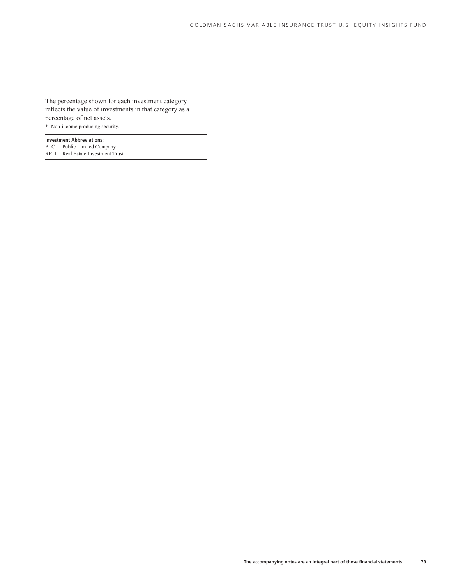The percentage shown for each investment category reflects the value of investments in that category as a percentage of net assets.

\* Non-income producing security.

**Investment Abbreviations:** PLC —Public Limited Company REIT—Real Estate Investment Trust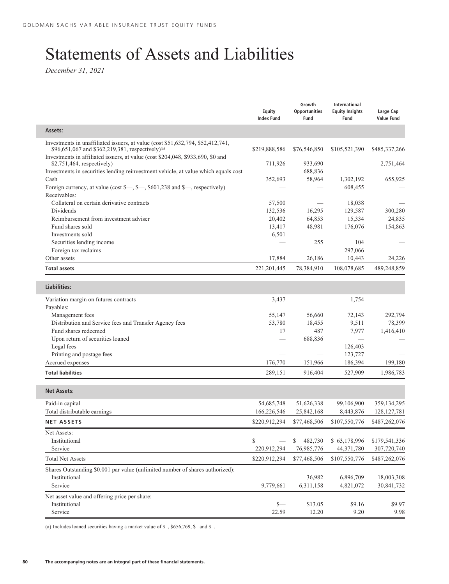## Statements of Assets and Liabilities

*December 31, 2021*

|                                                                                                                                                 | Equity<br><b>Index Fund</b> | Growth<br><b>Opportunities</b><br>Fund | International<br><b>Equity Insights</b><br>Fund | Large Cap<br>Value Fund |
|-------------------------------------------------------------------------------------------------------------------------------------------------|-----------------------------|----------------------------------------|-------------------------------------------------|-------------------------|
| Assets:                                                                                                                                         |                             |                                        |                                                 |                         |
| Investments in unaffiliated issuers, at value (cost \$51,632,794, \$52,412,741,<br>\$96,651,067 and \$362,219,381, respectively) <sup>(a)</sup> | \$219,888,586               | \$76,546,850                           | \$105,521,390                                   | \$485,337,266           |
| Investments in affiliated issuers, at value (cost \$204,048, \$933,690, \$0 and<br>$$2,751,464$ , respectively)                                 | 711,926                     | 933,690                                |                                                 | 2,751,464               |
| Investments in securities lending reinvestment vehicle, at value which equals cost<br>Cash                                                      | 352,693                     | 688,836<br>58,964                      | 1,302,192                                       | 655,925                 |
| Foreign currency, at value (cost \$–, \$–, \$601,238 and \$–, respectively)<br>Receivables:                                                     |                             |                                        | 608,455                                         |                         |
| Collateral on certain derivative contracts                                                                                                      | 57,500                      |                                        | 18,038                                          |                         |
| Dividends<br>Reimbursement from investment adviser                                                                                              | 132,536<br>20,402           | 16,295<br>64,853                       | 129,587<br>15,334                               | 300,280<br>24,835       |
| Fund shares sold                                                                                                                                | 13,417                      | 48,981                                 | 176,076                                         | 154,863                 |
| Investments sold                                                                                                                                | 6,501                       |                                        |                                                 |                         |
| Securities lending income                                                                                                                       |                             | 255                                    | 104                                             |                         |
| Foreign tax reclaims                                                                                                                            |                             |                                        | 297,066                                         |                         |
| Other assets                                                                                                                                    | 17,884                      | 26,186                                 | 10,443                                          | 24.226                  |
| <b>Total assets</b>                                                                                                                             | 221, 201, 445               | 78,384,910                             | 108,078,685                                     | 489,248,859             |
| Liabilities:                                                                                                                                    |                             |                                        |                                                 |                         |
| Variation margin on futures contracts                                                                                                           | 3,437                       |                                        | 1,754                                           |                         |
| Payables:                                                                                                                                       |                             |                                        |                                                 |                         |
| Management fees                                                                                                                                 | 55,147                      | 56,660                                 | 72,143                                          | 292,794                 |
| Distribution and Service fees and Transfer Agency fees<br>Fund shares redeemed                                                                  | 53,780<br>17                | 18,455<br>487                          | 9,511<br>7,977                                  | 78,399<br>1,416,410     |
| Upon return of securities loaned                                                                                                                |                             | 688,836                                |                                                 |                         |
| Legal fees                                                                                                                                      |                             |                                        | 126,403                                         |                         |
| Printing and postage fees                                                                                                                       |                             |                                        | 123,727                                         |                         |
| Accrued expenses                                                                                                                                | 176,770                     | 151,966                                | 186,394                                         | 199,180                 |
| <b>Total liabilities</b>                                                                                                                        | 289,151                     | 916,404                                | 527,909                                         | 1,986,783               |
| <b>Net Assets:</b>                                                                                                                              |                             |                                        |                                                 |                         |
| Paid-in capital                                                                                                                                 | 54,685,748                  | 51,626,338                             | 99,106,900                                      | 359, 134, 295           |
| Total distributable earnings                                                                                                                    | 166,226,546                 | 25,842,168                             | 8,443,876                                       | 128, 127, 781           |
| <b>NET ASSETS</b>                                                                                                                               | \$220,912,294               | \$77,468,506                           | \$107,550,776                                   | \$487,262,076           |
| Net Assets:                                                                                                                                     |                             |                                        |                                                 |                         |
| Institutional                                                                                                                                   | \$                          | 482,730<br>\$                          | \$63,178,996                                    | \$179,541,336           |
| Service                                                                                                                                         | 220,912,294                 | 76,985,776                             | 44,371,780                                      | 307,720,740             |
| <b>Total Net Assets</b>                                                                                                                         | \$220,912,294               | \$77,468,506                           | \$107,550,776                                   | \$487,262,076           |
| Shares Outstanding \$0.001 par value (unlimited number of shares authorized):                                                                   |                             |                                        |                                                 |                         |
| Institutional                                                                                                                                   |                             | 36,982                                 | 6,896,709                                       | 18,003,308              |
| Service                                                                                                                                         | 9,779,661                   | 6,311,158                              | 4,821,072                                       | 30,841,732              |
| Net asset value and offering price per share:                                                                                                   |                             |                                        |                                                 |                         |
| Institutional                                                                                                                                   | \$—                         | \$13.05                                | \$9.16                                          | \$9.97                  |
| Service                                                                                                                                         | 22.59                       | 12.20                                  | 9.20                                            | 9.98                    |

(a) Includes loaned securities having a market value of \$–, \$656,769, \$– and \$–.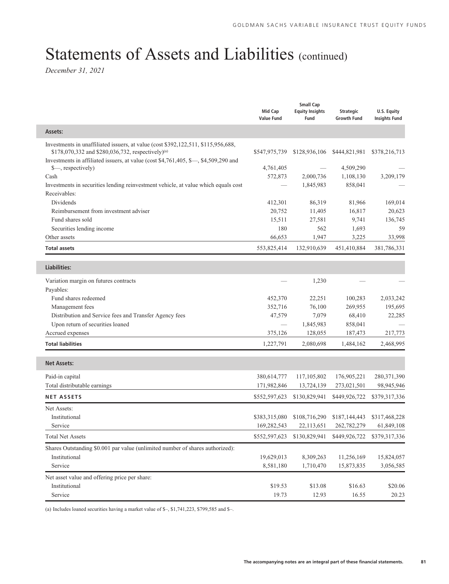# Statements of Assets and Liabilities (continued)

*December 31, 2021*

I

|                                                                                                                                                    | Mid Cap<br><b>Value Fund</b> | <b>Small Cap</b><br><b>Equity Insights</b><br>Fund | <b>Strategic</b><br><b>Growth Fund</b> | U.S. Equity<br><b>Insights Fund</b> |
|----------------------------------------------------------------------------------------------------------------------------------------------------|------------------------------|----------------------------------------------------|----------------------------------------|-------------------------------------|
| Assets:                                                                                                                                            |                              |                                                    |                                        |                                     |
| Investments in unaffiliated issuers, at value (cost \$392,122,511, \$115,956,688,<br>\$178,070,332 and \$280,036,732, respectively) <sup>(a)</sup> | \$547,975,739                | \$128,936,106                                      | \$444,821,981                          | \$378,216,713                       |
| Investments in affiliated issuers, at value (cost \$4,761,405, \$—, \$4,509,290 and<br>\$ , respectively)                                          | 4,761,405                    |                                                    | 4,509,290                              |                                     |
| Cash                                                                                                                                               | 572,873                      | 2,000,736                                          | 1,108,130                              | 3,209,179                           |
| Investments in securities lending reinvestment vehicle, at value which equals cost                                                                 |                              | 1,845,983                                          | 858,041                                |                                     |
| Receivables:                                                                                                                                       |                              |                                                    |                                        |                                     |
| Dividends                                                                                                                                          | 412,301                      | 86,319                                             | 81,966                                 | 169,014                             |
| Reimbursement from investment adviser                                                                                                              | 20,752                       | 11,405                                             | 16,817                                 | 20,623                              |
| Fund shares sold                                                                                                                                   | 15,511                       | 27,581                                             | 9,741                                  | 136,745                             |
| Securities lending income                                                                                                                          | 180                          | 562                                                | 1,693                                  | 59                                  |
| Other assets                                                                                                                                       | 66,653                       | 1,947                                              | 3,225                                  | 33,998                              |
| <b>Total assets</b>                                                                                                                                | 553,825,414                  | 132,910,639                                        | 451,410,884                            | 381,786,331                         |
| <b>Liabilities:</b>                                                                                                                                |                              |                                                    |                                        |                                     |
| Variation margin on futures contracts                                                                                                              |                              | 1,230                                              |                                        |                                     |
| Payables:                                                                                                                                          |                              |                                                    |                                        |                                     |
| Fund shares redeemed                                                                                                                               | 452,370                      | 22,251                                             | 100,283                                | 2,033,242                           |
| Management fees                                                                                                                                    | 352,716                      | 76,100                                             | 269,955                                | 195,695                             |
| Distribution and Service fees and Transfer Agency fees                                                                                             | 47,579                       | 7,079                                              | 68,410                                 | 22,285                              |
| Upon return of securities loaned                                                                                                                   | $\overline{\phantom{0}}$     | 1,845,983                                          | 858,041                                |                                     |
| Accrued expenses                                                                                                                                   | 375,126                      | 128,055                                            | 187,473                                | 217,773                             |
| <b>Total liabilities</b>                                                                                                                           | 1,227,791                    | 2,080,698                                          | 1,484,162                              | 2,468,995                           |
| <b>Net Assets:</b>                                                                                                                                 |                              |                                                    |                                        |                                     |
| Paid-in capital                                                                                                                                    | 380,614,777                  | 117,105,802                                        | 176,905,221                            | 280,371,390                         |
| Total distributable earnings                                                                                                                       | 171,982,846                  | 13,724,139                                         | 273,021,501                            | 98,945,946                          |
| <b>NET ASSETS</b>                                                                                                                                  | \$552,597,623                | \$130,829,941                                      | \$449,926,722                          | \$379,317,336                       |
| Net Assets:                                                                                                                                        |                              |                                                    |                                        |                                     |
| Institutional                                                                                                                                      | \$383,315,080                | \$108,716,290                                      | \$187,144,443                          | \$317,468,228                       |
| Service                                                                                                                                            | 169,282,543                  | 22,113,651                                         | 262,782,279                            | 61,849,108                          |
| <b>Total Net Assets</b>                                                                                                                            |                              | \$552,597,623 \$130,829,941                        | \$449,926,722                          | \$379,317,336                       |
| Shares Outstanding \$0.001 par value (unlimited number of shares authorized):                                                                      |                              |                                                    |                                        |                                     |
| Institutional                                                                                                                                      | 19,629,013                   | 8,309,263                                          | 11,256,169                             | 15,824,057                          |
| Service                                                                                                                                            | 8,581,180                    | 1,710,470                                          | 15,873,835                             | 3,056,585                           |
| Net asset value and offering price per share:                                                                                                      |                              |                                                    |                                        |                                     |
| Institutional                                                                                                                                      | \$19.53                      | \$13.08                                            | \$16.63                                | \$20.06                             |
| Service                                                                                                                                            | 19.73                        | 12.93                                              | 16.55                                  | 20.23                               |

(a) Includes loaned securities having a market value of \$–, \$1,741,223, \$799,585 and \$–.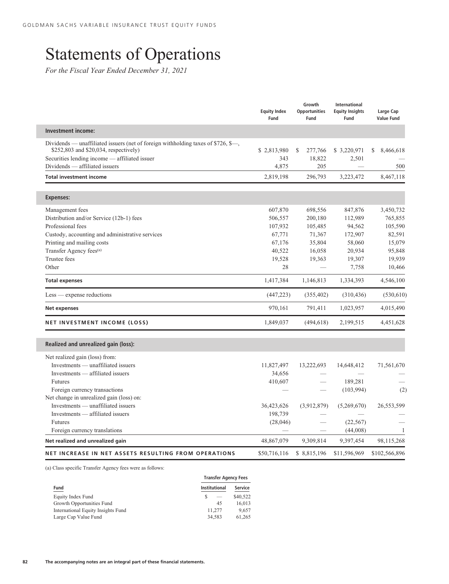## Statements of Operations

*For the Fiscal Year Ended December 31, 2021*

|                                                                                                                             | <b>Equity Index</b><br>Fund | Growth<br><b>Opportunities</b><br>Fund | International<br><b>Equity Insights</b><br>Fund | Large Cap<br><b>Value Fund</b> |
|-----------------------------------------------------------------------------------------------------------------------------|-----------------------------|----------------------------------------|-------------------------------------------------|--------------------------------|
| <b>Investment income:</b>                                                                                                   |                             |                                        |                                                 |                                |
| Dividends — unaffiliated issuers (net of foreign withholding taxes of $$726,$ \$—,<br>\$252,803 and \$20,034, respectively) | \$2,813,980                 | 277,766<br>S                           | \$3,220,971                                     | 8,466,618<br>S                 |
| Securities lending income - affiliated issuer                                                                               | 343                         | 18,822                                 | 2,501                                           |                                |
| Dividends — affiliated issuers                                                                                              | 4.875                       | 205                                    |                                                 | 500                            |
| <b>Total investment income</b>                                                                                              | 2,819,198                   | 296,793                                | 3,223,472                                       | 8,467,118                      |
|                                                                                                                             |                             |                                        |                                                 |                                |
| Expenses:                                                                                                                   |                             |                                        |                                                 |                                |
| Management fees                                                                                                             | 607,870                     | 698,556                                | 847,876                                         | 3,450,732                      |
| Distribution and/or Service (12b-1) fees                                                                                    | 506,557                     | 200,180                                | 112,989                                         | 765,855                        |
| Professional fees                                                                                                           | 107,932                     | 105,485                                | 94,562                                          | 105,590                        |
| Custody, accounting and administrative services                                                                             | 67,771                      | 71,367                                 | 172,907                                         | 82,591                         |
| Printing and mailing costs                                                                                                  | 67,176                      | 35,804                                 | 58,060                                          | 15,079                         |
| Transfer Agency fees <sup>(a)</sup>                                                                                         | 40,522                      | 16,058                                 | 20,934                                          | 95,848                         |
| Trustee fees                                                                                                                | 19,528                      | 19,363                                 | 19,307                                          | 19,939                         |
| Other                                                                                                                       | 28                          |                                        | 7,758                                           | 10,466                         |
| <b>Total expenses</b>                                                                                                       | 1,417,384                   | 1,146,813                              | 1,334,393                                       | 4,546,100                      |
| $Less$ — expense reductions                                                                                                 | (447, 223)                  | (355, 402)                             | (310, 436)                                      | (530,610)                      |
| <b>Net expenses</b>                                                                                                         | 970,161                     | 791,411                                | 1,023,957                                       | 4,015,490                      |
| NET INVESTMENT INCOME (LOSS)                                                                                                | 1,849,037                   | (494, 618)                             | 2,199,515                                       | 4,451,628                      |
| Realized and unrealized gain (loss):                                                                                        |                             |                                        |                                                 |                                |
| Net realized gain (loss) from:                                                                                              |                             |                                        |                                                 |                                |
| Investments — unaffiliated issuers                                                                                          | 11,827,497                  | 13,222,693                             | 14,648,412                                      | 71,561,670                     |
| Investments — affiliated issuers                                                                                            | 34,656                      |                                        |                                                 |                                |
| <b>Futures</b>                                                                                                              | 410,607                     |                                        | 189,281                                         |                                |
| Foreign currency transactions                                                                                               |                             |                                        | (103,994)                                       | (2)                            |
| Net change in unrealized gain (loss) on:                                                                                    |                             |                                        |                                                 |                                |
| Investments - unaffiliated issuers                                                                                          | 36,423,626                  | (3,912,879)                            | (5,269,670)                                     | 26,553,599                     |
| Investments — affiliated issuers                                                                                            | 198,739                     |                                        |                                                 |                                |
| <b>Futures</b>                                                                                                              | (28,046)                    |                                        | (22, 567)                                       |                                |
| Foreign currency translations                                                                                               |                             |                                        | (44,008)                                        | -1                             |
| Net realized and unrealized gain                                                                                            | 48,867,079                  | 9,309,814                              | 9,397,454                                       | 98,115,268                     |
| NET INCREASE IN NET ASSETS RESULTING FROM OPERATIONS                                                                        | \$50,716,116                | \$8,815,196                            | \$11,596,969                                    | \$102,566,896                  |

(a) Class specific Transfer Agency fees were as follows:

|                                    | <b>Transfer Agency Fees</b> |                          |          |  |
|------------------------------------|-----------------------------|--------------------------|----------|--|
| Fund                               |                             | <b>Institutional</b>     | Service  |  |
| Equity Index Fund                  |                             | $\overline{\phantom{m}}$ | \$40,522 |  |
| Growth Opportunities Fund          |                             | 45                       | 16,013   |  |
| International Equity Insights Fund |                             | 11.277                   | 9.657    |  |
| Large Cap Value Fund               |                             | 34.583                   | 61,265   |  |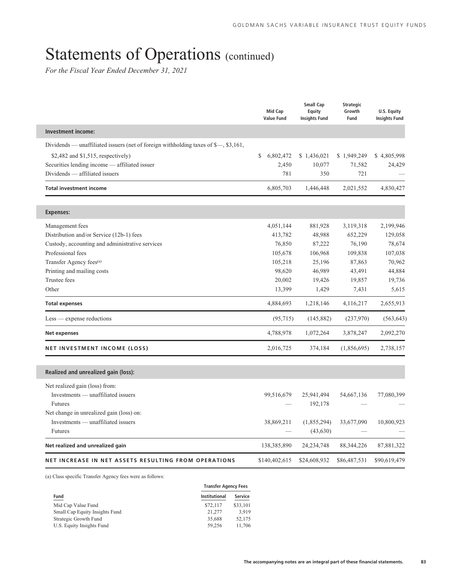# Statements of Operations (continued)

*For the Fiscal Year Ended December 31, 2021*

|                                                                                     | Mid Cap<br><b>Value Fund</b> | <b>Small Cap</b><br>Equity<br><b>Insights Fund</b> | <b>Strategic</b><br>Growth<br>Fund | <b>U.S. Equity</b><br><b>Insights Fund</b> |
|-------------------------------------------------------------------------------------|------------------------------|----------------------------------------------------|------------------------------------|--------------------------------------------|
| <b>Investment income:</b>                                                           |                              |                                                    |                                    |                                            |
| Dividends — unaffiliated issuers (net of foreign withholding taxes of \$—, \$3,161, |                              |                                                    |                                    |                                            |
| \$2,482 and \$1,515, respectively)                                                  | 6,802,472<br>\$              | \$1,436,021                                        | \$1,949,249                        | \$4,805,998                                |
| Securities lending income - affiliated issuer                                       | 2,450                        | 10,077                                             | 71,582                             | 24,429                                     |
| Dividends - affiliated issuers                                                      | 781                          | 350                                                | 721                                |                                            |
| <b>Total investment income</b>                                                      | 6,805,703                    | 1,446,448                                          | 2,021,552                          | 4,830,427                                  |
| <b>Expenses:</b>                                                                    |                              |                                                    |                                    |                                            |
| Management fees                                                                     | 4,051,144                    | 881,928                                            | 3,119,318                          | 2,199,946                                  |
| Distribution and/or Service (12b-1) fees                                            | 413,782                      | 48,988                                             | 652,229                            | 129,058                                    |
| Custody, accounting and administrative services                                     | 76,850                       | 87,222                                             | 76,190                             | 78,674                                     |
| Professional fees                                                                   | 105,678                      | 106,968                                            | 109,838                            | 107,038                                    |
| Transfer Agency fees <sup>(a)</sup>                                                 | 105,218                      | 25,196                                             | 87,863                             | 70,962                                     |
| Printing and mailing costs                                                          | 98,620                       | 46,989                                             | 43,491                             | 44,884                                     |
| Trustee fees                                                                        | 20,002                       | 19,426                                             | 19,857                             | 19,736                                     |
| Other                                                                               | 13,399                       | 1,429                                              | 7,431                              | 5,615                                      |
| <b>Total expenses</b>                                                               | 4,884,693                    | 1,218,146                                          | 4,116,217                          | 2,655,913                                  |
| $Less$ - expense reductions                                                         | (95, 715)                    | (145,882)                                          | (237,970)                          | (563, 643)                                 |
| Net expenses                                                                        | 4,788,978                    | 1,072,264                                          | 3,878,247                          | 2,092,270                                  |
| NET INVESTMENT INCOME (LOSS)                                                        | 2,016,725                    | 374,184                                            | (1,856,695)                        | 2,738,157                                  |
| Realized and unrealized gain (loss):                                                |                              |                                                    |                                    |                                            |
| Net realized gain (loss) from:                                                      |                              |                                                    |                                    |                                            |
| Investments — unaffiliated issuers                                                  | 99,516,679                   | 25,941,494                                         | 54,667,136                         | 77,080,399                                 |
| Futures                                                                             |                              | 192,178                                            |                                    |                                            |
| Net change in unrealized gain (loss) on:                                            |                              |                                                    |                                    |                                            |
| Investments — unaffiliated issuers                                                  | 38,869,211                   | (1,855,294)                                        | 33,677,090                         | 10,800,923                                 |
| <b>Futures</b>                                                                      |                              | (43, 630)                                          |                                    |                                            |
| Net realized and unrealized gain                                                    | 138,385,890                  | 24, 234, 748                                       | 88, 344, 226                       | 87,881,322                                 |
| NET INCREASE IN NET ASSETS RESULTING FROM OPERATIONS                                | \$140,402,615                | \$24,608,932                                       | \$86,487,531                       | \$90,619,479                               |

(a) Class specific Transfer Agency fees were as follows:

|                                |                      | <b>Transfer Agency Fees</b> |  |
|--------------------------------|----------------------|-----------------------------|--|
| Fund                           | <b>Institutional</b> | Service                     |  |
| Mid Cap Value Fund             | \$72,117             | \$33,101                    |  |
| Small Cap Equity Insights Fund | 21,277               | 3.919                       |  |
| Strategic Growth Fund          | 35,688               | 52,175                      |  |
| U.S. Equity Insights Fund      | 59,256               | 11.706                      |  |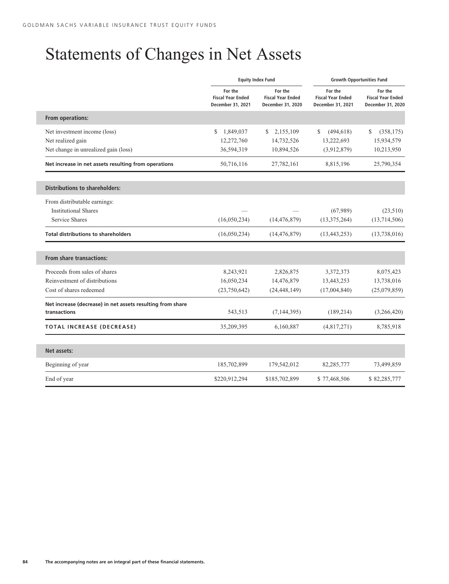## Statements of Changes in Net Assets

|                                                                            |                                                          | <b>Equity Index Fund</b>                                        | <b>Growth Opportunities Fund</b>                                |                                                                 |  |  |  |  |
|----------------------------------------------------------------------------|----------------------------------------------------------|-----------------------------------------------------------------|-----------------------------------------------------------------|-----------------------------------------------------------------|--|--|--|--|
|                                                                            | For the<br><b>Fiscal Year Ended</b><br>December 31, 2021 | For the<br><b>Fiscal Year Ended</b><br><b>December 31, 2020</b> | For the<br><b>Fiscal Year Ended</b><br><b>December 31, 2021</b> | For the<br><b>Fiscal Year Ended</b><br><b>December 31, 2020</b> |  |  |  |  |
| From operations:                                                           |                                                          |                                                                 |                                                                 |                                                                 |  |  |  |  |
| Net investment income (loss)                                               | 1,849,037<br>\$                                          | \$2,155,109                                                     | (494, 618)<br>S.                                                | (358, 175)<br>\$                                                |  |  |  |  |
| Net realized gain                                                          | 12,272,760                                               | 14,732,526                                                      | 13,222,693                                                      | 15,934,579                                                      |  |  |  |  |
| Net change in unrealized gain (loss)                                       | 36,594,319                                               | 10,894,526                                                      | (3,912,879)                                                     | 10,213,950                                                      |  |  |  |  |
| Net increase in net assets resulting from operations                       | 50,716,116                                               | 27,782,161                                                      | 8,815,196                                                       | 25,790,354                                                      |  |  |  |  |
| <b>Distributions to shareholders:</b>                                      |                                                          |                                                                 |                                                                 |                                                                 |  |  |  |  |
| From distributable earnings:                                               |                                                          |                                                                 |                                                                 |                                                                 |  |  |  |  |
| <b>Institutional Shares</b>                                                |                                                          |                                                                 | (67,989)                                                        | (23,510)                                                        |  |  |  |  |
| <b>Service Shares</b>                                                      | (16,050,234)                                             | (14, 476, 879)                                                  | (13,375,264)                                                    | (13,714,506)                                                    |  |  |  |  |
| <b>Total distributions to shareholders</b>                                 | (16,050,234)                                             | (14, 476, 879)                                                  | (13, 443, 253)                                                  | (13,738,016)                                                    |  |  |  |  |
| <b>From share transactions:</b>                                            |                                                          |                                                                 |                                                                 |                                                                 |  |  |  |  |
| Proceeds from sales of shares                                              | 8,243,921                                                | 2,826,875                                                       | 3,372,373                                                       | 8,075,423                                                       |  |  |  |  |
| Reinvestment of distributions                                              | 16,050,234                                               | 14,476,879                                                      | 13,443,253                                                      | 13,738,016                                                      |  |  |  |  |
| Cost of shares redeemed                                                    | (23,750,642)                                             | (24, 448, 149)                                                  | (17,004,840)                                                    | (25,079,859)                                                    |  |  |  |  |
| Net increase (decrease) in net assets resulting from share<br>transactions | 543,513                                                  | (7, 144, 395)                                                   | (189, 214)                                                      | (3,266,420)                                                     |  |  |  |  |
| <b>TOTAL INCREASE (DECREASE)</b>                                           | 35,209,395                                               | 6,160,887                                                       | (4,817,271)                                                     | 8,785,918                                                       |  |  |  |  |
| Net assets:                                                                |                                                          |                                                                 |                                                                 |                                                                 |  |  |  |  |
| Beginning of year                                                          | 185,702,899                                              | 179,542,012                                                     | 82,285,777                                                      | 73,499,859                                                      |  |  |  |  |
| End of year                                                                | \$220,912,294                                            | \$185,702,899                                                   | \$77,468,506                                                    | \$82,285,777                                                    |  |  |  |  |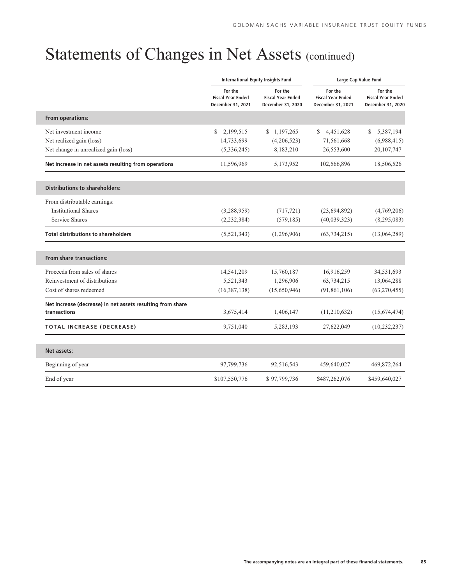## Statements of Changes in Net Assets (continued)

|                                                                            |                                                          | <b>International Equity Insights Fund</b>                |                                                          | Large Cap Value Fund                                     |
|----------------------------------------------------------------------------|----------------------------------------------------------|----------------------------------------------------------|----------------------------------------------------------|----------------------------------------------------------|
|                                                                            | For the<br><b>Fiscal Year Ended</b><br>December 31, 2021 | For the<br><b>Fiscal Year Ended</b><br>December 31, 2020 | For the<br><b>Fiscal Year Ended</b><br>December 31, 2021 | For the<br><b>Fiscal Year Ended</b><br>December 31, 2020 |
| From operations:                                                           |                                                          |                                                          |                                                          |                                                          |
| Net investment income                                                      | \$<br>2,199,515                                          | \$1,197,265                                              | S.<br>4,451,628                                          | S.<br>5,387,194                                          |
| Net realized gain (loss)                                                   | 14,733,699                                               | (4,206,523)                                              | 71,561,668                                               | (6,988,415)                                              |
| Net change in unrealized gain (loss)                                       | (5,336,245)                                              | 8,183,210                                                | 26,553,600                                               | 20,107,747                                               |
| Net increase in net assets resulting from operations                       | 11,596,969                                               | 5,173,952                                                | 102,566,896                                              | 18,506,526                                               |
| <b>Distributions to shareholders:</b>                                      |                                                          |                                                          |                                                          |                                                          |
| From distributable earnings:                                               |                                                          |                                                          |                                                          |                                                          |
| <b>Institutional Shares</b>                                                | (3, 288, 959)                                            | (717, 721)                                               | (23, 694, 892)                                           | (4,769,206)                                              |
| <b>Service Shares</b>                                                      | (2, 232, 384)                                            | (579, 185)                                               | (40,039,323)                                             | (8,295,083)                                              |
| <b>Total distributions to shareholders</b>                                 | (5,521,343)                                              | (1,296,906)                                              | (63, 734, 215)                                           | (13,064,289)                                             |
| <b>From share transactions:</b>                                            |                                                          |                                                          |                                                          |                                                          |
| Proceeds from sales of shares                                              | 14,541,209                                               | 15,760,187                                               | 16,916,259                                               | 34,531,693                                               |
| Reinvestment of distributions                                              | 5,521,343                                                | 1,296,906                                                | 63,734,215                                               | 13,064,288                                               |
| Cost of shares redeemed                                                    | (16,387,138)                                             | (15,650,946)                                             | (91, 861, 106)                                           | (63,270,455)                                             |
| Net increase (decrease) in net assets resulting from share<br>transactions | 3,675,414                                                | 1,406,147                                                | (11,210,632)                                             | (15,674,474)                                             |
| <b>TOTAL INCREASE (DECREASE)</b>                                           | 9,751,040                                                | 5,283,193                                                | 27,622,049                                               | (10, 232, 237)                                           |
| Net assets:                                                                |                                                          |                                                          |                                                          |                                                          |
| Beginning of year                                                          | 97,799,736                                               | 92,516,543                                               | 459,640,027                                              | 469,872,264                                              |
| End of year                                                                | \$107,550,776                                            | \$97,799,736                                             | \$487,262,076                                            | \$459,640,027                                            |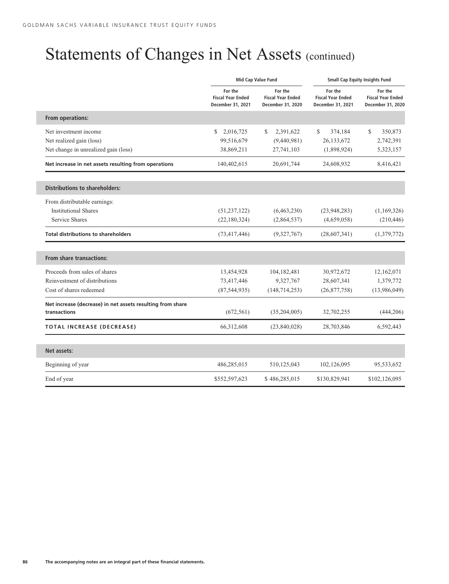## Statements of Changes in Net Assets (continued)

|                                                                            |                                                          | <b>Mid Cap Value Fund</b>                                | <b>Small Cap Equity Insights Fund</b>                           |                                                                 |  |  |  |  |
|----------------------------------------------------------------------------|----------------------------------------------------------|----------------------------------------------------------|-----------------------------------------------------------------|-----------------------------------------------------------------|--|--|--|--|
|                                                                            | For the<br><b>Fiscal Year Ended</b><br>December 31, 2021 | For the<br><b>Fiscal Year Ended</b><br>December 31, 2020 | For the<br><b>Fiscal Year Ended</b><br><b>December 31, 2021</b> | For the<br><b>Fiscal Year Ended</b><br><b>December 31, 2020</b> |  |  |  |  |
| From operations:                                                           |                                                          |                                                          |                                                                 |                                                                 |  |  |  |  |
| Net investment income                                                      | 2,016,725<br>\$                                          | 2,391,622<br>S.                                          | $\mathbb{S}$<br>374,184                                         | $\mathbb{S}$<br>350,873                                         |  |  |  |  |
| Net realized gain (loss)                                                   | 99,516,679                                               | (9,440,981)                                              | 26,133,672                                                      | 2,742,391                                                       |  |  |  |  |
| Net change in unrealized gain (loss)                                       | 38,869,211                                               | 27,741,103                                               | (1,898,924)                                                     | 5,323,157                                                       |  |  |  |  |
| Net increase in net assets resulting from operations                       | 140,402,615                                              | 20,691,744                                               | 24,608,932                                                      | 8,416,421                                                       |  |  |  |  |
| <b>Distributions to shareholders:</b>                                      |                                                          |                                                          |                                                                 |                                                                 |  |  |  |  |
| From distributable earnings:                                               |                                                          |                                                          |                                                                 |                                                                 |  |  |  |  |
| <b>Institutional Shares</b>                                                | (51, 237, 122)                                           | (6,463,230)                                              | (23,948,283)                                                    | (1,169,326)                                                     |  |  |  |  |
| Service Shares                                                             | (22, 180, 324)                                           | (2,864,537)                                              | (4,659,058)                                                     | (210, 446)                                                      |  |  |  |  |
| <b>Total distributions to shareholders</b>                                 | (73, 417, 446)                                           | (9,327,767)                                              | (28,607,341)                                                    | (1,379,772)                                                     |  |  |  |  |
| <b>From share transactions:</b>                                            |                                                          |                                                          |                                                                 |                                                                 |  |  |  |  |
| Proceeds from sales of shares                                              | 13,454,928                                               | 104,182,481                                              | 30,972,672                                                      | 12,162,071                                                      |  |  |  |  |
| Reinvestment of distributions                                              | 73,417,446                                               | 9,327,767                                                | 28,607,341                                                      | 1,379,772                                                       |  |  |  |  |
| Cost of shares redeemed                                                    | (87, 544, 935)                                           | (148, 714, 253)                                          | (26,877,758)                                                    | (13,986,049)                                                    |  |  |  |  |
| Net increase (decrease) in net assets resulting from share<br>transactions | (672, 561)                                               | (35,204,005)                                             | 32,702,255                                                      | (444, 206)                                                      |  |  |  |  |
| <b>TOTAL INCREASE (DECREASE)</b>                                           | 66,312,608                                               | (23,840,028)                                             | 28,703,846                                                      | 6,592,443                                                       |  |  |  |  |
| Net assets:                                                                |                                                          |                                                          |                                                                 |                                                                 |  |  |  |  |
| Beginning of year                                                          | 486,285,015                                              | 510,125,043                                              | 102,126,095                                                     | 95,533,652                                                      |  |  |  |  |
| End of year                                                                | \$552,597,623                                            | \$486,285,015                                            | \$130,829,941                                                   | \$102,126,095                                                   |  |  |  |  |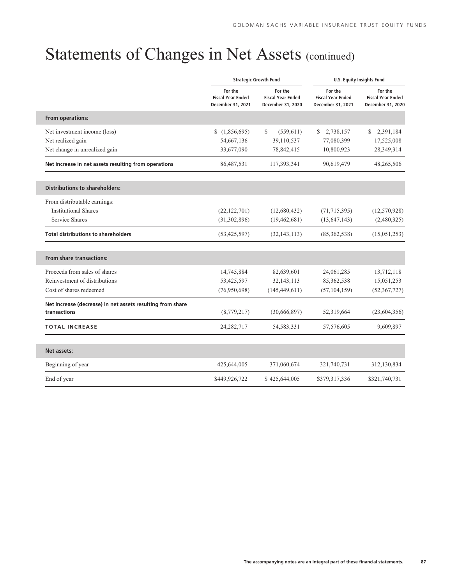## Statements of Changes in Net Assets (continued)

|                                                                            |                                                          | <b>Strategic Growth Fund</b>                             |                                                          | <b>U.S. Equity Insights Fund</b>                         |
|----------------------------------------------------------------------------|----------------------------------------------------------|----------------------------------------------------------|----------------------------------------------------------|----------------------------------------------------------|
|                                                                            | For the<br><b>Fiscal Year Ended</b><br>December 31, 2021 | For the<br><b>Fiscal Year Ended</b><br>December 31, 2020 | For the<br><b>Fiscal Year Ended</b><br>December 31, 2021 | For the<br><b>Fiscal Year Ended</b><br>December 31, 2020 |
| From operations:                                                           |                                                          |                                                          |                                                          |                                                          |
| Net investment income (loss)                                               | \$(1,856,695)                                            | S<br>(559, 611)                                          | 2,738,157<br>S                                           | 2,391,184<br>S.                                          |
| Net realized gain                                                          | 54,667,136                                               | 39,110,537                                               | 77,080,399                                               | 17,525,008                                               |
| Net change in unrealized gain                                              | 33,677,090                                               | 78,842,415                                               | 10,800,923                                               | 28,349,314                                               |
| Net increase in net assets resulting from operations                       | 86,487,531                                               | 117,393,341                                              | 90,619,479                                               | 48,265,506                                               |
| <b>Distributions to shareholders:</b>                                      |                                                          |                                                          |                                                          |                                                          |
| From distributable earnings:                                               |                                                          |                                                          |                                                          |                                                          |
| <b>Institutional Shares</b>                                                | (22, 122, 701)                                           | (12,680,432)                                             | (71, 715, 395)                                           | (12,570,928)                                             |
| Service Shares                                                             | (31,302,896)                                             | (19, 462, 681)                                           | (13, 647, 143)                                           | (2,480,325)                                              |
| <b>Total distributions to shareholders</b>                                 | (53, 425, 597)                                           | (32, 143, 113)                                           | (85,362,538)                                             | (15,051,253)                                             |
| <b>From share transactions:</b>                                            |                                                          |                                                          |                                                          |                                                          |
| Proceeds from sales of shares                                              | 14,745,884                                               | 82,639,601                                               | 24,061,285                                               | 13,712,118                                               |
| Reinvestment of distributions                                              | 53,425,597                                               | 32, 143, 113                                             | 85,362,538                                               | 15,051,253                                               |
| Cost of shares redeemed                                                    | (76,950,698)                                             | (145, 449, 611)                                          | (57, 104, 159)                                           | (52, 367, 727)                                           |
| Net increase (decrease) in net assets resulting from share<br>transactions | (8,779,217)                                              | (30,666,897)                                             | 52,319,664                                               | (23,604,356)                                             |
| <b>TOTAL INCREASE</b>                                                      | 24,282,717                                               | 54, 583, 331                                             | 57,576,605                                               | 9,609,897                                                |
| Net assets:                                                                |                                                          |                                                          |                                                          |                                                          |
| Beginning of year                                                          | 425,644,005                                              | 371,060,674                                              | 321,740,731                                              | 312,130,834                                              |
| End of year                                                                | \$449,926,722                                            | \$425,644,005                                            | \$379,317,336                                            | \$321,740,731                                            |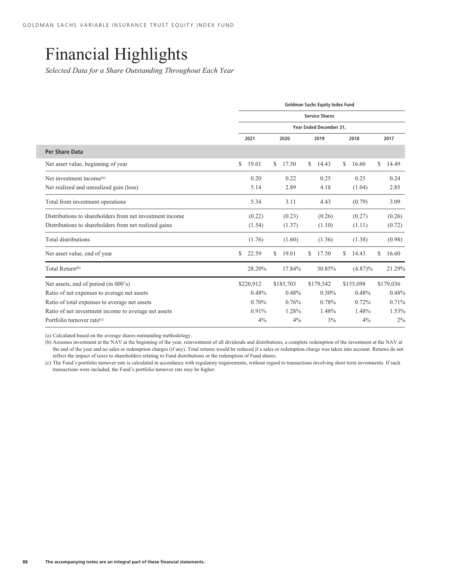## Financial Highlights

*Selected Data for a Share Outstanding Throughout Each Year*

|                                                          |      |           |             |    | <b>Goldman Sachs Equity Index Fund</b> |      |            |             |
|----------------------------------------------------------|------|-----------|-------------|----|----------------------------------------|------|------------|-------------|
|                                                          |      |           |             |    | <b>Service Shares</b>                  |      |            |             |
|                                                          |      |           |             |    | Year Ended December 31.                |      |            |             |
|                                                          | 2021 |           | 2020        |    | 2019                                   | 2018 |            | 2017        |
| <b>Per Share Data</b>                                    |      |           |             |    |                                        |      |            |             |
| Net asset value, beginning of year                       | \$.  | 19.01     | \$<br>17.50 | S. | 14.43                                  | \$   | 16.60      | \$<br>14.49 |
| Net investment income <sup>(a)</sup>                     |      | 0.20      | 0.22        |    | 0.25                                   |      | 0.25       | 0.24        |
| Net realized and unrealized gain (loss)                  |      | 5.14      | 2.89        |    | 4.18                                   |      | (1.04)     | 2.85        |
| Total from investment operations                         |      | 5.34      | 3.11        |    | 4.43                                   |      | (0.79)     | 3.09        |
| Distributions to shareholders from net investment income |      | (0.22)    | (0.23)      |    | (0.26)                                 |      | (0.27)     | (0.26)      |
| Distributions to shareholders from net realized gains    |      | (1.54)    | (1.37)      |    | (1.10)                                 |      | (1.11)     | (0.72)      |
| <b>Total distributions</b>                               |      | (1.76)    | (1.60)      |    | (1.36)                                 |      | (1.38)     | (0.98)      |
| Net asset value, end of year                             | S    | 22.59     | \$<br>19.01 | S. | 17.50                                  | S.   | 14.43      | \$<br>16.60 |
| Total Return <sup>(b)</sup>                              |      | 28.20%    | 17.84%      |    | 30.85%                                 |      | $(4.87)\%$ | 21.29%      |
| Net assets, end of period (in 000's)                     |      | \$220,912 | \$185,703   |    | \$179,542                              |      | \$155,098  | \$179,036   |
| Ratio of net expenses to average net assets              |      | 0.48%     | 0.48%       |    | 0.50%                                  |      | 0.48%      | 0.48%       |
| Ratio of total expenses to average net assets            |      | 0.70%     | 0.76%       |    | 0.78%                                  |      | 0.72%      | 0.71%       |
| Ratio of net investment income to average net assets     |      | $0.91\%$  | 1.28%       |    | 1.48%                                  |      | 1.48%      | 1.53%       |
| Portfolio turnover rate <sup>(c)</sup>                   |      | $4\%$     | $4\%$       |    | 3%                                     |      | $4\%$      | 2%          |

(a) Calculated based on the average shares outstanding methodology.

(b) Assumes investment at the NAV at the beginning of the year, reinvestment of all dividends and distributions, a complete redemption of the investment at the NAV at the end of the year and no sales or redemption charges (if any). Total returns would be reduced if a sales or redemption charge was taken into account. Returns do not reflect the impact of taxes to shareholders relating to Fund distributions or the redemption of Fund shares.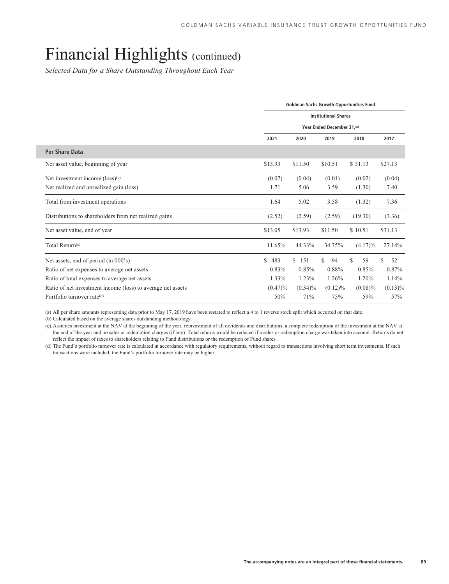*Selected Data for a Share Outstanding Throughout Each Year*

|                                                             |            |            |                             | <b>Goldman Sachs Growth Opportunities Fund</b> |            |  |  |  |
|-------------------------------------------------------------|------------|------------|-----------------------------|------------------------------------------------|------------|--|--|--|
|                                                             |            |            | <b>Institutional Shares</b> |                                                |            |  |  |  |
|                                                             |            |            | Year Ended December 31.(a)  |                                                |            |  |  |  |
|                                                             | 2021       | 2020       | 2019                        | 2018                                           | 2017       |  |  |  |
| <b>Per Share Data</b>                                       |            |            |                             |                                                |            |  |  |  |
| Net asset value, beginning of year                          | \$13.93    | \$11.50    | \$10.51                     | \$31.13                                        | \$27.13    |  |  |  |
| Net investment income (loss) <sup>(b)</sup>                 | (0.07)     | (0.04)     | (0.01)                      | (0.02)                                         | (0.04)     |  |  |  |
| Net realized and unrealized gain (loss)                     | 1.71       | 5.06       | 3.59                        | (1.30)                                         | 7.40       |  |  |  |
| Total from investment operations                            | 1.64       | 5.02       | 3.58                        | (1.32)                                         | 7.36       |  |  |  |
| Distributions to shareholders from net realized gains       | (2.52)     | (2.59)     | (2.59)                      | (19.30)                                        | (3.36)     |  |  |  |
| Net asset value, end of year                                | \$13.05    | \$13.93    | \$11.50                     | \$10.51                                        | \$31.13    |  |  |  |
| Total Return <sup>(c)</sup>                                 | 11.65%     | 44.33%     | 34.35%                      | $(4.17)\%$                                     | 27.14%     |  |  |  |
| Net assets, end of period (in 000's)                        | \$<br>483  | S.<br>151  | \$<br>94                    | \$.<br>59                                      | \$.<br>52  |  |  |  |
| Ratio of net expenses to average net assets                 | 0.83%      | 0.85%      | 0.88%                       | 0.85%                                          | 0.87%      |  |  |  |
| Ratio of total expenses to average net assets               | 1.33%      | 1.23%      | 1.26%                       | 1.20%                                          | 1.14%      |  |  |  |
| Ratio of net investment income (loss) to average net assets | $(0.47)\%$ | $(0.34)\%$ | $(0.12)\%$                  | $(0.08)\%$                                     | $(0.13)\%$ |  |  |  |
| Portfolio turnover rate(d)                                  | 50%        | 71%        | 75%                         | 59%                                            | 57%        |  |  |  |

(a) All per share amounts representing data prior to May 17, 2019 have been restated to reflect a 4 to 1 reverse stock split which occurred on that date.

(b) Calculated based on the average shares outstanding methodology.

(c) Assumes investment at the NAV at the beginning of the year, reinvestment of all dividends and distributions, a complete redemption of the investment at the NAV at the end of the year and no sales or redemption charges (if any). Total returns would be reduced if a sales or redemption charge was taken into account. Returns do not reflect the impact of taxes to shareholders relating to Fund distributions or the redemption of Fund shares.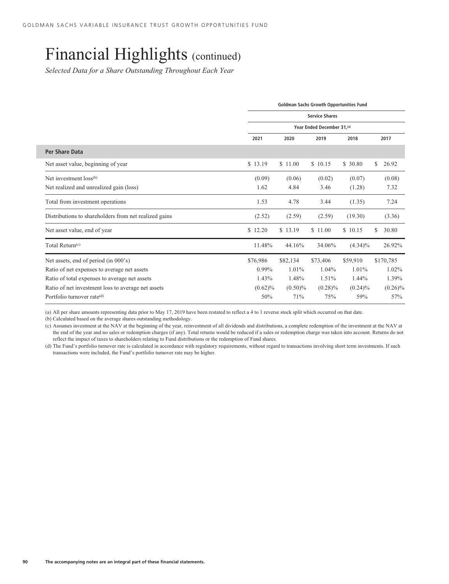*Selected Data for a Share Outstanding Throughout Each Year*

|                                                       |            | <b>Goldman Sachs Growth Opportunities Fund</b> |                             |            |    |            |  |  |  |  |  |  |
|-------------------------------------------------------|------------|------------------------------------------------|-----------------------------|------------|----|------------|--|--|--|--|--|--|
|                                                       |            |                                                | <b>Service Shares</b>       |            |    |            |  |  |  |  |  |  |
|                                                       |            |                                                | Year Ended December 31, (a) |            |    |            |  |  |  |  |  |  |
|                                                       | 2021       | 2020                                           | 2019<br>2018                |            |    | 2017       |  |  |  |  |  |  |
| Per Share Data                                        |            |                                                |                             |            |    |            |  |  |  |  |  |  |
| Net asset value, beginning of year                    | \$13.19    | \$11.00                                        | \$10.15                     | \$ 30.80   | \$ | 26.92      |  |  |  |  |  |  |
| Net investment loss(b)                                | (0.09)     | (0.06)                                         | (0.02)                      | (0.07)     |    | (0.08)     |  |  |  |  |  |  |
| Net realized and unrealized gain (loss)               | 1.62       | 4.84                                           | 3.46                        | (1.28)     |    | 7.32       |  |  |  |  |  |  |
| Total from investment operations                      | 1.53       | 4.78                                           | 3.44                        | (1.35)     |    | 7.24       |  |  |  |  |  |  |
| Distributions to shareholders from net realized gains | (2.52)     | (2.59)                                         | (2.59)                      | (19.30)    |    | (3.36)     |  |  |  |  |  |  |
| Net asset value, end of year                          | \$12.20    | \$13.19                                        | \$11.00                     | \$10.15    | \$ | 30.80      |  |  |  |  |  |  |
| Total Return <sup>(c)</sup>                           | 11.48%     | 44.16%                                         | 34.06%                      | $(4.34)\%$ |    | 26.92%     |  |  |  |  |  |  |
| Net assets, end of period (in 000's)                  | \$76,986   | \$82,134                                       | \$73,406                    | \$59,910   |    | \$170,785  |  |  |  |  |  |  |
| Ratio of net expenses to average net assets           | $0.99\%$   | 1.01%                                          | 1.04%                       | 1.01%      |    | 1.02%      |  |  |  |  |  |  |
| Ratio of total expenses to average net assets         | 1.43%      | 1.48%                                          | 1.51%                       | 1.44%      |    | 1.39%      |  |  |  |  |  |  |
| Ratio of net investment loss to average net assets    | $(0.62)\%$ | $(0.50)\%$                                     | $(0.28)\%$                  | $(0.24)\%$ |    | $(0.26)\%$ |  |  |  |  |  |  |
| Portfolio turnover rate <sup>(d)</sup>                | 50%        | 71%                                            | 75%                         | 59%        |    | 57%        |  |  |  |  |  |  |

(a) All per share amounts representing data prior to May 17, 2019 have been restated to reflect a 4 to 1 reverse stock split which occurred on that date.

(b) Calculated based on the average shares outstanding methodology.

(c) Assumes investment at the NAV at the beginning of the year, reinvestment of all dividends and distributions, a complete redemption of the investment at the NAV at the end of the year and no sales or redemption charges (if any). Total returns would be reduced if a sales or redemption charge was taken into account. Returns do not reflect the impact of taxes to shareholders relating to Fund distributions or the redemption of Fund shares.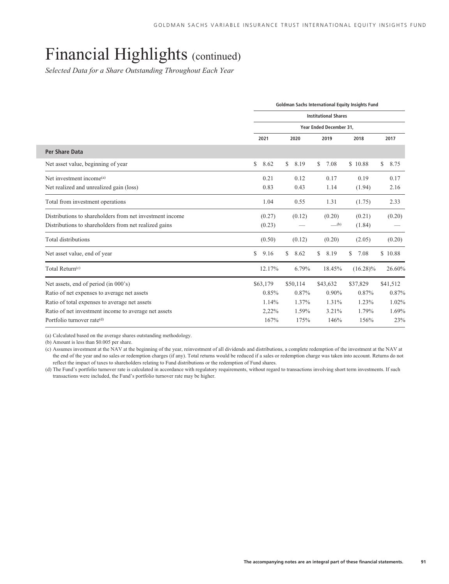*Selected Data for a Share Outstanding Throughout Each Year*

|                                                          |            |            |                                | <b>Goldman Sachs International Equity Insights Fund</b> |            |
|----------------------------------------------------------|------------|------------|--------------------------------|---------------------------------------------------------|------------|
|                                                          |            |            | <b>Institutional Shares</b>    |                                                         |            |
|                                                          |            |            | Year Ended December 31,        |                                                         |            |
|                                                          | 2021       | 2020       | 2019                           | 2018                                                    | 2017       |
| Per Share Data                                           |            |            |                                |                                                         |            |
| Net asset value, beginning of year                       | \$<br>8.62 | 8.19<br>\$ | S<br>7.08                      | \$10.88                                                 | \$<br>8.75 |
| Net investment income <sup>(a)</sup>                     | 0.21       | 0.12       | 0.17                           | 0.19                                                    | 0.17       |
| Net realized and unrealized gain (loss)                  | 0.83       | 0.43       | 1.14                           | (1.94)                                                  | 2.16       |
| Total from investment operations                         | 1.04       | 0.55       | 1.31                           | (1.75)                                                  | 2.33       |
| Distributions to shareholders from net investment income | (0.27)     | (0.12)     | (0.20)                         | (0.21)                                                  | (0.20)     |
| Distributions to shareholders from net realized gains    | (0.23)     |            | $\underline{\hspace{1cm}}$ (b) | (1.84)                                                  |            |
| Total distributions                                      | (0.50)     | (0.12)     | (0.20)                         | (2.05)                                                  | (0.20)     |
| Net asset value, end of year                             | \$<br>9.16 | 8.62<br>S. | 8.19<br>S.                     | \$<br>7.08                                              | \$10.88    |
| Total Return <sup>(c)</sup>                              | 12.17%     | 6.79%      | 18.45%                         | $(16.28)\%$                                             | 26.60%     |
| Net assets, end of period (in 000's)                     | \$63,179   | \$50,114   | \$43,632                       | \$37,829                                                | \$41,512   |
| Ratio of net expenses to average net assets              | 0.85%      | 0.87%      | $0.90\%$                       | 0.87%                                                   | 0.87%      |
| Ratio of total expenses to average net assets            | 1.14%      | 1.37%      | 1.31%                          | 1.23%                                                   | 1.02%      |
| Ratio of net investment income to average net assets     | 2,22%      | 1.59%      | $3.21\%$                       | 1.79%                                                   | 1.69%      |
| Portfolio turnover rate <sup>(d)</sup>                   | 167%       | 175%       | 146%                           | 156%                                                    | 23%        |

(a) Calculated based on the average shares outstanding methodology.

(b) Amount is less than \$0.005 per share.

(c) Assumes investment at the NAV at the beginning of the year, reinvestment of all dividends and distributions, a complete redemption of the investment at the NAV at the end of the year and no sales or redemption charges (if any). Total returns would be reduced if a sales or redemption charge was taken into account. Returns do not reflect the impact of taxes to shareholders relating to Fund distributions or the redemption of Fund shares.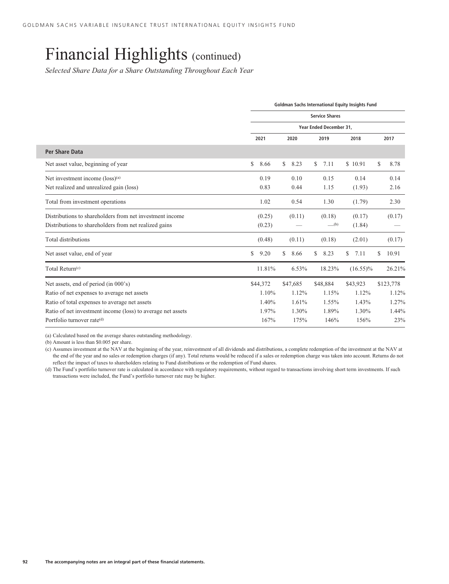*Selected Share Data for a Share Outstanding Throughout Each Year*

|                                                             |                         |            |                                | Goldman Sachs International Equity Insights Fund |             |  |  |  |  |  |  |
|-------------------------------------------------------------|-------------------------|------------|--------------------------------|--------------------------------------------------|-------------|--|--|--|--|--|--|
|                                                             |                         |            | <b>Service Shares</b>          |                                                  |             |  |  |  |  |  |  |
|                                                             | Year Ended December 31. |            |                                |                                                  |             |  |  |  |  |  |  |
|                                                             | 2021                    | 2020       | 2019                           | 2018                                             | 2017        |  |  |  |  |  |  |
| Per Share Data                                              |                         |            |                                |                                                  |             |  |  |  |  |  |  |
| Net asset value, beginning of year                          | \$<br>8.66              | \$<br>8.23 | \$<br>7.11                     | \$10.91                                          | \$<br>8.78  |  |  |  |  |  |  |
| Net investment income (loss) <sup>(a)</sup>                 | 0.19                    | 0.10       | 0.15                           | 0.14                                             | 0.14        |  |  |  |  |  |  |
| Net realized and unrealized gain (loss)                     | 0.83                    | 0.44       | 1.15                           | (1.93)                                           | 2.16        |  |  |  |  |  |  |
| Total from investment operations                            | 1.02                    | 0.54       | 1.30                           | (1.79)                                           | 2.30        |  |  |  |  |  |  |
| Distributions to shareholders from net investment income    | (0.25)                  | (0.11)     | (0.18)                         | (0.17)                                           | (0.17)      |  |  |  |  |  |  |
| Distributions to shareholders from net realized gains       | (0.23)                  |            | $\underline{\hspace{1cm}}$ (b) | (1.84)                                           |             |  |  |  |  |  |  |
| Total distributions                                         | (0.48)                  | (0.11)     | (0.18)                         | (2.01)                                           | (0.17)      |  |  |  |  |  |  |
| Net asset value, end of year                                | \$<br>9.20              | \$<br>8.66 | \$<br>8.23                     | 7.11<br>\$                                       | \$<br>10.91 |  |  |  |  |  |  |
| Total Return <sup>(c)</sup>                                 | 11.81%                  | 6.53%      | 18.23%                         | $(16.55)\%$                                      | 26.21%      |  |  |  |  |  |  |
| Net assets, end of period (in 000's)                        | \$44,372                | \$47,685   | \$48,884                       | \$43,923                                         | \$123,778   |  |  |  |  |  |  |
| Ratio of net expenses to average net assets                 | 1.10%                   | 1.12%      | 1.15%                          | 1.12%                                            | 1.12%       |  |  |  |  |  |  |
| Ratio of total expenses to average net assets               | 1.40%                   | 1.61%      | 1.55%                          | 1.43%                                            | 1.27%       |  |  |  |  |  |  |
| Ratio of net investment income (loss) to average net assets | 1.97%                   | 1.30%      | 1.89%                          | 1.30%                                            | 1.44%       |  |  |  |  |  |  |
| Portfolio turnover rate <sup>(d)</sup>                      | 167%                    | 175%       | 146%                           | 156%                                             | 23%         |  |  |  |  |  |  |

(a) Calculated based on the average shares outstanding methodology.

(b) Amount is less than \$0.005 per share.

(c) Assumes investment at the NAV at the beginning of the year, reinvestment of all dividends and distributions, a complete redemption of the investment at the NAV at the end of the year and no sales or redemption charges (if any). Total returns would be reduced if a sales or redemption charge was taken into account. Returns do not reflect the impact of taxes to shareholders relating to Fund distributions or the redemption of Fund shares.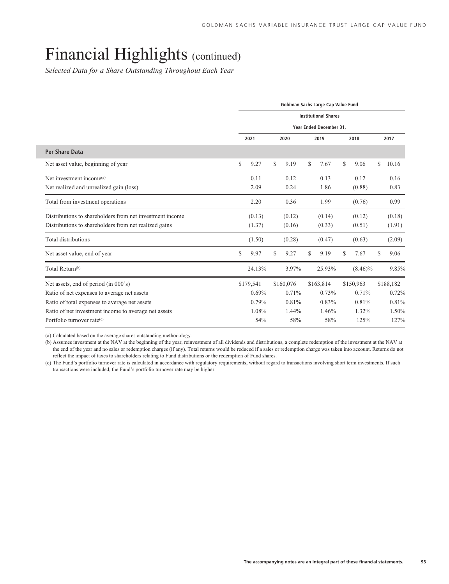*Selected Data for a Share Outstanding Throughout Each Year*

|                                                          |                         |           |    |           |              | Goldman Sachs Large Cap Value Fund |      |            |    |           |  |  |  |
|----------------------------------------------------------|-------------------------|-----------|----|-----------|--------------|------------------------------------|------|------------|----|-----------|--|--|--|
|                                                          |                         |           |    |           |              | <b>Institutional Shares</b>        |      |            |    |           |  |  |  |
|                                                          | Year Ended December 31. |           |    |           |              |                                    |      |            |    |           |  |  |  |
|                                                          | 2021                    |           |    | 2020      |              | 2019                               | 2018 |            |    | 2017      |  |  |  |
| <b>Per Share Data</b>                                    |                         |           |    |           |              |                                    |      |            |    |           |  |  |  |
| Net asset value, beginning of year                       | S                       | 9.27      | \$ | 9.19      | $\mathbb{S}$ | 7.67                               | S    | 9.06       | \$ | 10.16     |  |  |  |
| Net investment income <sup>(a)</sup>                     |                         | 0.11      |    | 0.12      |              | 0.13                               |      | 0.12       |    | 0.16      |  |  |  |
| Net realized and unrealized gain (loss)                  |                         | 2.09      |    | 0.24      |              | 1.86                               |      | (0.88)     |    | 0.83      |  |  |  |
| Total from investment operations                         |                         | 2.20      |    | 0.36      |              | 1.99                               |      | (0.76)     |    | 0.99      |  |  |  |
| Distributions to shareholders from net investment income |                         | (0.13)    |    | (0.12)    |              | (0.14)                             |      | (0.12)     |    | (0.18)    |  |  |  |
| Distributions to shareholders from net realized gains    |                         | (1.37)    |    | (0.16)    |              | (0.33)                             |      | (0.51)     |    | (1.91)    |  |  |  |
| Total distributions                                      |                         | (1.50)    |    | (0.28)    |              | (0.47)                             |      | (0.63)     |    | (2.09)    |  |  |  |
| Net asset value, end of year                             | \$                      | 9.97      | \$ | 9.27      | \$           | 9.19                               | \$   | 7.67       | \$ | 9.06      |  |  |  |
| Total Return <sup>(b)</sup>                              |                         | 24.13%    |    | 3.97%     |              | 25.93%                             |      | $(8.46)\%$ |    | 9.85%     |  |  |  |
| Net assets, end of period (in 000's)                     |                         | \$179,541 |    | \$160,076 |              | \$163,814                          |      | \$150,963  |    | \$188,182 |  |  |  |
| Ratio of net expenses to average net assets              |                         | 0.69%     |    | 0.71%     |              | 0.73%                              |      | 0.71%      |    | 0.72%     |  |  |  |
| Ratio of total expenses to average net assets            |                         | 0.79%     |    | 0.81%     |              | 0.83%                              |      | 0.81%      |    | 0.81%     |  |  |  |
| Ratio of net investment income to average net assets     |                         | 1.08%     |    | 1.44%     |              | 1.46%                              |      | 1.32%      |    | 1.50%     |  |  |  |
| Portfolio turnover rate <sup>(c)</sup>                   |                         | 54%       |    | 58%       |              | 58%                                |      | 125%       |    | 127%      |  |  |  |

(a) Calculated based on the average shares outstanding methodology.

(b) Assumes investment at the NAV at the beginning of the year, reinvestment of all dividends and distributions, a complete redemption of the investment at the NAV at the end of the year and no sales or redemption charges (if any). Total returns would be reduced if a sales or redemption charge was taken into account. Returns do not reflect the impact of taxes to shareholders relating to Fund distributions or the redemption of Fund shares.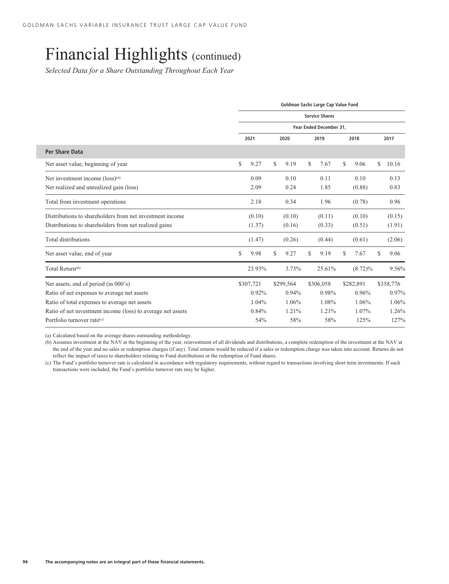*Selected Data for a Share Outstanding Throughout Each Year*

|                                                             |                         |           |     |           |    | Goldman Sachs Large Cap Value Fund |      |            |    |           |  |  |  |
|-------------------------------------------------------------|-------------------------|-----------|-----|-----------|----|------------------------------------|------|------------|----|-----------|--|--|--|
|                                                             |                         |           |     |           |    | <b>Service Shares</b>              |      |            |    |           |  |  |  |
|                                                             | Year Ended December 31. |           |     |           |    |                                    |      |            |    |           |  |  |  |
|                                                             |                         | 2021      |     | 2020      |    | 2019                               | 2018 |            |    | 2017      |  |  |  |
| <b>Per Share Data</b>                                       |                         |           |     |           |    |                                    |      |            |    |           |  |  |  |
| Net asset value, beginning of year                          | \$                      | 9.27      | \$  | 9.19      | \$ | 7.67                               | \$   | 9.06       | \$ | 10.16     |  |  |  |
| Net investment income (loss) <sup>(a)</sup>                 |                         | 0.09      |     | 0.10      |    | 0.11                               |      | 0.10       |    | 0.13      |  |  |  |
| Net realized and unrealized gain (loss)                     |                         | 2.09      |     | 0.24      |    | 1.85                               |      | (0.88)     |    | 0.83      |  |  |  |
| Total from investment operations                            |                         | 2.18      |     | 0.34      |    | 1.96                               |      | (0.78)     |    | 0.96      |  |  |  |
| Distributions to shareholders from net investment income    |                         | (0.10)    |     | (0.10)    |    | (0.11)                             |      | (0.10)     |    | (0.15)    |  |  |  |
| Distributions to shareholders from net realized gains       |                         | (1.37)    |     | (0.16)    |    | (0.33)                             |      | (0.51)     |    | (1.91)    |  |  |  |
| Total distributions                                         |                         | (1.47)    |     | (0.26)    |    | (0.44)                             |      | (0.61)     |    | (2.06)    |  |  |  |
| Net asset value, end of year                                | \$                      | 9.98      | \$. | 9.27      | \$ | 9.19                               | S    | 7.67       | \$ | 9.06      |  |  |  |
| Total Return(b)                                             |                         | 23.93%    |     | 3.73%     |    | 25.61%                             |      | $(8.72)\%$ |    | 9.56%     |  |  |  |
| Net assets, end of period (in 000's)                        |                         | \$307,721 |     | \$299,564 |    | \$306,058                          |      | \$282,891  |    | \$358,776 |  |  |  |
| Ratio of net expenses to average net assets                 |                         | 0.92%     |     | 0.94%     |    | 0.98%                              |      | 0.96%      |    | 0.97%     |  |  |  |
| Ratio of total expenses to average net assets               |                         | $1.04\%$  |     | 1.06%     |    | 1.08%                              |      | 1.06%      |    | 1.06%     |  |  |  |
| Ratio of net investment income (loss) to average net assets |                         | 0.84%     |     | 1.21%     |    | 1.21%                              |      | 1.07%      |    | 1.26%     |  |  |  |
| Portfolio turnover rate <sup>(c)</sup>                      |                         | 54%       |     | 58%       |    | 58%                                |      | 125%       |    | 127%      |  |  |  |

(a) Calculated based on the average shares outstanding methodology.

(b) Assumes investment at the NAV at the beginning of the year, reinvestment of all dividends and distributions, a complete redemption of the investment at the NAV at the end of the year and no sales or redemption charges (if any). Total returns would be reduced if a sales or redemption charge was taken into account. Returns do not reflect the impact of taxes to shareholders relating to Fund distributions or the redemption of Fund shares.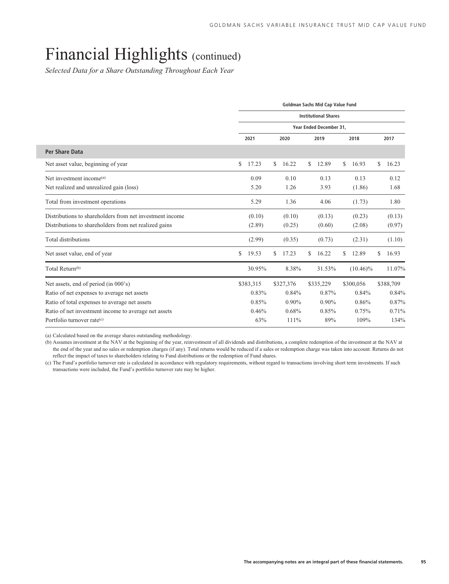*Selected Data for a Share Outstanding Throughout Each Year*

|                                                          |    |              |    |           |      | Goldman Sachs Mid Cap Value Fund |      |             |             |
|----------------------------------------------------------|----|--------------|----|-----------|------|----------------------------------|------|-------------|-------------|
|                                                          |    |              |    |           |      | <b>Institutional Shares</b>      |      |             |             |
|                                                          |    |              |    |           |      | Year Ended December 31.          |      |             |             |
|                                                          |    | 2021<br>2020 |    |           | 2019 |                                  | 2018 |             | 2017        |
| <b>Per Share Data</b>                                    |    |              |    |           |      |                                  |      |             |             |
| Net asset value, beginning of year                       | \$ | 17.23        | \$ | 16.22     | \$   | 12.89                            | \$   | 16.93       | \$<br>16.23 |
| Net investment income <sup>(a)</sup>                     |    | 0.09         |    | 0.10      |      | 0.13                             |      | 0.13        | 0.12        |
| Net realized and unrealized gain (loss)                  |    | 5.20         |    | 1.26      |      | 3.93                             |      | (1.86)      | 1.68        |
| Total from investment operations                         |    | 5.29         |    | 1.36      |      | 4.06                             |      | (1.73)      | 1.80        |
| Distributions to shareholders from net investment income |    | (0.10)       |    | (0.10)    |      | (0.13)                           |      | (0.23)      | (0.13)      |
| Distributions to shareholders from net realized gains    |    | (2.89)       |    | (0.25)    |      | (0.60)                           |      | (2.08)      | (0.97)      |
| Total distributions                                      |    | (2.99)       |    | (0.35)    |      | (0.73)                           |      | (2.31)      | (1.10)      |
| Net asset value, end of year                             | \$ | 19.53        | \$ | 17.23     | S.   | 16.22                            | S    | 12.89       | \$<br>16.93 |
| Total Return <sup>(b)</sup>                              |    | 30.95%       |    | 8.38%     |      | 31.53%                           |      | $(10.46)\%$ | 11.07%      |
| Net assets, end of period (in 000's)                     |    | \$383,315    |    | \$327,376 |      | \$335,229                        |      | \$300,056   | \$388,709   |
| Ratio of net expenses to average net assets              |    | 0.83%        |    | 0.84%     |      | 0.87%                            |      | 0.84%       | 0.84%       |
| Ratio of total expenses to average net assets            |    | 0.85%        |    | $0.90\%$  |      | $0.90\%$                         |      | 0.86%       | 0.87%       |
| Ratio of net investment income to average net assets     |    | 0.46%        |    | 0.68%     |      | 0.85%                            |      | 0.75%       | 0.71%       |
| Portfolio turnover rate <sup>(c)</sup>                   |    | 63%          |    | 111%      |      | 89%                              |      | 109%        | 134%        |

(a) Calculated based on the average shares outstanding methodology.

(b) Assumes investment at the NAV at the beginning of the year, reinvestment of all dividends and distributions, a complete redemption of the investment at the NAV at the end of the year and no sales or redemption charges (if any). Total returns would be reduced if a sales or redemption charge was taken into account. Returns do not reflect the impact of taxes to shareholders relating to Fund distributions or the redemption of Fund shares.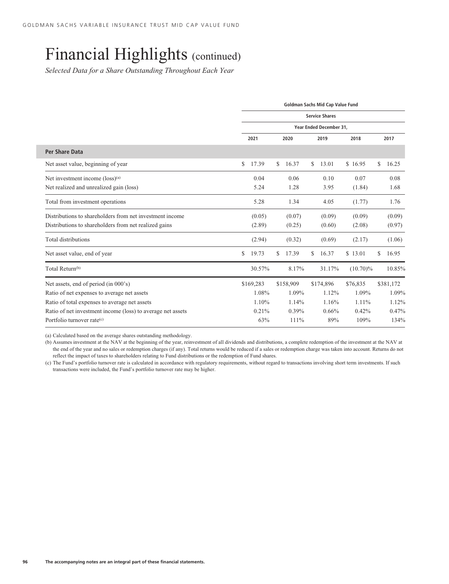*Selected Data for a Share Outstanding Throughout Each Year*

|                                                             |             |    |           | Goldman Sachs Mid Cap Value Fund |             |             |
|-------------------------------------------------------------|-------------|----|-----------|----------------------------------|-------------|-------------|
|                                                             |             |    |           | <b>Service Shares</b>            |             |             |
|                                                             |             |    |           | Year Ended December 31,          |             |             |
|                                                             | 2021        |    | 2020      | 2019                             | 2018        | 2017        |
| Per Share Data                                              |             |    |           |                                  |             |             |
| Net asset value, beginning of year                          | \$<br>17.39 | \$ | 16.37     | \$<br>13.01                      | \$16.95     | \$<br>16.25 |
| Net investment income (loss) <sup>(a)</sup>                 | 0.04        |    | 0.06      | 0.10                             | 0.07        | 0.08        |
| Net realized and unrealized gain (loss)                     | 5.24        |    | 1.28      | 3.95                             | (1.84)      | 1.68        |
| Total from investment operations                            | 5.28        |    | 1.34      | 4.05                             | (1.77)      | 1.76        |
| Distributions to shareholders from net investment income    | (0.05)      |    | (0.07)    | (0.09)                           | (0.09)      | (0.09)      |
| Distributions to shareholders from net realized gains       | (2.89)      |    | (0.25)    | (0.60)                           | (2.08)      | (0.97)      |
| Total distributions                                         | (2.94)      |    | (0.32)    | (0.69)                           | (2.17)      | (1.06)      |
| Net asset value, end of year                                | \$<br>19.73 | S. | 17.39     | \$<br>16.37                      | \$13.01     | \$<br>16.95 |
| Total Return <sup>(b)</sup>                                 | 30.57%      |    | 8.17%     | 31.17%                           | $(10.70)\%$ | 10.85%      |
| Net assets, end of period (in 000's)                        | \$169,283   |    | \$158,909 | \$174,896                        | \$76,835    | \$381,172   |
| Ratio of net expenses to average net assets                 | 1.08%       |    | 1.09%     | 1.12%                            | 1.09%       | 1.09%       |
| Ratio of total expenses to average net assets               | 1.10%       |    | 1.14%     | 1.16%                            | 1.11%       | 1.12%       |
| Ratio of net investment income (loss) to average net assets | 0.21%       |    | $0.39\%$  | 0.66%                            | 0.42%       | 0.47%       |
| Portfolio turnover rate <sup>(c)</sup>                      | 63%         |    | 111%      | 89%                              | 109%        | 134%        |

(a) Calculated based on the average shares outstanding methodology.

(b) Assumes investment at the NAV at the beginning of the year, reinvestment of all dividends and distributions, a complete redemption of the investment at the NAV at the end of the year and no sales or redemption charges (if any). Total returns would be reduced if a sales or redemption charge was taken into account. Returns do not reflect the impact of taxes to shareholders relating to Fund distributions or the redemption of Fund shares.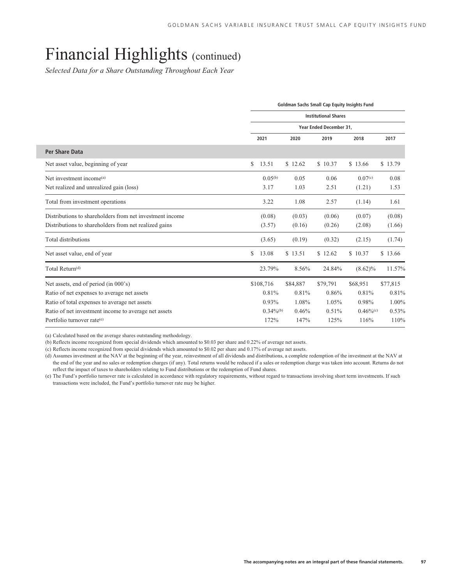*Selected Data for a Share Outstanding Throughout Each Year*

|                                                          | Goldman Sachs Small Cap Equity Insights Fund |          |                         |                         |          |  |  |  |  |  |
|----------------------------------------------------------|----------------------------------------------|----------|-------------------------|-------------------------|----------|--|--|--|--|--|
|                                                          | <b>Institutional Shares</b>                  |          |                         |                         |          |  |  |  |  |  |
|                                                          |                                              |          | Year Ended December 31, |                         |          |  |  |  |  |  |
|                                                          | 2021                                         | 2020     | 2019                    | 2018                    | 2017     |  |  |  |  |  |
| <b>Per Share Data</b>                                    |                                              |          |                         |                         |          |  |  |  |  |  |
| Net asset value, beginning of year                       | \$<br>13.51                                  | \$12.62  | \$10.37                 | \$13.66                 | \$13.79  |  |  |  |  |  |
| Net investment income <sup>(a)</sup>                     | $0.05^{(b)}$                                 | 0.05     | 0.06                    | 0.07 <sup>(c)</sup>     | 0.08     |  |  |  |  |  |
| Net realized and unrealized gain (loss)                  | 3.17                                         | 1.03     | 2.51                    | (1.21)                  | 1.53     |  |  |  |  |  |
| Total from investment operations                         | 3.22                                         | 1.08     | 2.57                    | (1.14)                  | 1.61     |  |  |  |  |  |
| Distributions to shareholders from net investment income | (0.08)                                       | (0.03)   | (0.06)                  | (0.07)                  | (0.08)   |  |  |  |  |  |
| Distributions to shareholders from net realized gains    | (3.57)                                       | (0.16)   | (0.26)                  | (2.08)                  | (1.66)   |  |  |  |  |  |
| Total distributions                                      | (3.65)                                       | (0.19)   | (0.32)                  | (2.15)                  | (1.74)   |  |  |  |  |  |
| Net asset value, end of year                             | \$<br>13.08                                  | \$13.51  | \$12.62                 | \$10.37                 | \$13.66  |  |  |  |  |  |
| Total Return(d)                                          | 23.79%                                       | 8.56%    | 24.84%                  | $(8.62)\%$              | 11.57%   |  |  |  |  |  |
| Net assets, end of period (in 000's)                     | \$108,716                                    | \$84,887 | \$79,791                | \$68,951                | \$77,815 |  |  |  |  |  |
| Ratio of net expenses to average net assets              | 0.81%                                        | 0.81%    | 0.86%                   | 0.81%                   | 0.81%    |  |  |  |  |  |
| Ratio of total expenses to average net assets            | $0.93\%$                                     | 1.08%    | 1.05%                   | 0.98%                   | 1.00%    |  |  |  |  |  |
| Ratio of net investment income to average net assets     | $0.34\%$ <sup>(b)</sup>                      | 0.46%    | 0.51%                   | $0.46\%$ <sup>(c)</sup> | 0.53%    |  |  |  |  |  |
| Portfolio turnover rate <sup>(e)</sup>                   | 172%                                         | 147%     | 125%                    | 116%                    | 110%     |  |  |  |  |  |

(a) Calculated based on the average shares outstanding methodology.

(b) Reflects income recognized from special dividends which amounted to \$0.03 per share and 0.22% of average net assets.

(c) Reflects income recognized from special dividends which amounted to \$0.02 per share and 0.17% of average net assets.

(d) Assumes investment at the NAV at the beginning of the year, reinvestment of all dividends and distributions, a complete redemption of the investment at the NAV at the end of the year and no sales or redemption charges (if any). Total returns would be reduced if a sales or redemption charge was taken into account. Returns do not reflect the impact of taxes to shareholders relating to Fund distributions or the redemption of Fund shares.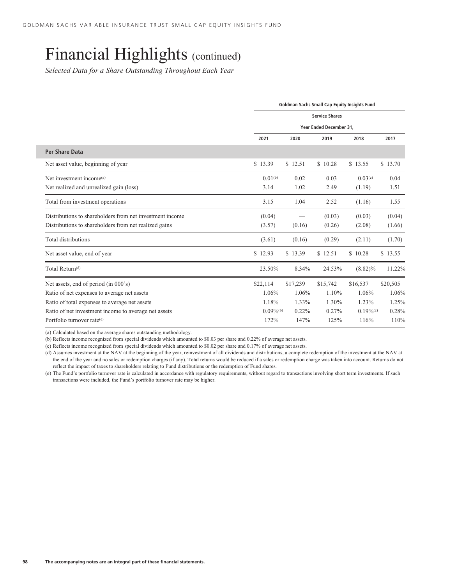*Selected Data for a Share Outstanding Throughout Each Year*

|                                                          |                         | Goldman Sachs Small Cap Equity Insights Fund |                         |                         |          |  |  |  |  |  |  |
|----------------------------------------------------------|-------------------------|----------------------------------------------|-------------------------|-------------------------|----------|--|--|--|--|--|--|
|                                                          |                         | <b>Service Shares</b>                        |                         |                         |          |  |  |  |  |  |  |
|                                                          |                         |                                              | Year Ended December 31, |                         |          |  |  |  |  |  |  |
|                                                          | 2021                    | 2020                                         | 2019                    | 2018                    | 2017     |  |  |  |  |  |  |
| <b>Per Share Data</b>                                    |                         |                                              |                         |                         |          |  |  |  |  |  |  |
| Net asset value, beginning of year                       | \$13.39                 | \$12.51                                      | \$10.28                 | \$13.55                 | \$13.70  |  |  |  |  |  |  |
| Net investment income <sup>(a)</sup>                     | $0.01^{(b)}$            | 0.02                                         | 0.03                    | 0.03(c)                 | 0.04     |  |  |  |  |  |  |
| Net realized and unrealized gain (loss)                  | 3.14                    | 1.02                                         | 2.49                    | (1.19)                  | 1.51     |  |  |  |  |  |  |
| Total from investment operations                         | 3.15                    | 1.04                                         | 2.52                    | (1.16)                  | 1.55     |  |  |  |  |  |  |
| Distributions to shareholders from net investment income | (0.04)                  |                                              | (0.03)                  | (0.03)                  | (0.04)   |  |  |  |  |  |  |
| Distributions to shareholders from net realized gains    | (3.57)                  | (0.16)                                       | (0.26)                  | (2.08)                  | (1.66)   |  |  |  |  |  |  |
| Total distributions                                      | (3.61)                  | (0.16)                                       | (0.29)                  | (2.11)                  | (1.70)   |  |  |  |  |  |  |
| Net asset value, end of year                             | \$12.93                 | \$13.39                                      | \$12.51                 | \$10.28                 | \$13.55  |  |  |  |  |  |  |
| Total Return(d)                                          | 23.50%                  | 8.34%                                        | 24.53%                  | $(8.82)\%$              | 11.22%   |  |  |  |  |  |  |
| Net assets, end of period (in 000's)                     | \$22,114                | \$17,239                                     | \$15,742                | \$16,537                | \$20,505 |  |  |  |  |  |  |
| Ratio of net expenses to average net assets              | 1.06%                   | 1.06%                                        | 1.10%                   | 1.06%                   | 1.06%    |  |  |  |  |  |  |
| Ratio of total expenses to average net assets            | 1.18%                   | 1.33%                                        | 1.30%                   | 1.23%                   | 1.25%    |  |  |  |  |  |  |
| Ratio of net investment income to average net assets     | $0.09\%$ <sup>(b)</sup> | $0.22\%$                                     | 0.27%                   | $0.19\%$ <sup>(c)</sup> | 0.28%    |  |  |  |  |  |  |
| Portfolio turnover rate <sup>(e)</sup>                   | 172%                    | 147%                                         | 125%                    | 116%                    | 110%     |  |  |  |  |  |  |

(a) Calculated based on the average shares outstanding methodology.

(b) Reflects income recognized from special dividends which amounted to \$0.03 per share and 0.22% of average net assets.

(c) Reflects income recognized from special dividends which amounted to \$0.02 per share and 0.17% of average net assets.

(d) Assumes investment at the NAV at the beginning of the year, reinvestment of all dividends and distributions, a complete redemption of the investment at the NAV at the end of the year and no sales or redemption charges (if any). Total returns would be reduced if a sales or redemption charge was taken into account. Returns do not reflect the impact of taxes to shareholders relating to Fund distributions or the redemption of Fund shares.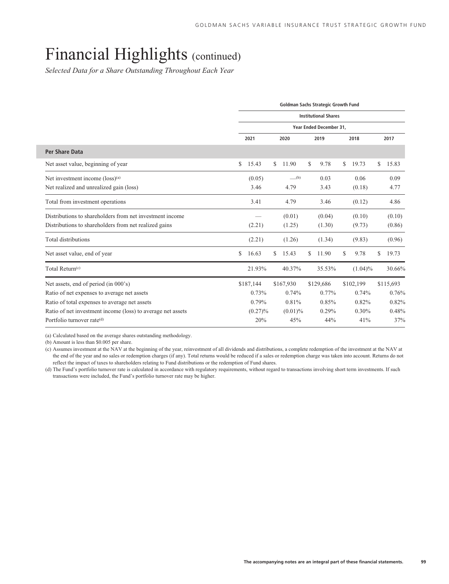*Selected Data for a Share Outstanding Throughout Each Year*

|                                                             |                         |            |    | Goldman Sachs Strategic Growth Fund |    |                             |    |            |    |           |  |  |
|-------------------------------------------------------------|-------------------------|------------|----|-------------------------------------|----|-----------------------------|----|------------|----|-----------|--|--|
|                                                             |                         |            |    |                                     |    | <b>Institutional Shares</b> |    |            |    |           |  |  |
|                                                             | Year Ended December 31. |            |    |                                     |    |                             |    |            |    |           |  |  |
|                                                             |                         | 2021       |    | 2020                                |    | 2019                        |    | 2018       |    | 2017      |  |  |
| Per Share Data                                              |                         |            |    |                                     |    |                             |    |            |    |           |  |  |
| Net asset value, beginning of year                          | $\mathbb{S}$            | 15.43      | \$ | 11.90                               | \$ | 9.78                        | \$ | 19.73      | \$ | 15.83     |  |  |
| Net investment income (loss) <sup>(a)</sup>                 |                         | (0.05)     |    | $\underline{\hspace{1cm}}$ (b)      |    | 0.03                        |    | 0.06       |    | 0.09      |  |  |
| Net realized and unrealized gain (loss)                     |                         | 3.46       |    | 4.79                                |    | 3.43                        |    | (0.18)     |    | 4.77      |  |  |
| Total from investment operations                            |                         | 3.41       |    | 4.79                                |    | 3.46                        |    | (0.12)     |    | 4.86      |  |  |
| Distributions to shareholders from net investment income    |                         |            |    | (0.01)                              |    | (0.04)                      |    | (0.10)     |    | (0.10)    |  |  |
| Distributions to shareholders from net realized gains       |                         | (2.21)     |    | (1.25)                              |    | (1.30)                      |    | (9.73)     |    | (0.86)    |  |  |
| Total distributions                                         |                         | (2.21)     |    | (1.26)                              |    | (1.34)                      |    | (9.83)     |    | (0.96)    |  |  |
| Net asset value, end of year                                | \$                      | 16.63      | \$ | 15.43                               | S. | 11.90                       | \$ | 9.78       | \$ | 19.73     |  |  |
| Total Return <sup>(c)</sup>                                 |                         | 21.93%     |    | 40.37%                              |    | 35.53%                      |    | $(1.04)\%$ |    | 30.66%    |  |  |
| Net assets, end of period (in 000's)                        |                         | \$187,144  |    | \$167,930                           |    | \$129,686                   |    | \$102,199  |    | \$115,693 |  |  |
| Ratio of net expenses to average net assets                 |                         | 0.73%      |    | 0.74%                               |    | $0.77\%$                    |    | 0.74%      |    | 0.76%     |  |  |
| Ratio of total expenses to average net assets               |                         | 0.79%      |    | 0.81%                               |    | 0.85%                       |    | 0.82%      |    | 0.82%     |  |  |
| Ratio of net investment income (loss) to average net assets |                         | $(0.27)\%$ |    | $(0.01)\%$                          |    | 0.29%                       |    | $0.30\%$   |    | 0.48%     |  |  |
| Portfolio turnover rate <sup>(d)</sup>                      |                         | 20%        |    | 45%                                 |    | 44%                         |    | 41%        |    | 37%       |  |  |

(a) Calculated based on the average shares outstanding methodology.

(b) Amount is less than \$0.005 per share.

(c) Assumes investment at the NAV at the beginning of the year, reinvestment of all dividends and distributions, a complete redemption of the investment at the NAV at the end of the year and no sales or redemption charges (if any). Total returns would be reduced if a sales or redemption charge was taken into account. Returns do not reflect the impact of taxes to shareholders relating to Fund distributions or the redemption of Fund shares.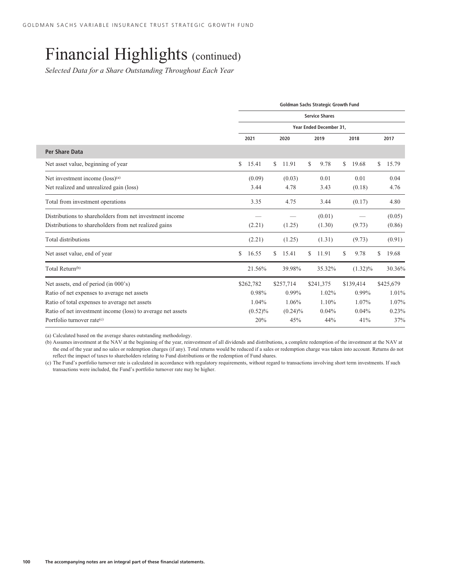*Selected Data for a Share Outstanding Throughout Each Year*

|                                                             |                         |            |    | Goldman Sachs Strategic Growth Fund |    |                       |    |            |    |           |  |  |
|-------------------------------------------------------------|-------------------------|------------|----|-------------------------------------|----|-----------------------|----|------------|----|-----------|--|--|
|                                                             |                         |            |    |                                     |    | <b>Service Shares</b> |    |            |    |           |  |  |
|                                                             | Year Ended December 31. |            |    |                                     |    |                       |    |            |    |           |  |  |
|                                                             |                         | 2021       |    | 2020                                |    | 2019                  |    | 2018       |    | 2017      |  |  |
| Per Share Data                                              |                         |            |    |                                     |    |                       |    |            |    |           |  |  |
| Net asset value, beginning of year                          | \$                      | 15.41      | \$ | 11.91                               | \$ | 9.78                  | \$ | 19.68      | \$ | 15.79     |  |  |
| Net investment income (loss) <sup>(a)</sup>                 |                         | (0.09)     |    | (0.03)                              |    | 0.01                  |    | 0.01       |    | 0.04      |  |  |
| Net realized and unrealized gain (loss)                     |                         | 3.44       |    | 4.78                                |    | 3.43                  |    | (0.18)     |    | 4.76      |  |  |
| Total from investment operations                            |                         | 3.35       |    | 4.75                                |    | 3.44                  |    | (0.17)     |    | 4.80      |  |  |
| Distributions to shareholders from net investment income    |                         |            |    |                                     |    | (0.01)                |    |            |    | (0.05)    |  |  |
| Distributions to shareholders from net realized gains       |                         | (2.21)     |    | (1.25)                              |    | (1.30)                |    | (9.73)     |    | (0.86)    |  |  |
| Total distributions                                         |                         | (2.21)     |    | (1.25)                              |    | (1.31)                |    | (9.73)     |    | (0.91)    |  |  |
| Net asset value, end of year                                | \$                      | 16.55      | \$ | 15.41                               | S. | 11.91                 | S  | 9.78       | \$ | 19.68     |  |  |
| Total Return <sup>(b)</sup>                                 |                         | 21.56%     |    | 39.98%                              |    | 35.32%                |    | $(1.32)\%$ |    | 30.36%    |  |  |
| Net assets, end of period (in 000's)                        |                         | \$262,782  |    | \$257,714                           |    | \$241,375             |    | \$139,414  |    | \$425,679 |  |  |
| Ratio of net expenses to average net assets                 |                         | 0.98%      |    | 0.99%                               |    | 1.02%                 |    | $0.99\%$   |    | 1.01%     |  |  |
| Ratio of total expenses to average net assets               |                         | $1.04\%$   |    | 1.06%                               |    | 1.10%                 |    | 1.07%      |    | 1.07%     |  |  |
| Ratio of net investment income (loss) to average net assets |                         | $(0.52)\%$ |    | $(0.24)\%$                          |    | $0.04\%$              |    | 0.04%      |    | 0.23%     |  |  |
| Portfolio turnover rate <sup>(c)</sup>                      |                         | 20%        |    | 45%                                 |    | 44%                   |    | 41%        |    | 37%       |  |  |

(a) Calculated based on the average shares outstanding methodology.

(b) Assumes investment at the NAV at the beginning of the year, reinvestment of all dividends and distributions, a complete redemption of the investment at the NAV at the end of the year and no sales or redemption charges (if any). Total returns would be reduced if a sales or redemption charge was taken into account. Returns do not reflect the impact of taxes to shareholders relating to Fund distributions or the redemption of Fund shares.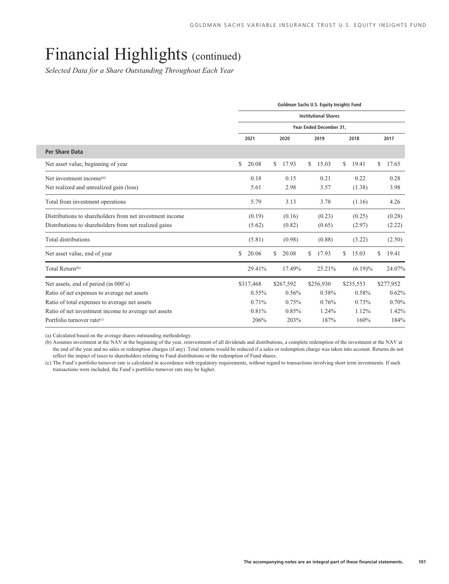*Selected Data for a Share Outstanding Throughout Each Year*

|                                                          |     |                         |    | Goldman Sachs U.S. Equity Insights Fund |    |                             |    |            |    |           |  |  |  |
|----------------------------------------------------------|-----|-------------------------|----|-----------------------------------------|----|-----------------------------|----|------------|----|-----------|--|--|--|
|                                                          |     |                         |    |                                         |    | <b>Institutional Shares</b> |    |            |    |           |  |  |  |
|                                                          |     | Year Ended December 31, |    |                                         |    |                             |    |            |    |           |  |  |  |
|                                                          |     | 2021                    |    | 2020                                    |    | 2019                        |    | 2018       |    | 2017      |  |  |  |
| <b>Per Share Data</b>                                    |     |                         |    |                                         |    |                             |    |            |    |           |  |  |  |
| Net asset value, beginning of year                       | S   | 20.08                   | \$ | 17.93                                   | \$ | 15.03                       | \$ | 19.41      | \$ | 17.65     |  |  |  |
| Net investment income <sup>(a)</sup>                     |     | 0.18                    |    | 0.15                                    |    | 0.21                        |    | 0.22       |    | 0.28      |  |  |  |
| Net realized and unrealized gain (loss)                  |     | 5.61                    |    | 2.98                                    |    | 3.57                        |    | (1.38)     |    | 3.98      |  |  |  |
| Total from investment operations                         |     | 5.79                    |    | 3.13                                    |    | 3.78                        |    | (1.16)     |    | 4.26      |  |  |  |
| Distributions to shareholders from net investment income |     | (0.19)                  |    | (0.16)                                  |    | (0.23)                      |    | (0.25)     |    | (0.28)    |  |  |  |
| Distributions to shareholders from net realized gains    |     | (5.62)                  |    | (0.82)                                  |    | (0.65)                      |    | (2.97)     |    | (2.22)    |  |  |  |
| Total distributions                                      |     | (5.81)                  |    | (0.98)                                  |    | (0.88)                      |    | (3.22)     |    | (2.50)    |  |  |  |
| Net asset value, end of year                             | \$. | 20.06                   | \$ | 20.08                                   | S. | 17.93                       | S. | 15.03      | \$ | 19.41     |  |  |  |
| Total Return <sup>(b)</sup>                              |     | 29.41%                  |    | 17.49%                                  |    | 25.21%                      |    | $(6.19)\%$ |    | 24.07%    |  |  |  |
| Net assets, end of period (in 000's)                     |     | \$317,468               |    | \$267,592                               |    | \$256,930                   |    | \$235,553  |    | \$277,952 |  |  |  |
| Ratio of net expenses to average net assets              |     | $0.55\%$                |    | 0.56%                                   |    | 0.58%                       |    | 0.58%      |    | 0.62%     |  |  |  |
| Ratio of total expenses to average net assets            |     | 0.71%                   |    | 0.75%                                   |    | 0.76%                       |    | 0.73%      |    | 0.70%     |  |  |  |
| Ratio of net investment income to average net assets     |     | 0.81%                   |    | 0.85%                                   |    | 1.24%                       |    | 1.12%      |    | 1.42%     |  |  |  |
| Portfolio turnover rate <sup>(c)</sup>                   |     | 206%                    |    | 203%                                    |    | 187%                        |    | 160%       |    | 184%      |  |  |  |

(a) Calculated based on the average shares outstanding methodology.

(b) Assumes investment at the NAV at the beginning of the year, reinvestment of all dividends and distributions, a complete redemption of the investment at the NAV at the end of the year and no sales or redemption charges (if any). Total returns would be reduced if a sales or redemption charge was taken into account. Returns do not reflect the impact of taxes to shareholders relating to Fund distributions or the redemption of Fund shares.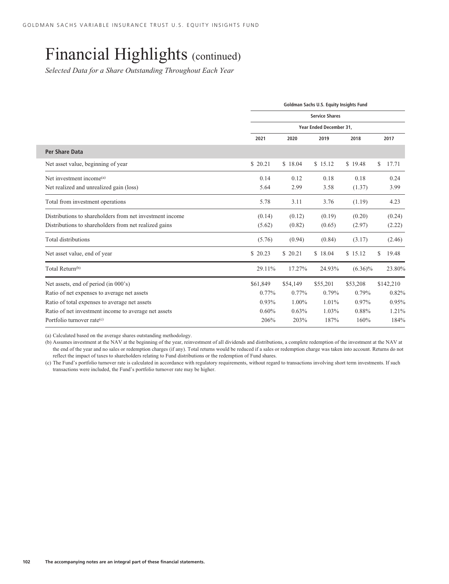*Selected Data for a Share Outstanding Throughout Each Year*

|                                                          |          | Goldman Sachs U.S. Equity Insights Fund<br><b>Service Shares</b> |                         |            |    |           |  |  |  |  |  |
|----------------------------------------------------------|----------|------------------------------------------------------------------|-------------------------|------------|----|-----------|--|--|--|--|--|
|                                                          |          |                                                                  |                         |            |    |           |  |  |  |  |  |
|                                                          |          |                                                                  | Year Ended December 31. |            |    |           |  |  |  |  |  |
|                                                          | 2021     | 2020                                                             | 2019                    | 2018       |    | 2017      |  |  |  |  |  |
| <b>Per Share Data</b>                                    |          |                                                                  |                         |            |    |           |  |  |  |  |  |
| Net asset value, beginning of year                       | \$ 20.21 | \$18.04                                                          | \$15.12                 | \$19.48    | \$ | 17.71     |  |  |  |  |  |
| Net investment income <sup>(a)</sup>                     | 0.14     | 0.12                                                             | 0.18                    | 0.18       |    | 0.24      |  |  |  |  |  |
| Net realized and unrealized gain (loss)                  | 5.64     | 2.99                                                             | 3.58                    | (1.37)     |    | 3.99      |  |  |  |  |  |
| Total from investment operations                         | 5.78     | 3.11                                                             | 3.76                    | (1.19)     |    | 4.23      |  |  |  |  |  |
| Distributions to shareholders from net investment income | (0.14)   | (0.12)                                                           | (0.19)                  | (0.20)     |    | (0.24)    |  |  |  |  |  |
| Distributions to shareholders from net realized gains    | (5.62)   | (0.82)                                                           | (0.65)                  | (2.97)     |    | (2.22)    |  |  |  |  |  |
| Total distributions                                      | (5.76)   | (0.94)                                                           | (0.84)                  | (3.17)     |    | (2.46)    |  |  |  |  |  |
| Net asset value, end of year                             | \$20.23  | \$20.21                                                          | \$18.04                 | \$15.12    | \$ | 19.48     |  |  |  |  |  |
| Total Return <sup>(b)</sup>                              | 29.11%   | 17.27%                                                           | 24.93%                  | $(6.36)\%$ |    | 23.80%    |  |  |  |  |  |
| Net assets, end of period (in 000's)                     | \$61,849 | \$54,149                                                         | \$55,201                | \$53,208   |    | \$142,210 |  |  |  |  |  |
| Ratio of net expenses to average net assets              | 0.77%    | $0.77\%$                                                         | 0.79%                   | 0.79%      |    | 0.82%     |  |  |  |  |  |
| Ratio of total expenses to average net assets            | 0.93%    | 1.00%                                                            | 1.01%                   | $0.97\%$   |    | 0.95%     |  |  |  |  |  |
| Ratio of net investment income to average net assets     | 0.60%    | 0.63%                                                            | 1.03%                   | 0.88%      |    | 1.21%     |  |  |  |  |  |
| Portfolio turnover rate <sup>(c)</sup>                   | 206%     | 203%                                                             | 187%                    | 160%       |    | 184%      |  |  |  |  |  |

(a) Calculated based on the average shares outstanding methodology.

(b) Assumes investment at the NAV at the beginning of the year, reinvestment of all dividends and distributions, a complete redemption of the investment at the NAV at the end of the year and no sales or redemption charges (if any). Total returns would be reduced if a sales or redemption charge was taken into account. Returns do not reflect the impact of taxes to shareholders relating to Fund distributions or the redemption of Fund shares.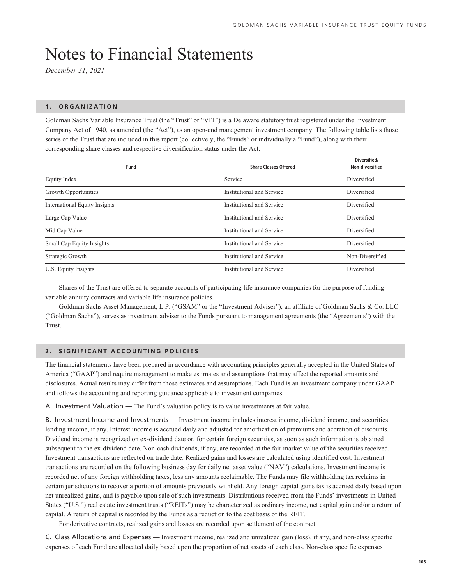#### Notes to Financial Statements

*December 31, 2021*

#### **1. ORGANIZATION**

Goldman Sachs Variable Insurance Trust (the "Trust" or "VIT") is a Delaware statutory trust registered under the Investment Company Act of 1940, as amended (the "Act"), as an open-end management investment company. The following table lists those series of the Trust that are included in this report (collectively, the "Funds" or individually a "Fund"), along with their corresponding share classes and respective diversification status under the Act:

| Fund                                 | <b>Share Classes Offered</b>     | Diversified/<br>Non-diversified |
|--------------------------------------|----------------------------------|---------------------------------|
| Equity Index                         | Service                          | Diversified                     |
| Growth Opportunities                 | Institutional and Service        | Diversified                     |
| <b>International Equity Insights</b> | <b>Institutional and Service</b> | Diversified                     |
| Large Cap Value                      | Institutional and Service        | Diversified                     |
| Mid Cap Value                        | Institutional and Service        | Diversified                     |
| Small Cap Equity Insights            | Institutional and Service        | Diversified                     |
| Strategic Growth                     | Institutional and Service        | Non-Diversified                 |
| U.S. Equity Insights                 | Institutional and Service        | Diversified                     |

Shares of the Trust are offered to separate accounts of participating life insurance companies for the purpose of funding variable annuity contracts and variable life insurance policies.

Goldman Sachs Asset Management, L.P. ("GSAM" or the "Investment Adviser"), an affiliate of Goldman Sachs & Co. LLC ("Goldman Sachs"), serves as investment adviser to the Funds pursuant to management agreements (the "Agreements") with the Trust.

#### **2. SIGNIFICANT ACCOUNTING POLICIES**

The financial statements have been prepared in accordance with accounting principles generally accepted in the United States of America ("GAAP") and require management to make estimates and assumptions that may affect the reported amounts and disclosures. Actual results may differ from those estimates and assumptions. Each Fund is an investment company under GAAP and follows the accounting and reporting guidance applicable to investment companies.

A. Investment Valuation — The Fund's valuation policy is to value investments at fair value.

B. Investment Income and Investments — Investment income includes interest income, dividend income, and securities lending income, if any. Interest income is accrued daily and adjusted for amortization of premiums and accretion of discounts. Dividend income is recognized on ex-dividend date or, for certain foreign securities, as soon as such information is obtained subsequent to the ex-dividend date. Non-cash dividends, if any, are recorded at the fair market value of the securities received. Investment transactions are reflected on trade date. Realized gains and losses are calculated using identified cost. Investment transactions are recorded on the following business day for daily net asset value ("NAV") calculations. Investment income is recorded net of any foreign withholding taxes, less any amounts reclaimable. The Funds may file withholding tax reclaims in certain jurisdictions to recover a portion of amounts previously withheld. Any foreign capital gains tax is accrued daily based upon net unrealized gains, and is payable upon sale of such investments. Distributions received from the Funds' investments in United States ("U.S.") real estate investment trusts ("REITs") may be characterized as ordinary income, net capital gain and/or a return of capital. A return of capital is recorded by the Funds as a reduction to the cost basis of the REIT.

For derivative contracts, realized gains and losses are recorded upon settlement of the contract.

C. Class Allocations and Expenses — Investment income, realized and unrealized gain (loss), if any, and non-class specific expenses of each Fund are allocated daily based upon the proportion of net assets of each class. Non-class specific expenses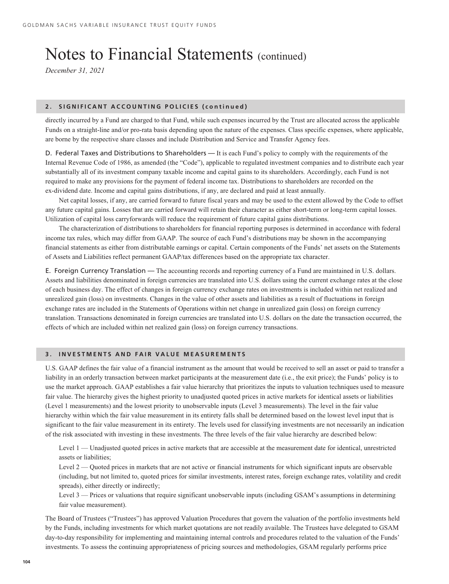#### Notes to Financial Statements (continued)

*December 31, 2021*

#### **2. SIGNIFICANT ACCOUNTING POLICIES (continued)**

directly incurred by a Fund are charged to that Fund, while such expenses incurred by the Trust are allocated across the applicable Funds on a straight-line and/or pro-rata basis depending upon the nature of the expenses. Class specific expenses, where applicable, are borne by the respective share classes and include Distribution and Service and Transfer Agency fees.

D. Federal Taxes and Distributions to Shareholders — It is each Fund's policy to comply with the requirements of the Internal Revenue Code of 1986, as amended (the "Code"), applicable to regulated investment companies and to distribute each year substantially all of its investment company taxable income and capital gains to its shareholders. Accordingly, each Fund is not required to make any provisions for the payment of federal income tax. Distributions to shareholders are recorded on the ex-dividend date. Income and capital gains distributions, if any, are declared and paid at least annually.

Net capital losses, if any, are carried forward to future fiscal years and may be used to the extent allowed by the Code to offset any future capital gains. Losses that are carried forward will retain their character as either short-term or long-term capital losses. Utilization of capital loss carryforwards will reduce the requirement of future capital gains distributions.

The characterization of distributions to shareholders for financial reporting purposes is determined in accordance with federal income tax rules, which may differ from GAAP. The source of each Fund's distributions may be shown in the accompanying financial statements as either from distributable earnings or capital. Certain components of the Funds' net assets on the Statements of Assets and Liabilities reflect permanent GAAP/tax differences based on the appropriate tax character.

E. Foreign Currency Translation — The accounting records and reporting currency of a Fund are maintained in U.S. dollars. Assets and liabilities denominated in foreign currencies are translated into U.S. dollars using the current exchange rates at the close of each business day. The effect of changes in foreign currency exchange rates on investments is included within net realized and unrealized gain (loss) on investments. Changes in the value of other assets and liabilities as a result of fluctuations in foreign exchange rates are included in the Statements of Operations within net change in unrealized gain (loss) on foreign currency translation. Transactions denominated in foreign currencies are translated into U.S. dollars on the date the transaction occurred, the effects of which are included within net realized gain (loss) on foreign currency transactions.

#### **3. INVESTMENTS AND FAIR VALUE MEASUREMENTS**

U.S. GAAP defines the fair value of a financial instrument as the amount that would be received to sell an asset or paid to transfer a liability in an orderly transaction between market participants at the measurement date (i.e., the exit price); the Funds' policy is to use the market approach. GAAP establishes a fair value hierarchy that prioritizes the inputs to valuation techniques used to measure fair value. The hierarchy gives the highest priority to unadjusted quoted prices in active markets for identical assets or liabilities (Level 1 measurements) and the lowest priority to unobservable inputs (Level 3 measurements). The level in the fair value hierarchy within which the fair value measurement in its entirety falls shall be determined based on the lowest level input that is significant to the fair value measurement in its entirety. The levels used for classifying investments are not necessarily an indication of the risk associated with investing in these investments. The three levels of the fair value hierarchy are described below:

Level 1 — Unadjusted quoted prices in active markets that are accessible at the measurement date for identical, unrestricted assets or liabilities;

Level 2 — Quoted prices in markets that are not active or financial instruments for which significant inputs are observable (including, but not limited to, quoted prices for similar investments, interest rates, foreign exchange rates, volatility and credit spreads), either directly or indirectly;

Level 3 — Prices or valuations that require significant unobservable inputs (including GSAM's assumptions in determining fair value measurement).

The Board of Trustees ("Trustees") has approved Valuation Procedures that govern the valuation of the portfolio investments held by the Funds, including investments for which market quotations are not readily available. The Trustees have delegated to GSAM day-to-day responsibility for implementing and maintaining internal controls and procedures related to the valuation of the Funds' investments. To assess the continuing appropriateness of pricing sources and methodologies, GSAM regularly performs price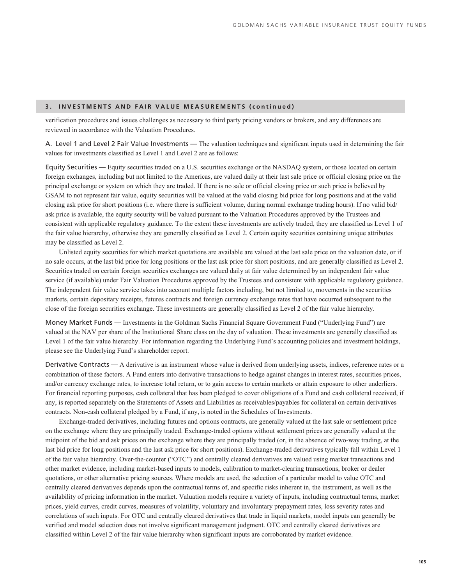#### **3. INVESTMENTS AND FAIR VALUE MEASUREMENTS (continued)**

verification procedures and issues challenges as necessary to third party pricing vendors or brokers, and any differences are reviewed in accordance with the Valuation Procedures.

A. Level 1 and Level 2 Fair Value Investments — The valuation techniques and significant inputs used in determining the fair values for investments classified as Level 1 and Level 2 are as follows:

Equity Securities — Equity securities traded on a U.S. securities exchange or the NASDAQ system, or those located on certain foreign exchanges, including but not limited to the Americas, are valued daily at their last sale price or official closing price on the principal exchange or system on which they are traded. If there is no sale or official closing price or such price is believed by GSAM to not represent fair value, equity securities will be valued at the valid closing bid price for long positions and at the valid closing ask price for short positions (i.e. where there is sufficient volume, during normal exchange trading hours). If no valid bid/ ask price is available, the equity security will be valued pursuant to the Valuation Procedures approved by the Trustees and consistent with applicable regulatory guidance. To the extent these investments are actively traded, they are classified as Level 1 of the fair value hierarchy, otherwise they are generally classified as Level 2. Certain equity securities containing unique attributes may be classified as Level 2.

Unlisted equity securities for which market quotations are available are valued at the last sale price on the valuation date, or if no sale occurs, at the last bid price for long positions or the last ask price for short positions, and are generally classified as Level 2. Securities traded on certain foreign securities exchanges are valued daily at fair value determined by an independent fair value service (if available) under Fair Valuation Procedures approved by the Trustees and consistent with applicable regulatory guidance. The independent fair value service takes into account multiple factors including, but not limited to, movements in the securities markets, certain depositary receipts, futures contracts and foreign currency exchange rates that have occurred subsequent to the close of the foreign securities exchange. These investments are generally classified as Level 2 of the fair value hierarchy.

Money Market Funds — Investments in the Goldman Sachs Financial Square Government Fund ("Underlying Fund") are valued at the NAV per share of the Institutional Share class on the day of valuation. These investments are generally classified as Level 1 of the fair value hierarchy. For information regarding the Underlying Fund's accounting policies and investment holdings, please see the Underlying Fund's shareholder report.

Derivative Contracts — A derivative is an instrument whose value is derived from underlying assets, indices, reference rates or a combination of these factors. A Fund enters into derivative transactions to hedge against changes in interest rates, securities prices, and/or currency exchange rates, to increase total return, or to gain access to certain markets or attain exposure to other underliers. For financial reporting purposes, cash collateral that has been pledged to cover obligations of a Fund and cash collateral received, if any, is reported separately on the Statements of Assets and Liabilities as receivables/payables for collateral on certain derivatives contracts. Non-cash collateral pledged by a Fund, if any, is noted in the Schedules of Investments.

Exchange-traded derivatives, including futures and options contracts, are generally valued at the last sale or settlement price on the exchange where they are principally traded. Exchange-traded options without settlement prices are generally valued at the midpoint of the bid and ask prices on the exchange where they are principally traded (or, in the absence of two-way trading, at the last bid price for long positions and the last ask price for short positions). Exchange-traded derivatives typically fall within Level 1 of the fair value hierarchy. Over-the-counter ("OTC") and centrally cleared derivatives are valued using market transactions and other market evidence, including market-based inputs to models, calibration to market-clearing transactions, broker or dealer quotations, or other alternative pricing sources. Where models are used, the selection of a particular model to value OTC and centrally cleared derivatives depends upon the contractual terms of, and specific risks inherent in, the instrument, as well as the availability of pricing information in the market. Valuation models require a variety of inputs, including contractual terms, market prices, yield curves, credit curves, measures of volatility, voluntary and involuntary prepayment rates, loss severity rates and correlations of such inputs. For OTC and centrally cleared derivatives that trade in liquid markets, model inputs can generally be verified and model selection does not involve significant management judgment. OTC and centrally cleared derivatives are classified within Level 2 of the fair value hierarchy when significant inputs are corroborated by market evidence.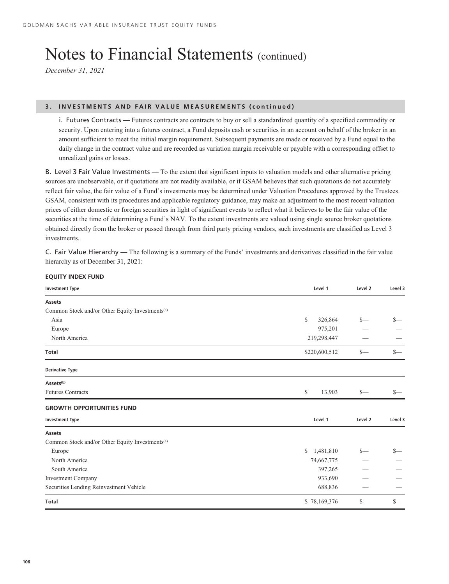#### Notes to Financial Statements (continued)

*December 31, 2021*

#### **3. INVESTMENTS AND FAIR VALUE MEASUREMENTS (continued)**

i. Futures Contracts — Futures contracts are contracts to buy or sell a standardized quantity of a specified commodity or security. Upon entering into a futures contract, a Fund deposits cash or securities in an account on behalf of the broker in an amount sufficient to meet the initial margin requirement. Subsequent payments are made or received by a Fund equal to the daily change in the contract value and are recorded as variation margin receivable or payable with a corresponding offset to unrealized gains or losses.

B. Level 3 Fair Value Investments — To the extent that significant inputs to valuation models and other alternative pricing sources are unobservable, or if quotations are not readily available, or if GSAM believes that such quotations do not accurately reflect fair value, the fair value of a Fund's investments may be determined under Valuation Procedures approved by the Trustees. GSAM, consistent with its procedures and applicable regulatory guidance, may make an adjustment to the most recent valuation prices of either domestic or foreign securities in light of significant events to reflect what it believes to be the fair value of the securities at the time of determining a Fund's NAV. To the extent investments are valued using single source broker quotations obtained directly from the broker or passed through from third party pricing vendors, such investments are classified as Level 3 investments.

C. Fair Value Hierarchy — The following is a summary of the Funds' investments and derivatives classified in the fair value hierarchy as of December 31, 2021:

| <b>Investment Type</b>                                      | Level 1         | Level 2 |                                   |
|-------------------------------------------------------------|-----------------|---------|-----------------------------------|
| <b>Assets</b>                                               |                 |         |                                   |
| Common Stock and/or Other Equity Investments <sup>(a)</sup> |                 |         |                                   |
| Asia                                                        | \$<br>326,864   | $S-$    | $\frac{\mathcal{S}}{\mathcal{S}}$ |
| Europe                                                      | 975,201         |         |                                   |
| North America                                               | 219,298,447     |         |                                   |
| <b>Total</b>                                                | \$220,600,512   | $S-$    | $S-$                              |
| <b>Derivative Type</b>                                      |                 |         |                                   |
| Assets(b)                                                   |                 |         |                                   |
| <b>Futures Contracts</b>                                    | \$<br>13,903    | $S-$    | $S-$                              |
| <b>GROWTH OPPORTUNITIES FUND</b>                            |                 |         |                                   |
| <b>Investment Type</b>                                      | Level 1         | Level 2 | Level 3                           |
| <b>Assets</b>                                               |                 |         |                                   |
| Common Stock and/or Other Equity Investments <sup>(a)</sup> |                 |         |                                   |
| Europe                                                      | 1,481,810<br>\$ | $S-$    | $S-$                              |
| North America                                               | 74,667,775      |         |                                   |
| South America                                               | 397,265         |         |                                   |
| Investment Company                                          | 933,690         |         |                                   |
| Securities Lending Reinvestment Vehicle                     | 688,836         |         |                                   |
| <b>Total</b>                                                | \$78,169,376    | $S-$    | $s-$                              |

#### **EQUITY INDEX FUND**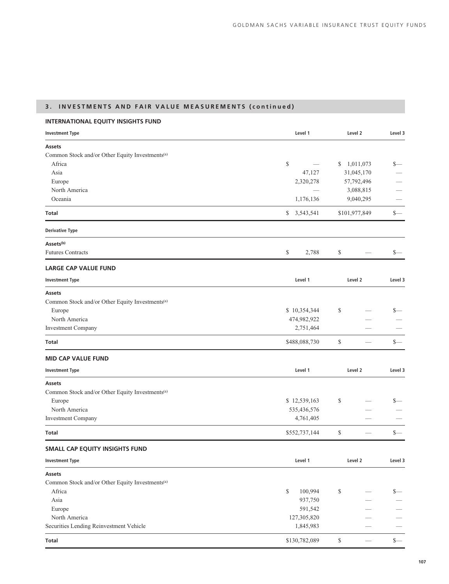#### **3. INVESTMENTS AND FAIR VALUE MEASUREMENTS (continued)**

| <b>INTERNATIONAL EQUITY INSIGHTS FUND</b>                   |               |         |                          |                                   |
|-------------------------------------------------------------|---------------|---------|--------------------------|-----------------------------------|
| <b>Investment Type</b>                                      | Level 1       |         | Level 2                  | Level 3                           |
| Assets                                                      |               |         |                          |                                   |
| Common Stock and/or Other Equity Investments <sup>(a)</sup> |               |         |                          |                                   |
| Africa                                                      | \$            |         | \$1,011,073              | $s-$                              |
| Asia                                                        | 47,127        |         | 31,045,170               |                                   |
| Europe                                                      | 2,320,278     |         | 57,792,496               |                                   |
| North America                                               |               |         | 3,088,815                | $\overbrace{\phantom{aaaaa}}^{x}$ |
| Oceania                                                     | 1,176,136     |         | 9,040,295                |                                   |
| <b>Total</b>                                                | \$3,543,541   |         | \$101,977,849            | $s-$                              |
| <b>Derivative Type</b>                                      |               |         |                          |                                   |
| Assets <sup>(b)</sup>                                       |               |         |                          |                                   |
| <b>Futures Contracts</b>                                    | \$<br>2,788   | \$      |                          | $_{s-}$                           |
| <b>LARGE CAP VALUE FUND</b>                                 |               |         |                          |                                   |
| <b>Investment Type</b>                                      | Level 1       |         | Level 2                  | Level 3                           |
| Assets                                                      |               |         |                          |                                   |
| Common Stock and/or Other Equity Investments <sup>(a)</sup> |               |         |                          |                                   |
| Europe                                                      | \$10,354,344  | \$      |                          | $s-$                              |
| North America                                               | 474,982,922   |         |                          |                                   |
| <b>Investment Company</b>                                   | 2,751,464     |         |                          |                                   |
| Total                                                       | \$488,088,730 | \$      | $\overline{\phantom{m}}$ | $S-$                              |
| <b>MID CAP VALUE FUND</b>                                   |               |         |                          |                                   |
| <b>Investment Type</b>                                      | Level 1       |         | Level 2                  | Level 3                           |
| Assets                                                      |               |         |                          |                                   |
| Common Stock and/or Other Equity Investments <sup>(a)</sup> |               |         |                          |                                   |
| Europe                                                      | \$12,539,163  | \$      |                          | $s-$                              |
| North America                                               | 535,436,576   |         |                          |                                   |
| <b>Investment Company</b>                                   | 4,761,405     |         |                          |                                   |
| Total                                                       | \$552,737,144 | \$      |                          | $s-$                              |
| <b>SMALL CAP EQUITY INSIGHTS FUND</b>                       |               |         |                          |                                   |
| <b>Investment Type</b>                                      | Level 1       | Level 2 |                          | Level 3                           |
| <b>Assets</b>                                               |               |         |                          |                                   |
| Common Stock and/or Other Equity Investments <sup>(a)</sup> |               |         |                          |                                   |
| Africa                                                      | \$<br>100,994 | \$      |                          | $s-$                              |

Asia  $937,750$  — — — Europe  $\qquad \qquad \qquad$   $\qquad \qquad$   $\qquad \qquad$   $\qquad \qquad$   $\qquad \qquad$   $\qquad \qquad$   $\qquad \qquad$   $\qquad \qquad$   $\qquad \qquad$   $\qquad \qquad$   $\qquad \qquad$   $\qquad$   $\qquad \qquad$   $\qquad$   $\qquad$   $\qquad$   $\qquad$   $\qquad$   $\qquad$   $\qquad$   $\qquad$   $\qquad$   $\qquad$   $\qquad$   $\qquad$   $\qquad$   $\qquad$   $\qquad$   $\qquad$  North America 127,305,820 — — Securities Lending Reinvestment Vehicle 1,845,983 — — **Total** \$130,782,089 \$  $-$  \$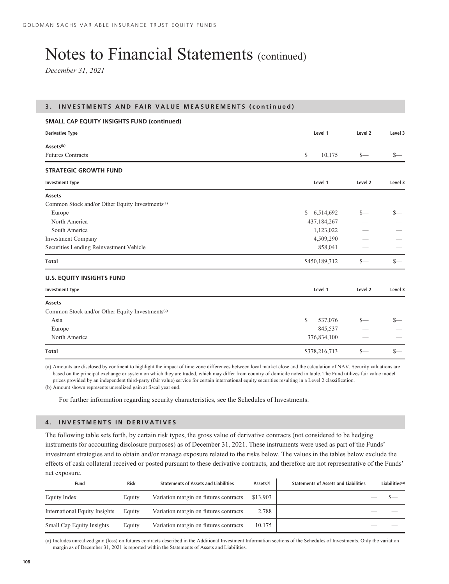*December 31, 2021*

#### **3. INVESTMENTS AND FAIR VALUE MEASUREMENTS (continued)**

| <b>SMALL CAP EQUITY INSIGHTS FUND (continued)</b>           |                           |         |         |
|-------------------------------------------------------------|---------------------------|---------|---------|
| <b>Derivative Type</b>                                      | Level 1                   | Level 2 | Level 3 |
| Assets(b)                                                   |                           |         |         |
| <b>Futures Contracts</b>                                    | \$<br>10,175              | $S-$    | $S-$    |
| <b>STRATEGIC GROWTH FUND</b>                                |                           |         |         |
| <b>Investment Type</b>                                      | Level 1                   | Level 2 | Level 3 |
| <b>Assets</b>                                               |                           |         |         |
| Common Stock and/or Other Equity Investments <sup>(a)</sup> |                           |         |         |
| Europe                                                      | 6,514,692<br>$\mathbb{S}$ | $S-$    | $S-$    |
| North America                                               | 437,184,267               |         |         |
| South America                                               | 1,123,022                 |         |         |
| <b>Investment Company</b>                                   | 4,509,290                 |         |         |
| Securities Lending Reinvestment Vehicle                     | 858,041                   |         |         |
| <b>Total</b>                                                | \$450,189,312             | $S-$    | $S-$    |
| <b>U.S. EQUITY INSIGHTS FUND</b>                            |                           |         |         |
| <b>Investment Type</b>                                      | Level 1                   | Level 2 | Level 3 |
| <b>Assets</b>                                               |                           |         |         |
| Common Stock and/or Other Equity Investments <sup>(a)</sup> |                           |         |         |
| Asia                                                        | \$<br>537,076             | $S-$    | $S-$    |
| Europe                                                      | 845,537                   |         |         |
| North America                                               | 376,834,100               |         |         |
| <b>Total</b>                                                | \$378,216,713             | $S-$    | $S-$    |

(a) Amounts are disclosed by continent to highlight the impact of time zone differences between local market close and the calculation of NAV. Security valuations are based on the principal exchange or system on which they are traded, which may differ from country of domicile noted in table. The Fund utilizes fair value model prices provided by an independent third-party (fair value) service for certain international equity securities resulting in a Level 2 classification.

(b) Amount shown represents unrealized gain at fiscal year end.

For further information regarding security characteristics, see the Schedules of Investments.

#### **4. INVESTMENTS IN DERIVATIVES**

The following table sets forth, by certain risk types, the gross value of derivative contracts (not considered to be hedging instruments for accounting disclosure purposes) as of December 31, 2021. These instruments were used as part of the Funds' investment strategies and to obtain and/or manage exposure related to the risks below. The values in the tables below exclude the effects of cash collateral received or posted pursuant to these derivative contracts, and therefore are not representative of the Funds' net exposure.

| Fund                          | Risk   | <b>Statements of Assets and Liabilities</b> | Assets <sup>(a)</sup> | <b>Statements of Assets and Liabilities</b> | Liabilities <sup>(a)</sup> |
|-------------------------------|--------|---------------------------------------------|-----------------------|---------------------------------------------|----------------------------|
| Equity Index                  | Equity | Variation margin on futures contracts       | \$13,903              |                                             |                            |
| International Equity Insights | Equity | Variation margin on futures contracts       | 2,788                 |                                             |                            |
| Small Cap Equity Insights     | Equity | Variation margin on futures contracts       | 10,175                |                                             |                            |

(a) Includes unrealized gain (loss) on futures contracts described in the Additional Investment Information sections of the Schedules of Investments. Only the variation margin as of December 31, 2021 is reported within the Statements of Assets and Liabilities.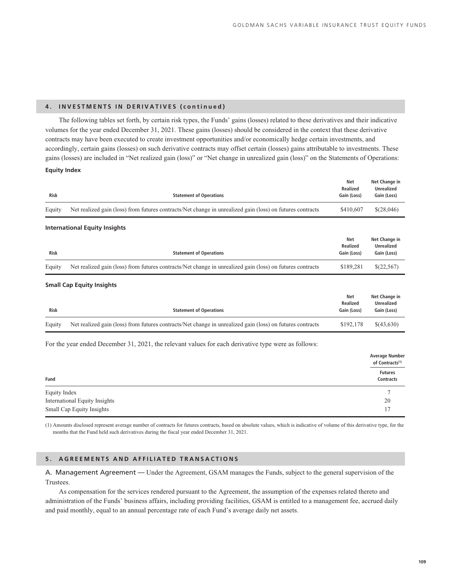#### **4. INVESTMENTS IN DERIVATIVES (continued)**

The following tables set forth, by certain risk types, the Funds' gains (losses) related to these derivatives and their indicative volumes for the year ended December 31, 2021. These gains (losses) should be considered in the context that these derivative contracts may have been executed to create investment opportunities and/or economically hedge certain investments, and accordingly, certain gains (losses) on such derivative contracts may offset certain (losses) gains attributable to investments. These gains (losses) are included in "Net realized gain (loss)" or "Net change in unrealized gain (loss)" on the Statements of Operations: **Equity Index**

| <b>Risk</b> | <b>Statement of Operations</b>                                                                            | Net<br>Realized<br>Gain (Loss)        | Net Change in<br><b>Unrealized</b><br>Gain (Loss)    |
|-------------|-----------------------------------------------------------------------------------------------------------|---------------------------------------|------------------------------------------------------|
| Equity      | Net realized gain (loss) from futures contracts/Net change in unrealized gain (loss) on futures contracts | \$410,607                             | \$(28,046)                                           |
|             | <b>International Equity Insights</b>                                                                      |                                       |                                                      |
| <b>Risk</b> | <b>Statement of Operations</b>                                                                            | Net<br>Realized<br>Gain (Loss)        | Net Change in<br><b>Unrealized</b><br>Gain (Loss)    |
| Equity      | Net realized gain (loss) from futures contracts/Net change in unrealized gain (loss) on futures contracts | \$189,281                             | \$(22,567)                                           |
|             | <b>Small Cap Equity Insights</b>                                                                          |                                       |                                                      |
| <b>Risk</b> | <b>Statement of Operations</b>                                                                            | <b>Net</b><br>Realized<br>Gain (Loss) | Net Change in<br><b>Unrealized</b><br>Gain (Loss)    |
| Equity      | Net realized gain (loss) from futures contracts/Net change in unrealized gain (loss) on futures contracts | \$192,178                             | \$(43,630)                                           |
|             | For the year ended December 31, 2021, the relevant values for each derivative type were as follows:       |                                       |                                                      |
|             |                                                                                                           |                                       | <b>Average Number</b><br>of Contracts <sup>(1)</sup> |
|             |                                                                                                           |                                       | <b>Futures</b>                                       |

| Fund                          | <b>Contracts</b> |
|-------------------------------|------------------|
| Equity Index                  |                  |
| International Equity Insights | 20               |
| Small Cap Equity Insights     |                  |

(1) Amounts disclosed represent average number of contracts for futures contracts, based on absolute values, which is indicative of volume of this derivative type, for the months that the Fund held such derivatives during the fiscal year ended December 31, 2021.

#### **5. AGREEMENTS AND AFFILIATED TRANSACTIONS**

#### A. Management Agreement — Under the Agreement, GSAM manages the Funds, subject to the general supervision of the Trustees.

As compensation for the services rendered pursuant to the Agreement, the assumption of the expenses related thereto and administration of the Funds' business affairs, including providing facilities, GSAM is entitled to a management fee, accrued daily and paid monthly, equal to an annual percentage rate of each Fund's average daily net assets.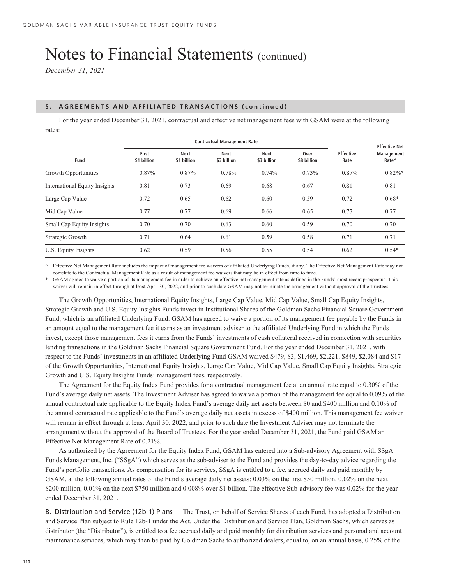*December 31, 2021*

#### **5. AGREEMENTS AND AFFILIATED TRANSACTIONS (continued)**

For the year ended December 31, 2021, contractual and effective net management fees with GSAM were at the following rates:

|                                      | <b>Contractual Management Rate</b> |                     |                     |                     |                     |                          | <b>Effective Net</b>                   |  |
|--------------------------------------|------------------------------------|---------------------|---------------------|---------------------|---------------------|--------------------------|----------------------------------------|--|
| Fund                                 | First<br>\$1 billion               | Next<br>\$1 billion | Next<br>\$3 billion | Next<br>\$3 billion | Over<br>\$8 billion | <b>Effective</b><br>Rate | <b>Management</b><br>Rate <sup>^</sup> |  |
| Growth Opportunities                 | 0.87%                              | 0.87%               | 0.78%               | 0.74%               | 0.73%               | 0.87%                    | $0.82\%$ *                             |  |
| <b>International Equity Insights</b> | 0.81                               | 0.73                | 0.69                | 0.68                | 0.67                | 0.81                     | 0.81                                   |  |
| Large Cap Value                      | 0.72                               | 0.65                | 0.62                | 0.60                | 0.59                | 0.72                     | $0.68*$                                |  |
| Mid Cap Value                        | 0.77                               | 0.77                | 0.69                | 0.66                | 0.65                | 0.77                     | 0.77                                   |  |
| Small Cap Equity Insights            | 0.70                               | 0.70                | 0.63                | 0.60                | 0.59                | 0.70                     | 0.70                                   |  |
| Strategic Growth                     | 0.71                               | 0.64                | 0.61                | 0.59                | 0.58                | 0.71                     | 0.71                                   |  |
| U.S. Equity Insights                 | 0.62                               | 0.59                | 0.56                | 0.55                | 0.54                | 0.62                     | $0.54*$                                |  |

^ Effective Net Management Rate includes the impact of management fee waivers of affiliated Underlying Funds, if any. The Effective Net Management Rate may not correlate to the Contractual Management Rate as a result of management fee waivers that may be in effect from time to time.

GSAM agreed to waive a portion of its management fee in order to achieve an effective net management rate as defined in the Funds' most recent prospectus. This waiver will remain in effect through at least April 30, 2022, and prior to such date GSAM may not terminate the arrangement without approval of the Trustees.

The Growth Opportunities, International Equity Insights, Large Cap Value, Mid Cap Value, Small Cap Equity Insights, Strategic Growth and U.S. Equity Insights Funds invest in Institutional Shares of the Goldman Sachs Financial Square Government Fund, which is an affiliated Underlying Fund. GSAM has agreed to waive a portion of its management fee payable by the Funds in an amount equal to the management fee it earns as an investment adviser to the affiliated Underlying Fund in which the Funds invest, except those management fees it earns from the Funds' investments of cash collateral received in connection with securities lending transactions in the Goldman Sachs Financial Square Government Fund. For the year ended December 31, 2021, with respect to the Funds' investments in an affiliated Underlying Fund GSAM waived \$479, \$3, \$1,469, \$2,221, \$849, \$2,084 and \$17 of the Growth Opportunities, International Equity Insights, Large Cap Value, Mid Cap Value, Small Cap Equity Insights, Strategic Growth and U.S. Equity Insights Funds' management fees, respectively.

The Agreement for the Equity Index Fund provides for a contractual management fee at an annual rate equal to 0.30% of the Fund's average daily net assets. The Investment Adviser has agreed to waive a portion of the management fee equal to 0.09% of the annual contractual rate applicable to the Equity Index Fund's average daily net assets between \$0 and \$400 million and 0.10% of the annual contractual rate applicable to the Fund's average daily net assets in excess of \$400 million. This management fee waiver will remain in effect through at least April 30, 2022, and prior to such date the Investment Adviser may not terminate the arrangement without the approval of the Board of Trustees. For the year ended December 31, 2021, the Fund paid GSAM an Effective Net Management Rate of 0.21%.

As authorized by the Agreement for the Equity Index Fund, GSAM has entered into a Sub-advisory Agreement with SSgA Funds Management, Inc. ("SSgA") which serves as the sub-adviser to the Fund and provides the day-to-day advice regarding the Fund's portfolio transactions. As compensation for its services, SSgA is entitled to a fee, accrued daily and paid monthly by GSAM, at the following annual rates of the Fund's average daily net assets: 0.03% on the first \$50 million, 0.02% on the next \$200 million, 0.01% on the next \$750 million and 0.008% over \$1 billion. The effective Sub-advisory fee was 0.02% for the year ended December 31, 2021.

B. Distribution and Service (12b-1) Plans — The Trust, on behalf of Service Shares of each Fund, has adopted a Distribution and Service Plan subject to Rule 12b-1 under the Act. Under the Distribution and Service Plan, Goldman Sachs, which serves as distributor (the "Distributor"), is entitled to a fee accrued daily and paid monthly for distribution services and personal and account maintenance services, which may then be paid by Goldman Sachs to authorized dealers, equal to, on an annual basis, 0.25% of the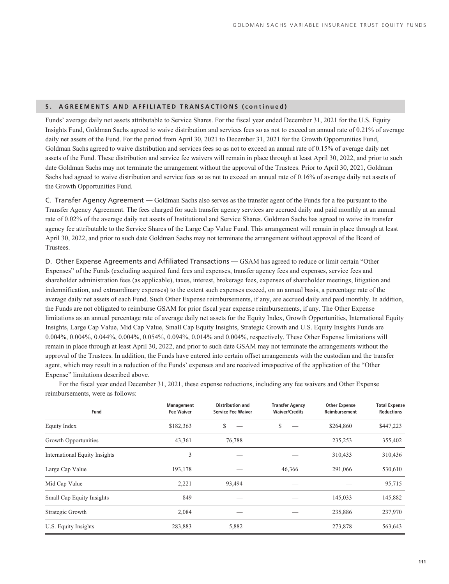#### **5. AGREEMENTS AND AFFILIATED TRANSACTIONS (continued)**

Funds' average daily net assets attributable to Service Shares. For the fiscal year ended December 31, 2021 for the U.S. Equity Insights Fund, Goldman Sachs agreed to waive distribution and services fees so as not to exceed an annual rate of 0.21% of average daily net assets of the Fund. For the period from April 30, 2021 to December 31, 2021 for the Growth Opportunities Fund, Goldman Sachs agreed to waive distribution and services fees so as not to exceed an annual rate of 0.15% of average daily net assets of the Fund. These distribution and service fee waivers will remain in place through at least April 30, 2022, and prior to such date Goldman Sachs may not terminate the arrangement without the approval of the Trustees. Prior to April 30, 2021, Goldman Sachs had agreed to waive distribution and service fees so as not to exceed an annual rate of 0.16% of average daily net assets of the Growth Opportunities Fund.

C. Transfer Agency Agreement — Goldman Sachs also serves as the transfer agent of the Funds for a fee pursuant to the Transfer Agency Agreement. The fees charged for such transfer agency services are accrued daily and paid monthly at an annual rate of 0.02% of the average daily net assets of Institutional and Service Shares. Goldman Sachs has agreed to waive its transfer agency fee attributable to the Service Shares of the Large Cap Value Fund. This arrangement will remain in place through at least April 30, 2022, and prior to such date Goldman Sachs may not terminate the arrangement without approval of the Board of Trustees.

D. Other Expense Agreements and Affiliated Transactions — GSAM has agreed to reduce or limit certain "Other Expenses" of the Funds (excluding acquired fund fees and expenses, transfer agency fees and expenses, service fees and shareholder administration fees (as applicable), taxes, interest, brokerage fees, expenses of shareholder meetings, litigation and indemnification, and extraordinary expenses) to the extent such expenses exceed, on an annual basis, a percentage rate of the average daily net assets of each Fund. Such Other Expense reimbursements, if any, are accrued daily and paid monthly. In addition, the Funds are not obligated to reimburse GSAM for prior fiscal year expense reimbursements, if any. The Other Expense limitations as an annual percentage rate of average daily net assets for the Equity Index, Growth Opportunities, International Equity Insights, Large Cap Value, Mid Cap Value, Small Cap Equity Insights, Strategic Growth and U.S. Equity Insights Funds are 0.004%, 0.004%, 0.044%, 0.004%, 0.054%, 0.094%, 0.014% and 0.004%, respectively. These Other Expense limitations will remain in place through at least April 30, 2022, and prior to such date GSAM may not terminate the arrangements without the approval of the Trustees. In addition, the Funds have entered into certain offset arrangements with the custodian and the transfer agent, which may result in a reduction of the Funds' expenses and are received irrespective of the application of the "Other Expense" limitations described above.

| Fund                          | Management<br><b>Fee Waiver</b> | <b>Distribution and</b><br><b>Service Fee Waiver</b> | <b>Transfer Agency</b><br><b>Waiver/Credits</b> | <b>Other Expense</b><br>Reimbursement | <b>Total Expense</b><br><b>Reductions</b> |
|-------------------------------|---------------------------------|------------------------------------------------------|-------------------------------------------------|---------------------------------------|-------------------------------------------|
| Equity Index                  | \$182,363                       | \$                                                   | \$                                              | \$264,860                             | \$447,223                                 |
| Growth Opportunities          | 43,361                          | 76,788                                               |                                                 | 235,253                               | 355,402                                   |
| International Equity Insights | 3                               | __                                                   |                                                 | 310,433                               | 310,436                                   |
| Large Cap Value               | 193,178                         |                                                      | 46,366                                          | 291,066                               | 530,610                                   |
| Mid Cap Value                 | 2,221                           | 93,494                                               |                                                 |                                       | 95,715                                    |
| Small Cap Equity Insights     | 849                             |                                                      |                                                 | 145,033                               | 145,882                                   |
| Strategic Growth              | 2,084                           |                                                      |                                                 | 235,886                               | 237,970                                   |
| U.S. Equity Insights          | 283,883                         | 5,882                                                |                                                 | 273,878                               | 563,643                                   |

For the fiscal year ended December 31, 2021, these expense reductions, including any fee waivers and Other Expense reimbursements, were as follows: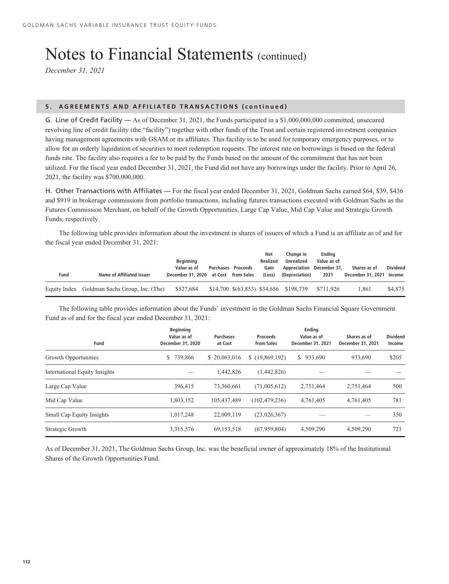*December 31, 2021*

#### **5. AGREEMENTS AND AFFILIATED TRANSACTIONS (continued)**

G. Line of Credit Facility — As of December 31, 2021, the Funds participated in a \$1,000,000,000 committed, unsecured revolving line of credit facility (the "facility") together with other funds of the Trust and certain registered investment companies having management agreements with GSAM or its affiliates. This facility is to be used for temporary emergency purposes, or to allow for an orderly liquidation of securities to meet redemption requests. The interest rate on borrowings is based on the federal funds rate. The facility also requires a fee to be paid by the Funds based on the amount of the commitment that has not been utilized. For the fiscal year ended December 31, 2021, the Fund did not have any borrowings under the facility. Prior to April 26, 2021, the facility was \$700,000,000.

H. Other Transactions with Affiliates — For the fiscal year ended December 31, 2021, Goldman Sachs earned \$64, \$39, \$436 and \$919 in brokerage commissions from portfolio transactions, including futures transactions executed with Goldman Sachs as the Futures Commission Merchant, on behalf of the Growth Opportunities, Large Cap Value, Mid Cap Value and Strategic Growth Funds, respectively.

The following table provides information about the investment in shares of issuers of which a Fund is an affiliate as of and for the fiscal year ended December 31, 2021:

|      |                                              | <b>Beginning</b>                                    |                    | Net<br>Realized | Change in<br><b>Unrealized</b>         | Ending<br>Value as of |                                          |                 |
|------|----------------------------------------------|-----------------------------------------------------|--------------------|-----------------|----------------------------------------|-----------------------|------------------------------------------|-----------------|
| Fund | <b>Name of Affiliated Issuer</b>             | Value as of<br>December 31, 2020 at Cost from Sales | Purchases Proceeds | Gain<br>(Loss)  | Appreciation<br>(Depreciation)         | December 31.<br>2021  | Shares as of<br>December 31, 2021 Income | <b>Dividend</b> |
|      | Equity Index Goldman Sachs Group, Inc. (The) | \$527,684                                           |                    |                 | \$14,700 \$(63,853) \$34,656 \$198,739 | \$711.926             | 1.861                                    | \$4,875         |

The following table provides information about the Funds' investment in the Goldman Sachs Financial Square Government Fund as of and for the fiscal year ended December 31, 2021:

| Fund                          | <b>Beginning</b><br>Value as of<br>December 31, 2020 | Purchases<br>at Cost | <b>Proceeds</b><br>from Sales | Ending<br>Value as of<br>December 31, 2021 | Shares as of<br>December 31, 2021 | <b>Dividend</b><br>Income |
|-------------------------------|------------------------------------------------------|----------------------|-------------------------------|--------------------------------------------|-----------------------------------|---------------------------|
| Growth Opportunities          | 739,866<br>S.                                        | \$20,063,016         | \$(19,869,192)                | \$933,690                                  | 933.690                           | \$205                     |
| International Equity Insights |                                                      | 1,442,826            | (1,442,826)                   |                                            |                                   |                           |
| Large Cap Value               | 396,415                                              | 73.360.661           | (71,005,612)                  | 2,751,464                                  | 2,751,464                         | 500                       |
| Mid Cap Value                 | 1,803,152                                            | 105,437,489          | (102, 479, 236)               | 4,761,405                                  | 4,761,405                         | 781                       |
| Small Cap Equity Insights     | 1,017,248                                            | 22,009,119           | (23,026,367)                  |                                            |                                   | 350                       |
| Strategic Growth              | 3,315,576                                            | 69,153,518           | (67,959,804)                  | 4,509,290                                  | 4,509,290                         | 721                       |

As of December 31, 2021, The Goldman Sachs Group, Inc. was the beneficial owner of approximately 18% of the Institutional Shares of the Growth Opportunities Fund.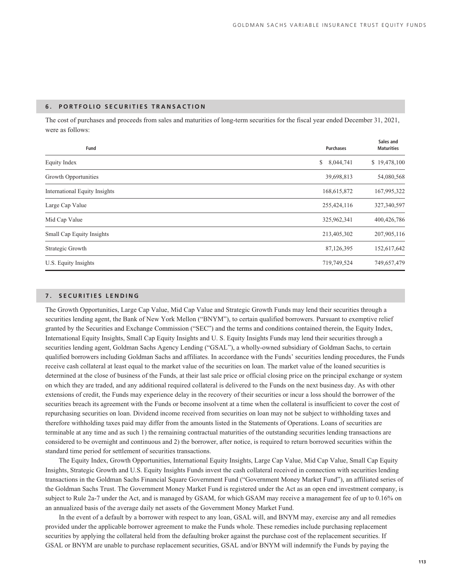#### **6. PORTFOLIO SECURITIES TRANSACTION**

The cost of purchases and proceeds from sales and maturities of long-term securities for the fiscal year ended December 31, 2021, were as follows:

| Fund                                 | <b>Purchases</b> | Sales and<br><b>Maturities</b> |
|--------------------------------------|------------------|--------------------------------|
| Equity Index                         | 8,044,741<br>\$  | \$19,478,100                   |
| Growth Opportunities                 | 39,698,813       | 54,080,568                     |
| <b>International Equity Insights</b> | 168,615,872      | 167,995,322                    |
| Large Cap Value                      | 255,424,116      | 327,340,597                    |
| Mid Cap Value                        | 325,962,341      | 400,426,786                    |
| Small Cap Equity Insights            | 213,405,302      | 207,905,116                    |
| Strategic Growth                     | 87,126,395       | 152,617,642                    |
| U.S. Equity Insights                 | 719,749,524      | 749,657,479                    |

#### **7. SECURITIES LENDING**

The Growth Opportunities, Large Cap Value, Mid Cap Value and Strategic Growth Funds may lend their securities through a securities lending agent, the Bank of New York Mellon ("BNYM"), to certain qualified borrowers. Pursuant to exemptive relief granted by the Securities and Exchange Commission ("SEC") and the terms and conditions contained therein, the Equity Index, International Equity Insights, Small Cap Equity Insights and U. S. Equity Insights Funds may lend their securities through a securities lending agent, Goldman Sachs Agency Lending ("GSAL"), a wholly-owned subsidiary of Goldman Sachs, to certain qualified borrowers including Goldman Sachs and affiliates. In accordance with the Funds' securities lending procedures, the Funds receive cash collateral at least equal to the market value of the securities on loan. The market value of the loaned securities is determined at the close of business of the Funds, at their last sale price or official closing price on the principal exchange or system on which they are traded, and any additional required collateral is delivered to the Funds on the next business day. As with other extensions of credit, the Funds may experience delay in the recovery of their securities or incur a loss should the borrower of the securities breach its agreement with the Funds or become insolvent at a time when the collateral is insufficient to cover the cost of repurchasing securities on loan. Dividend income received from securities on loan may not be subject to withholding taxes and therefore withholding taxes paid may differ from the amounts listed in the Statements of Operations. Loans of securities are terminable at any time and as such 1) the remaining contractual maturities of the outstanding securities lending transactions are considered to be overnight and continuous and 2) the borrower, after notice, is required to return borrowed securities within the standard time period for settlement of securities transactions.

The Equity Index, Growth Opportunities, International Equity Insights, Large Cap Value, Mid Cap Value, Small Cap Equity Insights, Strategic Growth and U.S. Equity Insights Funds invest the cash collateral received in connection with securities lending transactions in the Goldman Sachs Financial Square Government Fund ("Government Money Market Fund"), an affiliated series of the Goldman Sachs Trust. The Government Money Market Fund is registered under the Act as an open end investment company, is subject to Rule 2a-7 under the Act, and is managed by GSAM, for which GSAM may receive a management fee of up to 0.16% on an annualized basis of the average daily net assets of the Government Money Market Fund.

In the event of a default by a borrower with respect to any loan, GSAL will, and BNYM may, exercise any and all remedies provided under the applicable borrower agreement to make the Funds whole. These remedies include purchasing replacement securities by applying the collateral held from the defaulting broker against the purchase cost of the replacement securities. If GSAL or BNYM are unable to purchase replacement securities, GSAL and/or BNYM will indemnify the Funds by paying the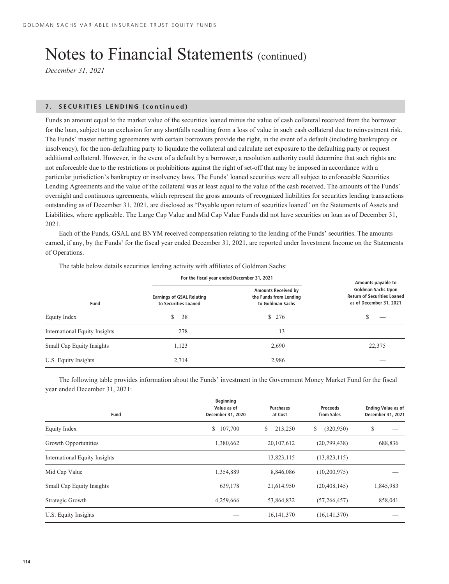*December 31, 2021*

#### **7. SECURITIES LENDING (continued)**

Funds an amount equal to the market value of the securities loaned minus the value of cash collateral received from the borrower for the loan, subject to an exclusion for any shortfalls resulting from a loss of value in such cash collateral due to reinvestment risk. The Funds' master netting agreements with certain borrowers provide the right, in the event of a default (including bankruptcy or insolvency), for the non-defaulting party to liquidate the collateral and calculate net exposure to the defaulting party or request additional collateral. However, in the event of a default by a borrower, a resolution authority could determine that such rights are not enforceable due to the restrictions or prohibitions against the right of set-off that may be imposed in accordance with a particular jurisdiction's bankruptcy or insolvency laws. The Funds' loaned securities were all subject to enforceable Securities Lending Agreements and the value of the collateral was at least equal to the value of the cash received. The amounts of the Funds' overnight and continuous agreements, which represent the gross amounts of recognized liabilities for securities lending transactions outstanding as of December 31, 2021, are disclosed as "Payable upon return of securities loaned" on the Statements of Assets and Liabilities, where applicable. The Large Cap Value and Mid Cap Value Funds did not have securities on loan as of December 31, 2021.

Each of the Funds, GSAL and BNYM received compensation relating to the lending of the Funds' securities. The amounts earned, if any, by the Funds' for the fiscal year ended December 31, 2021, are reported under Investment Income on the Statements of Operations.

|                               | For the fiscal year ended December 31, 2021              | Amounts payable to                                                       |                                                                                            |
|-------------------------------|----------------------------------------------------------|--------------------------------------------------------------------------|--------------------------------------------------------------------------------------------|
| Fund                          | <b>Earnings of GSAL Relating</b><br>to Securities Loaned | <b>Amounts Received by</b><br>the Funds from Lending<br>to Goldman Sachs | <b>Goldman Sachs Upon</b><br><b>Return of Securities Loaned</b><br>as of December 31, 2021 |
| Equity Index                  | 38<br>S                                                  | \$276                                                                    |                                                                                            |
| International Equity Insights | 278                                                      | 13                                                                       |                                                                                            |
| Small Cap Equity Insights     | 1.123                                                    | 2,690                                                                    | 22,375                                                                                     |
| U.S. Equity Insights          | 2,714                                                    | 2,986                                                                    |                                                                                            |

The table below details securities lending activity with affiliates of Goldman Sachs:

The following table provides information about the Funds' investment in the Government Money Market Fund for the fiscal year ended December 31, 2021:

| Fund                                 | <b>Beginning</b><br>Value as of<br>December 31, 2020 | <b>Purchases</b><br>at Cost | <b>Proceeds</b><br>from Sales | <b>Ending Value as of</b><br>December 31, 2021 |
|--------------------------------------|------------------------------------------------------|-----------------------------|-------------------------------|------------------------------------------------|
| Equity Index                         | \$107,700                                            | 213,250<br>\$               | (320,950)<br>\$               | \$                                             |
| Growth Opportunities                 | 1,380,662                                            | 20,107,612                  | (20, 799, 438)                | 688,836                                        |
| <b>International Equity Insights</b> |                                                      | 13,823,115                  | (13,823,115)                  |                                                |
| Mid Cap Value                        | 1,354,889                                            | 8,846,086                   | (10,200,975)                  |                                                |
| Small Cap Equity Insights            | 639,178                                              | 21,614,950                  | (20, 408, 145)                | 1,845,983                                      |
| Strategic Growth                     | 4,259,666                                            | 53,864,832                  | (57, 266, 457)                | 858,041                                        |
| U.S. Equity Insights                 |                                                      | 16, 141, 370                | (16, 141, 370)                |                                                |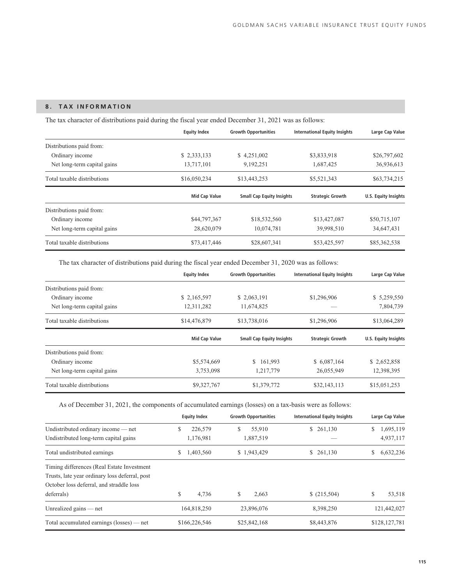### **8. TAX INFORMATION**

The tax character of distributions paid during the fiscal year ended December 31, 2021 was as follows:

|                             | <b>Equity Index</b>  | <b>Growth Opportunities</b>      | <b>International Equity Insights</b> | Large Cap Value             |
|-----------------------------|----------------------|----------------------------------|--------------------------------------|-----------------------------|
| Distributions paid from:    |                      |                                  |                                      |                             |
| Ordinary income             | \$2,333,133          | \$4,251,002                      | \$3,833,918                          | \$26,797,602                |
| Net long-term capital gains | 13,717,101           | 9,192,251                        | 1,687,425                            | 36,936,613                  |
| Total taxable distributions | \$16,050,234         | \$13,443,253                     | \$5,521,343                          | \$63,734,215                |
|                             | <b>Mid Cap Value</b> | <b>Small Cap Equity Insights</b> | <b>Strategic Growth</b>              | <b>U.S. Equity Insights</b> |
| Distributions paid from:    |                      |                                  |                                      |                             |
| Ordinary income             | \$44,797,367         | \$18,532,560                     | \$13,427,087                         | \$50,715,107                |
| Net long-term capital gains | 28,620,079           | 10,074,781                       | 39,998,510                           | 34,647,431                  |
| Total taxable distributions | \$73,417,446         | \$28,607,341                     | \$53,425,597                         | \$85,362,538                |

The tax character of distributions paid during the fiscal year ended December 31, 2020 was as follows:

|                             | <b>Equity Index</b>  | <b>Growth Opportunities</b>      | <b>International Equity Insights</b> | Large Cap Value             |
|-----------------------------|----------------------|----------------------------------|--------------------------------------|-----------------------------|
| Distributions paid from:    |                      |                                  |                                      |                             |
| Ordinary income             | \$2,165,597          | \$2,063,191                      | \$1,296,906                          | \$5,259,550                 |
| Net long-term capital gains | 12,311,282           | 11,674,825                       |                                      | 7,804,739                   |
| Total taxable distributions | \$14,476,879         | \$13,738,016                     | \$1,296,906                          | \$13,064,289                |
|                             | <b>Mid Cap Value</b> | <b>Small Cap Equity Insights</b> | <b>Strategic Growth</b>              | <b>U.S. Equity Insights</b> |
| Distributions paid from:    |                      |                                  |                                      |                             |
| Ordinary income             | \$5,574,669          | 161.993<br>S.                    | \$6,087,164                          | \$2,652,858                 |
| Net long-term capital gains | 3,753,098            | 1,217,779                        | 26,055,949                           | 12,398,395                  |
| Total taxable distributions | \$9,327,767          | \$1,379,772                      | \$32,143,113                         | \$15,051,253                |

As of December 31, 2021, the components of accumulated earnings (losses) on a tax-basis were as follows:

|                                                | <b>Equity Index</b> | <b>Growth Opportunities</b> | <b>International Equity Insights</b> | Large Cap Value |
|------------------------------------------------|---------------------|-----------------------------|--------------------------------------|-----------------|
| Undistributed ordinary income — net            | S<br>226,579        | \$<br>55,910                | \$261,130                            | 1,695,119<br>\$ |
| Undistributed long-term capital gains          | 1,176,981           | 1,887,519                   |                                      | 4,937,117       |
| Total undistributed earnings                   | 1,403,560<br>S.     | \$1,943,429                 | \$261,130                            | 6,632,236<br>S  |
| Timing differences (Real Estate Investment)    |                     |                             |                                      |                 |
| Trusts, late year ordinary loss deferral, post |                     |                             |                                      |                 |
| October loss deferral, and straddle loss       |                     |                             |                                      |                 |
| deferrals)                                     | \$<br>4,736         | \$<br>2,663                 | \$(215,504)                          | \$<br>53,518    |
| Unrealized gains $-$ net                       | 164,818,250         | 23,896,076                  | 8,398,250                            | 121,442,027     |
| Total accumulated earnings (losses) — net      | \$166,226,546       | \$25,842,168                | \$8,443,876                          | \$128,127,781   |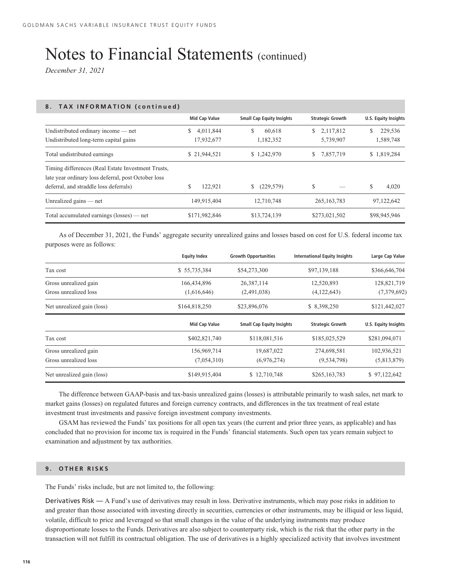*December 31, 2021*

#### **8. TAX INFORMATION (continued)**

|                                                                                                                                                     | <b>Mid Cap Value</b>          | <b>Small Cap Equity Insights</b> | <b>Strategic Growth</b>   | <b>U.S. Equity Insights</b> |
|-----------------------------------------------------------------------------------------------------------------------------------------------------|-------------------------------|----------------------------------|---------------------------|-----------------------------|
| Undistributed ordinary income — net<br>Undistributed long-term capital gains                                                                        | \$<br>4,011,844<br>17,932,677 | 60,618<br>S<br>1,182,352         | \$2,117,812<br>5,739,907  | \$<br>229,536<br>1,589,748  |
| Total undistributed earnings                                                                                                                        | \$21,944,521                  | \$1,242,970                      | $\mathbb{S}$<br>7,857,719 | \$1,819,284                 |
| Timing differences (Real Estate Investment Trusts,<br>late year ordinary loss deferral, post October loss<br>deferral, and straddle loss deferrals) | \$<br>122,921                 | (229, 579)                       | S                         | \$<br>4,020                 |
| Unrealized gains $-$ net                                                                                                                            | 149.915.404                   | 12,710,748                       | 265, 163, 783             | 97,122,642                  |
| Total accumulated earnings (losses) — net                                                                                                           | \$171,982,846                 | \$13,724,139                     | \$273,021,502             | \$98,945,946                |

As of December 31, 2021, the Funds' aggregate security unrealized gains and losses based on cost for U.S. federal income tax purposes were as follows:

|                            | <b>Equity Index</b>  | <b>Growth Opportunities</b>      | <b>International Equity Insights</b> | Large Cap Value             |
|----------------------------|----------------------|----------------------------------|--------------------------------------|-----------------------------|
| Tax cost                   | \$55,735,384         | \$54,273,300                     | \$97,139,188                         | \$366,646,704               |
| Gross unrealized gain      | 166,434,896          | 26,387,114                       | 12,520,893                           | 128,821,719                 |
| Gross unrealized loss      | (1,616,646)          | (2,491,038)                      | (4,122,643)                          | (7,379,692)                 |
| Net unrealized gain (loss) | \$164,818,250        | \$23,896,076                     | \$8,398,250                          | \$121,442,027               |
|                            | <b>Mid Cap Value</b> | <b>Small Cap Equity Insights</b> | <b>Strategic Growth</b>              | <b>U.S. Equity Insights</b> |
| Tax cost                   | \$402,821,740        | \$118,081,516                    | \$185,025,529                        | \$281,094,071               |
| Gross unrealized gain      | 156,969,714          | 19,687,022                       | 274,698,581                          | 102,936,521                 |
| Gross unrealized loss      | (7,054,310)          | (6,976,274)                      | (9, 534, 798)                        | (5,813,879)                 |
| Net unrealized gain (loss) | \$149,915,404        | \$12,710,748                     | \$265,163,783                        | \$97,122,642                |

The difference between GAAP-basis and tax-basis unrealized gains (losses) is attributable primarily to wash sales, net mark to market gains (losses) on regulated futures and foreign currency contracts, and differences in the tax treatment of real estate investment trust investments and passive foreign investment company investments.

GSAM has reviewed the Funds' tax positions for all open tax years (the current and prior three years, as applicable) and has concluded that no provision for income tax is required in the Funds' financial statements. Such open tax years remain subject to examination and adjustment by tax authorities.

#### **9. OTHER RISKS**

The Funds' risks include, but are not limited to, the following:

Derivatives Risk — A Fund's use of derivatives may result in loss. Derivative instruments, which may pose risks in addition to and greater than those associated with investing directly in securities, currencies or other instruments, may be illiquid or less liquid, volatile, difficult to price and leveraged so that small changes in the value of the underlying instruments may produce disproportionate losses to the Funds. Derivatives are also subject to counterparty risk, which is the risk that the other party in the transaction will not fulfill its contractual obligation. The use of derivatives is a highly specialized activity that involves investment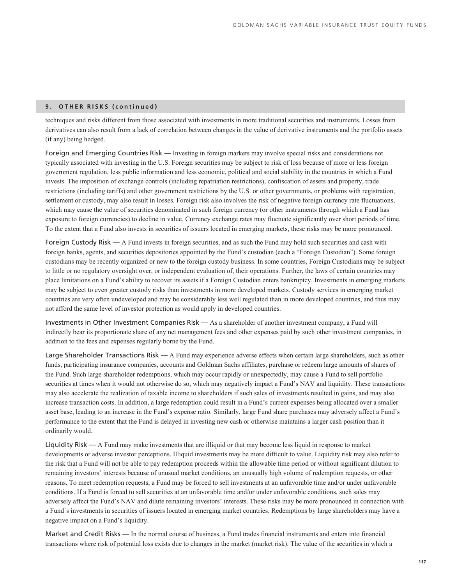#### **9. OTHER RISKS (continued)**

techniques and risks different from those associated with investments in more traditional securities and instruments. Losses from derivatives can also result from a lack of correlation between changes in the value of derivative instruments and the portfolio assets (if any) being hedged.

Foreign and Emerging Countries Risk — Investing in foreign markets may involve special risks and considerations not typically associated with investing in the U.S. Foreign securities may be subject to risk of loss because of more or less foreign government regulation, less public information and less economic, political and social stability in the countries in which a Fund invests. The imposition of exchange controls (including repatriation restrictions), confiscation of assets and property, trade restrictions (including tariffs) and other government restrictions by the U.S. or other governments, or problems with registration, settlement or custody, may also result in losses. Foreign risk also involves the risk of negative foreign currency rate fluctuations, which may cause the value of securities denominated in such foreign currency (or other instruments through which a Fund has exposure to foreign currencies) to decline in value. Currency exchange rates may fluctuate significantly over short periods of time. To the extent that a Fund also invests in securities of issuers located in emerging markets, these risks may be more pronounced.

Foreign Custody Risk — A Fund invests in foreign securities, and as such the Fund may hold such securities and cash with foreign banks, agents, and securities depositories appointed by the Fund's custodian (each a "Foreign Custodian"). Some foreign custodians may be recently organized or new to the foreign custody business. In some countries, Foreign Custodians may be subject to little or no regulatory oversight over, or independent evaluation of, their operations. Further, the laws of certain countries may place limitations on a Fund's ability to recover its assets if a Foreign Custodian enters bankruptcy. Investments in emerging markets may be subject to even greater custody risks than investments in more developed markets. Custody services in emerging market countries are very often undeveloped and may be considerably less well regulated than in more developed countries, and thus may not afford the same level of investor protection as would apply in developed countries.

Investments in Other Investment Companies Risk — As a shareholder of another investment company, a Fund will indirectly bear its proportionate share of any net management fees and other expenses paid by such other investment companies, in addition to the fees and expenses regularly borne by the Fund.

Large Shareholder Transactions Risk — A Fund may experience adverse effects when certain large shareholders, such as other funds, participating insurance companies, accounts and Goldman Sachs affiliates, purchase or redeem large amounts of shares of the Fund. Such large shareholder redemptions, which may occur rapidly or unexpectedly, may cause a Fund to sell portfolio securities at times when it would not otherwise do so, which may negatively impact a Fund's NAV and liquidity. These transactions may also accelerate the realization of taxable income to shareholders if such sales of investments resulted in gains, and may also increase transaction costs. In addition, a large redemption could result in a Fund's current expenses being allocated over a smaller asset base, leading to an increase in the Fund's expense ratio. Similarly, large Fund share purchases may adversely affect a Fund's performance to the extent that the Fund is delayed in investing new cash or otherwise maintains a larger cash position than it ordinarily would.

Liquidity Risk — A Fund may make investments that are illiquid or that may become less liquid in response to market developments or adverse investor perceptions. Illiquid investments may be more difficult to value. Liquidity risk may also refer to the risk that a Fund will not be able to pay redemption proceeds within the allowable time period or without significant dilution to remaining investors' interests because of unusual market conditions, an unusually high volume of redemption requests, or other reasons. To meet redemption requests, a Fund may be forced to sell investments at an unfavorable time and/or under unfavorable conditions. If a Fund is forced to sell securities at an unfavorable time and/or under unfavorable conditions, such sales may adversely affect the Fund's NAV and dilute remaining investors' interests. These risks may be more pronounced in connection with a Fund`s investments in securities of issuers located in emerging market countries. Redemptions by large shareholders may have a negative impact on a Fund's liquidity.

Market and Credit Risks — In the normal course of business, a Fund trades financial instruments and enters into financial transactions where risk of potential loss exists due to changes in the market (market risk). The value of the securities in which a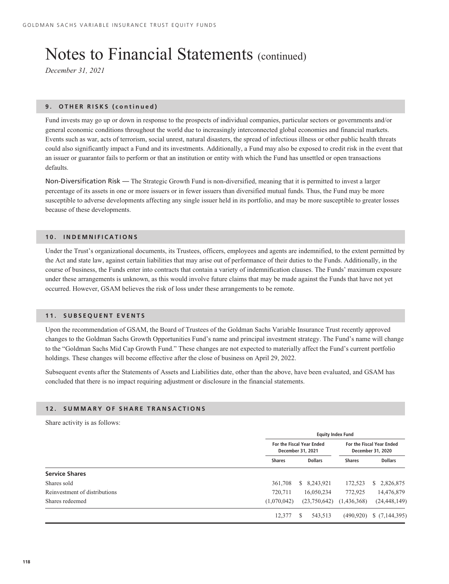*December 31, 2021*

#### **9. OTHER RISKS (continued)**

Fund invests may go up or down in response to the prospects of individual companies, particular sectors or governments and/or general economic conditions throughout the world due to increasingly interconnected global economies and financial markets. Events such as war, acts of terrorism, social unrest, natural disasters, the spread of infectious illness or other public health threats could also significantly impact a Fund and its investments. Additionally, a Fund may also be exposed to credit risk in the event that an issuer or guarantor fails to perform or that an institution or entity with which the Fund has unsettled or open transactions defaults.

Non-Diversification Risk — The Strategic Growth Fund is non-diversified, meaning that it is permitted to invest a larger percentage of its assets in one or more issuers or in fewer issuers than diversified mutual funds. Thus, the Fund may be more susceptible to adverse developments affecting any single issuer held in its portfolio, and may be more susceptible to greater losses because of these developments.

#### **10. INDEMNIFICATIONS**

Under the Trust's organizational documents, its Trustees, officers, employees and agents are indemnified, to the extent permitted by the Act and state law, against certain liabilities that may arise out of performance of their duties to the Funds. Additionally, in the course of business, the Funds enter into contracts that contain a variety of indemnification clauses. The Funds' maximum exposure under these arrangements is unknown, as this would involve future claims that may be made against the Funds that have not yet occurred. However, GSAM believes the risk of loss under these arrangements to be remote.

#### **11. SUBSEQUENT EVENTS**

Upon the recommendation of GSAM, the Board of Trustees of the Goldman Sachs Variable Insurance Trust recently approved changes to the Goldman Sachs Growth Opportunities Fund's name and principal investment strategy. The Fund's name will change to the "Goldman Sachs Mid Cap Growth Fund." These changes are not expected to materially affect the Fund's current portfolio holdings. These changes will become effective after the close of business on April 29, 2022.

Subsequent events after the Statements of Assets and Liabilities date, other than the above, have been evaluated, and GSAM has concluded that there is no impact requiring adjustment or disclosure in the financial statements.

#### **12. SUMMARY OF SHARE TRANSACTIONS**

Share activity is as follows:

|                               |               | <b>Equity Index Fund</b>                       |               |                                                |  |
|-------------------------------|---------------|------------------------------------------------|---------------|------------------------------------------------|--|
|                               |               | For the Fiscal Year Ended<br>December 31, 2021 |               | For the Fiscal Year Ended<br>December 31, 2020 |  |
|                               | <b>Shares</b> | <b>Dollars</b>                                 | <b>Shares</b> | <b>Dollars</b>                                 |  |
| <b>Service Shares</b>         |               |                                                |               |                                                |  |
| Shares sold                   | 361,708       | \$8,243,921                                    | 172,523       | \$2,826,875                                    |  |
| Reinvestment of distributions | 720,711       | 16,050,234                                     | 772,925       | 14,476,879                                     |  |
| Shares redeemed               | (1,070,042)   | (23,750,642)                                   | (1,436,368)   | (24, 448, 149)                                 |  |
|                               | 12,377        | 543,513<br>S.                                  | (490, 920)    | \$(7,144,395)                                  |  |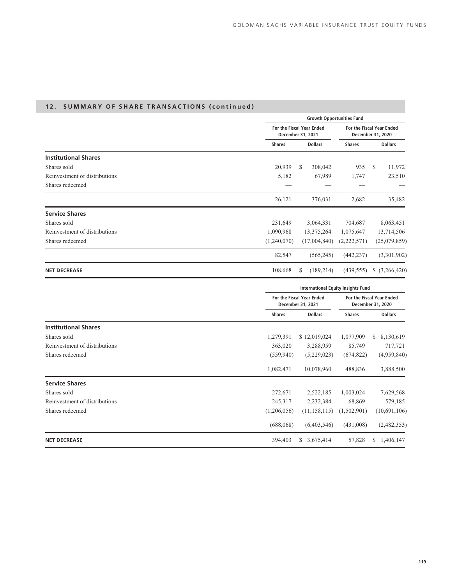|                               |               | <b>Growth Opportunities Fund</b>               |               |                                                |  |
|-------------------------------|---------------|------------------------------------------------|---------------|------------------------------------------------|--|
|                               |               | For the Fiscal Year Ended<br>December 31, 2021 |               | For the Fiscal Year Ended<br>December 31, 2020 |  |
|                               | <b>Shares</b> | <b>Dollars</b>                                 | <b>Shares</b> | <b>Dollars</b>                                 |  |
| <b>Institutional Shares</b>   |               |                                                |               |                                                |  |
| Shares sold                   | 20,939        | 308,042<br>S.                                  | 935           | \$.<br>11,972                                  |  |
| Reinvestment of distributions | 5,182         | 67,989                                         | 1,747         | 23,510                                         |  |
| Shares redeemed               |               |                                                |               |                                                |  |
|                               | 26,121        | 376,031                                        | 2,682         | 35,482                                         |  |
| <b>Service Shares</b>         |               |                                                |               |                                                |  |
| Shares sold                   | 231,649       | 3,064,331                                      | 704,687       | 8,063,451                                      |  |
| Reinvestment of distributions | 1,090,968     | 13,375,264                                     | 1,075,647     | 13,714,506                                     |  |
| Shares redeemed               | (1,240,070)   | (17,004,840)                                   | (2,222,571)   | (25,079,859)                                   |  |
|                               | 82,547        | (565, 245)                                     | (442, 237)    | (3,301,902)                                    |  |
| <b>NET DECREASE</b>           | 108,668       | (189, 214)<br>S                                | (439, 555)    | $$$ $(3,266,420)$                              |  |

|                               | <b>International Equity Insights Fund</b>      |                 |                                                |                 |
|-------------------------------|------------------------------------------------|-----------------|------------------------------------------------|-----------------|
|                               | For the Fiscal Year Ended<br>December 31, 2021 |                 | For the Fiscal Year Ended<br>December 31, 2020 |                 |
|                               | <b>Shares</b>                                  | <b>Dollars</b>  | <b>Shares</b>                                  | <b>Dollars</b>  |
| <b>Institutional Shares</b>   |                                                |                 |                                                |                 |
| Shares sold                   | 1,279,391                                      | \$12,019,024    | 1,077,909                                      | 8,130,619<br>S. |
| Reinvestment of distributions | 363,020                                        | 3,288,959       | 85,749                                         | 717,721         |
| Shares redeemed               | (559, 940)                                     | (5,229,023)     | (674, 822)                                     | (4,959,840)     |
|                               | 1,082,471                                      | 10,078,960      | 488,836                                        | 3,888,500       |
| <b>Service Shares</b>         |                                                |                 |                                                |                 |
| Shares sold                   | 272,671                                        | 2,522,185       | 1,003,024                                      | 7,629,568       |
| Reinvestment of distributions | 245,317                                        | 2,232,384       | 68,869                                         | 579,185         |
| Shares redeemed               | (1,206,056)                                    | (11, 158, 115)  | (1,502,901)                                    | (10,691,106)    |
|                               | (688,068)                                      | (6,403,546)     | (431,008)                                      | (2,482,353)     |
| <b>NET DECREASE</b>           | 394,403                                        | 3,675,414<br>S. | 57,828                                         | 1,406,147<br>S. |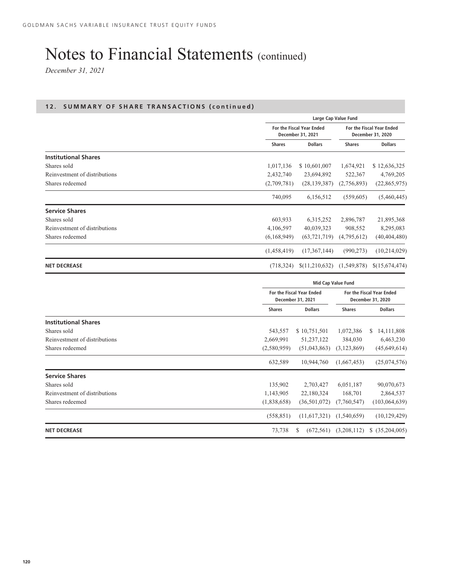*December 31, 2021*

|                               | Large Cap Value Fund                           |                |               |                                                |
|-------------------------------|------------------------------------------------|----------------|---------------|------------------------------------------------|
|                               | For the Fiscal Year Ended<br>December 31, 2021 |                |               | For the Fiscal Year Ended<br>December 31, 2020 |
|                               | <b>Shares</b>                                  | <b>Dollars</b> | <b>Shares</b> | <b>Dollars</b>                                 |
| <b>Institutional Shares</b>   |                                                |                |               |                                                |
| Shares sold                   | 1,017,136                                      | \$10,601,007   | 1,674,921     | \$12,636,325                                   |
| Reinvestment of distributions | 2,432,740                                      | 23,694,892     | 522,367       | 4,769,205                                      |
| Shares redeemed               | (2,709,781)                                    | (28, 139, 387) | (2,756,893)   | (22,865,975)                                   |
|                               | 740,095                                        | 6,156,512      | (559,605)     | (5,460,445)                                    |
| <b>Service Shares</b>         |                                                |                |               |                                                |
| Shares sold                   | 603,933                                        | 6,315,252      | 2,896,787     | 21,895,368                                     |
| Reinvestment of distributions | 4,106,597                                      | 40,039,323     | 908,552       | 8,295,083                                      |
| Shares redeemed               | (6,168,949)                                    | (63, 721, 719) | (4,795,612)   | (40, 404, 480)                                 |
|                               | (1,458,419)                                    | (17,367,144)   | (990, 273)    | (10,214,029)                                   |
| <b>NET DECREASE</b>           | (718, 324)                                     | \$(11,210,632) | (1,549,878)   | \$(15,674,474)                                 |

|                               |               | <b>Mid Cap Value Fund</b>                      |               |                                                |  |
|-------------------------------|---------------|------------------------------------------------|---------------|------------------------------------------------|--|
|                               |               | For the Fiscal Year Ended<br>December 31, 2021 |               | For the Fiscal Year Ended<br>December 31, 2020 |  |
|                               | <b>Shares</b> | <b>Dollars</b>                                 | <b>Shares</b> | <b>Dollars</b>                                 |  |
| <b>Institutional Shares</b>   |               |                                                |               |                                                |  |
| Shares sold                   | 543,557       | \$10,751,501                                   | 1,072,386     | 14, 111, 808<br>\$                             |  |
| Reinvestment of distributions | 2,669,991     | 51,237,122                                     | 384,030       | 6,463,230                                      |  |
| Shares redeemed               | (2,580,959)   | (51,043,863)                                   | (3,123,869)   | (45, 649, 614)                                 |  |
|                               | 632,589       | 10,944,760                                     | (1,667,453)   | (25,074,576)                                   |  |
| <b>Service Shares</b>         |               |                                                |               |                                                |  |
| Shares sold                   | 135,902       | 2,703,427                                      | 6,051,187     | 90,070,673                                     |  |
| Reinvestment of distributions | 1,143,905     | 22,180,324                                     | 168,701       | 2,864,537                                      |  |
| Shares redeemed               | (1,838,658)   | (36,501,072)                                   | (7,760,547)   | (103, 064, 639)                                |  |
|                               | (558, 851)    | (11,617,321)                                   | (1,540,659)   | (10, 129, 429)                                 |  |
| <b>NET DECREASE</b>           | 73,738        | (672, 561)<br>\$                               | (3,208,112)   | \$ (35,204,005)                                |  |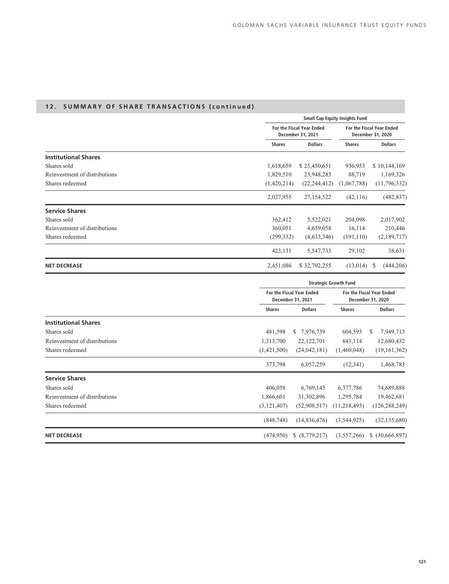|                               | <b>Small Cap Equity Insights Fund</b> |                                                |               |                                                |
|-------------------------------|---------------------------------------|------------------------------------------------|---------------|------------------------------------------------|
|                               |                                       | For the Fiscal Year Ended<br>December 31, 2021 |               | For the Fiscal Year Ended<br>December 31, 2020 |
|                               | <b>Shares</b>                         | <b>Dollars</b>                                 | <b>Shares</b> | <b>Dollars</b>                                 |
| <b>Institutional Shares</b>   |                                       |                                                |               |                                                |
| Shares sold                   | 1,618,659                             | \$25,450,651                                   | 936,953       | \$10,144,169                                   |
| Reinvestment of distributions | 1,829,510                             | 23,948,283                                     | 88,719        | 1,169,326                                      |
| Shares redeemed               | (1,420,214)                           | (22, 244, 412)                                 | (1,067,788)   | (11,796,332)                                   |
|                               | 2,027,955                             | 27,154,522                                     | (42, 116)     | (482, 837)                                     |
| <b>Service Shares</b>         |                                       |                                                |               |                                                |
| Shares sold                   | 362,412                               | 5,522,021                                      | 204,098       | 2,017,902                                      |
| Reinvestment of distributions | 360,051                               | 4,659,058                                      | 16,114        | 210,446                                        |
| Shares redeemed               | (299, 332)                            | (4,633,346)                                    | (191, 110)    | (2,189,717)                                    |
|                               | 423,131                               | 5,547,733                                      | 29,102        | 38,631                                         |
| <b>NET DECREASE</b>           | 2,451,086                             | \$32,702,255                                   | (13,014)      | (444, 206)<br>S                                |

|                               | <b>Strategic Growth Fund</b> |                                                |               |                                                |
|-------------------------------|------------------------------|------------------------------------------------|---------------|------------------------------------------------|
|                               |                              | For the Fiscal Year Ended<br>December 31, 2021 |               | For the Fiscal Year Ended<br>December 31, 2020 |
|                               | <b>Shares</b>                | <b>Dollars</b>                                 | <b>Shares</b> | <b>Dollars</b>                                 |
| <b>Institutional Shares</b>   |                              |                                                |               |                                                |
| Shares sold                   | 481,598                      | \$ 7,976,739                                   | 604,593       | 7,949,713<br>S                                 |
| Reinvestment of distributions | 1,313,700                    | 22, 122, 701                                   | 843,114       | 12,680,432                                     |
| Shares redeemed               | (1,421,500)                  | (24, 042, 181)                                 | (1,460,048)   | (19,161,362)                                   |
|                               | 373,798                      | 6,057,259                                      | (12, 341)     | 1,468,783                                      |
| <b>Service Shares</b>         |                              |                                                |               |                                                |
| Shares sold                   | 406,058                      | 6,769,145                                      | 6,377,786     | 74,689,888                                     |
| Reinvestment of distributions | 1,866,601                    | 31,302,896                                     | 1,295,784     | 19,462,681                                     |
| Shares redeemed               | (3, 121, 407)                | (52,908,517)                                   | (11,218,495)  | (126, 288, 249)                                |
|                               | (848, 748)                   | (14,836,476)                                   | (3,544,925)   | (32, 135, 680)                                 |
| <b>NET DECREASE</b>           | (474,950)                    | \$ (8,779,217)                                 | (3,557,266)   | \$ (30,666,897)                                |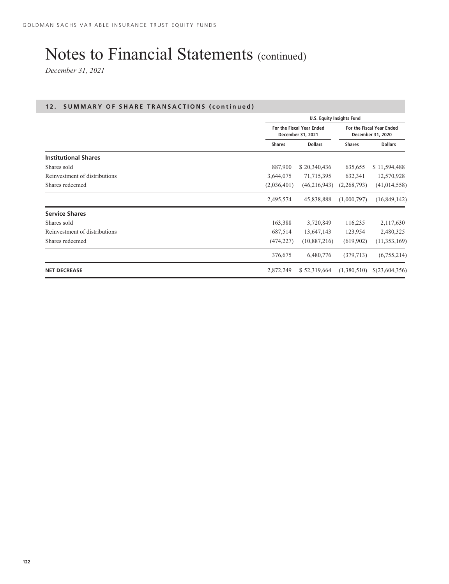*December 31, 2021*

|                               |               | <b>U.S. Equity Insights Fund</b>               |               |                                                |
|-------------------------------|---------------|------------------------------------------------|---------------|------------------------------------------------|
|                               |               | For the Fiscal Year Ended<br>December 31, 2021 |               | For the Fiscal Year Ended<br>December 31, 2020 |
|                               | <b>Shares</b> | <b>Dollars</b>                                 | <b>Shares</b> | <b>Dollars</b>                                 |
| <b>Institutional Shares</b>   |               |                                                |               |                                                |
| Shares sold                   | 887,900       | \$20,340,436                                   | 635,655       | \$11,594,488                                   |
| Reinvestment of distributions | 3,644,075     | 71,715,395                                     | 632,341       | 12,570,928                                     |
| Shares redeemed               | (2,036,401)   | (46,216,943)                                   | (2,268,793)   | (41, 014, 558)                                 |
|                               | 2,495,574     | 45,838,888                                     | (1,000,797)   | (16, 849, 142)                                 |
| <b>Service Shares</b>         |               |                                                |               |                                                |
| Shares sold                   | 163,388       | 3,720,849                                      | 116,235       | 2,117,630                                      |
| Reinvestment of distributions | 687,514       | 13,647,143                                     | 123,954       | 2,480,325                                      |
| Shares redeemed               | (474, 227)    | (10,887,216)                                   | (619,902)     | (11, 353, 169)                                 |
|                               | 376,675       | 6,480,776                                      | (379, 713)    | (6,755,214)                                    |
| <b>NET DECREASE</b>           | 2,872,249     | \$52,319,664                                   | (1,380,510)   | \$(23,604,356)                                 |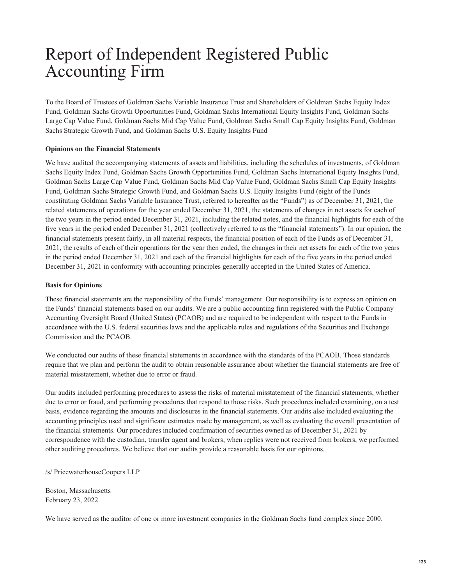# Report of Independent Registered Public Accounting Firm

To the Board of Trustees of Goldman Sachs Variable Insurance Trust and Shareholders of Goldman Sachs Equity Index Fund, Goldman Sachs Growth Opportunities Fund, Goldman Sachs International Equity Insights Fund, Goldman Sachs Large Cap Value Fund, Goldman Sachs Mid Cap Value Fund, Goldman Sachs Small Cap Equity Insights Fund, Goldman Sachs Strategic Growth Fund, and Goldman Sachs U.S. Equity Insights Fund

#### **Opinions on the Financial Statements**

We have audited the accompanying statements of assets and liabilities, including the schedules of investments, of Goldman Sachs Equity Index Fund, Goldman Sachs Growth Opportunities Fund, Goldman Sachs International Equity Insights Fund, Goldman Sachs Large Cap Value Fund, Goldman Sachs Mid Cap Value Fund, Goldman Sachs Small Cap Equity Insights Fund, Goldman Sachs Strategic Growth Fund, and Goldman Sachs U.S. Equity Insights Fund (eight of the Funds constituting Goldman Sachs Variable Insurance Trust, referred to hereafter as the "Funds") as of December 31, 2021, the related statements of operations for the year ended December 31, 2021, the statements of changes in net assets for each of the two years in the period ended December 31, 2021, including the related notes, and the financial highlights for each of the five years in the period ended December 31, 2021 (collectively referred to as the "financial statements"). In our opinion, the financial statements present fairly, in all material respects, the financial position of each of the Funds as of December 31, 2021, the results of each of their operations for the year then ended, the changes in their net assets for each of the two years in the period ended December 31, 2021 and each of the financial highlights for each of the five years in the period ended December 31, 2021 in conformity with accounting principles generally accepted in the United States of America.

#### **Basis for Opinions**

These financial statements are the responsibility of the Funds' management. Our responsibility is to express an opinion on the Funds' financial statements based on our audits. We are a public accounting firm registered with the Public Company Accounting Oversight Board (United States) (PCAOB) and are required to be independent with respect to the Funds in accordance with the U.S. federal securities laws and the applicable rules and regulations of the Securities and Exchange Commission and the PCAOB.

We conducted our audits of these financial statements in accordance with the standards of the PCAOB. Those standards require that we plan and perform the audit to obtain reasonable assurance about whether the financial statements are free of material misstatement, whether due to error or fraud.

Our audits included performing procedures to assess the risks of material misstatement of the financial statements, whether due to error or fraud, and performing procedures that respond to those risks. Such procedures included examining, on a test basis, evidence regarding the amounts and disclosures in the financial statements. Our audits also included evaluating the accounting principles used and significant estimates made by management, as well as evaluating the overall presentation of the financial statements. Our procedures included confirmation of securities owned as of December 31, 2021 by correspondence with the custodian, transfer agent and brokers; when replies were not received from brokers, we performed other auditing procedures. We believe that our audits provide a reasonable basis for our opinions.

/s/ PricewaterhouseCoopers LLP

Boston, Massachusetts February 23, 2022

We have served as the auditor of one or more investment companies in the Goldman Sachs fund complex since 2000.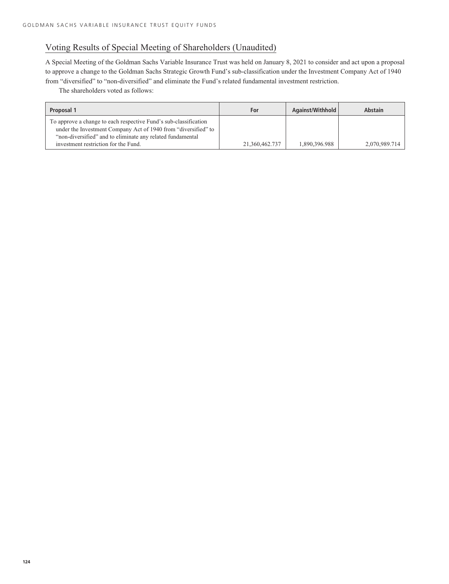## Voting Results of Special Meeting of Shareholders (Unaudited)

A Special Meeting of the Goldman Sachs Variable Insurance Trust was held on January 8, 2021 to consider and act upon a proposal to approve a change to the Goldman Sachs Strategic Growth Fund's sub-classification under the Investment Company Act of 1940 from "diversified" to "non-diversified" and eliminate the Fund's related fundamental investment restriction.

The shareholders voted as follows:

| Proposal 1                                                                                                                                                                                                                               | For            | Against/Withhold | <b>Abstain</b> |
|------------------------------------------------------------------------------------------------------------------------------------------------------------------------------------------------------------------------------------------|----------------|------------------|----------------|
| To approve a change to each respective Fund's sub-classification<br>under the Investment Company Act of 1940 from "diversified" to<br>"non-diversified" and to eliminate any related fundamental<br>investment restriction for the Fund. | 21,360,462.737 | 1.890.396.988    | 2,070,989.714  |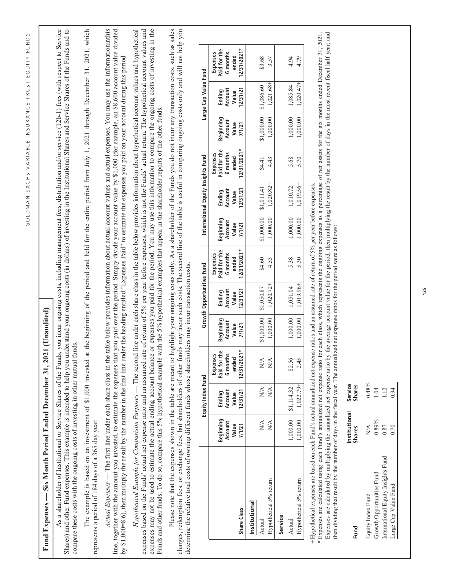| Fund Expenses-                                                                                                                                                                                                                                                                                                                                                                                                                                                                                                                                                                                                                                                                                                                                               | Six Month Period Ended December 31,      |                                        |                                                               | 2021 (Unaudited)                        |                                        |                                                              |                                         |                                        |                                                              |                                         |                                        |                                                                                                                                                                                                                                                       |
|--------------------------------------------------------------------------------------------------------------------------------------------------------------------------------------------------------------------------------------------------------------------------------------------------------------------------------------------------------------------------------------------------------------------------------------------------------------------------------------------------------------------------------------------------------------------------------------------------------------------------------------------------------------------------------------------------------------------------------------------------------------|------------------------------------------|----------------------------------------|---------------------------------------------------------------|-----------------------------------------|----------------------------------------|--------------------------------------------------------------|-----------------------------------------|----------------------------------------|--------------------------------------------------------------|-----------------------------------------|----------------------------------------|-------------------------------------------------------------------------------------------------------------------------------------------------------------------------------------------------------------------------------------------------------|
| As a shareholder of Institutional or Service Shares of the Funds, you incur ongoing costs, including management fees, distribution and/or service (12b-1) fees (with respect to Service<br>Shares) and other Fund expenses. This example is intended to help you understand your ongoing costs (in dollars) of investing in the Institutional Shares and Service Shares of the Funds and to<br>compare these costs with the ongoing costs of investing in other mutual funds.                                                                                                                                                                                                                                                                                |                                          |                                        |                                                               |                                         |                                        |                                                              |                                         |                                        |                                                              |                                         |                                        |                                                                                                                                                                                                                                                       |
| The example is based on an investment of \$1,000 invested at the beginning of the period and held for the entire period from July 1, 2021 through December 31, 2021, which<br>represents a period of 184 days of a 365 day year.                                                                                                                                                                                                                                                                                                                                                                                                                                                                                                                             |                                          |                                        |                                                               |                                         |                                        |                                                              |                                         |                                        |                                                              |                                         |                                        |                                                                                                                                                                                                                                                       |
| line, together with the amount you invested, to estimate the expenses that you paid over the period. Simply divide your account value by \$1,000 (for example, an \$8,600 account value divided<br>by \$1,000=8.6), then multiply the result by the number in the first line under the heading entitled "Expenses Paid" to estimate the expenses you paid on your account during this period.<br>Actual Expenses -                                                                                                                                                                                                                                                                                                                                           | The first line under each share class in |                                        |                                                               |                                         |                                        |                                                              |                                         |                                        |                                                              |                                         |                                        | the table below provides information about actual account values and actual expenses. You may use the informationinthis                                                                                                                               |
| expenses may not be used to estimate the actual ending account balance or expenses you paid for the period. You may use this information to compare the ongoing costs of investing in the<br><i>Hypothetical Example for Comparison Purposes</i> — The second line under each share class in the table below provides information about hypothetical account values and hypothetical<br>expenses based on the Funds' actual net expense ratio and an assumed rate of return of 5% per year before expenses, which is not the Funds' actual return. The hypothetical account values and<br>Funds and other funds. To do so, compare this 5% hypothetical example with the 5% hypothetical examples that appear in the shareholder reports of the other funds. |                                          |                                        |                                                               |                                         |                                        |                                                              |                                         |                                        |                                                              |                                         |                                        |                                                                                                                                                                                                                                                       |
| determine the relative total costs of owning different funds whose shareholders may incur transaction costs.<br>Please note that the expenses shown in the table are meant<br>charges, redemption fees, or exchange fees, but shareholders of other                                                                                                                                                                                                                                                                                                                                                                                                                                                                                                          |                                          |                                        |                                                               |                                         |                                        |                                                              |                                         |                                        |                                                              |                                         |                                        | to highlight your ongoing costs only. As a shareholder of the Funds you do not incur any transaction costs, such as sales<br>funds may incur such costs. The second line of the table is useful in comparing ongoing costs only and will not help you |
|                                                                                                                                                                                                                                                                                                                                                                                                                                                                                                                                                                                                                                                                                                                                                              |                                          | Equity Index Fund                      |                                                               |                                         | Growth Opportunities Fund              |                                                              |                                         | International Equity Insights Fund     |                                                              |                                         | Large Cap Value Fund                   |                                                                                                                                                                                                                                                       |
| Share Class                                                                                                                                                                                                                                                                                                                                                                                                                                                                                                                                                                                                                                                                                                                                                  | Beginning<br>Account<br>Value<br>7/1/21  | 12/31/21<br>Account<br>Ending<br>Value | 12/31/2021*<br>Paid for the<br>6 months<br>Expenses<br>ē<br>ξ | Beginning<br>Account<br>Value<br>7/1/21 | Account<br>12/31/21<br>Ending<br>Value | Paid for the<br>12/31/2021*<br>Expenses<br>6 months<br>ended | Beginning<br>Account<br>Value<br>7/1/21 | 12/31/21<br>Account<br>Ending<br>Value | 12/31/2021*<br>Paid for the<br>6 months<br>Expenses<br>ended | Beginning<br>Account<br>Value<br>7/1/21 | Account<br>12/31/21<br>Ending<br>Value | Paid for the<br>12/31/2021*<br>Expenses<br>6 months<br>ended                                                                                                                                                                                          |
| Hypothetical 5% return<br>Institutional<br>Actual                                                                                                                                                                                                                                                                                                                                                                                                                                                                                                                                                                                                                                                                                                            | $\mathbf{N}/\mathbf{A}$<br>N/A           | N/A<br>$\stackrel{\triangle}{\geq}$    | $_{\rm N/A}$<br>$\stackrel{\triangle}{\geq}$                  | \$1,000.00<br>1,000.00                  | $1,020.72+$<br>\$1,050.87              | \$4.60<br>4.53                                               | \$1,000.00<br>1,000.00                  | $1,020.82+$<br>\$1,011.41              | 4.43<br>\$4.41                                               | \$1,000.00<br>1,000.00                  | 1,021.68+<br>\$1,086.60                | \$3.68<br>3.57                                                                                                                                                                                                                                        |
| Hypothetical 5% return<br>Service<br>Actual                                                                                                                                                                                                                                                                                                                                                                                                                                                                                                                                                                                                                                                                                                                  | 1,000.00<br>1,000.00                     | $1,022.79+$<br>\$1,114.32              | \$2.56<br>2.45                                                | 1,000.00<br>1,000.00                    | 1,019.96+<br>1,051.04                  | 5.30<br>5.38                                                 | 1,000.00<br>1,000.00                    | 1,019.56+<br>1,010.72                  | 5.68<br>5.70                                                 | 1,000.00<br>1,000.00                    | $1,020.47+$<br>1,085.84                | 4.94<br>4.79                                                                                                                                                                                                                                          |
| * Expenses are calculated using each Fund's annualized net expense ratio for each class, which represents the ongoing expenses as a percentage of net assets for the six months ended December 31, 2021.<br>Expenses are calculated by multiplying the amualized net expense ratio by the average account value for the period; then multiplying the result by the number of days in the most recent fiscal half year; and<br>+Hypothetical expenses are based on each Fund's actual annualized net expense ratios and an assumed rate of return of 5% per year before expenses.<br>then dividing that result by the number of days in the fiscal year. The annualized net expense ratios for the period were as follows:                                    |                                          |                                        |                                                               |                                         |                                        |                                                              |                                         |                                        |                                                              |                                         |                                        |                                                                                                                                                                                                                                                       |
| Fund                                                                                                                                                                                                                                                                                                                                                                                                                                                                                                                                                                                                                                                                                                                                                         | Institutional<br>Shares                  | Service<br><b>Shares</b>               |                                                               |                                         |                                        |                                                              |                                         |                                        |                                                              |                                         |                                        |                                                                                                                                                                                                                                                       |
| Growth Opportunities Fund<br>Equity Index Fund                                                                                                                                                                                                                                                                                                                                                                                                                                                                                                                                                                                                                                                                                                               | 0.89%<br>$\mathbb{N}\mathbb{A}$          | $0.48\%$<br>1.04                       |                                                               |                                         |                                        |                                                              |                                         |                                        |                                                              |                                         |                                        |                                                                                                                                                                                                                                                       |
| International Equity Insights Fund                                                                                                                                                                                                                                                                                                                                                                                                                                                                                                                                                                                                                                                                                                                           | 0.87                                     | 1.12                                   |                                                               |                                         |                                        |                                                              |                                         |                                        |                                                              |                                         |                                        |                                                                                                                                                                                                                                                       |
| Large Cap Value Fund                                                                                                                                                                                                                                                                                                                                                                                                                                                                                                                                                                                                                                                                                                                                         | 0.70                                     | 0.94                                   |                                                               |                                         |                                        |                                                              |                                         |                                        |                                                              |                                         |                                        |                                                                                                                                                                                                                                                       |
|                                                                                                                                                                                                                                                                                                                                                                                                                                                                                                                                                                                                                                                                                                                                                              |                                          |                                        |                                                               |                                         |                                        |                                                              |                                         |                                        |                                                              |                                         |                                        |                                                                                                                                                                                                                                                       |

 $\Gamma$ 

**125**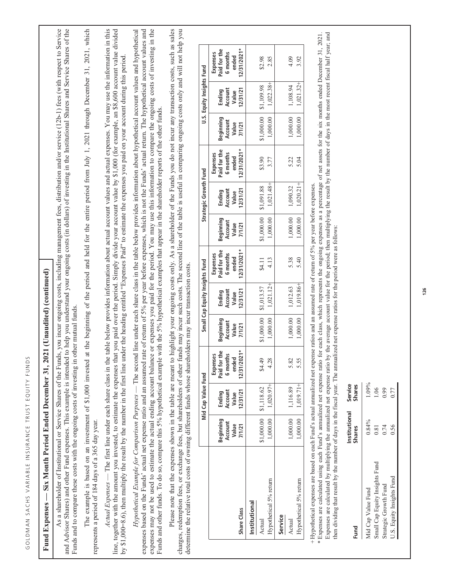| $\overline{\mathbf{a}}$<br>١  |
|-------------------------------|
|                               |
| I<br>١                        |
| Ζ                             |
|                               |
| J                             |
| L.                            |
|                               |
|                               |
|                               |
| ł                             |
|                               |
| ).                            |
|                               |
| C<br>℩                        |
| ш                             |
|                               |
|                               |
| I                             |
| $\overline{\mathbf{a}}$<br>J. |
| J                             |
| ,                             |
| $\epsilon$<br>١               |
| ŀ                             |
|                               |
| j<br>t<br>ı                   |
|                               |
| ţ<br>J                        |
| ś                             |
|                               |
| $\frac{1}{\epsilon}$          |
|                               |
| ¢<br>١                        |
| J                             |
|                               |
| Ç<br>١                        |
|                               |
| ŝ                             |
|                               |
|                               |
|                               |
| ц<br>J                        |
| ı                             |
| ï                             |
| ¢                             |
| 1                             |
|                               |
| $\Omega$                      |
|                               |
|                               |
|                               |
|                               |
|                               |
| t<br>١                        |
|                               |
|                               |
| $\overline{\phantom{a}}$<br>J |
|                               |
|                               |
| $\overline{\mathbf{a}}$<br>I. |
|                               |
| z                             |
|                               |
|                               |
|                               |
| :                             |
|                               |
| $\epsilon$                    |
| Ξ<br>J                        |
| $\zeta$<br>١                  |
| تى<br>J                       |

# Fund Expenses — Six Month Period Ended December 31, 2021 (Unaudited) (continued) Fund Expenses — Six Month Period Ended December 31, 2021 (Unaudited) (continued)

As a shareholder of Institutional or Service Shares of the Funds, you incur ongoing costs, including management fees, distribution and/or service (12b-1) fees (with respect to Service and Advisor Shares) and other Fund expenses. This example is intended to help you understand your ongoing costs (in dollars) of investing in the Institutional Shares and Service Shares of the As a shareholder of Institutional or Service Shares of the Funds, you incur ongoing costs, including management fees, distribution and/or service (12b-1) fees (with respect to Service and Advisor Shares) and other Fund expenses. This example is intended to help you understand your ongoing costs (in dollars) of investing in the Institutional Shares and Service Shares of the Funds and to compare these costs with the ongoing costs of investing in other mutual funds. Funds and to compare these costs with the ongoing costs of investing in other mutual funds. The example is based on an investment of \$1,000 invested at the begiming of the period and held for the entire period from July 1, 2021 through December 31, 2021, which The example is based on an investment of \$1,000 invested at the beginning of the period and held for the entire period from July 1, 2021 through December 31, 2021, which represents a period of 184 days of a 365 day year. represents a period of 184 days of a 365 day year.

Actual Expenses — The first line under each share class in the table below provides information about actual account values and actual expenses. You may use the information in this *Actual Expenses* — The first line under each share class in the table below provides information about actual account values and actual expenses. You may use the information in this line, together with the amount you invested, to estimate the expenses that you paid over the period. Simply divide your account value by \$1,000 (for example, an \$8,600 account value divided line, together with the amount you invested, to estimate the expenses that you paid over the period. Simply divide your account value by \$1,000 (for example, an \$8,600 account value divided by \$1,000=8.6), then multiply the result by the number in the first line under the heading entitled "Expenses Paid" to estimate the expenses you paid on your account during this period. by \$1,000=8.6), then multiply the result by the number in the first line under the heading entitled "Expenses Paid" to estimate the expenses you paid on your account during this period.

Hypothetical Example for Comparison Purposes — The second line under each share class in the table below provides information about hypothetical account values and hypothetical expenses may not be used to estimate the actual ending account balance or expenses you paid for the period. You may use this information to compare the ongoing costs of investing in the<br>Funds and other funds. To do so, com *Hypothetical Example for Comparison Purposes* — The second line under each share class in the table below provides information about hypothetical account values and hypothetical expenses based on the Funds' actual net expense ratio and an assumed rate of return of 5% per year before expenses, which is not the Funds' actual return. The hypothetical account values and expenses based on the Funds' actual net expense ratio and an assumed rate of return of 5% per year before expenses, which is not the Funds' actual return. The hypothetical account values and expenses may not be used to estimate the actual ending account balance or expenses you paid for the period. You may use this information to compare the ongoing costs of investing in the Funds and other funds. To do so, compare this 5% hypothetical example with the 5% hypothetical examples that appear in the shareholder reports of the other funds.

Please note that the expenses shown in the table are meant to highlight your ongoing costs only. As a shareholder of the Funds you do not incur any transaction costs, such as sales Please note that the expenses shown in the table are meant to highlight your ongoing costs only. As a shareholder of the Funds you do not incur any transaction costs, such as sales charges, redemption fees, or exchange fees, but shareholders of other funds may incur such costs. The second line of the table is useful in comparing ongoing costs only and will not help you charges, redemption fees, or exchange fees, but shareholders of other funds may incur such costs. The second line of the table is useful in comparing ongoing costs only and will not help you determine the relative total costs of owning different funds whose shareholders may incur transaction costs. determine the relative total costs of owning different funds whose shareholders may incur transaction costs.

|                        |                                         | Mid Cap Value Fund                     |                                                              |                                         | Small Cap Equity Insights Fund         |                                                               |                                         | Strategic Growth Fund                  |                                                                |                                         | U.S. Equity Insights Fund              |                                                            |
|------------------------|-----------------------------------------|----------------------------------------|--------------------------------------------------------------|-----------------------------------------|----------------------------------------|---------------------------------------------------------------|-----------------------------------------|----------------------------------------|----------------------------------------------------------------|-----------------------------------------|----------------------------------------|------------------------------------------------------------|
| Share Class            | Beginning<br>Account<br>Value<br>7/1/21 | 12/31/21<br>Ending<br>Account<br>Value | 12/31/2021*<br>Paid for the<br>6 months<br>Expenses<br>ended | Beginning<br>Account<br>Value<br>7/1/21 | 12/31/21<br>Ending<br>Account<br>Value | Expenses<br>Paid for the<br>$2/31/2021*$<br>6 months<br>ended | Beginning<br>Account<br>Value<br>7/1/21 | 12/31/21<br>Ending<br>Account<br>Value | Expenses<br>Paid for the<br>$12/31/2021*$<br>6 months<br>ended | Beginning<br>Account<br>Value<br>7/1/21 | 12/31/21<br>Ending<br>Account<br>Value | 2/31/2021*<br>aid for the<br>Expenses<br>6 months<br>ended |
| Institutional          |                                         |                                        |                                                              |                                         |                                        |                                                               |                                         |                                        |                                                                |                                         |                                        |                                                            |
| Actual                 |                                         | $$1,000.00$ \ $$1,118.62$              | \$4.49                                                       | 1,000.00                                | \$1,013.57                             | \$4.11                                                        | \$1,000.00                              | \$1,091.88                             | \$3.90                                                         | 1,000.00                                | \$1,109.98                             |                                                            |
| Hypothetical 5% return | 1,000.00                                | $1,020.97+$                            | 4.28                                                         | 1,000.00                                | $1,021.12+$                            | 4.13                                                          | 1,000.00                                | $1,021.48+$                            | 3.77                                                           | 1,000.00                                | $1,022.38 +$                           | \$2.98<br>2.85                                             |
| Service                |                                         |                                        |                                                              |                                         |                                        |                                                               |                                         |                                        |                                                                |                                         |                                        |                                                            |
| Actual                 | 1,000.00                                | 1,116.89                               | 5.82                                                         | ,000.00,                                | 1,012.63                               | 5.38                                                          | ,000.00                                 | 1,090.32                               | 5.22                                                           | 1,000.00                                | 1,108.94                               | 4.09                                                       |
| Hypothetical 5% return | 1,000.00                                | $1,019.71+$                            | 5.55                                                         | ,000.00                                 | $4,019.86 +$                           | 5.40                                                          | ,000.00                                 | $,020.21+$                             | 5.04                                                           | ,000.00,                                | $1,021.32+$                            | 3.92                                                       |

+ Hypothetical expenses are based on each Fund's actual annualized net expense ratios and an assumed rate of return of 5% per year before expenses. + Hypothetical expenses are based on each Fund's actual annualized net expense ratios and an assumed rate of return of 5% per year before expenses.

Expenses are calculated by multiplying the amualized net expense ratio by the average account value for the period; then multiplying the result by the number of days in the most recent fiscal half year; and Expenses are calculated by multiplying the annualized net expense ratio by the average account value for the period; then multiplying the result by the number of days in the most recent fiscal half year; and Expenses are calculated using each Fund's amualized net expense ratio for each class, which represents the ongoing expenses as a percentage of net assets for the six months ended December 31, 2021. \* Expenses are calculated using each Fund's annualized net expense ratio for each class, which represents the ongoing expenses as a percentage of net assets for the six months ended December 31, 2021. then dividing that result by the number of days in the fiscal year. The annualized net expense ratios for the period were as follows: then dividing that result by the number of days in the fiscal year. The annualized net expense ratios for the period were as follows:

| Fund                           | Institutional<br><b>Shares</b> | Service<br><b>Shares</b> |
|--------------------------------|--------------------------------|--------------------------|
| Mid Cap Value Fund             | 0.84%                          | 1.09%                    |
| Small Cap Equity Insights Fund | 0.81                           | 1.06                     |
| strategic Growth Fund          | 0.74                           | 0.99                     |
| U.S. Equity Insights Fund      | 0.56                           | 0.77                     |
|                                |                                |                          |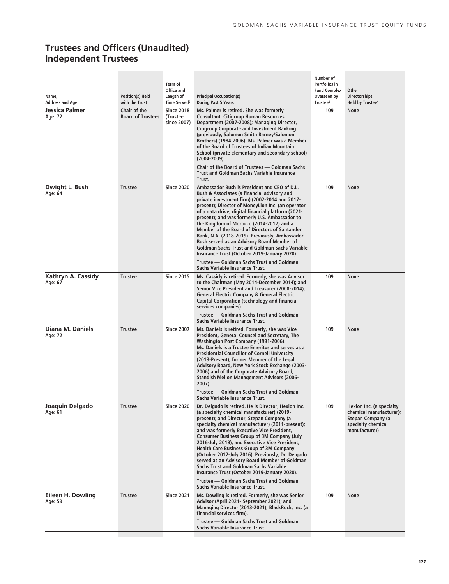## **Trustees and Officers (Unaudited) Independent Trustees**

| Name,<br>Address and Age <sup>1</sup><br>Jessica Palmer<br>Age: 72 | <b>Position(s) Held</b><br>with the Trust<br><b>Chair of the</b><br><b>Board of Trustees</b> | Term of<br>Office and<br>Length of<br>Time Served <sup>2</sup><br><b>Since 2018</b><br>(Trustee<br>since 2007) | <b>Principal Occupation(s)</b><br><b>During Past 5 Years</b><br>Ms. Palmer is retired. She was formerly<br><b>Consultant, Citigroup Human Resources</b><br>Department (2007-2008); Managing Director,<br><b>Citigroup Corporate and Investment Banking</b><br>(previously, Salomon Smith Barney/Salomon<br>Brothers) (1984-2006). Ms. Palmer was a Member<br>of the Board of Trustees of Indian Mountain<br>School (private elementary and secondary school)<br>(2004-2009).<br>Chair of the Board of Trustees - Goldman Sachs<br><b>Trust and Goldman Sachs Variable Insurance</b><br>Trust.                                                                                               | Number of<br>Portfolios in<br><b>Fund Complex</b><br>Overseen by<br>Trustee <sup>3</sup><br>109 | Other<br><b>Directorships</b><br>Held by Trustee <sup>4</sup><br>None                                           |
|--------------------------------------------------------------------|----------------------------------------------------------------------------------------------|----------------------------------------------------------------------------------------------------------------|---------------------------------------------------------------------------------------------------------------------------------------------------------------------------------------------------------------------------------------------------------------------------------------------------------------------------------------------------------------------------------------------------------------------------------------------------------------------------------------------------------------------------------------------------------------------------------------------------------------------------------------------------------------------------------------------|-------------------------------------------------------------------------------------------------|-----------------------------------------------------------------------------------------------------------------|
| Dwight L. Bush<br>Age: 64                                          | <b>Trustee</b>                                                                               | <b>Since 2020</b>                                                                                              | Ambassador Bush is President and CEO of D.L.<br>Bush & Associates (a financial advisory and<br>private investment firm) (2002-2014 and 2017-<br>present); Director of MoneyLion Inc. (an operator<br>of a data drive, digital financial platform (2021-<br>present); and was formerly U.S. Ambassador to<br>the Kingdom of Morocco (2014-2017) and a<br>Member of the Board of Directors of Santander<br>Bank, N.A. (2018-2019). Previously, Ambassador<br>Bush served as an Advisory Board Member of<br>Goldman Sachs Trust and Goldman Sachs Variable<br>Insurance Trust (October 2019-January 2020).<br>Trustee — Goldman Sachs Trust and Goldman                                        | 109                                                                                             | None                                                                                                            |
| Kathryn A. Cassidy<br>Age: 67                                      | <b>Trustee</b>                                                                               | <b>Since 2015</b>                                                                                              | Sachs Variable Insurance Trust.<br>Ms. Cassidy is retired. Formerly, she was Advisor<br>to the Chairman (May 2014-December 2014); and<br>Senior Vice President and Treasurer (2008-2014),<br><b>General Electric Company &amp; General Electric</b><br>Capital Corporation (technology and financial<br>services companies).<br>Trustee — Goldman Sachs Trust and Goldman<br>Sachs Variable Insurance Trust.                                                                                                                                                                                                                                                                                | 109                                                                                             | None                                                                                                            |
| Diana M. Daniels<br>Age: 72                                        | <b>Trustee</b>                                                                               | <b>Since 2007</b>                                                                                              | Ms. Daniels is retired. Formerly, she was Vice<br>President, General Counsel and Secretary, The<br>Washington Post Company (1991-2006).<br>Ms. Daniels is a Trustee Emeritus and serves as a<br><b>Presidential Councillor of Cornell University</b><br>(2013-Present); former Member of the Legal<br>Advisory Board, New York Stock Exchange (2003-<br>2006) and of the Corporate Advisory Board,<br><b>Standish Mellon Management Advisors (2006-</b><br>2007).<br>Trustee - Goldman Sachs Trust and Goldman<br>Sachs Variable Insurance Trust.                                                                                                                                           | 109                                                                                             | None                                                                                                            |
| Joaquin Delgado<br>Age: 61                                         | <b>Trustee</b>                                                                               | <b>Since 2020</b>                                                                                              | Dr. Delgado is retired. He is Director, Hexion Inc.<br>(a specialty chemical manufacturer) (2019-<br>present); and Director, Stepan Company (a<br>specialty chemical manufacturer) (2011-present);<br>and was formerly Executive Vice President,<br><b>Consumer Business Group of 3M Company (July</b><br>2016-July 2019); and Executive Vice President,<br><b>Health Care Business Group of 3M Company</b><br>(October 2012-July 2016). Previously, Dr. Delgado<br>served as an Advisory Board Member of Goldman<br>Sachs Trust and Goldman Sachs Variable<br>Insurance Trust (October 2019-January 2020).<br>Trustee - Goldman Sachs Trust and Goldman<br>Sachs Variable Insurance Trust. | 109                                                                                             | Hexion Inc. (a specialty<br>chemical manufacturer);<br>Stepan Company (a<br>specialty chemical<br>manufacturer) |
| Eileen H. Dowling<br>Age: 59                                       | <b>Trustee</b>                                                                               | <b>Since 2021</b>                                                                                              | Ms. Dowling is retired. Formerly, she was Senior<br>Advisor (April 2021- September 2021); and<br>Managing Director (2013-2021), BlackRock, Inc. (a<br>financial services firm).<br>Trustee - Goldman Sachs Trust and Goldman<br>Sachs Variable Insurance Trust.                                                                                                                                                                                                                                                                                                                                                                                                                             | 109                                                                                             | None                                                                                                            |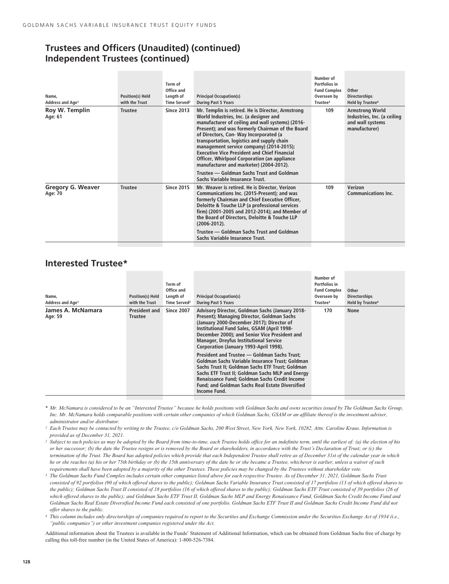## **Trustees and Officers (Unaudited) (continued) Independent Trustees (continued)**

| Name.<br>Address and Age <sup>1</sup> | <b>Position(s) Held</b><br>with the Trust | Term of<br>Office and<br>Length of<br>Time Served <sup>2</sup> | <b>Principal Occupation(s)</b><br><b>During Past 5 Years</b>                                                                                                                                                                                                                                                                                                                                                                                                                              | Number of<br>Portfolios in<br><b>Fund Complex</b><br>Overseen by<br>Trustee <sup>3</sup> | Other<br><b>Directorships</b><br>Held by Trustee <sup>4</sup>                              |
|---------------------------------------|-------------------------------------------|----------------------------------------------------------------|-------------------------------------------------------------------------------------------------------------------------------------------------------------------------------------------------------------------------------------------------------------------------------------------------------------------------------------------------------------------------------------------------------------------------------------------------------------------------------------------|------------------------------------------------------------------------------------------|--------------------------------------------------------------------------------------------|
| Roy W. Templin<br>Age: 61             | <b>Trustee</b>                            | <b>Since 2013</b>                                              | Mr. Templin is retired. He is Director, Armstrong<br>World Industries, Inc. (a designer and<br>manufacturer of ceiling and wall systems) (2016-<br>Present); and was formerly Chairman of the Board<br>of Directors, Con- Way Incorporated (a<br>transportation, logistics and supply chain<br>management service company) (2014-2015);<br><b>Executive Vice President and Chief Financial</b><br>Officer, Whirlpool Corporation (an appliance<br>manufacturer and marketer) (2004-2012). | 109                                                                                      | <b>Armstrong World</b><br>Industries, Inc. (a ceiling<br>and wall systems<br>manufacturer) |
|                                       |                                           |                                                                | Trustee - Goldman Sachs Trust and Goldman<br>Sachs Variable Insurance Trust.                                                                                                                                                                                                                                                                                                                                                                                                              |                                                                                          |                                                                                            |
| Gregory G. Weaver<br>Age: 70          | <b>Trustee</b>                            | <b>Since 2015</b>                                              | Mr. Weaver is retired. He is Director, Verizon<br>Communications Inc. (2015-Present); and was<br>formerly Chairman and Chief Executive Officer,<br>Deloitte & Touche LLP (a professional services<br>firm) (2001-2005 and 2012-2014); and Member of<br>the Board of Directors, Deloitte & Touche LLP<br>$(2006 - 2012).$                                                                                                                                                                  | 109                                                                                      | Verizon<br><b>Communications Inc.</b>                                                      |
|                                       |                                           |                                                                | Trustee — Goldman Sachs Trust and Goldman<br>Sachs Variable Insurance Trust.                                                                                                                                                                                                                                                                                                                                                                                                              |                                                                                          |                                                                                            |

## **Interested Trustee\***

| Name.<br>Address and Age <sup>1</sup> | <b>Position(s) Held</b><br>with the Trust | Term of<br>Office and<br>Length of<br>Time Served <sup>2</sup> | <b>Principal Occupation(s)</b><br><b>During Past 5 Years</b>                                                                                                                                                                                                                                                                                 | Number of<br>Portfolios in<br><b>Fund Complex</b><br>Overseen by<br>Trustee <sup>3</sup> | <b>Other</b><br><b>Directorships</b><br>Held by Trustee <sup>4</sup> |
|---------------------------------------|-------------------------------------------|----------------------------------------------------------------|----------------------------------------------------------------------------------------------------------------------------------------------------------------------------------------------------------------------------------------------------------------------------------------------------------------------------------------------|------------------------------------------------------------------------------------------|----------------------------------------------------------------------|
| James A. McNamara<br>Age: 59          | <b>President and</b><br><b>Trustee</b>    | <b>Since 2007</b>                                              | <b>Advisory Director, Goldman Sachs (January 2018-</b><br>Present); Managing Director, Goldman Sachs<br>(January 2000-December 2017); Director of<br>Institutional Fund Sales, GSAM (April 1998-<br>December 2000); and Senior Vice President and<br><b>Manager, Dreyfus Institutional Service</b><br>Corporation (January 1993-April 1998). | 170                                                                                      | <b>None</b>                                                          |
|                                       |                                           |                                                                | President and Trustee - Goldman Sachs Trust:<br>Goldman Sachs Variable Insurance Trust: Goldman<br>Sachs Trust II: Goldman Sachs ETF Trust: Goldman<br>Sachs ETF Trust II; Goldman Sachs MLP and Energy<br><b>Renaissance Fund: Goldman Sachs Credit Income</b><br>Fund; and Goldman Sachs Real Estate Diversified<br>Income Fund.           |                                                                                          |                                                                      |

\* *Mr. McNamara is considered to be an "Interested Trustee" because he holds positions with Goldman Sachs and owns securities issued by The Goldman Sachs Group, Inc. Mr. McNamara holds comparable positions with certain other companies of which Goldman Sachs, GSAM or an affiliate thereof is the investment adviser, administrator and/or distributor.*

*<sup>1</sup> Each Trustee may be contacted by writing to the Trustee, c/o Goldman Sachs, 200 West Street, New York, New York, 10282, Attn: Caroline Kraus. Information is provided as of December 31, 2021.*

*<sup>2</sup> Subject to such policies as may be adopted by the Board from time-to-time, each Trustee holds office for an indefinite term, until the earliest of: (a) the election of his or her successor; (b) the date the Trustee resigns or is removed by the Board or shareholders, in accordance with the Trust's Declaration of Trust; or (c) the termination of the Trust. The Board has adopted policies which provide that each Independent Trustee shall retire as of December 31st of the calendar year in which he or she reaches (a) his or her 75th birthday or (b) the 15th anniversary of the date he or she became a Trustee, whichever is earlier, unless a waiver of such requirements shall have been adopted by a majority of the other Trustees. These policies may be changed by the Trustees without shareholder vote.*

*<sup>3</sup> The Goldman Sachs Fund Complex includes certain other companies listed above for each respective Trustee. As of December 31, 2021, Goldman Sachs Trust consisted of 92 portfolios (90 of which offered shares to the public); Goldman Sachs Variable Insurance Trust consisted of 17 portfolios (13 of which offered shares to the public); Goldman Sachs Trust II consisted of 18 portfolios (16 of which offered shares to the public); Goldman Sachs ETF Trust consisted of 39 portfolios (26 of which offered shares to the public); and Goldman Sachs ETF Trust II, Goldman Sachs MLP and Energy Renaissance Fund, Goldman Sachs Credit Income Fund and Goldman Sachs Real Estate Diversified Income Fund each consisted of one portfolio. Goldman Sachs ETF Trust II and Goldman Sachs Credit Income Fund did not offer shares to the public.*

*<sup>4</sup> This column includes only directorships of companies required to report to the Securities and Exchange Commission under the Securities Exchange Act of 1934 (i.e., "public companies") or other investment companies registered under the Act.*

Additional information about the Trustees is available in the Funds' Statement of Additional Information, which can be obtained from Goldman Sachs free of charge by calling this toll-free number (in the United States of America): 1-800-526-7384.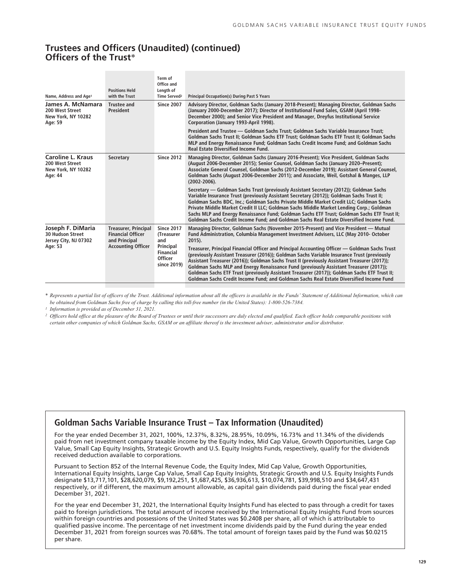## **Trustees and Officers (Unaudited) (continued) Officers of the Trust**\*

| Name, Address and Age <sup>1</sup>                                               | <b>Positions Held</b><br>with the Trust                                                               | Term of<br>Office and<br>Length of<br>Time Served <sup>2</sup>                                    | <b>Principal Occupation(s) During Past 5 Years</b>                                                                                                                                                                                                                                                                                                                                                                                                                                                                                                                                                                                                                                                                                                                             |
|----------------------------------------------------------------------------------|-------------------------------------------------------------------------------------------------------|---------------------------------------------------------------------------------------------------|--------------------------------------------------------------------------------------------------------------------------------------------------------------------------------------------------------------------------------------------------------------------------------------------------------------------------------------------------------------------------------------------------------------------------------------------------------------------------------------------------------------------------------------------------------------------------------------------------------------------------------------------------------------------------------------------------------------------------------------------------------------------------------|
| James A. McNamara<br>200 West Street<br>New York, NY 10282<br>Age: 59            | <b>Trustee and</b><br><b>President</b>                                                                | <b>Since 2007</b>                                                                                 | Advisory Director, Goldman Sachs (January 2018-Present); Managing Director, Goldman Sachs<br>(January 2000-December 2017); Director of Institutional Fund Sales, GSAM (April 1998-<br>December 2000); and Senior Vice President and Manager, Dreyfus Institutional Service<br>Corporation (January 1993-April 1998).                                                                                                                                                                                                                                                                                                                                                                                                                                                           |
|                                                                                  |                                                                                                       |                                                                                                   | President and Trustee — Goldman Sachs Trust: Goldman Sachs Variable Insurance Trust:<br>Goldman Sachs Trust II; Goldman Sachs ETF Trust; Goldman Sachs ETF Trust II; Goldman Sachs<br>MLP and Energy Renaissance Fund; Goldman Sachs Credit Income Fund; and Goldman Sachs<br><b>Real Estate Diversified Income Fund.</b>                                                                                                                                                                                                                                                                                                                                                                                                                                                      |
| Caroline L. Kraus<br>200 West Street<br>New York, NY 10282<br>Age: 44            | <b>Secretary</b>                                                                                      | <b>Since 2012</b>                                                                                 | Managing Director, Goldman Sachs (January 2016-Present); Vice President, Goldman Sachs<br>(August 2006-December 2015); Senior Counsel, Goldman Sachs (January 2020–Present);<br>Associate General Counsel, Goldman Sachs (2012-December 2019); Assistant General Counsel,<br>Goldman Sachs (August 2006-December 2011); and Associate, Weil, Gotshal & Manges, LLP<br>$(2002 - 2006)$ .                                                                                                                                                                                                                                                                                                                                                                                        |
|                                                                                  |                                                                                                       |                                                                                                   | Secretary — Goldman Sachs Trust (previously Assistant Secretary (2012)); Goldman Sachs<br>Variable Insurance Trust (previously Assistant Secretary (2012)); Goldman Sachs Trust II;<br>Goldman Sachs BDC, Inc.; Goldman Sachs Private Middle Market Credit LLC; Goldman Sachs<br>Private Middle Market Credit II LLC; Goldman Sachs Middle Market Lending Corp.; Goldman<br>Sachs MLP and Energy Renaissance Fund; Goldman Sachs ETF Trust; Goldman Sachs ETF Trust II;<br>Goldman Sachs Credit Income Fund: and Goldman Sachs Real Estate Diversified Income Fund.                                                                                                                                                                                                            |
| Joseph F. DiMaria<br><b>30 Hudson Street</b><br>Jersey City, NJ 07302<br>Age: 53 | <b>Treasurer, Principal</b><br><b>Financial Officer</b><br>and Principal<br><b>Accounting Officer</b> | <b>Since 2017</b><br>(Treasurer<br>and<br>Principal<br>Financial<br><b>Officer</b><br>since 2019) | Managing Director, Goldman Sachs (November 2015-Present) and Vice President — Mutual<br>Fund Administration, Columbia Management Investment Advisers, LLC (May 2010- October<br>$2015$ ).<br>Treasurer, Principal Financial Officer and Principal Accounting Officer — Goldman Sachs Trust<br>(previously Assistant Treasurer (2016)); Goldman Sachs Variable Insurance Trust (previously<br>Assistant Treasurer (2016)); Goldman Sachs Trust II (previously Assistant Treasurer (2017));<br>Goldman Sachs MLP and Energy Renaissance Fund (previously Assistant Treasurer (2017));<br>Goldman Sachs ETF Trust (previously Assistant Treasurer (2017)); Goldman Sachs ETF Trust II;<br>Goldman Sachs Credit Income Fund; and Goldman Sachs Real Estate Diversified Income Fund |

\* *Represents a partial list of officers of the Trust. Additional information about all the officers is available in the Funds' Statement of Additional Information, which can be obtained from Goldman Sachs free of charge by calling this toll-free number (in the United States): 1-800-526-7384.*

*<sup>1</sup> Information is provided as of December 31, 2021.*

*<sup>2</sup> Officers hold office at the pleasure of the Board of Trustees or until their successors are duly elected and qualified. Each officer holds comparable positions with certain other companies of which Goldman Sachs, GSAM or an affiliate thereof is the investment adviser, administrator and/or distributor.*

## **Goldman Sachs Variable Insurance Trust – Tax Information (Unaudited)**

For the year ended December 31, 2021, 100%, 12.37%, 8.32%, 28.95%, 10.09%, 16.73% and 11.34% of the dividends paid from net investment company taxable income by the Equity Index, Mid Cap Value, Growth Opportunities, Large Cap Value, Small Cap Equity Insights, Strategic Growth and U.S. Equity Insights Funds, respectively, qualify for the dividends received deduction available to corporations.

Pursuant to Section 852 of the Internal Revenue Code, the Equity Index, Mid Cap Value, Growth Opportunities, International Equity Insights, Large Cap Value, Small Cap Equity Insights, Strategic Growth and U.S. Equity Insights Funds designate \$13,717,101, \$28,620,079, \$9,192,251, \$1,687,425, \$36,936,613, \$10,074,781, \$39,998,510 and \$34,647,431 respectively, or if different, the maximum amount allowable, as capital gain dividends paid during the fiscal year ended December 31, 2021.

For the year end December 31, 2021, the International Equity Insights Fund has elected to pass through a credit for taxes paid to foreign jurisdictions. The total amount of income received by the International Equity Insights Fund from sources within foreign countries and possessions of the United States was \$0.2408 per share, all of which is attributable to qualified passive income. The percentage of net investment income dividends paid by the Fund during the year ended December 31, 2021 from foreign sources was 70.68%. The total amount of foreign taxes paid by the Fund was \$0.0215 per share.